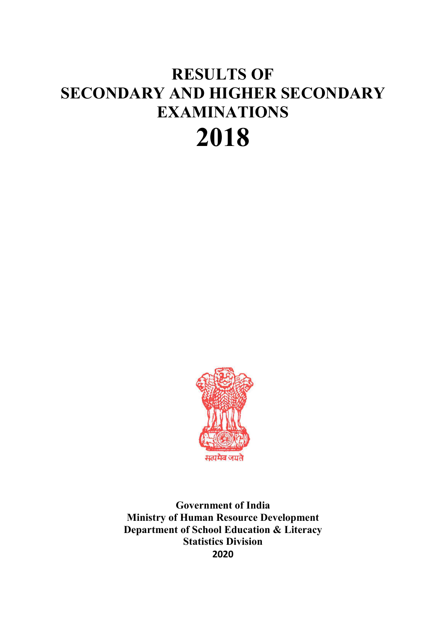# **RESULTS OF SECONDARY AND HIGHER SECONDARY EXAMINATIONS 2018**



**Government of India Ministry of Human Resource Development Department of School Education & Literacy Statistics Division 2020**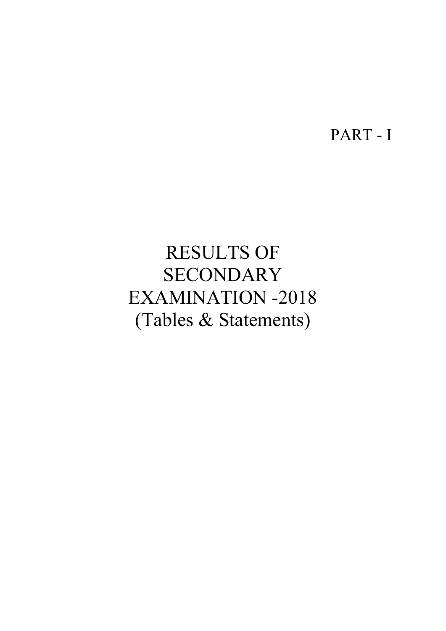PART - I

# RESULTS OF **SECONDARY** EXAMINATION -2018 (Tables & Statements)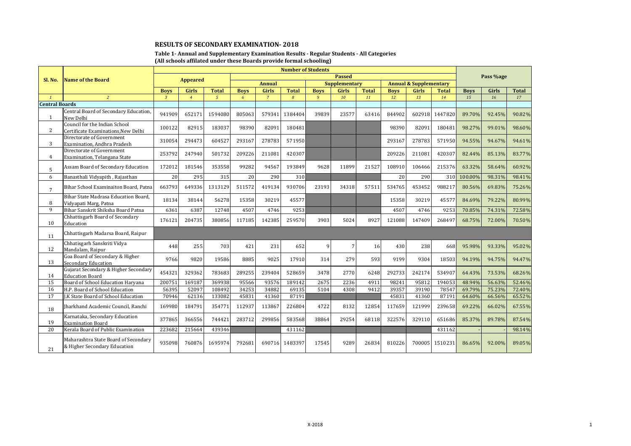#### **Table 1- Annual and Supplementary Examination Results - Regular Students - All Categories (All schools affilated under these Boards provide formal schooling)**

|                       |                                                                      | <b>Number of Students</b><br><b>Passed</b>                                                    |                |                |             |                |                |             |       |              |             |        |              |             |           |        |
|-----------------------|----------------------------------------------------------------------|-----------------------------------------------------------------------------------------------|----------------|----------------|-------------|----------------|----------------|-------------|-------|--------------|-------------|--------|--------------|-------------|-----------|--------|
| Sl. No.               | Name of the Board                                                    | <b>Appeared</b><br><b>Annual</b><br><b>Supplementary</b><br><b>Annual &amp; Supplementary</b> |                |                |             |                |                |             |       |              |             |        |              |             | Pass %age |        |
|                       |                                                                      |                                                                                               |                |                |             |                |                |             |       |              |             |        |              |             |           |        |
|                       |                                                                      | <b>Boys</b>                                                                                   | Girls          | Total          | <b>Boys</b> | Girls          | <b>Total</b>   | <b>Boys</b> | Girls | <b>Total</b> | <b>Boys</b> | Girls  | <b>Total</b> | <b>Boys</b> | Girls     | Total  |
| $\mathbf{1}$          | $\overline{2}$                                                       | $\mathcal{R}$                                                                                 | $\overline{4}$ | 5 <sup>5</sup> | 6           | $\overline{7}$ | $\overline{8}$ | 9           | 10    | 11           | 12          | 13     | 14           | 15          | 16        | 17     |
| <b>Central Boards</b> |                                                                      |                                                                                               |                |                |             |                |                |             |       |              |             |        |              |             |           |        |
| $\mathbf{1}$          | Central Board of Secondary Education,<br>New Delhi                   | 941909                                                                                        | 652171         | 1594080        | 805063      | 579341         | 1384404        | 39839       | 23577 | 63416        | 844902      | 602918 | 1447820      | 89.70%      | 92.45%    | 90.82% |
| $\overline{2}$        | Council for the Indian School<br>Certificate Examinations, New Delhi | 100122                                                                                        | 82915          | 183037         | 98390       | 82091          | 180481         |             |       |              | 98390       | 82091  | 180481       | 98.27%      | 99.01%    | 98.60% |
| 3                     | Directorate of Government<br>Examination, Andhra Pradesh             | 310054                                                                                        | 294473         | 604527         | 293167      | 278783         | 571950         |             |       |              | 293167      | 278783 | 571950       | 94.55%      | 94.67%    | 94.61% |
| 4                     | Directorate of Government<br>Examination, Telangana State            | 253792                                                                                        | 247940         | 501732         | 209226      | 211081         | 420307         |             |       |              | 209226      | 211081 | 420307       | 82.44%      | 85.13%    | 83.77% |
| 5                     | Assam Board of Secondary Education                                   | 172012                                                                                        | 181546         | 353558         | 99282       | 94567          | 193849         | 9628        | 11899 | 21527        | 108910      | 106466 | 215376       | 63.32%      | 58.64%    | 60.92% |
| 6                     | Banasthali Vidyapith, Rajasthan                                      | 20                                                                                            | 295            | 315            | 20          | 290            | 310            |             |       |              | 20          | 290    | 310          | 100.00%     | 98.31%    | 98.41% |
| $7\overline{ }$       | Bihar School Examinaiton Board, Patna                                | 663793                                                                                        | 649336         | 1313129        | 511572      | 419134         | 930706         | 23193       | 34318 | 57511        | 534765      | 453452 | 988217       | 80.56%      | 69.83%    | 75.26% |
| 8                     | Bihar State Madrasa Education Board.<br>Vidvapati Marg, Patna        | 18134                                                                                         | 38144          | 56278          | 15358       | 30219          | 45577          |             |       |              | 15358       | 30219  | 45577        | 84.69%      | 79.22%    | 80.99% |
| 9                     | Bihar Sanskrit Shiksha Board Patna                                   | 6361                                                                                          | 6387           | 12748          | 4507        | 4746           | 9253           |             |       |              | 4507        | 4746   | 9253         | 70.85%      | 74.31%    | 72.58% |
| 10                    | Chhattisgarh Board of Secondary<br>Education                         | 176121                                                                                        | 204735         | 380856         | 117185      | 142385         | 259570         | 3903        | 5024  | 8927         | 121088      | 147409 | 268497       | 68.75%      | 72.00%    | 70.50% |
| 11                    | Chhattisgarh Madarsa Board, Raipur                                   |                                                                                               |                |                |             |                |                |             |       |              |             |        |              |             |           |        |
| 12                    | Chhatisgarh Sanskriti Vidya<br>Mandalam, Raipur                      | 448                                                                                           | 255            | 703            | 421         | 231            | 652            | 9           |       | 16           | 430         | 238    | 668          | 95.98%      | 93.33%    | 95.02% |
| 13                    | Goa Board of Secondary & Higher<br><b>Secondary Education</b>        | 9766                                                                                          | 9820           | 19586          | 8885        | 9025           | 17910          | 314         | 279   | 593          | 9199        | 9304   | 18503        | 94.19%      | 94.75%    | 94.47% |
| 14                    | Gujarat Secondary & Higher Secondary<br><b>Education Board</b>       | 454321                                                                                        | 329362         | 783683         | 289255      | 239404         | 528659         | 3478        | 2770  | 6248         | 292733      | 242174 | 534907       | 64.43%      | 73.53%    | 68.26% |
| 15                    | Board of School Education Haryana                                    | 200751                                                                                        | 169187         | 369938         | 95566       | 93576          | 189142         | 2675        | 2236  | 4911         | 98241       | 95812  | 194053       | 48.94%      | 56.63%    | 52.46% |
| 16                    | H.P. Board of School Education                                       | 56395                                                                                         | 52097          | 108492         | 34253       | 34882          | 69135          | 5104        | 4308  | 9412         | 39357       | 39190  | 78547        | 69.79%      | 75.23%    | 72.40% |
| 17                    | J.K State Board of School Education                                  | 70946                                                                                         | 62136          | 133082         | 45831       | 41360          | 87191          |             |       |              | 45831       | 41360  | 87191        | 64.60%      | 66.56%    | 65.52% |
| 18                    | Iharkhand Academic Council, Ranchi                                   | 169980                                                                                        | 184791         | 354771         | 112937      | 113867         | 226804         | 4722        | 8132  | 12854        | 117659      | 121999 | 239658       | 69.22%      | 66.02%    | 67.55% |
| 19                    | Karnataka, Secondary Education<br><b>Examination Board</b>           | 377865                                                                                        | 366556         | 744421         | 283712      | 299856         | 583568         | 38864       | 29254 | 68118        | 322576      | 329110 | 651686       | 85.37%      | 89.78%    | 87.54% |
| 20                    | Kerala Board of Public Examination                                   | 223682                                                                                        | 215664         | 439346         |             |                | 431162         |             |       |              |             |        | 431162       |             |           | 98.14% |
| 21                    | Maharashtra State Board of Secondary<br>& Higher Secondary Education | 935098                                                                                        | 760876         | 1695974        | 792681      | 690716         | 1483397        | 17545       | 9289  | 26834        | 810226      | 700005 | 1510231      | 86.65%      | 92.00%    | 89.05% |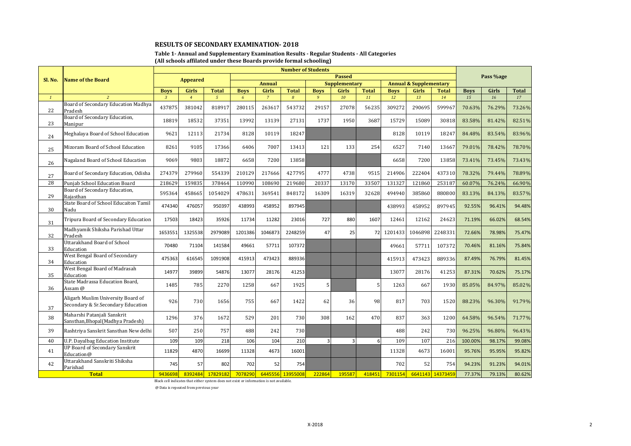#### **Table 1- Annual and Supplementary Examination Results - Regular Students - All Categories (All schools affilated under these Boards provide formal schooling)**

| Sl. No.      | <b>Name of the Board</b>                                                 |                | <b>Appeared</b> |              |             | Pass %age      |                  |                         |                      |              |             |                                   |                  |             |        |        |
|--------------|--------------------------------------------------------------------------|----------------|-----------------|--------------|-------------|----------------|------------------|-------------------------|----------------------|--------------|-------------|-----------------------------------|------------------|-------------|--------|--------|
|              |                                                                          |                |                 |              |             | <b>Annual</b>  |                  |                         | <b>Supplementary</b> |              |             | <b>Annual &amp; Supplementary</b> |                  |             |        |        |
|              |                                                                          | <b>Boys</b>    | Girls           | <b>Total</b> | <b>Boys</b> | Girls          | <b>Total</b>     | <b>Boys</b>             | Girls                | <b>Total</b> | <b>Boys</b> | Girls                             | <b>Total</b>     | <b>Boys</b> | Girls  | Total  |
| $\mathbf{1}$ | $\overline{2}$                                                           | $\overline{3}$ | $\overline{4}$  | $5^{\circ}$  | 6           | $\overline{7}$ | 8                | 9                       | 10                   | 11           | 12          | 13                                | 14               | 15          | 16     | 17     |
| 22           | Board of Secondary Education Madhya<br>Pradesh                           | 437875         | 381042          | 818917       | 280115      | 263617         | 543732           | 29157                   | 27078                | 56235        | 309272      | 290695                            | 599967           | 70.63%      | 76.29% | 73.26% |
| 23           | Board of Secondary Education,<br>Manipur                                 | 18819          | 18532           | 37351        | 13992       | 13139          | 27131            | 1737                    | 1950                 | 3687         | 15729       | 15089                             | 30818            | 83.58%      | 81.42% | 82.51% |
| 24           | Meghalaya Board of School Education                                      | 9621           | 12113           | 21734        | 8128        | 10119          | 18247            |                         |                      |              | 8128        | 10119                             | 18247            | 84.48%      | 83.54% | 83.96% |
| 25           | Mizoram Board of School Education                                        | 8261           | 9105            | 17366        | 6406        | 7007           | 13413            | 121                     | 133                  | 254          | 6527        | 7140                              | 13667            | 79.01%      | 78.42% | 78.70% |
| 26           | Nagaland Board of School Education                                       | 9069           | 9803            | 18872        | 6658        | 7200           | 13858            |                         |                      |              | 6658        | 7200                              | 13858            | 73.41%      | 73.45% | 73.43% |
| 27           | Board of Secondary Education, Odisha                                     | 274379         | 279960          | 554339       | 210129      | 217666         | 427795           | 4777                    | 4738                 | 9515         | 214906      | 222404                            | 437310           | 78.32%      | 79.44% | 78.89% |
| 28           | Punjab School Education Board                                            | 218629         | 159835          | 378464       | 110990      | 108690         | 219680           | 20337                   | 13170                | 33507        | 131327      | 121860                            | 253187           | 60.07%      | 76.24% | 66.90% |
| 29           | Board of Secondary Education,<br>Raiasthan                               | 595364         | 458665          | 1054029      | 478631      | 369541         | 848172           | 16309                   | 16319                | 32628        | 494940      | 385860                            | 880800           | 83.13%      | 84.13% | 83.57% |
| 30           | State Board of School Educaiton Tamil<br>Nadu                            | 474340         | 476057          | 950397       | 438993      | 458952         | 897945           |                         |                      |              | 438993      | 458952                            | 897945           | 92.55%      | 96.41% | 94.48% |
| 31           | Tripura Board of Secondary Education                                     | 17503          | 18423           | 35926        | 11734       | 11282          | 23016            | 727                     | 880                  | 1607         | 12461       | 12162                             | 24623            | 71.19%      | 66.02% | 68.54% |
| 32           | Madhyamik Shiksha Parishad Uttar<br>Pradesh                              | 1653551        | 1325538         | 2979089      | 1201386     | 1046873        | 2248259          | 47                      | 25                   | 72           | 1201433     | 1046898                           | 2248331          | 72.66%      | 78.98% | 75.47% |
| 33           | Uttarakhand Board of School<br>Education                                 | 70480          | 71104           | 141584       | 49661       | 57711          | 107372           |                         |                      |              | 49661       | 57711                             | 107372           | 70.46%      | 81.16% | 75.84% |
| 34           | West Bengal Board of Secondary<br>Education                              | 475363         | 616545          | 1091908      | 415913      | 473423         | 889336           |                         |                      |              | 415913      | 473423                            | 889336           | 87.49%      | 76.79% | 81.45% |
| 35           | West Bengal Board of Madrasah<br>Education                               | 14977          | 39899           | 54876        | 13077       | 28176          | 41253            |                         |                      |              | 13077       | 28176                             | 41253            | 87.31%      | 70.62% | 75.17% |
| 36           | State Madrassa Education Board,<br>Assam @                               | 1485           | 785             | 2270         | 1258        | 667            | 1925             | 5                       |                      | 5            | 1263        | 667                               | 1930             | 85.05%      | 84.97% | 85.02% |
| 37           | Aligarh Muslim University Board of<br>Secondary & Sr.Secondary Education | 926            | 730             | 1656         | 755         | 667            | 1422             | 62                      | 36                   | 98           | 817         | 703                               | 1520             | 88.23%      | 96.30% | 91.79% |
| 38           | Maharshi Patanjali Sanskrit<br>Sansthan, Bhopal (Madhya Pradesh)         | 1296           | 376             | 1672         | 529         | 201            | 730              | 308                     | 162                  | 470          | 837         | 363                               | 1200             | 64.58%      | 96.54% | 71.77% |
| 39           | Rashtriya Sanskrit Sansthan New delhi                                    | 507            | 250             | 757          | 488         | 242            | 730              |                         |                      |              | 488         | 242                               | 730              | 96.25%      | 96.80% | 96.43% |
| 40           | <b>U.P. Dayalbag Education Institute</b>                                 | 109            | 109             | 218          | 106         | 104            | 210              | $\overline{\mathbf{3}}$ | $\overline{3}$       | 6            | 109         | 107                               | 216              | 100.00%     | 98.17% | 99.08% |
| 41           | <b>UP Board of Secondary Sanskrit</b><br>Education@                      | 11829          | 4870            | 16699        | 11328       | 4673           | 16001            |                         |                      |              | 11328       | 4673                              | 16001            | 95.76%      | 95.95% | 95.82% |
| 42           | Uttarakhand Sanskriti Shiksha<br>Parishad                                | 745            | 57              | 802          | 702         | 52             | 754              |                         |                      |              | 702         | 52                                | 754              | 94.23%      | 91.23% | 94.01% |
|              | <b>Total</b>                                                             | 9436698        | 8392484         | 17829182     | 7078290     |                | 6445556 13955008 | 222864                  | 195587               | 418451       | 7301154     |                                   | 6641143 14373459 | 77.37%      | 79.13% | 80.62% |

Black cell indicates that either system does not exist or information is not available.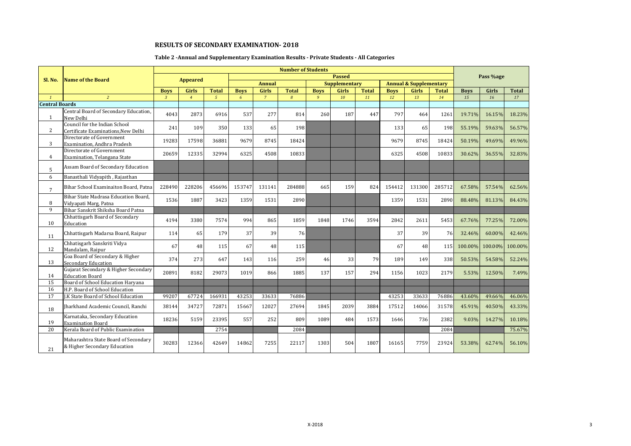# **Table 2 -Annual and Supplementary Examination Results - Private Students - All Categories**

|                       |                                                                      |                |                 |                |             |                | <b>Number of Students</b> |             |                      |              |             |                                   |              |             |           |              |
|-----------------------|----------------------------------------------------------------------|----------------|-----------------|----------------|-------------|----------------|---------------------------|-------------|----------------------|--------------|-------------|-----------------------------------|--------------|-------------|-----------|--------------|
| Sl. No.               | <b>Name of the Board</b>                                             |                | <b>Appeared</b> |                |             |                |                           |             | <b>Passed</b>        |              |             |                                   |              |             | Pass %age |              |
|                       |                                                                      |                |                 |                |             | <b>Annual</b>  |                           |             | <b>Supplementary</b> |              |             | <b>Annual &amp; Supplementary</b> |              |             |           |              |
|                       |                                                                      | <b>Boys</b>    | Girls           | <b>Total</b>   | <b>Boys</b> | <b>Girls</b>   | <b>Total</b>              | <b>Boys</b> | <b>Girls</b>         | <b>Total</b> | <b>Boys</b> | Girls                             | <b>Total</b> | <b>Boys</b> | Girls     | <b>Total</b> |
| $\mathbf{1}$          | $\overline{2}$                                                       | $\overline{3}$ | $\overline{4}$  | 5 <sup>1</sup> | 6           | $\overline{7}$ | 8                         | 9           | 10                   | 11           | 12          | 13                                | 14           | 15          | 16        | 17           |
| <b>Central Boards</b> |                                                                      |                |                 |                |             |                |                           |             |                      |              |             |                                   |              |             |           |              |
| $\mathbf{1}$          | Central Board of Secondary Education,<br>New Delhi                   | 4043           | 2873            | 6916           | 537         | 277            | 814                       | 260         | 187                  | 447          | 797         | 464                               | 1261         | 19.71%      | 16.15%    | 18.23%       |
| $\overline{2}$        | Council for the Indian School<br>Certificate Examinations, New Delhi | 241            | 109             | 350            | 133         | 65             | 198                       |             |                      |              | 133         | 65                                | 198          | 55.19%      | 59.63%    | 56.57%       |
| 3                     | Directorate of Government<br>Examination, Andhra Pradesh             | 19283          | 17598           | 36881          | 9679        | 8745           | 18424                     |             |                      |              | 9679        | 8745                              | 18424        | 50.19%      | 49.69%    | 49.96%       |
| 4                     | Directorate of Government<br>Examination, Telangana State            | 20659          | 12335           | 32994          | 6325        | 4508           | 10833                     |             |                      |              | 6325        | 4508                              | 10833        | 30.62%      | 36.55%    | 32.83%       |
| 5                     | Assam Board of Secondary Education                                   |                |                 |                |             |                |                           |             |                      |              |             |                                   |              |             |           |              |
| 6                     | Banasthali Vidyapith, Rajasthan                                      |                |                 |                |             |                |                           |             |                      |              |             |                                   |              |             |           |              |
| $\overline{7}$        | Bihar School Examinaiton Board, Patna                                | 228490         | 228206          | 456696         | 153747      | 131141         | 284888                    | 665         | 159                  | 824          | 154412      | 131300                            | 285712       | 67.58%      | 57.54%    | 62.56%       |
| 8                     | Bihar State Madrasa Education Board.<br>Vidyapati Marg, Patna        | 1536           | 1887            | 3423           | 1359        | 1531           | 2890                      |             |                      |              | 1359        | 1531                              | 2890         | 88.48%      | 81.13%    | 84.43%       |
| 9                     | Bihar Sanskrit Shiksha Board Patna                                   |                |                 |                |             |                |                           |             |                      |              |             |                                   |              |             |           |              |
| 10                    | Chhattisgarh Board of Secondary<br>Education                         | 4194           | 3380            | 7574           | 994         | 865            | 1859                      | 1848        | 1746                 | 3594         | 2842        | 2611                              | 5453         | 67.76%      | 77.25%    | 72.00%       |
| 11                    | Chhattisgarh Madarsa Board, Raipur                                   | 114            | 65              | 179            | 37          | 39             | 76                        |             |                      |              | 37          | 39                                | 76           | 32.46%      | 60.00%    | 42.46%       |
| 12                    | Chhatisgarh Sanskriti Vidya<br>Mandalam, Raipur                      | 67             | 48              | 115            | 67          | 48             | 115                       |             |                      |              | 67          | 48                                | 115I         | 100.00%     | 100.00%   | 100.00%      |
| 13                    | Goa Board of Secondary & Higher<br><b>Secondary Education</b>        | 374            | 273             | 647            | 143         | 116            | 259                       | 46          | 33                   | 79           | 189         | 149                               | 338          | 50.53%      | 54.58%    | 52.24%       |
| 14                    | Gujarat Secondary & Higher Secondary<br><b>Education Board</b>       | 20891          | 8182            | 29073          | 1019        | 866            | 1885                      | 137         | 157                  | 294          | 1156        | 1023                              | 2179         | 5.53%       | 12.50%    | 7.49%        |
| 15                    | Board of School Education Haryana                                    |                |                 |                |             |                |                           |             |                      |              |             |                                   |              |             |           |              |
| 16                    | H.P. Board of School Education                                       |                |                 |                |             |                |                           |             |                      |              |             |                                   |              |             |           |              |
| 17                    | J.K State Board of School Education                                  | 99207          | 67724           | 166931         | 43253       | 33633          | 76886                     |             |                      |              | 43253       | 33633                             | 76886        | 43.60%      | 49.66%    | 46.06%       |
| 18                    | Iharkhand Academic Council, Ranchi                                   | 38144          | 34727           | 72871          | 15667       | 12027          | 27694                     | 1845        | 2039                 | 3884         | 17512       | 14066                             | 31578        | 45.91%      | 40.50%    | 43.33%       |
| 19                    | Karnataka, Secondary Education<br><b>Examination Board</b>           | 18236          | 5159            | 23395          | 557         | 252            | 809                       | 1089        | 484                  | 1573         | 1646        | 736                               | 2382         | 9.03%       | 14.27%    | 10.18%       |
| 20                    | Kerala Board of Public Examination                                   |                |                 | 2754           |             |                | 2084                      |             |                      |              |             |                                   | 2084         |             |           | 75.67%       |
| 21                    | Maharashtra State Board of Secondary<br>& Higher Secondary Education | 30283          | 12366           | 42649          | 14862       | 7255           | 22117                     | 1303        | 504                  | 1807         | 16165       | 7759                              | 23924        | 53.38%      | 62.74%    | 56.10%       |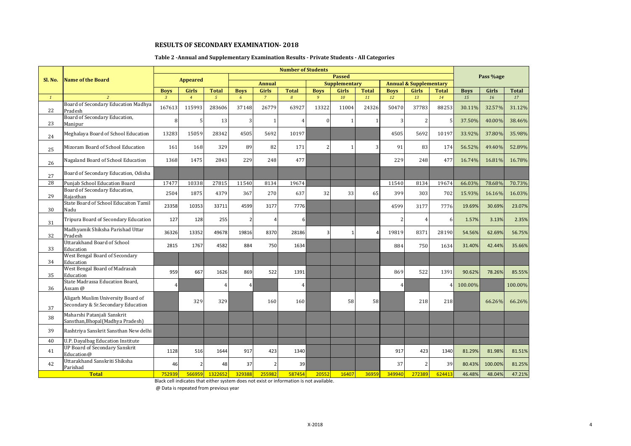#### **Table 2 -Annual and Supplementary Examination Results - Private Students - All Categories**

| Sl. No.      | <b>Name of the Board</b>                                                 |                               | <b>Appeared</b>         |                                |                  |                         |                   |                               | <b>Passed</b>        |                    |                   |                                   |                    |                   | Pass %age   |                    |
|--------------|--------------------------------------------------------------------------|-------------------------------|-------------------------|--------------------------------|------------------|-------------------------|-------------------|-------------------------------|----------------------|--------------------|-------------------|-----------------------------------|--------------------|-------------------|-------------|--------------------|
|              |                                                                          |                               |                         |                                |                  | <b>Annual</b>           |                   |                               | <b>Supplementary</b> |                    |                   | <b>Annual &amp; Supplementary</b> |                    |                   |             |                    |
| $\mathbf{1}$ | $\overline{z}$                                                           | <b>Boys</b><br>$\overline{3}$ | Girls<br>$\overline{4}$ | <b>Total</b><br>5 <sup>1</sup> | <b>Boys</b><br>6 | Girls<br>$\overline{7}$ | <b>Total</b><br>8 | <b>Boys</b><br>$\overline{9}$ | Girls<br>10          | <b>Total</b><br>11 | <b>Boys</b><br>12 | <b>Girls</b><br>13                | <b>Total</b><br>14 | <b>Boys</b><br>15 | Girls<br>16 | <b>Total</b><br>17 |
|              | Board of Secondary Education Madhya                                      |                               |                         |                                |                  |                         |                   |                               |                      |                    |                   |                                   |                    |                   |             |                    |
| 22           | Pradesh                                                                  | 167613                        | 115993                  | 283606                         | 37148            | 26779                   | 63927             | 13322                         | 11004                | 24326              | 50470             | 37783                             | 88253              | 30.11%            | 32.57%      | 31.12%             |
| 23           | Board of Secondary Education,<br>Manipur                                 | 8                             | 5                       | 13                             | $\overline{3}$   | $\overline{1}$          | 4                 | $\Omega$                      | $\mathbf{1}$         |                    | 3                 |                                   | 5                  | 37.50%            | 40.00%      | 38.46%             |
| 24           | Meghalaya Board of School Education                                      | 13283                         | 15059                   | 28342                          | 4505             | 5692                    | 10197             |                               |                      |                    | 4505              | 5692                              | 10197              | 33.92%            | 37.80%      | 35.98%             |
| 25           | Mizoram Board of School Education                                        | 161                           | 168                     | 329                            | 89               | 82                      | 171               | 2                             |                      |                    | 91                | 83                                | 174                | 56.52%            | 49.40%      | 52.89%             |
| 26           | Nagaland Board of School Education                                       | 1368                          | 1475                    | 2843                           | 229              | 248                     | 477               |                               |                      |                    | 229               | 248                               | 477                | 16.74%            | 16.81%      | 16.78%             |
| 27           | Board of Secondary Education, Odisha                                     |                               |                         |                                |                  |                         |                   |                               |                      |                    |                   |                                   |                    |                   |             |                    |
| 28           | Punjab School Education Board                                            | 17477                         | 10338                   | 27815                          | 11540            | 8134                    | 19674             |                               |                      |                    | 11540             | 8134                              | 19674              | 66.03%            | 78.68%      | 70.73%             |
| 29           | Board of Secondary Education,<br>Raiasthan                               | 2504                          | 1875                    | 4379                           | 367              | 270                     | 637               | 32                            | 33                   | 65                 | 399               | 303                               | 702                | 15.93%            | 16.16%      | 16.03%             |
| 30           | State Board of School Educaiton Tamil<br>Nadu                            | 23358                         | 10353                   | 33711                          | 4599             | 3177                    | 7776              |                               |                      |                    | 4599              | 3177                              | 7776               | 19.69%            | 30.69%      | 23.07%             |
| 31           | Tripura Board of Secondary Education                                     | 127                           | 128                     | 255                            | 2                | 4                       | 6                 |                               |                      |                    | $\overline{2}$    | $\boldsymbol{\Lambda}$            | 6                  | 1.57%             | 3.13%       | 2.35%              |
| 32           | Madhyamik Shiksha Parishad Uttar<br>Pradesh                              | 36326                         | 13352                   | 49678                          | 19816            | 8370                    | 28186             | 3                             | $\mathbf{1}$         |                    | 19819             | 8371                              | 28190              | 54.56%            | 62.69%      | 56.75%             |
| 33           | Uttarakhand Board of School<br>Education                                 | 2815                          | 1767                    | 4582                           | 884              | 750                     | 1634              |                               |                      |                    | 884               | 750                               | 1634               | 31.40%            | 42.44%      | 35.66%             |
| 34           | West Bengal Board of Secondary<br>Education                              |                               |                         |                                |                  |                         |                   |                               |                      |                    |                   |                                   |                    |                   |             |                    |
| 35           | West Bengal Board of Madrasah<br>Education                               | 959                           | 667                     | 1626                           | 869              | 522                     | 1391              |                               |                      |                    | 869               | 522                               | 1391               | 90.62%            | 78.26%      | 85.55%             |
| 36           | State Madrassa Education Board,<br>Assam @                               | 4                             |                         | $\overline{A}$                 | $\overline{4}$   |                         | 4                 |                               |                      |                    | $\overline{4}$    |                                   | $\overline{4}$     | 100.00%           |             | 100.00%            |
| 37           | Aligarh Muslim University Board of<br>Secondary & Sr.Secondary Education |                               | 329                     | 329                            |                  | 160                     | 160               |                               | 58                   | 58                 |                   | 218                               | 218                |                   | 66.26%      | 66.26%             |
| 38           | Maharshi Patanjali Sanskrit<br>Sansthan, Bhopal (Madhya Pradesh)         |                               |                         |                                |                  |                         |                   |                               |                      |                    |                   |                                   |                    |                   |             |                    |
| 39           | Rashtriya Sanskrit Sansthan New delhi                                    |                               |                         |                                |                  |                         |                   |                               |                      |                    |                   |                                   |                    |                   |             |                    |
| 40           | U.P. Dayalbag Education Institute                                        |                               |                         |                                |                  |                         |                   |                               |                      |                    |                   |                                   |                    |                   |             |                    |
| 41           | <b>UP Board of Secondary Sanskrit</b><br>Education@                      | 1128                          | 516                     | 1644                           | 917              | 423                     | 1340              |                               |                      |                    | 917               | 423                               | 1340               | 81.29%            | 81.98%      | 81.51%             |
| 42           | Uttarakhand Sanskriti Shiksha<br>Parishad                                | 46                            |                         | 48                             | 37               | $\mathcal{P}$           | 39                |                               |                      |                    | 37                |                                   | 39                 | 80.43%            | 100.00%     | 81.25%             |
|              | <b>Total</b>                                                             | 752939                        | <b>566959</b>           | 1322652                        | 329388           | 255982                  | 587454            | 20552                         | 16407                | 36959              | 349940            | 272389                            | 624413             | 46.48%            | 48.04%      | 47.21%             |

Black cell indicates that either system does not exist or information is not available.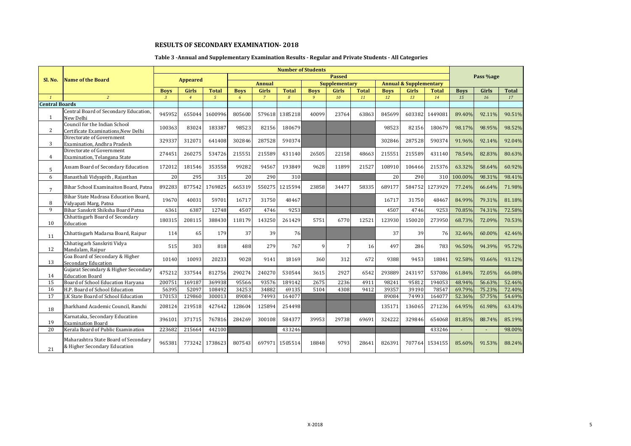# **Table 3 -Annual and Supplementary Examination Results - Regular and Private Students - All Categories**

|                       |                                                                      |              |                 |               |             |                | <b>Number of Students</b> |             |                      |              |             |                                   |              |             |           |              |
|-----------------------|----------------------------------------------------------------------|--------------|-----------------|---------------|-------------|----------------|---------------------------|-------------|----------------------|--------------|-------------|-----------------------------------|--------------|-------------|-----------|--------------|
| Sl. No.               | <b>Name of the Board</b>                                             |              |                 |               |             |                |                           |             | <b>Passed</b>        |              |             |                                   |              |             | Pass %age |              |
|                       |                                                                      |              | <b>Appeared</b> |               |             | <b>Annual</b>  |                           |             | <b>Supplementary</b> |              |             | <b>Annual &amp; Supplementary</b> |              |             |           |              |
|                       |                                                                      | <b>Boys</b>  | Girls           | <b>Total</b>  | <b>Boys</b> | Girls          | <b>Total</b>              | <b>Boys</b> | <b>Girls</b>         | <b>Total</b> | <b>Boys</b> | Girls                             | <b>Total</b> | <b>Boys</b> | Girls     | <b>Total</b> |
| $\mathbf{1}$          | $\overline{2}$                                                       | $\mathbf{3}$ | $\overline{4}$  | $\mathcal{L}$ | 6           | $\overline{7}$ | 8                         | 9           | 10                   | 11           | 12          | 13                                | 14           | 15          | 16        | 17           |
| <b>Central Boards</b> |                                                                      |              |                 |               |             |                |                           |             |                      |              |             |                                   |              |             |           |              |
| $\mathbf{1}$          | Central Board of Secondary Education,<br>New Delhi                   | 945952       | 655044          | 1600996       | 805600      | 579618         | 1385218                   | 40099       | 23764                | 63863        | 845699      | 603382                            | 1449081      | 89.40%      | 92.11%    | 90.51%       |
| $\overline{2}$        | Council for the Indian School<br>Certificate Examinations, New Delhi | 100363       | 83024           | 183387        | 98523       | 82156          | 180679                    |             |                      |              | 98523       | 82156                             | 180679       | 98.17%      | 98.95%    | 98.52%       |
| 3                     | Directorate of Government<br>Examination. Andhra Pradesh             | 329337       | 312071          | 641408        | 302846      | 287528         | 590374                    |             |                      |              | 302846      | 287528                            | 590374       | 91.96%      | 92.14%    | 92.04%       |
| 4                     | Directorate of Government<br>Examination, Telangana State            | 274451       | 260275          | 534726        | 215551      | 215589         | 431140                    | 26505       | 22158                | 48663        | 215551      | 215589                            | 431140       | 78.54%      | 82.83%    | 80.63%       |
| 5                     | Assam Board of Secondary Education                                   | 172012       | 181546          | 353558        | 99282       | 94567          | 193849                    | 9628        | 11899                | 21527        | 108910      | 106466                            | 215376       | 63.32%      | 58.64%    | 60.92%       |
| 6                     | Banasthali Vidyapith, Rajasthan                                      | 20           | 295             | 315           | 20          | 290            | 310                       |             |                      |              | 20          | 290                               | 310          | 100.00%     | 98.31%    | 98.41%       |
| $7\overline{ }$       | Bihar School Examinaiton Board, Patna                                | 892283       | 877542          | 1769825       | 665319      | 550275         | 1215594                   | 23858       | 34477                | 58335        | 689177      | 584752                            | 1273929      | 77.24%      | 66.64%    | 71.98%       |
| 8                     | Bihar State Madrasa Education Board.<br>Vidyapati Marg, Patna        | 19670        | 40031           | 59701         | 16717       | 31750          | 48467                     |             |                      |              | 16717       | 31750                             | 48467        | 84.99%      | 79.31%    | 81.18%       |
| 9                     | Bihar Sanskrit Shiksha Board Patna                                   | 6361         | 6387            | 12748         | 4507        | 4746           | 9253                      |             |                      |              | 4507        | 4746                              | 9253         | 70.85%      | 74.31%    | 72.58%       |
| 10                    | Chhattisgarh Board of Secondary<br>Education                         | 180315       | 208115          | 388430        | 118179      | 143250         | 261429                    | 5751        | 6770                 | 12521        | 123930      | 150020                            | 273950       | 68.73%      | 72.09%    | 70.53%       |
| 11                    | Chhattisgarh Madarsa Board, Raipur                                   | 114          | 65              | 179           | 37          | 39             | 76                        |             |                      |              | 37          | 39                                | 76           | 32.46%      | 60.00%    | 42.46%       |
| 12                    | Chhatisgarh Sanskriti Vidya<br>Mandalam, Raipur                      | 515          | 303             | 818           | 488         | 279            | 767                       | 9           | 7                    | 16           | 497         | 286                               | 783          | 96.50%      | 94.39%    | 95.72%       |
| 13                    | Goa Board of Secondary & Higher<br><b>Secondary Education</b>        | 10140        | 10093           | 20233         | 9028        | 9141           | 18169                     | 360         | 312                  | 672          | 9388        | 9453                              | 18841        | 92.58%      | 93.66%    | 93.12%       |
| 14                    | Gujarat Secondary & Higher Secondary<br><b>Education Board</b>       | 475212       | 337544          | 812756        | 290274      | 240270         | 530544                    | 3615        | 2927                 | 6542         | 293889      | 243197                            | 537086       | 61.84%      | 72.05%    | 66.08%       |
| 15                    | Board of School Education Harvana                                    | 200751       | 169187          | 369938        | 95566       | 93576          | 189142                    | 2675        | 2236                 | 4911         | 98241       | 95812                             | 194053       | 48.94%      | 56.63%    | 52.46%       |
| 16                    | H.P. Board of School Education                                       | 56395        | 52097           | 108492        | 34253       | 34882          | 69135                     | 5104        | 4308                 | 9412         | 39357       | 39190                             | 78547        | 69.79%      | 75.23%    | 72.40%       |
| 17                    | J.K State Board of School Education                                  | 170153       | 129860          | 300013        | 89084       | 74993          | 164077                    |             |                      |              | 89084       | 74993                             | 164077       | 52.36%      | 57.75%    | 54.69%       |
| 18                    | Iharkhand Academic Council, Ranchi                                   | 208124       | 219518          | 427642        | 128604      | 125894         | 254498                    |             |                      |              | 135171      | 136065                            | 271236       | 64.95%      | 61.98%    | 63.43%       |
| 19                    | Karnataka, Secondary Education<br><b>Examination Board</b>           | 396101       | 371715          | 767816        | 284269      | 300108         | 584377                    | 39953       | 29738                | 69691        | 324222      | 329846                            | 654068       | 81.85%      | 88.74%    | 85.19%       |
| 20                    | Kerala Board of Public Examination                                   | 223682       | 215664          | 442100        |             |                | 433246                    |             |                      |              |             |                                   | 433246       |             |           | 98.00%       |
| 21                    | Maharashtra State Board of Secondary<br>& Higher Secondary Education | 965381       | 773242          | 1738623       | 807543      | 697971         | 1505514                   | 18848       | 9793                 | 28641        | 826391      | 707764                            | 1534155      | 85.60%      | 91.53%    | 88.24%       |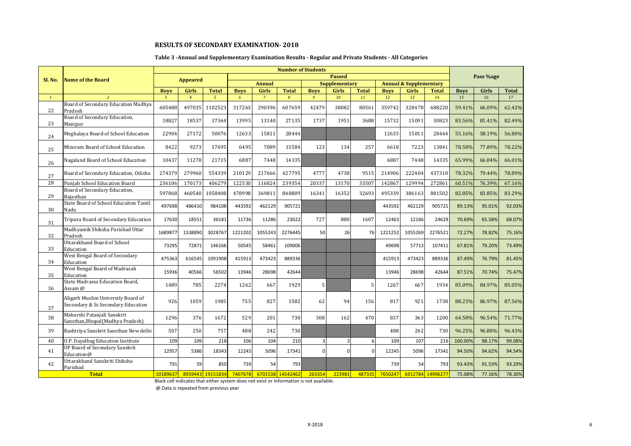#### **Table 3 -Annual and Supplementary Examination Results - Regular and Private Students - All Categories**

| Sl. No.      | <b>Name of the Board</b>                                                 | <b>Number of Students</b><br><b>Passed</b><br><b>Appeared</b><br><b>Supplementary</b><br><b>Annual &amp; Supplementary</b><br><b>Annual</b> |                |                  |             |                |                  |              |                  |              |             |         |                  |             | Pass %age |              |
|--------------|--------------------------------------------------------------------------|---------------------------------------------------------------------------------------------------------------------------------------------|----------------|------------------|-------------|----------------|------------------|--------------|------------------|--------------|-------------|---------|------------------|-------------|-----------|--------------|
|              |                                                                          |                                                                                                                                             |                |                  |             |                |                  |              |                  |              |             |         |                  |             |           |              |
|              |                                                                          | <b>Boys</b>                                                                                                                                 | Girls          | <b>Total</b>     | <b>Boys</b> | Girls          | <b>Total</b>     | <b>Boys</b>  | <b>Girls</b>     | <b>Total</b> | <b>Boys</b> | Girls   | <b>Total</b>     | <b>Boys</b> | Girls     | <b>Total</b> |
| $\mathbf{1}$ | $\overline{2}$                                                           | $\overline{3}$                                                                                                                              | $\overline{4}$ | $\mathbf{5}$     | 6           | $\overline{7}$ | $\overline{8}$   | $\mathbf{q}$ | 10 <sup>10</sup> | 11           | 12          | 13      | 14               | 15          | 16        | 17           |
| 22           | Board of Secondary Education Madhya<br>Pradesh                           | 605488                                                                                                                                      | 497035         | 1102523          | 317263      | 290396         | 607659           | 42479        | 38082            | 80561        | 359742      | 328478  | 688220           | 59.41%      | 66.09%    | 62.42%       |
| 23           | Board of Secondary Education,<br>Manipur                                 | 18827                                                                                                                                       | 18537          | 37364            | 13995       | 13140          | 27135            | 1737         | 1951             | 3688         | 15732       | 15091   | 30823            | 83.56%      | 81.41%    | 82.49%       |
| 24           | Meghalaya Board of School Education                                      | 22904                                                                                                                                       | 27172          | 50076            | 12633       | 15811          | 28444            |              |                  |              | 12633       | 15811   | 28444            | 55.16%      | 58.19%    | 56.80%       |
| 25           | Mizoram Board of School Education                                        | 8422                                                                                                                                        | 9273           | 17695            | 6495        | 7089           | 13584            | 123          | 134              | 257          | 6618        | 7223    | 13841            | 78.58%      | 77.89%    | 78.22%       |
| 26           | Nagaland Board of School Education                                       | 10437                                                                                                                                       | 11278          | 21715            | 6887        | 7448           | 14335            |              |                  |              | 6887        | 7448    | 14335            | 65.99%      | 66.04%    | 66.01%       |
| 27           | Board of Secondary Education, Odisha                                     | 274379                                                                                                                                      | 279960         | 554339           | 210129      | 217666         | 427795           | 4777         | 4738             | 9515         | 214906      | 222404  | 437310           | 78.32%      | 79.44%    | 78.89%       |
| 28           | Punjab School Education Board                                            | 236106                                                                                                                                      | 170173         | 406279           | 122530      | 116824         | 239354           | 20337        | 13170            | 33507        | 142867      | 129994  | 272861           | 60.51%      | 76.39%    | 67.16%       |
| 29           | Board of Secondary Education,<br>Raiasthan                               | 597868                                                                                                                                      | 460540         | 1058408          | 478998      | 369811         | 848809           | 16341        | 16352            | 32693        | 495339      | 386163  | 881502           | 82.85%      | 83.85%    | 83.29%       |
| 30           | State Board of School Educaiton Tamil<br>Nadu                            | 497698                                                                                                                                      | 486410         | 984108           | 443592      | 462129         | 905721           |              |                  |              | 443592      | 462129  | 905721           | 89.13%      | 95.01%    | 92.03%       |
| 31           | Tripura Board of Secondary Education                                     | 17630                                                                                                                                       | 18551          | 36181            | 11736       | 11286          | 23022            | 727          | 880              | 1607         | 12463       | 12166   | 24629            | 70.69%      | 65.58%    | 68.07%       |
| 32           | Madhyamik Shiksha Parishad Uttar<br>Pradesh                              | 1689877                                                                                                                                     | 1338890        | 3028767          | 1221202     | 1055243        | 2276445          | 50           | 26               | 76           | 1221252     | 1055269 | 2276521          | 72.27%      | 78.82%    | 75.16%       |
| 33           | Uttarakhand Board of School<br>Education                                 | 73295                                                                                                                                       | 72871          | 146166           | 50545       | 58461          | 109006           |              |                  |              | 49698       | 57713   | 107411           | 67.81%      | 79.20%    | 73.49%       |
| 34           | West Bengal Board of Secondary<br>Education                              | 475363                                                                                                                                      | 616545         | 1091908          | 415913      | 473423         | 889336           |              |                  |              | 415913      | 473423  | 889336           | 87.49%      | 76.79%    | 81.45%       |
| 35           | West Bengal Board of Madrasah<br>Education                               | 15936                                                                                                                                       | 40566          | 56502            | 13946       | 28698          | 42644            |              |                  |              | 13946       | 28698   | 42644            | 87.51%      | 70.74%    | 75.47%       |
| 36           | State Madrassa Education Board,<br>Assam @                               | 1489                                                                                                                                        | 785            | 2274             | 1262        | 667            | 1929             | 5            |                  | 5            | 1267        | 667     | 1934             | 85.09%      | 84.97%    | 85.05%       |
| 37           | Aligarh Muslim University Board of<br>Secondary & Sr.Secondary Education | 926                                                                                                                                         | 1059           | 1985             | 755         | 827            | 1582             | 62           | 94               | 156          | 817         | 921     | 1738             | 88.23%      | 86.97%    | 87.56%       |
| 38           | Maharshi Patanjali Sanskrit<br>Sansthan, Bhopal (Madhya Pradesh)         | 1296                                                                                                                                        | 376            | 1672             | 529         | 201            | 730              | 308          | 162              | 470          | 837         | 363     | 1200             | 64.58%      | 96.54%    | 71.77%       |
| 39           | Rashtriya Sanskrit Sansthan New delhi                                    | 507                                                                                                                                         | 250            | 757              | 488         | 242            | 730              |              |                  |              | 488         | 242     | 730              | 96.25%      | 96.80%    | 96.43%       |
| 40           | U.P. Dayalbag Education Institute                                        | 109                                                                                                                                         | 109            | 218              | 106         | 104            | 210              | 3            | $\overline{3}$   | 6            | 109         | 107     | 216              | 100.00%     | 98.17%    | 99.08%       |
| 41           | <b>UP Board of Secondary Sanskrit</b><br>Education@                      | 12957                                                                                                                                       | 5386           | 18343            | 12245       | 5096           | 17341            | 0            | $\Omega$         | $\Omega$     | 12245       | 5096    | 17341            | 94.50%      | 94.62%    | 94.54%       |
| 42           | Uttarakhand Sanskriti Shiksha<br>Parishad                                | 791                                                                                                                                         | 59             | 850              | 739         | 54             | 793              |              |                  |              | 739         | 54      | 793              | 93.43%      | 91.53%    | 93.29%       |
|              | <b>Total</b>                                                             | 10189637                                                                                                                                    |                | 8959443 19151834 | 7407678     |                | 6701538 14542462 | 263354       | 223981           | 487335       | 7650247     |         | 6912784 14996277 | 75.08%      | 77.16%    | 78.30%       |

Black cell indicates that either system does not exist or information is not available.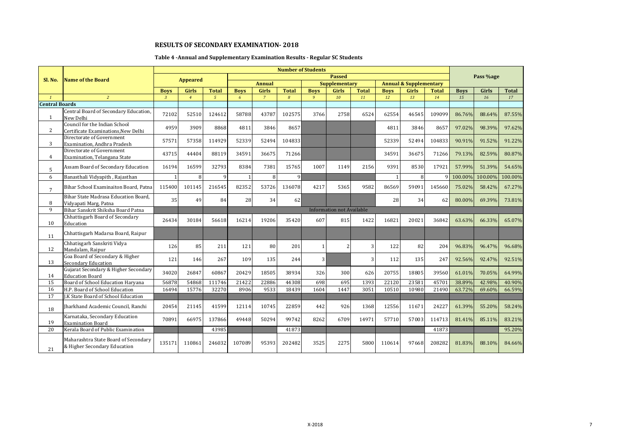# **Table 4 -Annual and Supplementary Examination Results - Regular SC Students**

|                       |                                                                      |                |                 |                |              |                | <b>Number of Students</b> |                |                                  |              |             |                                   |              |             |           |              |
|-----------------------|----------------------------------------------------------------------|----------------|-----------------|----------------|--------------|----------------|---------------------------|----------------|----------------------------------|--------------|-------------|-----------------------------------|--------------|-------------|-----------|--------------|
| Sl. No.               | <b>Name of the Board</b>                                             |                | <b>Appeared</b> |                |              |                |                           |                | <b>Passed</b>                    |              |             |                                   |              |             | Pass %age |              |
|                       |                                                                      |                |                 |                |              | <b>Annual</b>  |                           |                | <b>Supplementary</b>             |              |             | <b>Annual &amp; Supplementary</b> |              |             |           |              |
|                       |                                                                      | <b>Boys</b>    | Girls           | <b>Total</b>   | <b>Boys</b>  | Girls          | <b>Total</b>              | <b>Boys</b>    | <b>Girls</b>                     | <b>Total</b> | <b>Boys</b> | <b>Girls</b>                      | <b>Total</b> | <b>Boys</b> | Girls     | <b>Total</b> |
| $\mathbf{1}$          | $\overline{2}$                                                       | $\overline{3}$ | $\overline{4}$  | $\mathfrak{s}$ | 6            | $\overline{7}$ | 8                         | $\overline{9}$ | 10                               | 11           | 12          | 13                                | 14           | 15          | 16        | 17           |
| <b>Central Boards</b> |                                                                      |                |                 |                |              |                |                           |                |                                  |              |             |                                   |              |             |           |              |
| 1                     | Central Board of Secondary Education,<br>New Delhi                   | 72102          | 52510           | 124612         | 58788        | 43787          | 102575                    | 3766           | 2758                             | 6524         | 62554       | 46545                             | 109099       | 86.76%      | 88.64%    | 87.55%       |
| $\overline{2}$        | Council for the Indian School<br>Certificate Examinations, New Delhi | 4959           | 3909            | 8868           | 4811         | 3846           | 8657                      |                |                                  |              | 4811        | 3846                              | 8657         | 97.02%      | 98.39%    | 97.62%       |
| 3                     | Directorate of Government<br>Examination. Andhra Pradesh             | 57571          | 57358           | 114929         | 52339        | 52494          | 104833                    |                |                                  |              | 52339       | 52494                             | 104833       | 90.91%      | 91.52%    | 91.22%       |
| 4                     | Directorate of Government<br>Examination, Telangana State            | 43715          | 44404           | 88119          | 34591        | 36675          | 71266                     |                |                                  |              | 34591       | 36675                             | 71266        | 79.13%      | 82.59%    | 80.87%       |
| 5                     | Assam Board of Secondary Education                                   | 16194          | 16599           | 32793          | 8384         | 7381           | 15765                     | 1007           | 1149                             | 2156         | 9391        | 8530                              | 17921        | 57.99%      | 51.39%    | 54.65%       |
| 6                     | Banasthali Vidyapith, Rajasthan                                      |                | 8               | $\Omega$       | $\mathbf{1}$ | 8              | 9                         |                |                                  |              |             | 8                                 | q            | 100.00%     | 100.00%   | 100.00%      |
| $7\overline{ }$       | Bihar School Examinaiton Board, Patna                                | 115400         | 101145          | 216545         | 82352        | 53726          | 136078                    | 4217           | 5365                             | 9582         | 86569       | 59091                             | 145660       | 75.02%      | 58.42%    | 67.27%       |
| 8                     | Bihar State Madrasa Education Board.<br>Vidyapati Marg, Patna        | 35             | 49              | 84             | 28           | 34             | 62                        |                |                                  |              | 28          | 34                                | 62           | 80.00%      | 69.39%    | 73.81%       |
| 9                     | Bihar Sanskrit Shiksha Board Patna                                   |                |                 |                |              |                |                           |                | <b>Information not Available</b> |              |             |                                   |              |             |           |              |
| 10                    | Chhattisgarh Board of Secondary<br>Education                         | 26434          | 30184           | 56618          | 16214        | 19206          | 35420                     | 607            | 815                              | 1422         | 16821       | 20021                             | 36842        | 63.63%      | 66.33%    | 65.07%       |
| 11                    | Chhattisgarh Madarsa Board, Raipur                                   |                |                 |                |              |                |                           |                |                                  |              |             |                                   |              |             |           |              |
| 12                    | Chhatisgarh Sanskriti Vidya<br>Mandalam, Raipur                      | 126            | 85              | 211            | 121          | 80             | 201                       | 1              |                                  | 3            | 122         | 82                                | 204          | 96.83%      | 96.47%    | 96.68%       |
| 13                    | Goa Board of Secondary & Higher<br><b>Secondary Education</b>        | 121            | 146             | 267            | 109          | 135            | 244                       | $\overline{3}$ |                                  | 3            | 112         | 135                               | 247          | 92.56%      | 92.47%    | 92.51%       |
| 14                    | Gujarat Secondary & Higher Secondary<br><b>Education Board</b>       | 34020          | 26847           | 60867          | 20429        | 18505          | 38934                     | 326            | 300                              | 626          | 20755       | 18805                             | 39560        | 61.01%      | 70.05%    | 64.99%       |
| 15                    | Board of School Education Haryana                                    | 56878          | 54868           | 111746         | 21422        | 22886          | 44308                     | 698            | 695                              | 1393         | 22120       | 23581                             | 45701        | 38.89%      | 42.98%    | 40.90%       |
| 16                    | H.P. Board of School Education                                       | 16494          | 15776           | 32270          | 8906         | 9533           | 18439                     | 1604           | 1447                             | 3051         | 10510       | 10980                             | 21490        | 63.72%      | 69.60%    | 66.59%       |
| 17                    | J.K State Board of School Education                                  |                |                 |                |              |                |                           |                |                                  |              |             |                                   |              |             |           |              |
| 18                    | Jharkhand Academic Council, Ranchi                                   | 20454          | 21145           | 41599          | 12114        | 10745          | 22859                     | 442            | 926                              | 1368         | 12556       | 11671                             | 24227        | 61.39%      | 55.20%    | 58.24%       |
| 19                    | Karnataka, Secondary Education<br><b>Examination Board</b>           | 70891          | 66975           | 137866         | 49448        | 50294          | 99742                     | 8262           | 6709                             | 14971        | 57710       | 57003                             | 114713       | 81.41%      | 85.11%    | 83.21%       |
| 20                    | Kerala Board of Public Examination                                   |                |                 | 43985          |              |                | 41873                     |                |                                  |              |             |                                   | 41873        |             |           | 95.20%       |
| 21                    | Maharashtra State Board of Secondary<br>& Higher Secondary Education | 135171         | 110861          | 246032         | 107089       | 95393          | 202482                    | 3525           | 2275                             | 5800         | 110614      | 97668                             | 208282       | 81.83%      | 88.10%    | 84.66%       |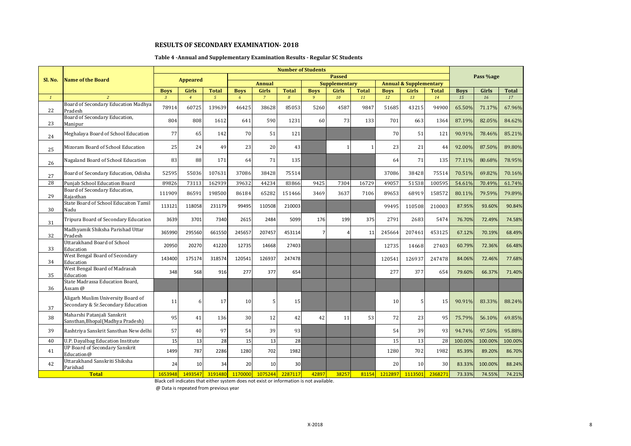#### **Table 4 -Annual and Supplementary Examination Results - Regular SC Students**

|              |                                                                          |               | <b>Number of Students</b><br><b>Passed</b> |               |             |                |               |                |                      |              |             |                                   |              |             |           |              |
|--------------|--------------------------------------------------------------------------|---------------|--------------------------------------------|---------------|-------------|----------------|---------------|----------------|----------------------|--------------|-------------|-----------------------------------|--------------|-------------|-----------|--------------|
| Sl. No.      | Name of the Board                                                        |               | <b>Appeared</b>                            |               |             |                |               |                |                      |              |             |                                   |              |             | Pass %age |              |
|              |                                                                          |               |                                            |               |             | <b>Annual</b>  |               |                | <b>Supplementary</b> |              |             | <b>Annual &amp; Supplementary</b> |              |             |           |              |
|              |                                                                          | <b>Boys</b>   | <b>Girls</b>                               | <b>Total</b>  | <b>Boys</b> | <b>Girls</b>   | <b>Total</b>  | <b>Boys</b>    | <b>Girls</b>         | <b>Total</b> | <b>Boys</b> | Girls                             | <b>Total</b> | <b>Boys</b> | Girls     | <b>Total</b> |
| $\mathbf{1}$ | $\overline{2}$                                                           | $\mathcal{R}$ | $\overline{4}$                             | $\mathcal{L}$ | 6           | $\overline{7}$ | $\mathcal{B}$ | 9              | 10                   | 11           | 12          | 13                                | 14           | 15          | 16        | 17           |
| 22           | Board of Secondary Education Madhya<br>Pradesh                           | 78914         | 60725                                      | 139639        | 46425       | 38628          | 85053         | 5260           | 4587                 | 9847         | 51685       | 43215                             | 94900        | 65.50%      | 71.17%    | 67.96%       |
| 23           | Board of Secondary Education,<br>Manipur                                 | 804           | 808                                        | 1612          | 641         | 590            | 1231          | 60             | 73                   | 133          | 701         | 663                               | 1364         | 87.19%      | 82.05%    | 84.62%       |
| 24           | Meghalaya Board of School Education                                      | 77            | 65                                         | 142           | 70          | 51             | 121           |                |                      |              | 70          | 51                                | 121          | 90.91%      | 78.46%    | 85.21%       |
| 25           | Mizoram Board of School Education                                        | 25            | 24                                         | 49            | 23          | 20             | 43            |                |                      | $\mathbf{1}$ | 23          | 21                                | 44           | 92.00%      | 87.50%    | 89.80%       |
| 26           | Nagaland Board of School Education                                       | 83            | 88                                         | 171           | 64          | 71             | 135           |                |                      |              | 64          | 71                                | 135          | 77.11%      | 80.68%    | 78.95%       |
| 27           | Board of Secondary Education, Odisha                                     | 52595         | 55036                                      | 107631        | 37086       | 38428          | 75514         |                |                      |              | 37086       | 38428                             | 75514        | 70.51%      | 69.82%    | 70.16%       |
| 28           | <b>Puniab School Education Board</b>                                     | 89826         | 73113                                      | 162939        | 39632       | 44234          | 83866         | 9425           | 7304                 | 16729        | 49057       | 51538                             | 100595       | 54.61%      | 70.49%    | 61.74%       |
| 29           | Board of Secondary Education,<br>Raiasthan                               | 111909        | 86591                                      | 198500        | 86184       | 65282          | 151466        | 3469           | 3637                 | 7106         | 89653       | 68919                             | 158572       | 80.11%      | 79.59%    | 79.89%       |
| 30           | State Board of School Educaiton Tamil<br>Nadu                            | 113121        | 118058                                     | 231179        | 99495       | 110508         | 210003        |                |                      |              | 99495       | 110508                            | 210003       | 87.95%      | 93.60%    | 90.84%       |
| 31           | Tripura Board of Secondary Education                                     | 3639          | 3701                                       | 7340          | 2615        | 2484           | 5099          | 176            | 199                  | 375          | 2791        | 2683                              | 5474         | 76.70%      | 72.49%    | 74.58%       |
| 32           | Madhyamik Shiksha Parishad Uttar<br>Pradesh                              | 365990        | 295560                                     | 661550        | 245657      | 207457         | 453114        | $\overline{7}$ |                      | 11           | 245664      | 207461                            | 453125       | 67.12%      | 70.19%    | 68.49%       |
| 33           | Uttarakhand Board of School<br>Education                                 | 20950         | 20270                                      | 41220         | 12735       | 14668          | 27403         |                |                      |              | 12735       | 14668                             | 27403        | 60.79%      | 72.36%    | 66.48%       |
| 34           | West Bengal Board of Secondary<br>Education                              | 143400        | 175174                                     | 318574        | 120541      | 126937         | 247478        |                |                      |              | 120541      | 126937                            | 247478       | 84.06%      | 72.46%    | 77.68%       |
| 35           | West Bengal Board of Madrasah<br>Education                               | 348           | 568                                        | 916           | 277         | 377            | 654           |                |                      |              | 277         | 377                               | 654          | 79.60%      | 66.37%    | 71.40%       |
| 36           | State Madrassa Education Board,<br>Assam @                               |               |                                            |               |             |                |               |                |                      |              |             |                                   |              |             |           |              |
| 37           | Aligarh Muslim University Board of<br>Secondary & Sr.Secondary Education | 11            | 6                                          | 17            | 10          | 5              | 15            |                |                      |              | 10          | 5                                 | 15           | 90.91%      | 83.33%    | 88.24%       |
| 38           | Maharshi Patanjali Sanskrit<br>Sansthan, Bhopal (Madhya Pradesh)         | 95            | 41                                         | 136           | 30          | 12             | 42            | 42             | 11                   | 53           | 72          | 23                                | 95           | 75.79%      | 56.10%    | 69.85%       |
| 39           | Rashtriya Sanskrit Sansthan New delhi                                    | 57            | 40                                         | 97            | 54          | 39             | 93            |                |                      |              | 54          | 39                                | 93           | 94.74%      | 97.50%    | 95.88%       |
| 40           | <b>U.P. Dayalbag Education Institute</b>                                 | 15            | 13                                         | 28            | 15          | 13             | 28            |                |                      |              | 15          | 13                                | 28           | 100.00%     | 100.00%   | 100.00%      |
| 41           | <b>UP Board of Secondary Sanskrit</b><br>Education@                      | 1499          | 787                                        | 2286          | 1280        | 702            | 1982          |                |                      |              | 1280        | 702                               | 1982         | 85.39%      | 89.20%    | 86.70%       |
| 42           | Uttarakhand Sanskriti Shiksha<br>Parishad                                | 24            | 10                                         | 34            | 20          | 10             | 30            |                |                      |              | 20          | 10                                | 30           | 83.33%      | 100.00%   | 88.24%       |
|              | <b>Total</b>                                                             | 1653948       | 1493547                                    | 3191480       | 1170000     | 1075244        | 2287117       | 42897          | 38257                | 81154        | 1212897     | 1113501                           | 2368271      | 73.33%      | 74.55%    | 74.21%       |

Black cell indicates that either system does not exist or information is not available.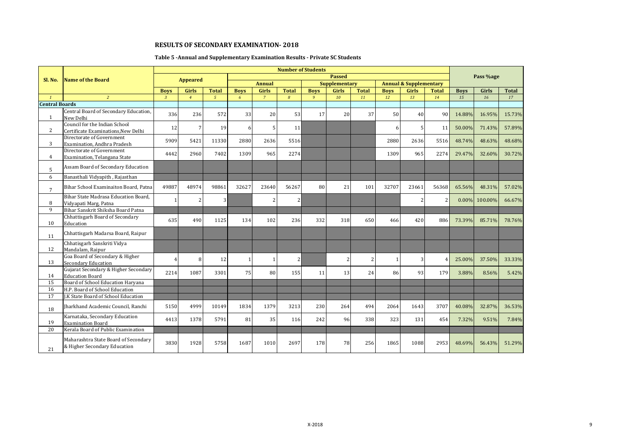# **Table 5 -Annual and Supplementary Examination Results - Private SC Students**

|                       |                                                                      |                |                 |                |              |                |                | <b>Number of Students</b> |                      |                |             |                                   |                |             |           |              |
|-----------------------|----------------------------------------------------------------------|----------------|-----------------|----------------|--------------|----------------|----------------|---------------------------|----------------------|----------------|-------------|-----------------------------------|----------------|-------------|-----------|--------------|
| Sl. No.               | <b>Name of the Board</b>                                             |                | <b>Appeared</b> |                |              |                |                |                           | <b>Passed</b>        |                |             |                                   |                |             | Pass %age |              |
|                       |                                                                      |                |                 |                |              | <b>Annual</b>  |                |                           | <b>Supplementary</b> |                |             | <b>Annual &amp; Supplementary</b> |                |             |           |              |
|                       |                                                                      | <b>Boys</b>    | <b>Girls</b>    | <b>Total</b>   | <b>Boys</b>  | Girls          | <b>Total</b>   | <b>Boys</b>               | <b>Girls</b>         | <b>Total</b>   | <b>Boys</b> | Girls                             | <b>Total</b>   | <b>Boys</b> | Girls     | <b>Total</b> |
| $\mathbf{1}$          | $\overline{2}$                                                       | $\overline{3}$ | $\overline{4}$  | $\sqrt{5}$     | 6            | $\overline{7}$ | 8              | $\overline{9}$            | 10                   | 11             | 12          | 13                                | 14             | 15          | 16        | 17           |
| <b>Central Boards</b> |                                                                      |                |                 |                |              |                |                |                           |                      |                |             |                                   |                |             |           |              |
| 1                     | Central Board of Secondary Education,<br>New Delhi                   | 336            | 236             | 572            | 33           | 20             | 53             | 17                        | 20                   | 37             | 50          | 40                                | 90             | 14.88%      | 16.95%    | 15.73%       |
| 2                     | Council for the Indian School<br>Certificate Examinations, New Delhi | 12             | $\overline{7}$  | 19             | 6            | 5              | 11             |                           |                      |                | 6           | 5                                 | 11             | 50.00%      | 71.43%    | 57.89%       |
| 3                     | Directorate of Government<br>Examination, Andhra Pradesh             | 5909           | 5421            | 11330          | 2880         | 2636           | 5516           |                           |                      |                | 2880        | 2636                              | 5516           | 48.74%      | 48.63%    | 48.68%       |
| 4                     | Directorate of Government<br>Examination, Telangana State            | 4442           | 2960            | 7402           | 1309         | 965            | 2274           |                           |                      |                | 1309        | 965                               | 2274           | 29.47%      | 32.60%    | 30.72%       |
| 5                     | Assam Board of Secondary Education                                   |                |                 |                |              |                |                |                           |                      |                |             |                                   |                |             |           |              |
| 6                     | Banasthali Vidyapith, Rajasthan                                      |                |                 |                |              |                |                |                           |                      |                |             |                                   |                |             |           |              |
| $7\overline{ }$       | Bihar School Examinaiton Board, Patna                                | 49887          | 48974           | 98861          | 32627        | 23640          | 56267          | 80                        | 21                   | 101            | 32707       | 23661                             | 56368          | 65.56%      | 48.31%    | 57.02%       |
| 8                     | Bihar State Madrasa Education Board.<br>Vidyapati Marg, Patna        |                | $\overline{2}$  | $\overline{3}$ |              | 2              | $\overline{2}$ |                           |                      |                |             | 2                                 | $\overline{2}$ | $0.00\%$    | 100.00%   | 66.67%       |
| 9                     | Bihar Sanskrit Shiksha Board Patna                                   |                |                 |                |              |                |                |                           |                      |                |             |                                   |                |             |           |              |
| 10                    | Chhattisgarh Board of Secondary<br>Education                         | 635            | 490             | 1125           | 134          | 102            | 236            | 332                       | 318                  | 650            | 466         | 420                               | 886            | 73.39%      | 85.71%    | 78.76%       |
| 11                    | Chhattisgarh Madarsa Board, Raipur                                   |                |                 |                |              |                |                |                           |                      |                |             |                                   |                |             |           |              |
| 12                    | Chhatisgarh Sanskriti Vidya<br>Mandalam, Raipur                      |                |                 |                |              |                |                |                           |                      |                |             |                                   |                |             |           |              |
| 13                    | Goa Board of Secondary & Higher<br>Secondary Education               |                | 8               | 12             | $\mathbf{1}$ | $\mathbf{1}$   | $\overline{2}$ |                           |                      | $\overline{c}$ |             | 3                                 | 4              | 25.00%      | 37.50%    | 33.33%       |
| 14                    | Gujarat Secondary & Higher Secondary<br><b>Education Board</b>       | 2214           | 1087            | 3301           | 75           | 80             | 155            | 11                        | 13                   | 24             | 86          | 93                                | 179            | 3.88%       | 8.56%     | 5.42%        |
| 15                    | Board of School Education Haryana                                    |                |                 |                |              |                |                |                           |                      |                |             |                                   |                |             |           |              |
| 16                    | H.P. Board of School Education                                       |                |                 |                |              |                |                |                           |                      |                |             |                                   |                |             |           |              |
| $\overline{17}$       | J.K State Board of School Education                                  |                |                 |                |              |                |                |                           |                      |                |             |                                   |                |             |           |              |
| 18                    | Iharkhand Academic Council, Ranchi                                   | 5150           | 4999            | 10149          | 1834         | 1379           | 3213           | 230                       | 264                  | 494            | 2064        | 1643                              | 3707           | 40.08%      | 32.87%    | 36.53%       |
| 19                    | Karnataka, Secondary Education<br><b>Examination Board</b>           | 4413           | 1378            | 5791           | 81           | 35             | 116            | 242                       | 96                   | 338            | 323         | 131                               | 454            | 7.32%       | 9.51%     | 7.84%        |
| 20                    | Kerala Board of Public Examination                                   |                |                 |                |              |                |                |                           |                      |                |             |                                   |                |             |           |              |
| 21                    | Maharashtra State Board of Secondary<br>& Higher Secondary Education | 3830           | 1928            | 5758           | 1687         | 1010           | 2697           | 178                       | 78                   | 256            | 1865        | 1088                              | 2953           | 48.69%      | 56.43%    | 51.29%       |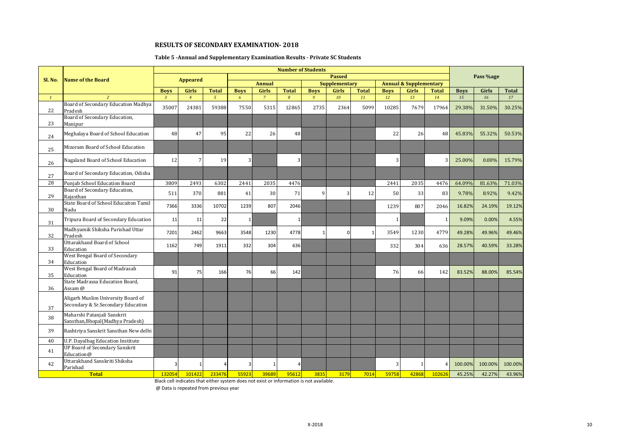#### **Table 5 -Annual and Supplementary Examination Results - Private SC Students**

|              |                                                                          | <b>Number of Students</b> |                 |                |              |                |                             |                |                      |              |              |                                   |                |             |           |              |
|--------------|--------------------------------------------------------------------------|---------------------------|-----------------|----------------|--------------|----------------|-----------------------------|----------------|----------------------|--------------|--------------|-----------------------------------|----------------|-------------|-----------|--------------|
| Sl. No.      | <b>Name of the Board</b>                                                 |                           | <b>Appeared</b> |                |              |                |                             |                | <b>Passed</b>        |              |              |                                   |                |             | Pass %age |              |
|              |                                                                          |                           |                 |                |              | <b>Annual</b>  |                             |                | <b>Supplementary</b> |              |              | <b>Annual &amp; Supplementary</b> |                |             |           |              |
|              |                                                                          | <b>Boys</b>               | Girls           | <b>Total</b>   | <b>Boys</b>  | <b>Girls</b>   | <b>Total</b>                | <b>Boys</b>    | <b>Girls</b>         | <b>Total</b> | <b>Boys</b>  | Girls                             | <b>Total</b>   | <b>Boys</b> | Girls     | <b>Total</b> |
| $\mathbf{1}$ | $\overline{2}$                                                           | $\overline{3}$            | $\overline{4}$  | $\overline{5}$ | 6            | $\overline{7}$ | $\mathcal{S}_{\mathcal{S}}$ | $\overline{9}$ | 10                   | 11           | 12           | 13                                | 14             | 15          | 16        | 17           |
| 22           | Board of Secondary Education Madhya<br>Pradesh                           | 35007                     | 24381           | 59388          | 7550         | 5315           | 12865                       | 2735           | 2364                 | 5099         | 10285        | 7679                              | 17964          | 29.38%      | 31.50%    | 30.25%       |
| 23           | Board of Secondary Education,<br>Manipur                                 |                           |                 |                |              |                |                             |                |                      |              |              |                                   |                |             |           |              |
| 24           | Meghalaya Board of School Education                                      | 48                        | 47              | 95             | 22           | 26             | 48                          |                |                      |              | 22           | 26                                | 48             | 45.83%      | 55.32%    | 50.53%       |
| 25           | Mizoram Board of School Education                                        |                           |                 |                |              |                |                             |                |                      |              |              |                                   |                |             |           |              |
| 26           | Nagaland Board of School Education                                       | 12                        | 7               | 19             | 3            |                | 3                           |                |                      |              | 3            |                                   | 3              | 25.00%      | 0.00%     | 15.79%       |
| 27           | Board of Secondary Education, Odisha                                     |                           |                 |                |              |                |                             |                |                      |              |              |                                   |                |             |           |              |
| 28           | Puniab School Education Board                                            | 3809                      | 2493            | 6302           | 2441         | 2035           | 4476                        |                |                      |              | 2441         | 2035                              | 4476           | 64.09%      | 81.63%    | 71.03%       |
| 29           | Board of Secondary Education,<br>Raiasthan                               | 511                       | 370             | 881            | 41           | 30             | 71                          | 9              | 3                    | 12           | 50           | 33                                | 83             | 9.78%       | 8.92%     | 9.42%        |
| 30           | State Board of School Educaiton Tamil<br>Nadu                            | 7366                      | 3336            | 10702          | 1239         | 807            | 2046                        |                |                      |              | 1239         | 807                               | 2046           | 16.82%      | 24.19%    | 19.12%       |
| 31           | Tripura Board of Secondary Education                                     | 11                        | 11              | 22             | $\mathbf{1}$ |                | $\mathbf{1}$                |                |                      |              | $\mathbf{1}$ |                                   | 1              | 9.09%       | 0.00%     | 4.55%        |
| 32           | Madhyamik Shiksha Parishad Uttar<br>Pradesh                              | 7201                      | 2462            | 9663           | 3548         | 1230           | 4778                        | $\mathbf{1}$   | ŋ                    | -1           | 3549         | 1230                              | 4779           | 49.28%      | 49.96%    | 49.46%       |
| 33           | <b>Uttarakhand Board of School</b><br>Education                          | 1162                      | 749             | 1911           | 332          | 304            | 636                         |                |                      |              | 332          | 304                               | 636            | 28.57%      | 40.59%    | 33.28%       |
| 34           | West Bengal Board of Secondary<br>Education                              |                           |                 |                |              |                |                             |                |                      |              |              |                                   |                |             |           |              |
| 35           | <b>West Bengal Board of Madrasah</b><br>Education                        | 91                        | 75              | 166            | 76           | 66             | 142                         |                |                      |              | 76           | 66                                | 142            | 83.52%      | 88.00%    | 85.54%       |
| 36           | State Madrassa Education Board,<br>Assam @                               |                           |                 |                |              |                |                             |                |                      |              |              |                                   |                |             |           |              |
| 37           | Aligarh Muslim University Board of<br>Secondary & Sr.Secondary Education |                           |                 |                |              |                |                             |                |                      |              |              |                                   |                |             |           |              |
| 38           | Maharshi Patanjali Sanskrit<br>Sansthan, Bhopal (Madhya Pradesh)         |                           |                 |                |              |                |                             |                |                      |              |              |                                   |                |             |           |              |
| 39           | Rashtriya Sanskrit Sansthan New delhi                                    |                           |                 |                |              |                |                             |                |                      |              |              |                                   |                |             |           |              |
| 40           | U.P. Dayalbag Education Institute                                        |                           |                 |                |              |                |                             |                |                      |              |              |                                   |                |             |           |              |
| 41           | <b>UP Board of Secondary Sanskrit</b><br>Education@                      |                           |                 |                |              |                |                             |                |                      |              |              |                                   |                |             |           |              |
| 42           | Uttarakhand Sanskriti Shiksha<br>Parishad                                |                           |                 |                | В            | 1              | Δ                           |                |                      |              | 3            |                                   | $\overline{4}$ | 100.00%     | 100.00%   | 100.00%      |
|              | <b>Total</b>                                                             | 132054                    | 101422          | 233476         | 55923        | 39689          | 95612                       | 3835           | 3179                 | 7014         | 59758        | 42868                             | 102626         | 45.25%      | 42.27%    | 43.96%       |

Black cell indicates that either system does not exist or information is not available.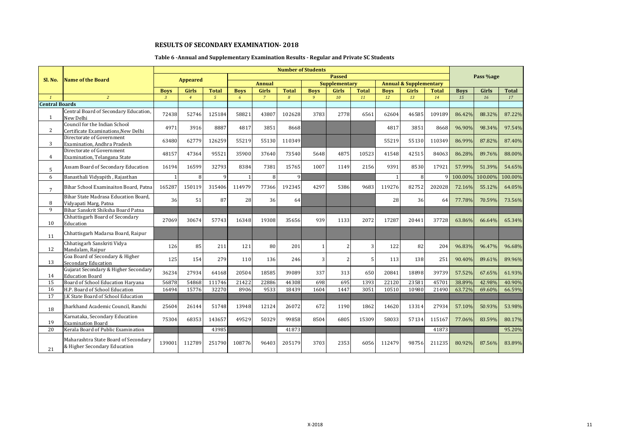# **Table 6 -Annual and Supplementary Examination Results - Regular and Private SC Students**

|                       |                                                                      |              |                 |               |              |                | <b>Number of Students</b> |              |                         |              |             |                                   |              |             |           |              |
|-----------------------|----------------------------------------------------------------------|--------------|-----------------|---------------|--------------|----------------|---------------------------|--------------|-------------------------|--------------|-------------|-----------------------------------|--------------|-------------|-----------|--------------|
| Sl. No.               | <b>Name of the Board</b>                                             |              | <b>Appeared</b> |               |              |                |                           |              | <b>Passed</b>           |              |             |                                   |              |             | Pass %age |              |
|                       |                                                                      |              |                 |               |              | <b>Annual</b>  |                           |              | <b>Supplementary</b>    |              |             | <b>Annual &amp; Supplementary</b> |              |             |           |              |
|                       |                                                                      | <b>Boys</b>  | Girls           | <b>Total</b>  | <b>Boys</b>  | Girls          | <b>Total</b>              | <b>Boys</b>  | <b>Girls</b>            | <b>Total</b> | <b>Boys</b> | Girls                             | <b>Total</b> | <b>Boys</b> | Girls     | <b>Total</b> |
| $\mathbf{1}$          | $\overline{2}$                                                       | $\mathbf{3}$ | $\overline{4}$  | $\mathcal{L}$ | 6            | $\overline{7}$ | 8                         | 9            | 10                      | 11           | 12          | 13                                | 14           | 15          | 16        | 17           |
| <b>Central Boards</b> |                                                                      |              |                 |               |              |                |                           |              |                         |              |             |                                   |              |             |           |              |
| $\mathbf{1}$          | Central Board of Secondary Education,<br>New Delhi                   | 72438        | 52746           | 125184        | 58821        | 43807          | 102628                    | 3783         | 2778                    | 6561         | 62604       | 46585                             | 109189       | 86.42%      | 88.32%    | 87.22%       |
| $\overline{2}$        | Council for the Indian School<br>Certificate Examinations, New Delhi | 4971         | 3916            | 8887          | 4817         | 3851           | 8668                      |              |                         |              | 4817        | 3851                              | 8668         | 96.90%      | 98.34%    | 97.54%       |
| 3                     | Directorate of Government<br>Examination. Andhra Pradesh             | 63480        | 62779           | 126259        | 55219        | 55130          | 110349                    |              |                         |              | 55219       | 55130                             | 110349       | 86.99%      | 87.82%    | 87.40%       |
| 4                     | Directorate of Government<br>Examination, Telangana State            | 48157        | 47364           | 95521         | 35900        | 37640          | 73540                     | 5648         | 4875                    | 10523        | 41548       | 42515                             | 84063        | 86.28%      | 89.76%    | 88.00%       |
| 5                     | Assam Board of Secondary Education                                   | 16194        | 16599           | 32793         | 8384         | 7381           | 15765                     | 1007         | 1149                    | 2156         | 9391        | 8530                              | 17921        | 57.99%      | 51.39%    | 54.65%       |
| 6                     | Banasthali Vidyapith, Rajasthan                                      |              | 8               | q             | $\mathbf{1}$ | 8              | $\mathbf{q}$              |              |                         |              |             | 8                                 |              | 100.00%     | 100.00%   | 100.00%      |
| $7\overline{ }$       | Bihar School Examinaiton Board, Patna                                | 165287       | 150119          | 315406        | 114979       | 77366          | 192345                    | 4297         | 5386                    | 9683         | 119276      | 82752                             | 202028       | 72.16%      | 55.12%    | 64.05%       |
| 8                     | Bihar State Madrasa Education Board.<br>Vidyapati Marg, Patna        | 36           | 51              | 87            | 28           | 36             | 64                        |              |                         |              | 28          | 36                                | 64           | 77.78%      | 70.59%    | 73.56%       |
| 9                     | Bihar Sanskrit Shiksha Board Patna                                   |              |                 |               |              |                |                           |              |                         |              |             |                                   |              |             |           |              |
| 10                    | Chhattisgarh Board of Secondary<br>Education                         | 27069        | 30674           | 57743         | 16348        | 19308          | 35656                     | 939          | 1133                    | 2072         | 17287       | 20441                             | 37728        | 63.86%      | 66.64%    | 65.34%       |
| 11                    | Chhattisgarh Madarsa Board, Raipur                                   |              |                 |               |              |                |                           |              |                         |              |             |                                   |              |             |           |              |
| 12                    | Chhatisgarh Sanskriti Vidya<br>Mandalam, Raipur                      | 126          | 85              | 211           | 121          | 80             | 201                       | $\mathbf{1}$ | $\overline{\mathbf{c}}$ | 3            | 122         | 82                                | 204          | 96.83%      | 96.47%    | 96.68%       |
| 13                    | Goa Board of Secondary & Higher<br><b>Secondary Education</b>        | 125          | 154             | 279           | 110          | 136            | 246                       | 3            |                         | 5            | 113         | 138                               | 251          | 90.40%      | 89.61%    | 89.96%       |
| 14                    | Gujarat Secondary & Higher Secondary<br><b>Education Board</b>       | 36234        | 27934           | 64168         | 20504        | 18585          | 39089                     | 337          | 313                     | 650          | 20841       | 18898                             | 39739        | 57.52%      | 67.65%    | 61.93%       |
| 15                    | Board of School Education Harvana                                    | 56878        | 54868           | 111746        | 21422        | 22886          | 44308                     | 698          | 695                     | 1393         | 22120       | 23581                             | 45701        | 38.89%      | 42.98%    | 40.90%       |
| 16                    | H.P. Board of School Education                                       | 16494        | 15776           | 32270         | 8906         | 9533           | 18439                     | 1604         | 1447                    | 3051         | 10510       | 10980                             | 21490        | 63.72%      | 69.60%    | 66.59%       |
| 17                    | J.K State Board of School Education                                  |              |                 |               |              |                |                           |              |                         |              |             |                                   |              |             |           |              |
| 18                    | Iharkhand Academic Council, Ranchi                                   | 25604        | 26144           | 51748         | 13948        | 12124          | 26072                     | 672          | 1190                    | 1862         | 14620       | 13314                             | 27934        | 57.10%      | 50.93%    | 53.98%       |
| 19                    | Karnataka, Secondary Education<br><b>Examination Board</b>           | 75304        | 68353           | 143657        | 49529        | 50329          | 99858                     | 8504         | 6805                    | 15309        | 58033       | 57134                             | 115167       | 77.06%      | 83.59%    | 80.17%       |
| 20                    | Kerala Board of Public Examination                                   |              |                 | 43985         |              |                | 41873                     |              |                         |              |             |                                   | 41873        |             |           | 95.20%       |
| 21                    | Maharashtra State Board of Secondary<br>& Higher Secondary Education | 139001       | 112789          | 251790        | 108776       | 96403          | 205179                    | 3703         | 2353                    | 6056         | 112479      | 98756                             | 211235       | 80.92%      | 87.56%    | 83.89%       |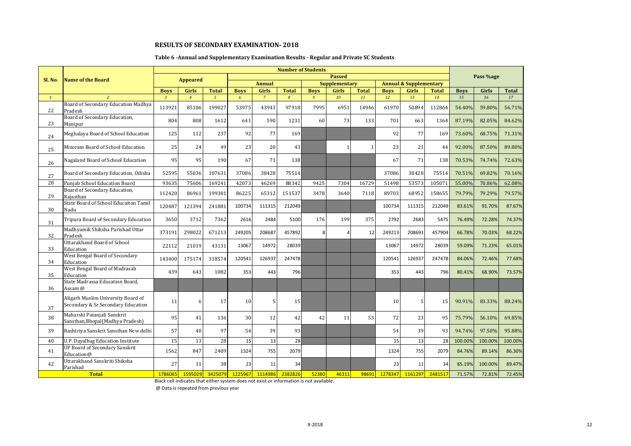#### **Table 6 -Annual and Supplementary Examination Results - Regular and Private SC Students**

| Sl. No.         | <b>Name of the Board</b>                                                 |                | <b>Appeared</b> |               |             |                |                |             | <b>Passed</b>        |              |             |                                   |              |             | Pass %age |              |
|-----------------|--------------------------------------------------------------------------|----------------|-----------------|---------------|-------------|----------------|----------------|-------------|----------------------|--------------|-------------|-----------------------------------|--------------|-------------|-----------|--------------|
|                 |                                                                          |                |                 |               |             | <b>Annual</b>  |                |             | <b>Supplementary</b> |              |             | <b>Annual &amp; Supplementary</b> |              |             |           |              |
|                 |                                                                          | <b>Boys</b>    | <b>Girls</b>    | <b>Total</b>  | <b>Boys</b> | Girls          | <b>Total</b>   | <b>Boys</b> | <b>Girls</b>         | <b>Total</b> | <b>Boys</b> | Girls                             | <b>Total</b> | <b>Boys</b> | Girls     | <b>Total</b> |
| $1\overline{ }$ | $\overline{2}$                                                           | $\overline{3}$ | $\overline{4}$  | $\mathcal{L}$ | 6           | $\overline{7}$ | $\overline{8}$ | 9           | 10                   | 11           | 12          | 13                                | 14           | 15          | 16        | 17           |
| 22              | Board of Secondary Education Madhya<br>Pradesh                           | 113921         | 85106           | 199027        | 53975       | 43943          | 97918          | 7995        | 6951                 | 14946        | 61970       | 50894                             | 112864       | 54.40%      | 59.80%    | 56.71%       |
| 23              | Board of Secondary Education,<br>Manipur                                 | 804            | 808             | 1612          | 641         | 590            | 1231           | 60          | 73                   | 133          | 701         | 663                               | 1364         | 87.19%      | 82.05%    | 84.62%       |
| 24              | Meghalaya Board of School Education                                      | 125            | 112             | 237           | 92          | 77             | 169            |             |                      |              | 92          | 77                                | 169          | 73.60%      | 68.75%    | 71.31%       |
| 25              | Mizoram Board of School Education                                        | 25             | 24              | 49            | 23          | 20             | 43             |             |                      | $\mathbf{1}$ | 23          | 21                                | 44           | 92.00%      | 87.50%    | 89.80%       |
| 26              | Nagaland Board of School Education                                       | 95             | 95              | 190           | 67          | 71             | 138            |             |                      |              | 67          | 71                                | 138          | 70.53%      | 74.74%    | 72.63%       |
| 27              | Board of Secondary Education, Odisha                                     | 52595          | 55036           | 107631        | 37086       | 38428          | 75514          |             |                      |              | 37086       | 38428                             | 75514        | 70.51%      | 69.82%    | 70.16%       |
| 28              | Punjab School Education Board                                            | 93635          | 75606           | 169241        | 42073       | 46269          | 88342          | 9425        | 7304                 | 16729        | 51498       | 53573                             | 105071       | 55.00%      | 70.86%    | 62.08%       |
| 29              | Board of Secondary Education,<br>Rajasthan                               | 112420         | 86961           | 199381        | 86225       | 65312          | 151537         | 3478        | 3640                 | 7118         | 89703       | 68952                             | 158655       | 79.79%      | 79.29%    | 79.57%       |
| 30              | State Board of School Educaiton Tamil<br>Nadu                            | 120487         | 121394          | 241881        | 100734      | 111315         | 212049         |             |                      |              | 100734      | 111315                            | 212049       | 83.61%      | 91.70%    | 87.67%       |
| 31              | Tripura Board of Secondary Education                                     | 3650           | 3712            | 7362          | 2616        | 2484           | 5100           | 176         | 199                  | 375          | 2792        | 2683                              | 5475         | 76.49%      | 72.28%    | 74.37%       |
| 32              | Madhyamik Shiksha Parishad Uttar<br>Pradesh                              | 373191         | 298022          | 671213        | 249205      | 208687         | 457892         | 8           |                      | 12           | 249213      | 208691                            | 457904       | 66.78%      | 70.03%    | 68.22%       |
| 33              | <b>Uttarakhand Board of School</b><br>Education                          | 22112          | 21019           | 43131         | 13067       | 14972          | 28039          |             |                      |              | 13067       | 14972                             | 28039        | 59.09%      | 71.23%    | 65.01%       |
| 34              | West Bengal Board of Secondary<br>Education                              | 143400         | 175174          | 318574        | 120541      | 126937         | 247478         |             |                      |              | 120541      | 126937                            | 247478       | 84.06%      | 72.46%    | 77.68%       |
| 35              | West Bengal Board of Madrasah<br>Education                               | 439            | 643             | 1082          | 353         | 443            | 796            |             |                      |              | 353         | 443                               | 796          | 80.41%      | 68.90%    | 73.57%       |
| 36              | State Madrassa Education Board,<br>Assam @                               |                |                 |               |             |                |                |             |                      |              |             |                                   |              |             |           |              |
| 37              | Aligarh Muslim University Board of<br>Secondary & Sr.Secondary Education | 11             | 6               | 17            | 10          | 5              | 15             |             |                      |              | 10          | 5                                 | 15           | 90.91%      | 83.33%    | 88.24%       |
| 38              | Maharshi Patanjali Sanskrit<br>Sansthan, Bhopal (Madhya Pradesh)         | 95             | 41              | 136           | 30          | 12             | 42             | 42          | 11                   | 53           | 72          | 23                                | 95           | 75.79%      | 56.10%    | 69.85%       |
| 39              | Rashtriya Sanskrit Sansthan New delhi                                    | 57             | 40              | 97            | 54          | 39             | 93             |             |                      |              | 54          | 39                                | 93           | 94.74%      | 97.50%    | 95.88%       |
| 40              | U.P. Dayalbag Education Institute                                        | 15             | 13              | 28            | 15          | 13             | 28             |             |                      |              | 15          | 13                                | 28           | 100.00%     | 100.00%   | 100.00%      |
| 41              | <b>UP Board of Secondary Sanskrit</b><br>Education@                      | 1562           | 847             | 2409          | 1324        | 755            | 2079           |             |                      |              | 1324        | 755                               | 2079         | 84.76%      | 89.14%    | 86.30%       |
| 42              | Uttarakhand Sanskriti Shiksha<br>Parishad                                | 27             | 11              | 38            | 23          | 11             | 34             |             |                      |              | 23          | 11                                | 34           | 85.19%      | 100.00%   | 89.47%       |
|                 | <b>Total</b>                                                             | 1786065        | 1595029         | 3425079       | 1225967     | 1114986        | 2382826        | 52380       | 46311                | 98691        | 1278347     | 1161297                           | 2481517      | 71.57%      | 72.81%    | 72.45%       |

Black cell indicates that either system does not exist or information is not available.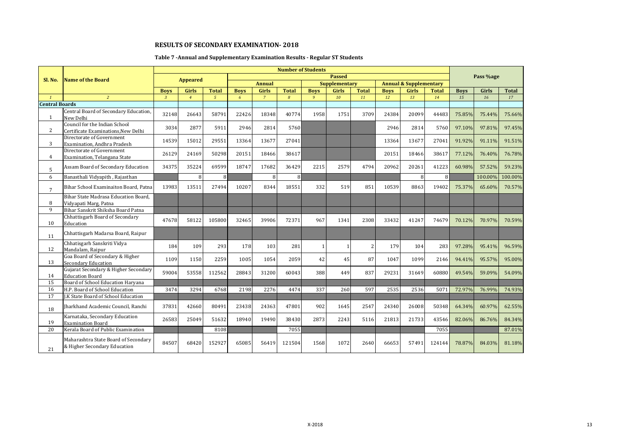# **Table 7 -Annual and Supplementary Examination Results - Regular ST Students**

|                       |                                                                      |                |                 |                |             |                |              | <b>Number of Students</b> |                      |              |             |                                   |              |             |           |              |
|-----------------------|----------------------------------------------------------------------|----------------|-----------------|----------------|-------------|----------------|--------------|---------------------------|----------------------|--------------|-------------|-----------------------------------|--------------|-------------|-----------|--------------|
| Sl. No.               | <b>Name of the Board</b>                                             |                | <b>Appeared</b> |                |             |                |              |                           | <b>Passed</b>        |              |             |                                   |              |             | Pass %age |              |
|                       |                                                                      |                |                 |                |             | <b>Annual</b>  |              |                           | <b>Supplementary</b> |              |             | <b>Annual &amp; Supplementary</b> |              |             |           |              |
|                       |                                                                      | <b>Boys</b>    | Girls           | <b>Total</b>   | <b>Boys</b> | <b>Girls</b>   | <b>Total</b> | <b>Boys</b>               | <b>Girls</b>         | <b>Total</b> | <b>Boys</b> | Girls                             | <b>Total</b> | <b>Boys</b> | Girls     | <b>Total</b> |
| $\mathbf{1}$          | $\overline{2}$                                                       | $\overline{3}$ | $\overline{4}$  | 5 <sup>5</sup> | 6           | $\overline{7}$ | 8            | $\overline{9}$            | 10                   | 11           | 12          | 13                                | 14           | 15          | 16        | 17           |
| <b>Central Boards</b> |                                                                      |                |                 |                |             |                |              |                           |                      |              |             |                                   |              |             |           |              |
| $\mathbf{1}$          | Central Board of Secondary Education,<br>New Delhi                   | 32148          | 26643           | 58791          | 22426       | 18348          | 40774        | 1958                      | 1751                 | 3709         | 24384       | 20099                             | 44483        | 75.85%      | 75.44%    | 75.66%       |
| $\overline{2}$        | Council for the Indian School<br>Certificate Examinations, New Delhi | 3034           | 2877            | 5911           | 2946        | 2814           | 5760         |                           |                      |              | 2946        | 2814                              | 5760         | 97.10%      | 97.81%    | 97.45%       |
| 3                     | Directorate of Government<br>Examination, Andhra Pradesh             | 14539          | 15012           | 29551          | 13364       | 13677          | 27041        |                           |                      |              | 13364       | 13677                             | 27041        | 91.92%      | 91.11%    | 91.51%       |
| 4                     | Directorate of Government<br>Examination, Telangana State            | 26129          | 24169           | 50298          | 20151       | 18466          | 38617        |                           |                      |              | 20151       | 18466                             | 38617        | 77.12%      | 76.40%    | 76.78%       |
| 5                     | Assam Board of Secondary Education                                   | 34375          | 35224           | 69599          | 18747       | 17682          | 36429        | 2215                      | 2579                 | 4794         | 20962       | 20261                             | 41223        | 60.98%      | 57.52%    | 59.23%       |
| 6                     | Banasthali Vidyapith, Rajasthan                                      |                | 8               | $\mathsf{R}$   |             | 8              | 8            |                           |                      |              |             | 8                                 | 8            |             | 100.00%   | 100.00%      |
| $7\overline{ }$       | Bihar School Examinaiton Board, Patna                                | 13983          | 13511           | 27494          | 10207       | 8344           | 18551        | 332                       | 519                  | 851          | 10539       | 8863                              | 19402        | 75.37%      | 65.60%    | 70.57%       |
| 8                     | Bihar State Madrasa Education Board.<br>Vidyapati Marg, Patna        |                |                 |                |             |                |              |                           |                      |              |             |                                   |              |             |           |              |
| 9                     | Bihar Sanskrit Shiksha Board Patna                                   |                |                 |                |             |                |              |                           |                      |              |             |                                   |              |             |           |              |
| 10                    | Chhattisgarh Board of Secondary<br>Education                         | 47678          | 58122           | 105800         | 32465       | 39906          | 72371        | 967                       | 1341                 | 2308         | 33432       | 41247                             | 74679        | 70.12%      | 70.97%    | 70.59%       |
| 11                    | Chhattisgarh Madarsa Board, Raipur                                   |                |                 |                |             |                |              |                           |                      |              |             |                                   |              |             |           |              |
| 12                    | Chhatisgarh Sanskriti Vidya<br>Mandalam, Raipur                      | 184            | 109             | 293            | 178         | 103            | 281          | 1                         |                      | 2            | 179         | 104                               | 283          | 97.28%      | 95.41%    | 96.59%       |
| 13                    | Goa Board of Secondary & Higher<br><b>Secondary Education</b>        | 1109           | 1150            | 2259           | 1005        | 1054           | 2059         | 42                        | 45                   | 87           | 1047        | 1099                              | 2146         | 94.41%      | 95.57%    | 95.00%       |
| 14                    | Gujarat Secondary & Higher Secondary<br><b>Education Board</b>       | 59004          | 53558           | 112562         | 28843       | 31200          | 60043        | 388                       | 449                  | 837          | 29231       | 31649                             | 60880        | 49.54%      | 59.09%    | 54.09%       |
| 15                    | Board of School Education Haryana                                    |                |                 |                |             |                |              |                           |                      |              |             |                                   |              |             |           |              |
| 16                    | H.P. Board of School Education                                       | 3474           | 3294            | 6768           | 2198        | 2276           | 4474         | 337                       | 260                  | 597          | 2535        | 2536                              | 5071         | 72.97%      | 76.99%    | 74.93%       |
| 17                    | J.K State Board of School Education                                  |                |                 |                |             |                |              |                           |                      |              |             |                                   |              |             |           |              |
| 18                    | Jharkhand Academic Council, Ranchi                                   | 37831          | 42660           | 80491          | 23438       | 24363          | 47801        | 902                       | 1645                 | 2547         | 24340       | 26008                             | 50348        | 64.34%      | 60.97%    | 62.55%       |
| 19                    | Karnataka, Secondary Education<br><b>Examination Board</b>           | 26583          | 25049           | 51632          | 18940       | 19490          | 38430        | 2873                      | 2243                 | 5116         | 21813       | 21733                             | 43546        | 82.06%      | 86.76%    | 84.34%       |
| 20                    | Kerala Board of Public Examination                                   |                |                 | 8108           |             |                | 7055         |                           |                      |              |             |                                   | 7055         |             |           | 87.01%       |
| 21                    | Maharashtra State Board of Secondary<br>& Higher Secondary Education | 84507          | 68420           | 152927         | 65085       | 56419          | 121504       | 1568                      | 1072                 | 2640         | 66653       | 57491                             | 124144       | 78.87%      | 84.03%    | 81.18%       |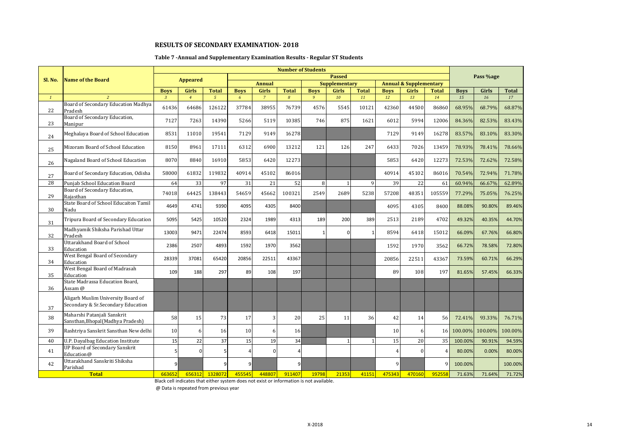#### **Table 7 -Annual and Supplementary Examination Results - Regular ST Students**

|              |                                                                          |                |                 |                |                |                |                | <b>Number of Students</b> |                      |              |                |                                   |              |             |           |              |
|--------------|--------------------------------------------------------------------------|----------------|-----------------|----------------|----------------|----------------|----------------|---------------------------|----------------------|--------------|----------------|-----------------------------------|--------------|-------------|-----------|--------------|
| Sl. No.      | Name of the Board                                                        |                | <b>Appeared</b> |                |                |                |                |                           | <b>Passed</b>        |              |                |                                   |              |             | Pass %age |              |
|              |                                                                          |                |                 |                |                | <b>Annual</b>  |                |                           | <b>Supplementary</b> |              |                | <b>Annual &amp; Supplementary</b> |              |             |           |              |
|              |                                                                          | <b>Boys</b>    | Girls           | <b>Total</b>   | <b>Boys</b>    | Girls          | <b>Total</b>   | <b>Boys</b>               | <b>Girls</b>         | <b>Total</b> | <b>Boys</b>    | Girls                             | <b>Total</b> | <b>Boys</b> | Girls     | <b>Total</b> |
| $\mathbf{1}$ | $\overline{2}$                                                           | $\overline{3}$ | $\overline{4}$  | $\mathfrak{s}$ | 6              | $\overline{7}$ | $\overline{8}$ | 9                         | 10                   | 11           | 12             | 13                                | 14           | 15          | 16        | 17           |
| 22           | Board of Secondary Education Madhya<br>Pradesh                           | 61436          | 64686           | 126122         | 37784          | 38955          | 76739          | 4576                      | 5545                 | 10121        | 42360          | 44500                             | 86860        | 68.95%      | 68.79%    | 68.87%       |
| 23           | Board of Secondary Education,<br>Manipur                                 | 7127           | 7263            | 14390          | 5266           | 5119           | 10385          | 746                       | 875                  | 1621         | 6012           | 5994                              | 12006        | 84.36%      | 82.53%    | 83.43%       |
| 24           | Meghalaya Board of School Education                                      | 8531           | 11010           | 19541          | 7129           | 9149           | 16278          |                           |                      |              | 7129           | 9149                              | 16278        | 83.57%      | 83.10%    | 83.30%       |
| 25           | Mizoram Board of School Education                                        | 8150           | 8961            | 17111          | 6312           | 6900           | 13212          | 121                       | 126                  | 247          | 6433           | 7026                              | 13459        | 78.93%      | 78.41%    | 78.66%       |
| 26           | Nagaland Board of School Education                                       | 8070           | 8840            | 16910          | 5853           | 6420           | 12273          |                           |                      |              | 5853           | 6420                              | 12273        | 72.53%      | 72.62%    | 72.58%       |
| 27           | Board of Secondary Education, Odisha                                     | 58000          | 61832           | 119832         | 40914          | 45102          | 86016          |                           |                      |              | 40914          | 45102                             | 86016        | 70.54%      | 72.94%    | 71.78%       |
| 28           | Punjab School Education Board                                            | 64             | 33              | 97             | 31             | 21             | 52             | 8                         |                      | 9            | 39             | 22                                | 61           | 60.94%      | 66.67%    | 62.89%       |
| 29           | Board of Secondary Education,<br>Raiasthan                               | 74018          | 64425           | 138443         | 54659          | 45662          | 100321         | 2549                      | 2689                 | 5238         | 57208          | 48351                             | 105559       | 77.29%      | 75.05%    | 76.25%       |
| 30           | State Board of School Educaiton Tamil<br>Nadu                            | 4649           | 4741            | 9390           | 4095           | 4305           | 8400           |                           |                      |              | 4095           | 4305                              | 8400         | 88.08%      | 90.80%    | 89.46%       |
| 31           | Tripura Board of Secondary Education                                     | 5095           | 5425            | 10520          | 2324           | 1989           | 4313           | 189                       | 200                  | 389          | 2513           | 2189                              | 4702         | 49.32%      | 40.35%    | 44.70%       |
| 32           | Madhyamik Shiksha Parishad Uttar<br>Pradesh                              | 13003          | 9471            | 22474          | 8593           | 6418           | 15011          | $\mathbf{1}$              | n                    | -1           | 8594           | 6418                              | 15012        | 66.09%      | 67.76%    | 66.80%       |
| 33           | Uttarakhand Board of School<br>Education                                 | 2386           | 2507            | 4893           | 1592           | 1970           | 3562           |                           |                      |              | 1592           | 1970                              | 3562         | 66.72%      | 78.58%    | 72.80%       |
| 34           | West Bengal Board of Secondary<br>Education                              | 28339          | 37081           | 65420          | 20856          | 22511          | 43367          |                           |                      |              | 20856          | 22511                             | 43367        | 73.59%      | 60.71%    | 66.29%       |
| 35           | West Bengal Board of Madrasah<br>Education                               | 109            | 188             | 297            | 89             | 108            | 197            |                           |                      |              | 89             | 108                               | 197          | 81.65%      | 57.45%    | 66.33%       |
| 36           | State Madrassa Education Board,<br>Assam @                               |                |                 |                |                |                |                |                           |                      |              |                |                                   |              |             |           |              |
| 37           | Aligarh Muslim University Board of<br>Secondary & Sr.Secondary Education |                |                 |                |                |                |                |                           |                      |              |                |                                   |              |             |           |              |
| 38           | Maharshi Patanjali Sanskrit<br>Sansthan, Bhopal (Madhya Pradesh)         | 58             | 15              | 73             | 17             | 3              | 20             | 25                        | 11                   | 36           | 42             | 14                                | 56           | 72.41%      | 93.33%    | 76.71%       |
| 39           | Rashtriya Sanskrit Sansthan New delhi                                    | 10             | 6               | 16             | 10             | 6              | 16             |                           |                      |              | 10             | 6                                 | <b>16</b>    | 100.00%     | 100.00%   | 100.00%      |
| 40           | <b>U.P. Dayalbag Education Institute</b>                                 | 15             | 22              | 37             | 15             | 19             | 34             |                           |                      |              | 15             | 20                                | 35           | 100.00%     | 90.91%    | 94.59%       |
| 41           | <b>UP Board of Secondary Sanskrit</b><br>Education@                      | 5              | $\Omega$        |                | $\overline{4}$ | $\Omega$       | 4              |                           |                      |              | $\overline{4}$ | $\Omega$                          | 4            | 80.00%      | 0.00%     | 80.00%       |
| 42           | Uttarakhand Sanskriti Shiksha<br>Parishad                                | 9              |                 |                | 9              |                | 9              |                           |                      |              | 9              |                                   | q            | 100.00%     |           | 100.00%      |
|              | <b>Total</b>                                                             | 663652         | 656312          | 1328072        | 455545         | 448807         | 911407         | 19798                     | 21353                | 41151        | 475343         | 470160                            | 952558       | 71.63%      | 71.64%    | 71.72%       |

Black cell indicates that either system does not exist or information is not available.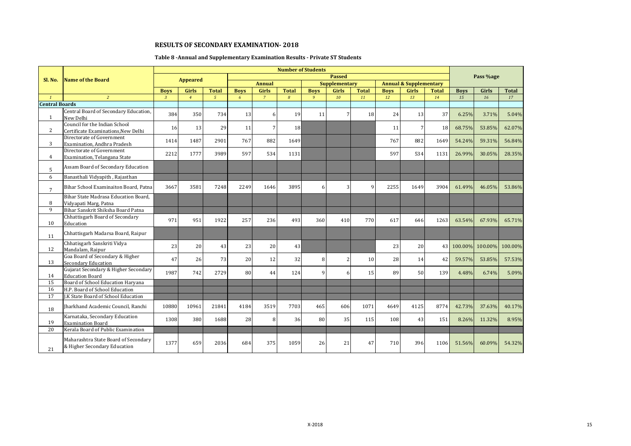# **Table 8 -Annual and Supplementary Examination Results - Private ST Students**

|                       |                                                                      |                |                 |                |             |                 |                 | <b>Number of Students</b> |                      |              |             |                                   |              |             |           |              |
|-----------------------|----------------------------------------------------------------------|----------------|-----------------|----------------|-------------|-----------------|-----------------|---------------------------|----------------------|--------------|-------------|-----------------------------------|--------------|-------------|-----------|--------------|
| Sl. No.               | <b>Name of the Board</b>                                             |                | <b>Appeared</b> |                |             |                 |                 |                           | <b>Passed</b>        |              |             |                                   |              |             | Pass %age |              |
|                       |                                                                      |                |                 |                |             | <b>Annual</b>   |                 |                           | <b>Supplementary</b> |              |             | <b>Annual &amp; Supplementary</b> |              |             |           |              |
|                       |                                                                      | <b>Boys</b>    | <b>Girls</b>    | <b>Total</b>   | <b>Boys</b> | <b>Girls</b>    | <b>Total</b>    | <b>Boys</b>               | <b>Girls</b>         | <b>Total</b> | <b>Boys</b> | Girls                             | <b>Total</b> | <b>Boys</b> | Girls     | <b>Total</b> |
| $\mathbf{1}$          | $\overline{2}$                                                       | $\overline{3}$ | $\overline{4}$  | $\mathfrak{s}$ | 6           | $\overline{7}$  | 8               | $\overline{9}$            | 10                   | 11           | 12          | 13                                | 14           | 15          | 16        | 17           |
| <b>Central Boards</b> |                                                                      |                |                 |                |             |                 |                 |                           |                      |              |             |                                   |              |             |           |              |
| $\mathbf{1}$          | Central Board of Secondary Education,<br>New Delhi                   | 384            | 350             | 734            | 13          | 6               | 19              | 11                        |                      | 18           | 24          | 13                                | 37           | 6.25%       | 3.71%     | 5.04%        |
| $\overline{2}$        | Council for the Indian School<br>Certificate Examinations, New Delhi | 16             | 13              | 29             | 11          | $7\overline{ }$ | 18 <sup>l</sup> |                           |                      |              | 11          | 7                                 | 18           | 68.75%      | 53.85%    | 62.07%       |
| 3                     | Directorate of Government<br>Examination, Andhra Pradesh             | 1414           | 1487            | 2901           | 767         | 882             | 1649            |                           |                      |              | 767         | 882                               | 1649         | 54.24%      | 59.31%    | 56.84%       |
| 4                     | Directorate of Government<br>Examination, Telangana State            | 2212           | 1777            | 3989           | 597         | 534             | 1131            |                           |                      |              | 597         | 534                               | 1131         | 26.99%      | 30.05%    | 28.35%       |
| 5                     | Assam Board of Secondary Education                                   |                |                 |                |             |                 |                 |                           |                      |              |             |                                   |              |             |           |              |
| 6                     | Banasthali Vidyapith, Rajasthan                                      |                |                 |                |             |                 |                 |                           |                      |              |             |                                   |              |             |           |              |
| $7\overline{ }$       | Bihar School Examinaiton Board, Patna                                | 3667           | 3581            | 7248           | 2249        | 1646            | 3895            | 6                         |                      | q            | 2255        | 1649                              | 3904         | 61.49%      | 46.05%    | 53.86%       |
| 8                     | Bihar State Madrasa Education Board.<br>Vidyapati Marg, Patna        |                |                 |                |             |                 |                 |                           |                      |              |             |                                   |              |             |           |              |
| 9                     | Bihar Sanskrit Shiksha Board Patna                                   |                |                 |                |             |                 |                 |                           |                      |              |             |                                   |              |             |           |              |
| 10                    | Chhattisgarh Board of Secondary<br>Education                         | 971            | 951             | 1922           | 257         | 236             | 493             | 360                       | 410                  | 770          | 617         | 646                               | 1263         | 63.54%      | 67.93%    | 65.71%       |
| 11                    | Chhattisgarh Madarsa Board, Raipur                                   |                |                 |                |             |                 |                 |                           |                      |              |             |                                   |              |             |           |              |
| 12                    | Chhatisgarh Sanskriti Vidya<br>Mandalam, Raipur                      | 23             | 20              | 43             | 23          | 20              | 43              |                           |                      |              | 23          | 20                                |              | 43 100.00%  | 100.00%   | 100.00%      |
| 13                    | Goa Board of Secondary & Higher<br>Secondary Education               | 47             | 26              | 73             | 20          | 12              | 32              | 8                         |                      | 10           | 28          | 14                                | 42           | 59.57%      | 53.85%    | 57.53%       |
| 14                    | Gujarat Secondary & Higher Secondary<br><b>Education Board</b>       | 1987           | 742             | 2729           | 80          | 44              | 124             | 9                         |                      | 15           | 89          | 50                                | 139          | 4.48%       | 6.74%     | 5.09%        |
| 15                    | Board of School Education Haryana                                    |                |                 |                |             |                 |                 |                           |                      |              |             |                                   |              |             |           |              |
| 16                    | H.P. Board of School Education                                       |                |                 |                |             |                 |                 |                           |                      |              |             |                                   |              |             |           |              |
| $\overline{17}$       | <b>I.K State Board of School Education</b>                           |                |                 |                |             |                 |                 |                           |                      |              |             |                                   |              |             |           |              |
| 18                    | Jharkhand Academic Council, Ranchi                                   | 10880          | 10961           | 21841          | 4184        | 3519            | 7703            | 465                       | 606                  | 1071         | 4649        | 4125                              | 8774         | 42.73%      | 37.63%    | 40.17%       |
| 19                    | Karnataka, Secondary Education<br><b>Examination Board</b>           | 1308           | 380             | 1688           | 28          | 8               | 36              | 80                        | 35                   | 115          | 108         | 43                                | 151          | 8.26%       | 11.32%    | 8.95%        |
| 20                    | Kerala Board of Public Examination                                   |                |                 |                |             |                 |                 |                           |                      |              |             |                                   |              |             |           |              |
| 21                    | Maharashtra State Board of Secondary<br>& Higher Secondary Education | 1377           | 659             | 2036           | 684         | 375             | 1059            | 26                        | 21                   | 47           | 710         | 396                               | 1106         | 51.56%      | 60.09%    | 54.32%       |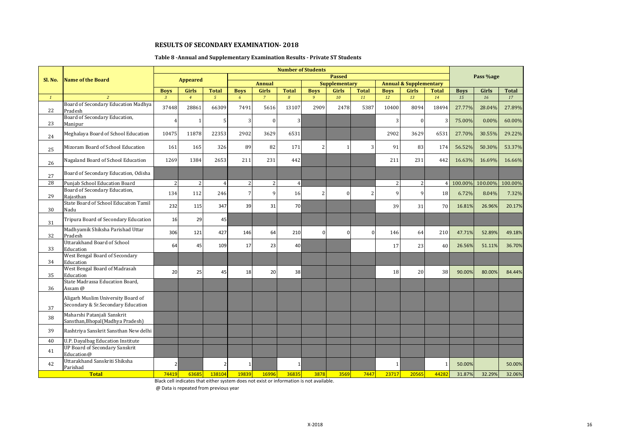#### **Table 8 -Annual and Supplementary Examination Results - Private ST Students**

|              |                                                                          |                |                 |                |              |                |                | <b>Number of Students</b> |                      |                          |             |                                   |                |             |           |              |
|--------------|--------------------------------------------------------------------------|----------------|-----------------|----------------|--------------|----------------|----------------|---------------------------|----------------------|--------------------------|-------------|-----------------------------------|----------------|-------------|-----------|--------------|
| Sl. No.      | <b>Name of the Board</b>                                                 |                | <b>Appeared</b> |                |              |                |                |                           | <b>Passed</b>        |                          |             |                                   |                |             | Pass %age |              |
|              |                                                                          |                |                 |                |              | <b>Annual</b>  |                |                           | <b>Supplementary</b> |                          |             | <b>Annual &amp; Supplementary</b> |                |             |           |              |
|              |                                                                          | <b>Boys</b>    | Girls           | <b>Total</b>   | <b>Boys</b>  | <b>Girls</b>   | <b>Total</b>   | <b>Boys</b>               | <b>Girls</b>         | <b>Total</b>             | <b>Boys</b> | Girls                             | <b>Total</b>   | <b>Boys</b> | Girls     | <b>Total</b> |
| $\mathbf{1}$ | $\overline{2}$                                                           | $\overline{3}$ | $\overline{4}$  | $5^{\circ}$    | 6            | $\overline{7}$ | $\mathcal{B}$  | 9                         | 10                   | 11                       | 12          | 13                                | 14             | 15          | 16        | 17           |
| 22           | Board of Secondary Education Madhya<br>Pradesh                           | 37448          | 28861           | 66309          | 7491         | 5616           | 13107          | 2909                      | 2478                 | 5387                     | 10400       | 8094                              | 18494          | 27.77%      | 28.04%    | 27.89%       |
| 23           | Board of Secondary Education,<br>Manipur                                 | $\overline{4}$ |                 | 5              | 3            | $\overline{0}$ | $\overline{3}$ |                           |                      |                          | 3           | $\Omega$                          | 3              | 75.00%      | 0.00%     | 60.00%       |
| 24           | Meghalaya Board of School Education                                      | 10475          | 11878           | 22353          | 2902         | 3629           | 6531           |                           |                      |                          | 2902        | 3629                              | 6531           | 27.70%      | 30.55%    | 29.22%       |
| 25           | Mizoram Board of School Education                                        | 161            | 165             | 326            | 89           | 82             | 171            | $\overline{2}$            |                      | 3                        | 91          | 83                                | 174            | 56.52%      | 50.30%    | 53.37%       |
| 26           | Nagaland Board of School Education                                       | 1269           | 1384            | 2653           | 211          | 231            | 442            |                           |                      |                          | 211         | 231                               | 442            | 16.63%      | 16.69%    | 16.66%       |
| 27           | Board of Secondary Education, Odisha                                     |                |                 |                |              |                |                |                           |                      |                          |             |                                   |                |             |           |              |
| 28           | Puniab School Education Board                                            | 2              | $\overline{2}$  | $\overline{4}$ | 2            | $\overline{c}$ | $\overline{4}$ |                           |                      |                          | 2           | 2                                 | $\overline{4}$ | 100.00%     | 100.00%   | 100.00%      |
| 29           | Board of Secondary Education,<br>Rajasthan                               | 134            | 112             | 246            | 7            | 9              | 16             | 2                         | $\Omega$             | $\overline{\mathcal{L}}$ | 9           | q                                 | 18             | 6.72%       | 8.04%     | 7.32%        |
| 30           | State Board of School Educaiton Tamil<br>Nadu                            | 232            | 115             | 347            | 39           | 31             | 70             |                           |                      |                          | 39          | 31                                | 70             | 16.81%      | 26.96%    | 20.17%       |
| 31           | Tripura Board of Secondary Education                                     | 16             | 29              | 45             |              |                |                |                           |                      |                          |             |                                   |                |             |           |              |
| 32           | Madhyamik Shiksha Parishad Uttar<br>Pradesh                              | 306            | 121             | 427            | 146          | 64             | 210            | $\mathbf 0$               | 0                    | n                        | 146         | 64                                | 210            | 47.71%      | 52.89%    | 49.18%       |
| 33           | <b>Uttarakhand Board of School</b><br>Education                          | 64             | 45              | 109            | 17           | 23             | 40             |                           |                      |                          | 17          | 23                                | 40             | 26.56%      | 51.11%    | 36.70%       |
| 34           | West Bengal Board of Secondary<br>Education                              |                |                 |                |              |                |                |                           |                      |                          |             |                                   |                |             |           |              |
| 35           | West Bengal Board of Madrasah<br>Education                               | 20             | 25              | 45             | 18           | 20             | 38             |                           |                      |                          | 18          | 20                                | 38             | 90.00%      | 80.00%    | 84.44%       |
| 36           | State Madrassa Education Board,<br>Assam @                               |                |                 |                |              |                |                |                           |                      |                          |             |                                   |                |             |           |              |
| 37           | Aligarh Muslim University Board of<br>Secondary & Sr.Secondary Education |                |                 |                |              |                |                |                           |                      |                          |             |                                   |                |             |           |              |
| 38           | Maharshi Patanjali Sanskrit<br>Sansthan, Bhopal (Madhya Pradesh)         |                |                 |                |              |                |                |                           |                      |                          |             |                                   |                |             |           |              |
| 39           | Rashtriya Sanskrit Sansthan New delhi                                    |                |                 |                |              |                |                |                           |                      |                          |             |                                   |                |             |           |              |
| 40           | U.P. Dayalbag Education Institute                                        |                |                 |                |              |                |                |                           |                      |                          |             |                                   |                |             |           |              |
| 41           | <b>UP Board of Secondary Sanskrit</b><br>Education@                      |                |                 |                |              |                |                |                           |                      |                          |             |                                   |                |             |           |              |
| 42           | Uttarakhand Sanskriti Shiksha<br>Parishad                                | $\mathcal{P}$  |                 | $\overline{2}$ | $\mathbf{1}$ |                | 1              |                           |                      |                          | 1           |                                   | 1              | 50.00%      |           | 50.00%       |
|              | <b>Total</b>                                                             | 74419          | 63685           | 138104         | 19839        | 16996          | 36835          | 3878                      | 3569                 | 7447                     | 23717       | 20565                             | 44282          | 31.87%      | 32.29%    | 32.06%       |

Black cell indicates that either system does not exist or information is not available.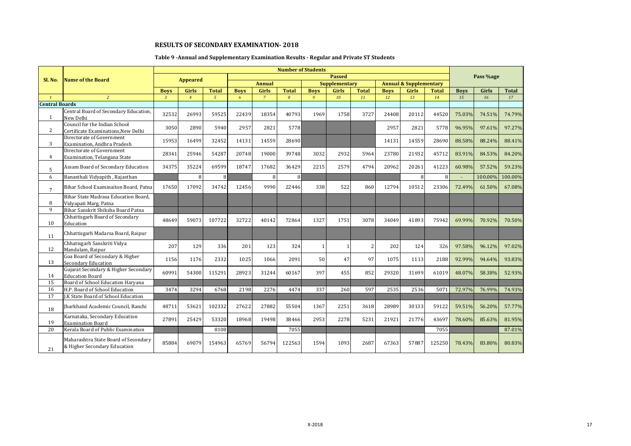# **Table 9 -Annual and Supplementary Examination Results - Regular and Private ST Students**

|                       |                                                                      |              |                 |                |             |                |              | <b>Number of Students</b> |               |              |             |                                   |              |             |           |              |
|-----------------------|----------------------------------------------------------------------|--------------|-----------------|----------------|-------------|----------------|--------------|---------------------------|---------------|--------------|-------------|-----------------------------------|--------------|-------------|-----------|--------------|
| Sl. No.               | <b>Name of the Board</b>                                             |              | <b>Appeared</b> |                |             |                |              |                           | <b>Passed</b> |              |             |                                   |              |             | Pass %age |              |
|                       |                                                                      |              |                 |                |             | <b>Annual</b>  |              |                           | Supplementary |              |             | <b>Annual &amp; Supplementary</b> |              |             |           |              |
|                       |                                                                      | <b>Boys</b>  | Girls           | <b>Total</b>   | <b>Boys</b> | <b>Girls</b>   | <b>Total</b> | <b>Boys</b>               | <b>Girls</b>  | <b>Total</b> | <b>Boys</b> | Girls                             | <b>Total</b> | <b>Boys</b> | Girls     | <b>Total</b> |
| $\mathbf{1}$          | $\overline{2}$                                                       | $\mathbf{3}$ | $\overline{4}$  | 5 <sup>5</sup> | 6           | $\overline{7}$ | 8            | 9                         | 10            | 11           | 12          | 13                                | 14           | 15          | 16        | 17           |
| <b>Central Boards</b> |                                                                      |              |                 |                |             |                |              |                           |               |              |             |                                   |              |             |           |              |
| $\mathbf{1}$          | Central Board of Secondary Education,<br>New Delhi                   | 32532        | 26993           | 59525          | 22439       | 18354          | 40793        | 1969                      | 1758          | 3727         | 24408       | 20112                             | 44520        | 75.03%      | 74.51%    | 74.79%       |
| $\overline{2}$        | Council for the Indian School<br>Certificate Examinations, New Delhi | 3050         | 2890            | 5940           | 2957        | 2821           | 5778         |                           |               |              | 2957        | 2821                              | 5778         | 96.95%      | 97.61%    | 97.27%       |
| 3                     | Directorate of Government<br>Examination. Andhra Pradesh             | 15953        | 16499           | 32452          | 14131       | 14559          | 28690        |                           |               |              | 14131       | 14559                             | 28690        | 88.58%      | 88.24%    | 88.41%       |
| 4                     | Directorate of Government<br>Examination, Telangana State            | 28341        | 25946           | 54287          | 20748       | 19000          | 39748        | 3032                      | 2932          | 5964         | 23780       | 21932                             | 45712        | 83.91%      | 84.53%    | 84.20%       |
| 5                     | Assam Board of Secondary Education                                   | 34375        | 35224           | 69599          | 18747       | 17682          | 36429        | 2215                      | 2579          | 4794         | 20962       | 20261                             | 41223        | 60.98%      | 57.52%    | 59.23%       |
| 6                     | Banasthali Vidyapith, Rajasthan                                      |              | 8               |                |             | 8              | 8            |                           |               |              |             | 8                                 | 8            |             | 100.00%   | 100.00%      |
| $7\overline{ }$       | Bihar School Examinaiton Board, Patna                                | 17650        | 17092           | 34742          | 12456       | 9990           | 22446        | 338                       | 522           | 860          | 12794       | 10512                             | 23306        | 72.49%      | 61.50%    | 67.08%       |
| 8                     | Bihar State Madrasa Education Board,<br>Vidyapati Marg, Patna        |              |                 |                |             |                |              |                           |               |              |             |                                   |              |             |           |              |
| 9                     | Bihar Sanskrit Shiksha Board Patna                                   |              |                 |                |             |                |              |                           |               |              |             |                                   |              |             |           |              |
| 10                    | Chhattisgarh Board of Secondary<br>Education                         | 48649        | 59073           | 107722         | 32722       | 40142          | 72864        | 1327                      | 1751          | 3078         | 34049       | 41893                             | 75942        | 69.99%      | 70.92%    | 70.50%       |
| 11                    | Chhattisgarh Madarsa Board, Raipur                                   |              |                 |                |             |                |              |                           |               |              |             |                                   |              |             |           |              |
| 12                    | Chhatisgarh Sanskriti Vidya<br>Mandalam, Raipur                      | 207          | 129             | 336            | 201         | 123            | 324          | $\mathbf{1}$              |               | 2            | 202         | 124                               | 326          | 97.58%      | 96.12%    | 97.02%       |
| 13                    | Goa Board of Secondary & Higher<br><b>Secondary Education</b>        | 1156         | 1176            | 2332           | 1025        | 1066           | 2091         | 50                        | 47            | 97           | 1075        | 1113                              | 2188         | 92.99%      | 94.64%    | 93.83%       |
| 14                    | Gujarat Secondary & Higher Secondary<br><b>Education Board</b>       | 60991        | 54300           | 115291         | 28923       | 31244          | 60167        | 397                       | 455           | 852          | 29320       | 31699                             | 61019        | 48.07%      | 58.38%    | 52.93%       |
| 15                    | Board of School Education Harvana                                    |              |                 |                |             |                |              |                           |               |              |             |                                   |              |             |           |              |
| 16                    | H.P. Board of School Education                                       | 3474         | 3294            | 6768           | 2198        | 2276           | 4474         | 337                       | 260           | 597          | 2535        | 2536                              | 5071         | 72.97%      | 76.99%    | 74.93%       |
| 17                    | J.K State Board of School Education                                  |              |                 |                |             |                |              |                           |               |              |             |                                   |              |             |           |              |
| 18                    | Jharkhand Academic Council, Ranchi                                   | 48711        | 53621           | 102332         | 27622       | 27882          | 55504        | 1367                      | 2251          | 3618         | 28989       | 30133                             | 59122        | 59.51%      | 56.20%    | 57.77%       |
| 19                    | Karnataka, Secondary Education<br><b>Examination Board</b>           | 27891        | 25429           | 53320          | 18968       | 19498          | 38466        | 2953                      | 2278          | 5231         | 21921       | 21776                             | 43697        | 78.60%      | 85.63%    | 81.95%       |
| 20                    | Kerala Board of Public Examination                                   |              |                 | 8108           |             |                | 7055         |                           |               |              |             |                                   | 7055         |             |           | 87.01%       |
| 21                    | Maharashtra State Board of Secondary<br>& Higher Secondary Education | 85884        | 69079           | 154963         | 65769       | 56794          | 122563       | 1594                      | 1093          | 2687         | 67363       | 57887                             | 125250       | 78.43%      | 83.80%    | 80.83%       |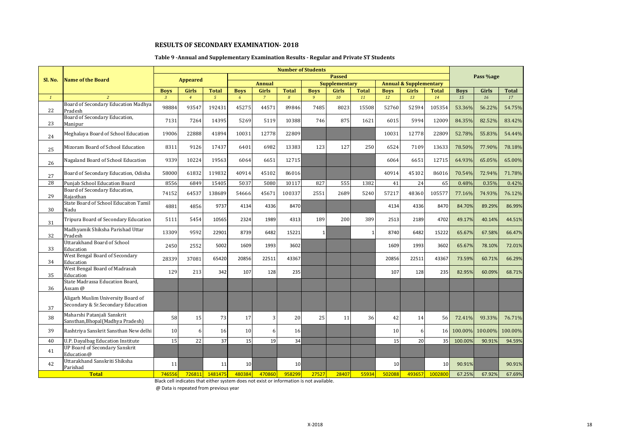#### **Table 9 -Annual and Supplementary Examination Results - Regular and Private ST Students**

|                 |                                                                          |                |                 |                |             |                | <b>Number of Students</b> |              |                      |              |             |                                   |                 |             |           |              |
|-----------------|--------------------------------------------------------------------------|----------------|-----------------|----------------|-------------|----------------|---------------------------|--------------|----------------------|--------------|-------------|-----------------------------------|-----------------|-------------|-----------|--------------|
| Sl. No.         | <b>Name of the Board</b>                                                 |                | <b>Appeared</b> |                |             |                |                           |              | <b>Passed</b>        |              |             |                                   |                 |             | Pass %age |              |
|                 |                                                                          |                |                 |                |             | <b>Annual</b>  |                           |              | <b>Supplementary</b> |              |             | <b>Annual &amp; Supplementary</b> |                 |             |           |              |
|                 |                                                                          | <b>Boys</b>    | <b>Girls</b>    | <b>Total</b>   | <b>Boys</b> | Girls          | <b>Total</b>              | <b>Boys</b>  | <b>Girls</b>         | <b>Total</b> | <b>Boys</b> | Girls                             | <b>Total</b>    | <b>Boys</b> | Girls     | <b>Total</b> |
| $1\overline{ }$ | $\overline{2}$                                                           | $\overline{3}$ | $\overline{4}$  | 5 <sup>5</sup> | 6           | $\overline{7}$ | $\overline{8}$            | 9            | 10                   | 11           | 12          | 13                                | 14              | 15          | 16        | 17           |
| 22              | Board of Secondary Education Madhya<br>Pradesh                           | 98884          | 93547           | 192431         | 45275       | 44571          | 89846                     | 7485         | 8023                 | 15508        | 52760       | 52594                             | 105354          | 53.36%      | 56.22%    | 54.75%       |
| 23              | Board of Secondary Education,<br>Manipur                                 | 7131           | 7264            | 14395          | 5269        | 5119           | 10388                     | 746          | 875                  | 1621         | 6015        | 5994                              | 12009           | 84.35%      | 82.52%    | 83.42%       |
| 24              | Meghalaya Board of School Education                                      | 19006          | 22888           | 41894          | 10031       | 12778          | 22809                     |              |                      |              | 10031       | 12778                             | 22809           | 52.78%      | 55.83%    | 54.44%       |
| 25              | Mizoram Board of School Education                                        | 8311           | 9126            | 17437          | 6401        | 6982           | 13383                     | 123          | 127                  | 250          | 6524        | 7109                              | 13633           | 78.50%      | 77.90%    | 78.18%       |
| 26              | Nagaland Board of School Education                                       | 9339           | 10224           | 19563          | 6064        | 6651           | 12715                     |              |                      |              | 6064        | 6651                              | 12715           | 64.93%      | 65.05%    | 65.00%       |
| 27              | Board of Secondary Education, Odisha                                     | 58000          | 61832           | 119832         | 40914       | 45102          | 86016                     |              |                      |              | 40914       | 45102                             | 86016           | 70.54%      | 72.94%    | 71.78%       |
| 28              | Punjab School Education Board                                            | 8556           | 6849            | 15405          | 5037        | 5080           | 10117                     | 827          | 555                  | 1382         | 41          | 24                                | 65              | 0.48%       | 0.35%     | 0.42%        |
| 29              | Board of Secondary Education,<br>Rajasthan                               | 74152          | 64537           | 138689         | 54666       | 45671          | 100337                    | 2551         | 2689                 | 5240         | 57217       | 48360                             | 105577          | 77.16%      | 74.93%    | 76.12%       |
| 30              | State Board of School Educaiton Tamil<br>Nadu                            | 4881           | 4856            | 9737           | 4134        | 4336           | 8470                      |              |                      |              | 4134        | 4336                              | 8470            | 84.70%      | 89.29%    | 86.99%       |
| 31              | Tripura Board of Secondary Education                                     | 5111           | 5454            | 10565          | 2324        | 1989           | 4313                      | 189          | 200                  | 389          | 2513        | 2189                              | 4702            | 49.17%      | 40.14%    | 44.51%       |
| 32              | Madhyamik Shiksha Parishad Uttar<br>Pradesh                              | 13309          | 9592            | 22901          | 8739        | 6482           | 15221                     | $\mathbf{1}$ |                      | 1            | 8740        | 6482                              | 15222           | 65.67%      | 67.58%    | 66.47%       |
| 33              | <b>Uttarakhand Board of School</b><br>Education                          | 2450           | 2552            | 5002           | 1609        | 1993           | 3602                      |              |                      |              | 1609        | 1993                              | 3602            | 65.67%      | 78.10%    | 72.01%       |
| 34              | West Bengal Board of Secondary<br>Education                              | 28339          | 37081           | 65420          | 20856       | 22511          | 43367                     |              |                      |              | 20856       | 22511                             | 43367           | 73.59%      | 60.71%    | 66.29%       |
| 35              | West Bengal Board of Madrasah<br>Education                               | 129            | 213             | 342            | 107         | 128            | 235                       |              |                      |              | 107         | 128                               | 235             | 82.95%      | 60.09%    | 68.71%       |
| 36              | State Madrassa Education Board,<br>Assam @                               |                |                 |                |             |                |                           |              |                      |              |             |                                   |                 |             |           |              |
| 37              | Aligarh Muslim University Board of<br>Secondary & Sr.Secondary Education |                |                 |                |             |                |                           |              |                      |              |             |                                   |                 |             |           |              |
| 38              | Maharshi Patanjali Sanskrit<br>Sansthan, Bhopal (Madhya Pradesh)         | 58             | 15              | 73             | 17          | 3              | 20                        | 25           | 11                   | 36           | 42          | 14                                | 56              | 72.41%      | 93.33%    | 76.71%       |
| 39              | Rashtriya Sanskrit Sansthan New delhi                                    | 10             | 6               | 16             | 10          | 6              | 16                        |              |                      |              | 10          | 6                                 | 16 <sup>1</sup> | 100.00%     | 100.00%   | 100.00%      |
| 40              | U.P. Dayalbag Education Institute                                        | 15             | 22              | 37             | 15          | 19             | 34                        |              |                      |              | 15          | 20                                | 35              | 100.00%     | 90.91%    | 94.59%       |
| 41              | <b>UP Board of Secondary Sanskrit</b><br>Education@                      |                |                 |                |             |                |                           |              |                      |              |             |                                   |                 |             |           |              |
| 42              | Uttarakhand Sanskriti Shiksha<br>Parishad                                | 11             |                 | 11             | 10          |                | 10                        |              |                      |              | 10          |                                   | 10              | 90.91%      |           | 90.91%       |
|                 | <b>Total</b>                                                             | 746556         | 726811          | 1481475        | 480384      | 470860         | 958299                    | 27527        | 28407                | 55934        | 502088      | 493657                            | 1002800         | 67.25%      | 67.92%    | 67.69%       |

Black cell indicates that either system does not exist or information is not available.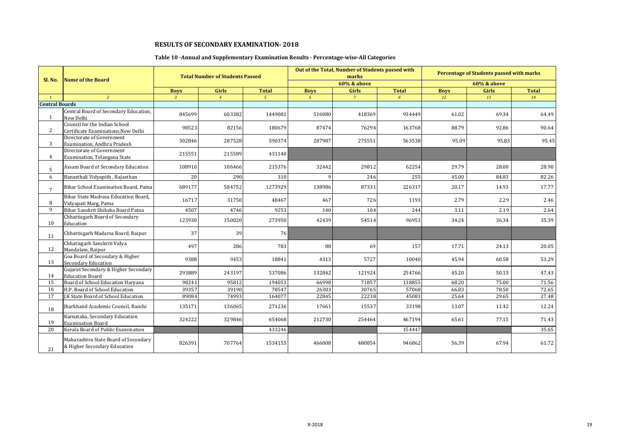# **Table 10 -Annual and Supplementary Examination Results - Percentage-wise-All Categories**

|                       |                                                                      |              | <b>Total Number of Students Passed</b> |                |             | Out of the Total, Number of Students passed with<br>marks |                  |             | Percentage of Students passed with marks |              |
|-----------------------|----------------------------------------------------------------------|--------------|----------------------------------------|----------------|-------------|-----------------------------------------------------------|------------------|-------------|------------------------------------------|--------------|
| Sl. No.               | Name of the Board                                                    |              |                                        |                |             | 60% & above                                               |                  |             | 60% & above                              |              |
|                       |                                                                      | <b>Boys</b>  | Girls                                  | <b>Total</b>   | <b>Boys</b> | Girls                                                     | <b>Total</b>     | <b>Boys</b> | Girls                                    | <b>Total</b> |
| $\mathbf{1}$          | 2                                                                    | $\mathbf{3}$ | $\overline{4}$                         | 5 <sup>5</sup> | 6           | $\overline{7}$                                            | $\boldsymbol{8}$ | 12          | 13                                       | 14           |
| <b>Central Boards</b> |                                                                      |              |                                        |                |             |                                                           |                  |             |                                          |              |
| 1                     | Central Board of Secondary Education,<br>New Delhi                   | 845699       | 603382                                 | 1449081        | 516080      | 418369                                                    | 934449           | 61.02       | 69.34                                    | 64.49        |
| 2                     | Council for the Indian School<br>Certificate Examinations, New Delhi | 98523        | 82156                                  | 180679         | 87474       | 76294                                                     | 163768           | 88.79       | 92.86                                    | 90.64        |
| 3                     | Directorate of Government<br>Examination, Andhra Pradesh             | 302846       | 287528                                 | 590374         | 287987      | 275551                                                    | 563538           | 95.09       | 95.83                                    | 95.45        |
| 4                     | Directorate of Government<br>Examination, Telangana State            | 215551       | 215589                                 | 431140         |             |                                                           |                  |             |                                          |              |
| 5                     | Assam Board of Secondary Education                                   | 108910       | 106466                                 | 215376         | 32442       | 29812                                                     | 62254            | 29.79       | 28.00                                    | 28.90        |
| 6                     | Banasthali Vidyapith, Rajasthan                                      | 20           | 290                                    | 310            |             | 246                                                       | 255              | 45.00       | 84.83                                    | 82.26        |
| $\overline{7}$        | Bihar School Examinaiton Board, Patna                                | 689177       | 584752                                 | 1273929        | 138986      | 87331                                                     | 226317           | 20.17       | 14.93                                    | 17.77        |
| 8                     | Bihar State Madrasa Education Board.<br>Vidyapati Marg, Patna        | 16717        | 31750                                  | 48467          | 467         | 726                                                       | 1193             | 2.79        | 2.29                                     | 2.46         |
| 9                     | Bihar Sanskrit Shiksha Board Patna                                   | 4507         | 4746                                   | 9253           | 140         | 104                                                       | 244              | 3.11        | 2.19                                     | 2.64         |
| 10                    | Chhattisgarh Board of Secondary<br>Education                         | 123930       | 150020                                 | 273950         | 42439       | 54514                                                     | 96953            | 34.24       | 36.34                                    | 35.39        |
| 11                    | Chhattisgarh Madarsa Board, Raipur                                   | 37           | 39                                     | 76             |             |                                                           |                  |             |                                          |              |
| 12                    | Chhatisgarh Sanskriti Vidya<br>Mandalam, Raipur                      | 497          | 286                                    | 783            | 88          | 69                                                        | 157              | 17.71       | 24.13                                    | 20.05        |
| 13                    | Goa Board of Secondary & Higher<br>Secondary Education               | 9388         | 9453                                   | 18841          | 4313        | 5727                                                      | 10040            | 45.94       | 60.58                                    | 53.29        |
| 14                    | Gujarat Secondary & Higher Secondary<br><b>Education Board</b>       | 293889       | 243197                                 | 537086         | 132842      | 121924                                                    | 254766           | 45.20       | 50.13                                    | 47.43        |
| 15                    | Board of School Education Haryana                                    | 98241        | 95812                                  | 194053         | 66998       | 71857                                                     | 138855           | 68.20       | 75.00                                    | 71.56        |
| 16                    | H.P. Board of School Education                                       | 39357        | 39190                                  | 78547          | 26303       | 30765                                                     | 57068            | 66.83       | 78.50                                    | 72.65        |
| 17                    | J.K State Board of School Education                                  | 89084        | 74993                                  | 164077         | 22845       | 22238                                                     | 45083            | 25.64       | 29.65                                    | 27.48        |
| 18                    | Jharkhand Academic Council, Ranchi                                   | 135171       | 136065                                 | 271236         | 17661       | 15537                                                     | 33198            | 13.07       | 11.42                                    | 12.24        |
| 19                    | Karnataka, Secondary Education<br><b>Examination Board</b>           | 324222       | 329846                                 | 654068         | 212730      | 254464                                                    | 467194           | 65.61       | 77.15                                    | 71.43        |
| 20                    | Kerala Board of Public Examination                                   |              |                                        | 433246         |             |                                                           | 154447           |             |                                          | 35.65        |
| 21                    | Maharashtra State Board of Secondary<br>& Higher Secondary Education | 826391       | 707764                                 | 1534155        | 466008      | 480854                                                    | 946862           | 56.39       | 67.94                                    | 61.72        |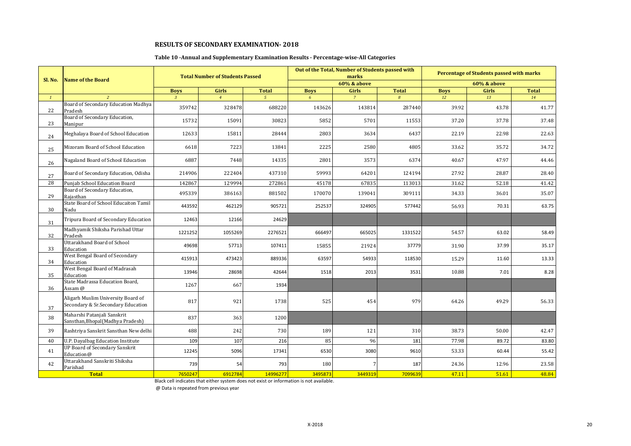#### **Table 10 -Annual and Supplementary Examination Results - Percentage-wise-All Categories**

|              | <b>Name of the Board</b>                                                 |                | <b>Total Number of Students Passed</b> |                |                | Out of the Total, Number of Students passed with<br>marks |                |             | Percentage of Students passed with marks |              |
|--------------|--------------------------------------------------------------------------|----------------|----------------------------------------|----------------|----------------|-----------------------------------------------------------|----------------|-------------|------------------------------------------|--------------|
| Sl. No.      |                                                                          |                |                                        |                |                | <b>60% &amp; above</b>                                    |                |             | 60% & above                              |              |
|              |                                                                          | <b>Boys</b>    | Girls                                  | <b>Total</b>   | <b>Boys</b>    | Girls                                                     | <b>Total</b>   | <b>Boys</b> | Girls                                    | <b>Total</b> |
| $\mathbf{1}$ | $\overline{2}$                                                           | $\overline{3}$ | $\overline{4}$                         | $\overline{5}$ | 6 <sup>1</sup> | $\overline{7}$                                            | $\overline{8}$ | 12          | 13                                       | 14           |
| 22           | Board of Secondary Education Madhya<br>Pradesh                           | 359742         | 328478                                 | 688220         | 143626         | 143814                                                    | 287440         | 39.92       | 43.78                                    | 41.77        |
| 23           | Board of Secondary Education,<br>Manipur                                 | 15732          | 15091                                  | 30823          | 5852           | 5701                                                      | 11553          | 37.20       | 37.78                                    | 37.48        |
| 24           | Meghalaya Board of School Education                                      | 12633          | 15811                                  | 28444          | 2803           | 3634                                                      | 6437           | 22.19       | 22.98                                    | 22.63        |
| 25           | Mizoram Board of School Education                                        | 6618           | 7223                                   | 13841          | 2225           | 2580                                                      | 4805           | 33.62       | 35.72                                    | 34.72        |
| 26           | Nagaland Board of School Education                                       | 6887           | 7448                                   | 14335          | 2801           | 3573                                                      | 6374           | 40.67       | 47.97                                    | 44.46        |
| 27           | Board of Secondary Education, Odisha                                     | 214906         | 222404                                 | 437310         | 59993          | 64201                                                     | 124194         | 27.92       | 28.87                                    | 28.40        |
| 28           | Punjab School Education Board                                            | 142867         | 129994                                 | 272861         | 45178          | 67835                                                     | 113013         | 31.62       | 52.18                                    | 41.42        |
| 29           | Board of Secondary Education,<br>Raiasthan                               | 495339         | 386163                                 | 881502         | 170070         | 139041                                                    | 309111         | 34.33       | 36.01                                    | 35.07        |
| 30           | State Board of School Educaiton Tamil<br>Nadu                            | 443592         | 462129                                 | 905721         | 252537         | 324905                                                    | 577442         | 56.93       | 70.31                                    | 63.75        |
| 31           | Tripura Board of Secondary Education                                     | 12463          | 12166                                  | 24629          |                |                                                           |                |             |                                          |              |
| 32           | Madhyamik Shiksha Parishad Uttar<br>Pradesh                              | 1221252        | 1055269                                | 2276521        | 666497         | 665025                                                    | 1331522        | 54.57       | 63.02                                    | 58.49        |
| 33           | Uttarakhand Board of School<br>Education                                 | 49698          | 57713                                  | 107411         | 15855          | 21924                                                     | 37779          | 31.90       | 37.99                                    | 35.17        |
| 34           | West Bengal Board of Secondary<br>Education                              | 415913         | 473423                                 | 889336         | 63597          | 54933                                                     | 118530         | 15.29       | 11.60                                    | 13.33        |
| 35           | West Bengal Board of Madrasah<br>Education                               | 13946          | 28698                                  | 42644          | 1518           | 2013                                                      | 3531           | 10.88       | 7.01                                     | 8.28         |
| 36           | State Madrassa Education Board,<br>Assam @                               | 1267           | 667                                    | 1934           |                |                                                           |                |             |                                          |              |
| 37           | Aligarh Muslim University Board of<br>Secondary & Sr.Secondary Education | 817            | 921                                    | 1738           | 525            | 454                                                       | 979            | 64.26       | 49.29                                    | 56.33        |
| 38           | Maharshi Patanjali Sanskrit<br>Sansthan, Bhopal (Madhya Pradesh)         | 837            | 363                                    | 1200           |                |                                                           |                |             |                                          |              |
| 39           | Rashtriya Sanskrit Sansthan New delhi                                    | 488            | 242                                    | 730            | 189            | 121                                                       | 310            | 38.73       | 50.00                                    | 42.47        |
| 40           | U.P. Dayalbag Education Institute                                        | 109            | 107                                    | 216            | 85             | 96                                                        | 181            | 77.98       | 89.72                                    | 83.80        |
| 41           | <b>UP Board of Secondary Sanskrit</b><br>Education@                      | 12245          | 5096                                   | 17341          | 6530           | 3080                                                      | 9610           | 53.33       | 60.44                                    | 55.42        |
| 42           | Uttarakhand Sanskriti Shiksha<br>Parishad                                | 739            | 54                                     | 793            | 180            |                                                           | 187            | 24.36       | 12.96                                    | 23.58        |
|              | <b>Total</b>                                                             | 7650247        | 6912784                                | 14996277       | 3495873        | 3449319                                                   | 7099639        | 47.11       | 51.61                                    | 48.84        |

Black cell indicates that either system does not exist or information is not available.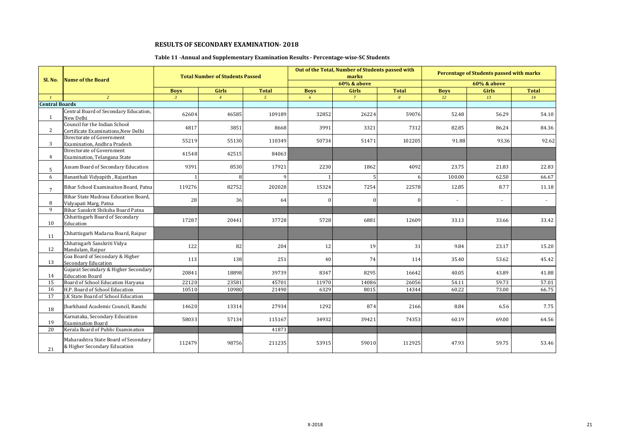# **Table 11 -Annual and Supplementary Examination Results - Percentage-wise-SC Students**

|                       | <b>Name of the Board</b>                                             |              | <b>Total Number of Students Passed</b> |                |             | Out of the Total, Number of Students passed with<br>marks |                  |                | Percentage of Students passed with marks |              |
|-----------------------|----------------------------------------------------------------------|--------------|----------------------------------------|----------------|-------------|-----------------------------------------------------------|------------------|----------------|------------------------------------------|--------------|
| Sl. No.               |                                                                      |              |                                        |                |             | <b>60% &amp; above</b>                                    |                  |                | 60% & above                              |              |
|                       |                                                                      | <b>Boys</b>  | Girls                                  | <b>Total</b>   | <b>Boys</b> | Girls                                                     | <b>Total</b>     | <b>Boys</b>    | Girls                                    | <b>Total</b> |
| $\mathbf{1}$          | $\overline{2}$                                                       | $\mathbf{3}$ | $\overline{4}$                         | 5 <sup>5</sup> | 6           | $\overline{7}$                                            | $\boldsymbol{8}$ | 12             | 13                                       | 14           |
| <b>Central Boards</b> |                                                                      |              |                                        |                |             |                                                           |                  |                |                                          |              |
| 1                     | Central Board of Secondary Education,<br>New Delhi                   | 62604        | 46585                                  | 109189         | 32852       | 26224                                                     | 59076            | 52.48          | 56.29                                    | 54.10        |
| 2                     | Council for the Indian School<br>Certificate Examinations, New Delhi | 4817         | 3851                                   | 8668           | 3991        | 3321                                                      | 7312             | 82.85          | 86.24                                    | 84.36        |
| 3                     | Directorate of Government<br>Examination, Andhra Pradesh             | 55219        | 55130                                  | 110349         | 50734       | 51471                                                     | 102205           | 91.88          | 93.36                                    | 92.62        |
| 4                     | Directorate of Government<br>Examination, Telangana State            | 41548        | 42515                                  | 84063          |             |                                                           |                  |                |                                          |              |
| 5                     | Assam Board of Secondary Education                                   | 9391         | 8530                                   | 17921          | 2230        | 1862                                                      | 4092             | 23.75          | 21.83                                    | 22.83        |
| 6                     | Banasthali Vidyapith, Rajasthan                                      |              | 8                                      | $\Omega$       |             |                                                           |                  | 100.00         | 62.50                                    | 66.67        |
| $\overline{7}$        | Bihar School Examinaiton Board, Patna                                | 119276       | 82752                                  | 202028         | 15324       | 7254                                                      | 22578            | 12.85          | 8.77                                     | 11.18        |
| 8                     | Bihar State Madrasa Education Board.<br>Vidyapati Marg, Patna        | 28           | 36                                     | 64             | $\Omega$    | $\theta$                                                  |                  | $\overline{a}$ |                                          | $\sim$       |
| 9                     | Bihar Sanskrit Shiksha Board Patna                                   |              |                                        |                |             |                                                           |                  |                |                                          |              |
| 10                    | Chhattisgarh Board of Secondary<br>Education                         | 17287        | 20441                                  | 37728          | 5728        | 6881                                                      | 12609            | 33.13          | 33.66                                    | 33.42        |
| 11                    | Chhattisgarh Madarsa Board, Raipur                                   |              |                                        |                |             |                                                           |                  |                |                                          |              |
| 12                    | Chhatisgarh Sanskriti Vidya<br>Mandalam, Raipur                      | 122          | 82                                     | 204            | 12          | 19                                                        | 31               | 9.84           | 23.17                                    | 15.20        |
| 13                    | Goa Board of Secondary & Higher<br>Secondary Education               | 113          | 138                                    | 251            | 40          | 74                                                        | 114              | 35.40          | 53.62                                    | 45.42        |
| 14                    | Gujarat Secondary & Higher Secondary<br><b>Education Board</b>       | 20841        | 18898                                  | 39739          | 8347        | 8295                                                      | 16642            | 40.05          | 43.89                                    | 41.88        |
| 15                    | Board of School Education Haryana                                    | 22120        | 23581                                  | 45701          | 11970       | 14086                                                     | 26056            | 54.11          | 59.73                                    | 57.01        |
| 16                    | H.P. Board of School Education                                       | 10510        | 10980                                  | 21490          | 6329        | 8015                                                      | 14344            | 60.22          | 73.00                                    | 66.75        |
| 17                    | J.K State Board of School Education                                  |              |                                        |                |             |                                                           |                  |                |                                          |              |
| 18                    | Jharkhand Academic Council, Ranchi                                   | 14620        | 13314                                  | 27934          | 1292        | 874                                                       | 2166             | 8.84           | 6.56                                     | 7.75         |
| 19                    | Karnataka, Secondary Education<br><b>Examination Board</b>           | 58033        | 57134                                  | 115167         | 34932       | 39421                                                     | 74353            | 60.19          | 69.00                                    | 64.56        |
| 20                    | Kerala Board of Public Examination                                   |              |                                        | 41873          |             |                                                           |                  |                |                                          |              |
| 21                    | Maharashtra State Board of Secondary<br>& Higher Secondary Education | 112479       | 98756                                  | 211235         | 53915       | 59010                                                     | 112925           | 47.93          | 59.75                                    | 53.46        |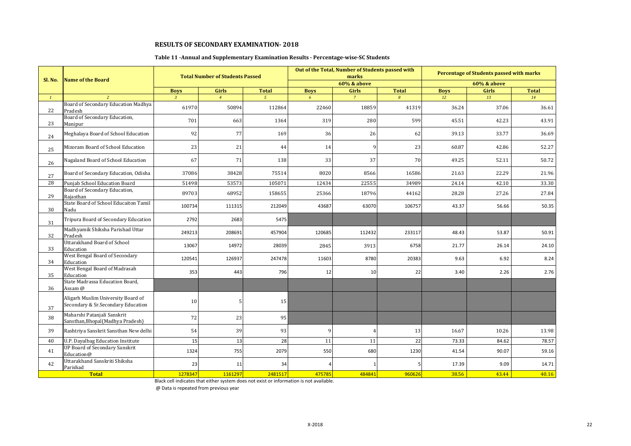#### **Table 11 -Annual and Supplementary Examination Results - Percentage-wise-SC Students**

|              |                                                                          |                | <b>Total Number of Students Passed</b> |              |             | Out of the Total, Number of Students passed with<br>marks |              |             | <b>Percentage of Students passed with marks</b> |              |
|--------------|--------------------------------------------------------------------------|----------------|----------------------------------------|--------------|-------------|-----------------------------------------------------------|--------------|-------------|-------------------------------------------------|--------------|
| Sl. No.      | <b>Name of the Board</b>                                                 |                |                                        |              |             | <b>60% &amp; above</b>                                    |              |             | <b>60% &amp; above</b>                          |              |
|              |                                                                          | <b>Boys</b>    | <b>Girls</b>                           | <b>Total</b> | <b>Boys</b> | Girls                                                     | <b>Total</b> | <b>Boys</b> | Girls                                           | <b>Total</b> |
| $\mathbf{1}$ | $\overline{z}$                                                           | $\overline{3}$ | $\overline{4}$                         | $5^{\circ}$  | 6           | $\overline{7}$                                            | 8            | 12          | 13                                              | 14           |
| 22           | Board of Secondary Education Madhya<br>Pradesh                           | 61970          | 50894                                  | 112864       | 22460       | 18859                                                     | 41319        | 36.24       | 37.06                                           | 36.61        |
| 23           | Board of Secondary Education,<br>Manipur                                 | 701            | 663                                    | 1364         | 319         | 280                                                       | 599          | 45.51       | 42.23                                           | 43.91        |
| 24           | Meghalaya Board of School Education                                      | 92             | 77                                     | 169          | 36          | 26                                                        | 62           | 39.13       | 33.77                                           | 36.69        |
| 25           | Mizoram Board of School Education                                        | 23             | 21                                     | 44           | 14          | q                                                         | 23           | 60.87       | 42.86                                           | 52.27        |
| 26           | Nagaland Board of School Education                                       | 67             | 71                                     | 138          | 33          | 37                                                        | 70           | 49.25       | 52.11                                           | 50.72        |
| 27           | Board of Secondary Education, Odisha                                     | 37086          | 38428                                  | 75514        | 8020        | 8566                                                      | 16586        | 21.63       | 22.29                                           | 21.96        |
| 28           | Punjab School Education Board                                            | 51498          | 53573                                  | 105071       | 12434       | 22555                                                     | 34989        | 24.14       | 42.10                                           | 33.30        |
| 29           | Board of Secondary Education,<br>Rajasthan                               | 89703          | 68952                                  | 158655       | 25366       | 18796                                                     | 44162        | 28.28       | 27.26                                           | 27.84        |
| 30           | State Board of School Educaiton Tamil<br>Nadu                            | 100734         | 111315                                 | 212049       | 43687       | 63070                                                     | 106757       | 43.37       | 56.66                                           | 50.35        |
| 31           | Tripura Board of Secondary Education                                     | 2792           | 2683                                   | 5475         |             |                                                           |              |             |                                                 |              |
| 32           | Madhyamik Shiksha Parishad Uttar<br>Pradesh                              | 249213         | 208691                                 | 457904       | 120685      | 112432                                                    | 233117       | 48.43       | 53.87                                           | 50.91        |
| 33           | <b>Uttarakhand Board of School</b><br>Education                          | 13067          | 14972                                  | 28039        | 2845        | 3913                                                      | 6758         | 21.77       | 26.14                                           | 24.10        |
| 34           | West Bengal Board of Secondary<br>Education                              | 120541         | 126937                                 | 247478       | 11603       | 8780                                                      | 20383        | 9.63        | 6.92                                            | 8.24         |
| 35           | West Bengal Board of Madrasah<br>Education                               | 353            | 443                                    | 796          | 12          | 10                                                        | 22           | 3.40        | 2.26                                            | 2.76         |
| 36           | State Madrassa Education Board,<br>Assam @                               |                |                                        |              |             |                                                           |              |             |                                                 |              |
| 37           | Aligarh Muslim University Board of<br>Secondary & Sr.Secondary Education | 10             | 5                                      | 15           |             |                                                           |              |             |                                                 |              |
| 38           | Maharshi Patanjali Sanskrit<br>Sansthan, Bhopal (Madhya Pradesh)         | 72             | 23                                     | 95           |             |                                                           |              |             |                                                 |              |
| 39           | Rashtriya Sanskrit Sansthan New delhi                                    | 54             | 39                                     | 93           | q           | 4                                                         | 13           | 16.67       | 10.26                                           | 13.98        |
| 40           | U.P. Dayalbag Education Institute                                        | 15             | 13                                     | 28           | 11          | 11                                                        | 22           | 73.33       | 84.62                                           | 78.57        |
| 41           | <b>UP Board of Secondary Sanskrit</b><br>Education@                      | 1324           | 755                                    | 2079         | 550         | 680                                                       | 1230         | 41.54       | 90.07                                           | 59.16        |
| 42           | Uttarakhand Sanskriti Shiksha<br>Parishad                                | 23             | 11                                     | 34           |             |                                                           |              | 17.39       | 9.09                                            | 14.71        |
|              | <b>Total</b>                                                             | 1278347        | 1161297                                | 2481517      | 475785      | 484841                                                    | 960626       | 38.56       | 43.44                                           | 40.16        |

Black cell indicates that either system does not exist or information is not available.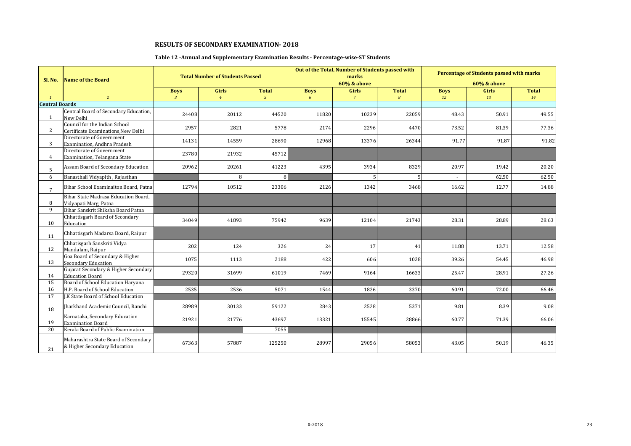# **Table 12 -Annual and Supplementary Examination Results - Percentage-wise-ST Students**

|                       |                                                                      |              | <b>Total Number of Students Passed</b> |              |                 | Out of the Total, Number of Students passed with<br>marks |                  |             | <b>Percentage of Students passed with marks</b> |              |
|-----------------------|----------------------------------------------------------------------|--------------|----------------------------------------|--------------|-----------------|-----------------------------------------------------------|------------------|-------------|-------------------------------------------------|--------------|
| <b>Sl. No.</b>        | <b>Name of the Board</b>                                             |              |                                        |              |                 | <b>60% &amp; above</b>                                    |                  |             | 60% & above                                     |              |
|                       |                                                                      | <b>Boys</b>  | <b>Girls</b>                           | <b>Total</b> | <b>Boys</b>     | <b>Girls</b>                                              | <b>Total</b>     | <b>Boys</b> | <b>Girls</b>                                    | <b>Total</b> |
| $\mathbf{1}$          | $\overline{2}$                                                       | $\mathbf{3}$ | $\overline{4}$                         | $5^{\circ}$  | $6\overline{6}$ | $\overline{7}$                                            | $\boldsymbol{s}$ | 12          | 13                                              | 14           |
| <b>Central Boards</b> |                                                                      |              |                                        |              |                 |                                                           |                  |             |                                                 |              |
| $\mathbf{1}$          | Central Board of Secondary Education,<br>New Delhi                   | 24408        | 20112                                  | 44520        | 11820           | 10239                                                     | 22059            | 48.43       | 50.91                                           | 49.55        |
| $\overline{2}$        | Council for the Indian School<br>Certificate Examinations, New Delhi | 2957         | 2821                                   | 5778         | 2174            | 2296                                                      | 4470             | 73.52       | 81.39                                           | 77.36        |
| 3                     | Directorate of Government<br>Examination, Andhra Pradesh             | 14131        | 14559                                  | 28690        | 12968           | 13376                                                     | 26344            | 91.77       | 91.87                                           | 91.82        |
| 4                     | Directorate of Government<br>Examination, Telangana State            | 23780        | 21932                                  | 45712        |                 |                                                           |                  |             |                                                 |              |
| 5                     | Assam Board of Secondary Education                                   | 20962        | 20261                                  | 41223        | 4395            | 3934                                                      | 8329             | 20.97       | 19.42                                           | 20.20        |
| 6                     | Banasthali Vidyapith, Rajasthan                                      |              | 8                                      | $\mathbf{R}$ |                 |                                                           |                  |             | 62.50                                           | 62.50        |
| $\overline{7}$        | Bihar School Examinaiton Board, Patna                                | 12794        | 10512                                  | 23306        | 2126            | 1342                                                      | 3468             | 16.62       | 12.77                                           | 14.88        |
| 8                     | Bihar State Madrasa Education Board,<br>Vidyapati Marg, Patna        |              |                                        |              |                 |                                                           |                  |             |                                                 |              |
| 9                     | Bihar Sanskrit Shiksha Board Patna                                   |              |                                        |              |                 |                                                           |                  |             |                                                 |              |
| 10                    | Chhattisgarh Board of Secondary<br>Education                         | 34049        | 41893                                  | 75942        | 9639            | 12104                                                     | 21743            | 28.31       | 28.89                                           | 28.63        |
| 11                    | Chhattisgarh Madarsa Board, Raipur                                   |              |                                        |              |                 |                                                           |                  |             |                                                 |              |
| 12                    | Chhatisgarh Sanskriti Vidya<br>Mandalam, Raipur                      | 202          | 124                                    | 326          | 24              | 17                                                        | 41               | 11.88       | 13.71                                           | 12.58        |
| 13                    | Goa Board of Secondary & Higher<br>Secondary Education               | 1075         | 1113                                   | 2188         | 422             | 606                                                       | 1028             | 39.26       | 54.45                                           | 46.98        |
| 14                    | Gujarat Secondary & Higher Secondary<br><b>Education Board</b>       | 29320        | 31699                                  | 61019        | 7469            | 9164                                                      | 16633            | 25.47       | 28.91                                           | 27.26        |
| 15                    | Board of School Education Haryana                                    |              |                                        |              |                 |                                                           |                  |             |                                                 |              |
| 16                    | H.P. Board of School Education                                       | 2535         | 2536                                   | 5071         | 1544            | 1826                                                      | 3370             | 60.91       | 72.00                                           | 66.46        |
| 17                    | J.K State Board of School Education                                  |              |                                        |              |                 |                                                           |                  |             |                                                 |              |
| 18                    | Jharkhand Academic Council, Ranchi                                   | 28989        | 30133                                  | 59122        | 2843            | 2528                                                      | 5371             | 9.81        | 8.39                                            | 9.08         |
| 19                    | Karnataka, Secondary Education<br><b>Examination Board</b>           | 21921        | 21776                                  | 43697        | 13321           | 15545                                                     | 28866            | 60.77       | 71.39                                           | 66.06        |
| 20                    | Kerala Board of Public Examination                                   |              |                                        | 7055         |                 |                                                           |                  |             |                                                 |              |
| 21                    | Maharashtra State Board of Secondary<br>& Higher Secondary Education | 67363        | 57887                                  | 125250       | 28997           | 29056                                                     | 58053            | 43.05       | 50.19                                           | 46.35        |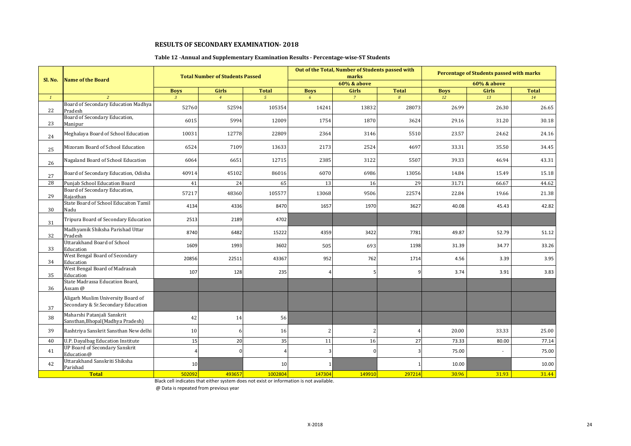# **Table 12 -Annual and Supplementary Examination Results - Percentage-wise-ST Students**

|              |                                                                          |                | <b>Total Number of Students Passed</b> |                |                | Out of the Total, Number of Students passed with<br>marks |              |             | <b>Percentage of Students passed with marks</b> |              |
|--------------|--------------------------------------------------------------------------|----------------|----------------------------------------|----------------|----------------|-----------------------------------------------------------|--------------|-------------|-------------------------------------------------|--------------|
| Sl. No.      | <b>Name of the Board</b>                                                 |                |                                        |                |                | <b>60% &amp; above</b>                                    |              |             | <b>60% &amp; above</b>                          |              |
|              |                                                                          | <b>Boys</b>    | Girls                                  | <b>Total</b>   | <b>Boys</b>    | Girls                                                     | <b>Total</b> | <b>Boys</b> | Girls                                           | <b>Total</b> |
| $\mathbf{1}$ | $\overline{2}$                                                           | $\overline{3}$ | $\overline{4}$                         | 5 <sup>1</sup> | 6 <sup>1</sup> | $\overline{7}$                                            | 8            | 12          | 13                                              | 14           |
| 22           | Board of Secondary Education Madhya<br>Pradesh                           | 52760          | 52594                                  | 105354         | 14241          | 13832                                                     | 28073        | 26.99       | 26.30                                           | 26.65        |
| 23           | Board of Secondary Education,<br>Manipur                                 | 6015           | 5994                                   | 12009          | 1754           | 1870                                                      | 3624         | 29.16       | 31.20                                           | 30.18        |
| 24           | Meghalaya Board of School Education                                      | 10031          | 12778                                  | 22809          | 2364           | 3146                                                      | 5510         | 23.57       | 24.62                                           | 24.16        |
| 25           | Mizoram Board of School Education                                        | 6524           | 7109                                   | 13633          | 2173           | 2524                                                      | 4697         | 33.31       | 35.50                                           | 34.45        |
| 26           | Nagaland Board of School Education                                       | 6064           | 6651                                   | 12715          | 2385           | 3122                                                      | 5507         | 39.33       | 46.94                                           | 43.31        |
| 27           | Board of Secondary Education, Odisha                                     | 40914          | 45102                                  | 86016          | 6070           | 6986                                                      | 13056        | 14.84       | 15.49                                           | 15.18        |
| 28           | Punjab School Education Board                                            | 41             | 24                                     | 65             | 13             | 16                                                        | 29           | 31.71       | 66.67                                           | 44.62        |
| 29           | Board of Secondary Education,<br>Raiasthan                               | 57217          | 48360                                  | 105577         | 13068          | 9506                                                      | 22574        | 22.84       | 19.66                                           | 21.38        |
| 30           | State Board of School Educaiton Tamil<br>Nadu                            | 4134           | 4336                                   | 8470           | 1657           | 1970                                                      | 3627         | 40.08       | 45.43                                           | 42.82        |
| 31           | Tripura Board of Secondary Education                                     | 2513           | 2189                                   | 4702           |                |                                                           |              |             |                                                 |              |
| 32           | Madhyamik Shiksha Parishad Uttar<br>Pradesh                              | 8740           | 6482                                   | 15222          | 4359           | 3422                                                      | 7781         | 49.87       | 52.79                                           | 51.12        |
| 33           | Uttarakhand Board of School<br>Education                                 | 1609           | 1993                                   | 3602           | 505            | 693                                                       | 1198         | 31.39       | 34.77                                           | 33.26        |
| 34           | West Bengal Board of Secondary<br>Education                              | 20856          | 22511                                  | 43367          | 952            | 762                                                       | 1714         | 4.56        | 3.39                                            | 3.95         |
| 35           | West Bengal Board of Madrasah<br>Education                               | 107            | 128                                    | 235            | 4              |                                                           | q            | 3.74        | 3.91                                            | 3.83         |
| 36           | State Madrassa Education Board,<br>Assam @                               |                |                                        |                |                |                                                           |              |             |                                                 |              |
| 37           | Aligarh Muslim University Board of<br>Secondary & Sr.Secondary Education |                |                                        |                |                |                                                           |              |             |                                                 |              |
| 38           | Maharshi Patanjali Sanskrit<br>Sansthan, Bhopal (Madhya Pradesh)         | 42             | 14                                     | 56             |                |                                                           |              |             |                                                 |              |
| 39           | Rashtriya Sanskrit Sansthan New delhi                                    | 10             | 6                                      | 16             | 2              | $\overline{\mathcal{L}}$                                  |              | 20.00       | 33.33                                           | 25.00        |
| 40           | U.P. Dayalbag Education Institute                                        | 15             | 20                                     | 35             | 11             | 16                                                        | 27           | 73.33       | 80.00                                           | 77.14        |
| 41           | <b>UP Board of Secondary Sanskrit</b><br>Education@                      |                | n                                      |                | 3              | <sup>0</sup>                                              |              | 75.00       |                                                 | 75.00        |
| 42           | Uttarakhand Sanskriti Shiksha<br>Parishad                                | 10             |                                        | 10             |                |                                                           |              | 10.00       |                                                 | 10.00        |
|              | <b>Total</b>                                                             | 502092         | 493657                                 | 1002804        | 147304         | 149910                                                    | 297214       | 30.96       | 31.93                                           | 31.44        |

Black cell indicates that either system does not exist or information is not available.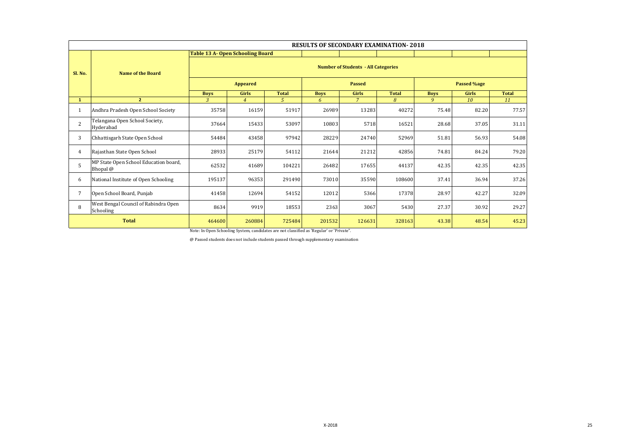|                | <b>RESULTS OF SECONDARY EXAMINATION-2018</b>      |                                         |                                            |               |             |                |              |             |                    |              |  |  |  |
|----------------|---------------------------------------------------|-----------------------------------------|--------------------------------------------|---------------|-------------|----------------|--------------|-------------|--------------------|--------------|--|--|--|
|                |                                                   | <b>Table 13 A- Open Schooling Board</b> |                                            |               |             |                |              |             |                    |              |  |  |  |
| Sl. No.        | <b>Name of the Board</b>                          |                                         | <b>Number of Students - All Categories</b> |               |             |                |              |             |                    |              |  |  |  |
|                |                                                   | <b>Appeared</b>                         |                                            |               |             | <b>Passed</b>  |              |             | <b>Passed %age</b> |              |  |  |  |
|                |                                                   | <b>Boys</b>                             | <b>Girls</b>                               | <b>Total</b>  | <b>Boys</b> | <b>Girls</b>   | <b>Total</b> | <b>Boys</b> | <b>Girls</b>       | <b>Total</b> |  |  |  |
| $\mathbf{1}$   | 2 <sup>1</sup>                                    | $\mathfrak{Z}$                          | $\overline{4}$                             | $\mathcal{L}$ | 6           | $\overline{7}$ | 8            | 9           | 10                 | 11           |  |  |  |
|                | Andhra Pradesh Open School Society                | 35758                                   | 16159                                      | 51917         | 26989       | 13283          | 40272        | 75.48       | 82.20              | 77.57        |  |  |  |
| $\overline{2}$ | Telangana Open School Society,<br>Hyderabad       | 37664                                   | 15433                                      | 53097         | 10803       | 5718           | 16521        | 28.68       | 37.05              | 31.11        |  |  |  |
| 3              | Chhattisgarh State Open School                    | 54484                                   | 43458                                      | 97942         | 28229       | 24740          | 52969        | 51.81       | 56.93              | 54.08        |  |  |  |
| 4              | Rajasthan State Open School                       | 28933                                   | 25179                                      | 54112         | 21644       | 21212          | 42856        | 74.81       | 84.24              | 79.20        |  |  |  |
| 5              | MP State Open School Education board,<br>Bhopal @ | 62532                                   | 41689                                      | 104221        | 26482       | 17655          | 44137        | 42.35       | 42.35              | 42.35        |  |  |  |
| 6              | National Institute of Open Schooling              | 195137                                  | 96353                                      | 291490        | 73010       | 35590          | 108600       | 37.41       | 36.94              | 37.26        |  |  |  |
| 7              | Open School Board, Punjab                         | 41458                                   | 12694                                      | 54152         | 12012       | 5366           | 17378        | 28.97       | 42.27              | 32.09        |  |  |  |
| 8              | West Bengal Council of Rabindra Open<br>Schooling | 8634                                    | 9919                                       | 18553         | 2363        | 3067           | 5430         | 27.37       | 30.92              | 29.27        |  |  |  |
|                | <b>Total</b>                                      | 464600                                  | 260884                                     | 725484        | 201532      | 126631         | 328163       | 43.38       | 48.54              | 45.23        |  |  |  |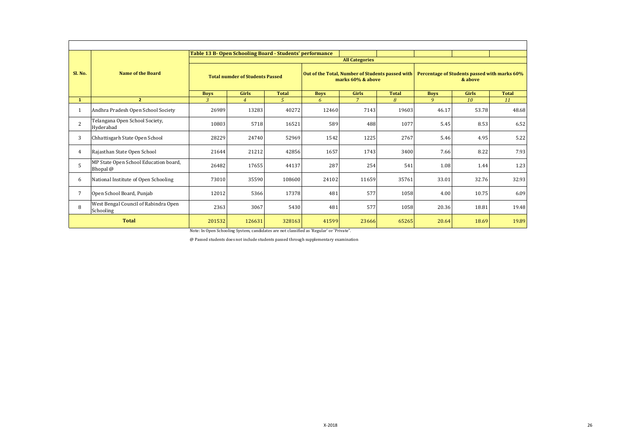|                |                                                   | Table 13 B- Open Schooling Board - Students' performance |                |              |                                                                       | <b>All Categories</b>          |                |                                                         |              |              |  |
|----------------|---------------------------------------------------|----------------------------------------------------------|----------------|--------------|-----------------------------------------------------------------------|--------------------------------|----------------|---------------------------------------------------------|--------------|--------------|--|
| Sl. No.        | <b>Name of the Board</b>                          | <b>Total numder of Students Passed</b>                   |                |              | Out of the Total, Number of Students passed with<br>marks 60% & above |                                |                | Percentage of Students passed with marks 60%<br>& above |              |              |  |
|                |                                                   | <b>Boys</b>                                              | <b>Girls</b>   | <b>Total</b> | <b>Boys</b>                                                           | <b>Girls</b><br>$\overline{7}$ | <b>Total</b>   | <b>Boys</b>                                             | <b>Girls</b> | <b>Total</b> |  |
| $\mathbf{1}$   | $\overline{2}$                                    | 3                                                        | $\overline{4}$ | 5.           | 6                                                                     |                                | $\overline{R}$ | 9                                                       | 10           | 11           |  |
| 1              | Andhra Pradesh Open School Society                | 26989                                                    | 13283          | 40272        | 12460                                                                 | 7143                           | 19603          | 46.17                                                   | 53.78        | 48.68        |  |
| $\overline{2}$ | Telangana Open School Society,<br>Hyderabad       | 10803                                                    | 5718           | 16521        | 589                                                                   | 488                            | 1077           | 5.45                                                    | 8.53         | 6.52         |  |
| 3              | Chhattisgarh State Open School                    | 28229                                                    | 24740          | 52969        | 1542                                                                  | 1225                           | 2767           | 5.46                                                    | 4.95         | 5.22         |  |
| 4              | Rajasthan State Open School                       | 21644                                                    | 21212          | 42856        | 1657                                                                  | 1743                           | 3400           | 7.66                                                    | 8.22         | 7.93         |  |
| 5              | MP State Open School Education board,<br>Bhopal @ | 26482                                                    | 17655          | 44137        | 287                                                                   | 254                            | 541            | 1.08                                                    | 1.44         | 1.23         |  |
| 6              | National Institute of Open Schooling              | 73010                                                    | 35590          | 108600       | 24102                                                                 | 11659                          | 35761          | 33.01                                                   | 32.76        | 32.93        |  |
| 7              | Open School Board, Punjab                         | 12012                                                    | 5366           | 17378        | 481                                                                   | 577                            | 1058           | 4.00                                                    | 10.75        | 6.09         |  |
| 8              | West Bengal Council of Rabindra Open<br>Schooling | 2363                                                     | 3067           | 5430         | 481                                                                   | 577                            | 1058           | 20.36                                                   | 18.81        | 19.48        |  |
|                | <b>Total</b>                                      |                                                          | 126631         | 328163       | 41599                                                                 | 23666                          | 65265          | 20.64                                                   | 18.69        | 19.89        |  |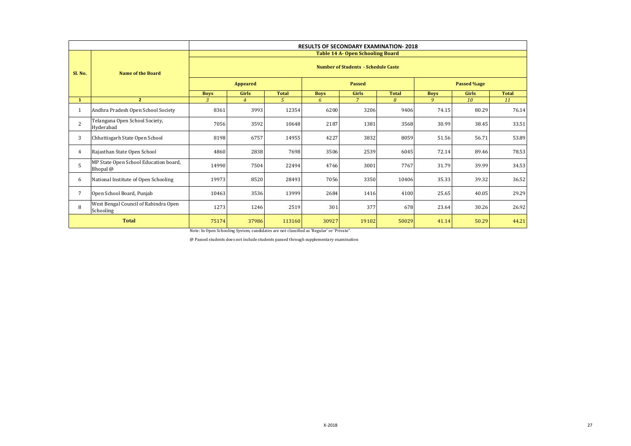|                |                                                   | <b>RESULTS OF SECONDARY EXAMINATION-2018</b> |                                            |              |             |                                         |              |             |              |              |  |  |
|----------------|---------------------------------------------------|----------------------------------------------|--------------------------------------------|--------------|-------------|-----------------------------------------|--------------|-------------|--------------|--------------|--|--|
|                |                                                   |                                              |                                            |              |             | <b>Table 14 A- Open Schooling Board</b> |              |             |              |              |  |  |
| Sl. No.        | <b>Name of the Board</b>                          |                                              | <b>Number of Students - Schedule Caste</b> |              |             |                                         |              |             |              |              |  |  |
|                |                                                   |                                              | <b>Appeared</b>                            |              |             | <b>Passed</b>                           |              |             | Passed %age  |              |  |  |
|                |                                                   | <b>Boys</b>                                  | <b>Girls</b>                               | <b>Total</b> | <b>Boys</b> | Girls                                   | <b>Total</b> | <b>Boys</b> | <b>Girls</b> | <b>Total</b> |  |  |
| $\mathbf{1}$   | $\mathbf{2}$                                      | 3                                            | $\overline{4}$                             | 5            | 6           | $\overline{7}$                          | 8            | 9           | 10           | 11           |  |  |
| 1              | Andhra Pradesh Open School Society                | 8361                                         | 3993                                       | 12354        | 6200        | 3206                                    | 9406         | 74.15       | 80.29        | 76.14        |  |  |
| $\overline{c}$ | Telangana Open School Society,<br>Hyderabad       | 7056                                         | 3592                                       | 10648        | 2187        | 1381                                    | 3568         | 30.99       | 38.45        | 33.51        |  |  |
| 3              | Chhattisgarh State Open School                    | 8198                                         | 6757                                       | 14955        | 4227        | 3832                                    | 8059         | 51.56       | 56.71        | 53.89        |  |  |
| 4              | Rajasthan State Open School                       | 4860                                         | 2838                                       | 7698         | 3506        | 2539                                    | 6045         | 72.14       | 89.46        | 78.53        |  |  |
| 5              | MP State Open School Education board,<br>Bhopal @ | 14990                                        | 7504                                       | 22494        | 4766        | 3001                                    | 7767         | 31.79       | 39.99        | 34.53        |  |  |
| 6              | National Institute of Open Schooling              | 19973                                        | 8520                                       | 28493        | 7056        | 3350                                    | 10406        | 35.33       | 39.32        | 36.52        |  |  |
| 7              | Open School Board, Punjab                         | 10463                                        | 3536                                       | 13999        | 2684        | 1416                                    | 4100         | 25.65       | 40.05        | 29.29        |  |  |
| 8              | West Bengal Council of Rabindra Open<br>Schooling | 1273                                         | 1246                                       | 2519         | 301         | 377                                     | 678          | 23.64       | 30.26        | 26.92        |  |  |
| <b>Total</b>   |                                                   | 75174                                        | 37986                                      | 113160       | 30927       | 19102                                   | 50029        | 41.14       | 50.29        | 44.21        |  |  |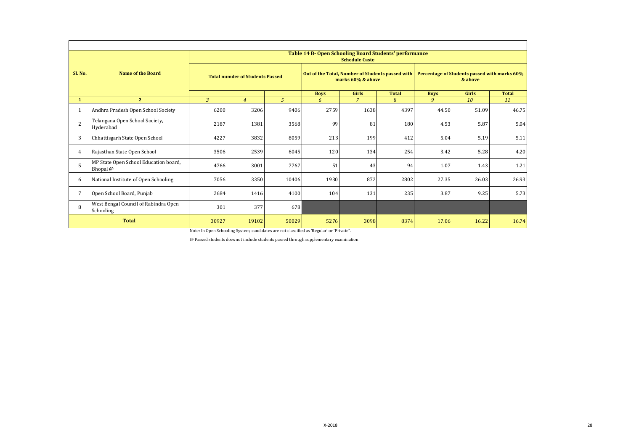|                 |                                                   |                                        |                |       | Table 14 B- Open Schooling Board Students' performance                |                       |              |                                                         |              |              |
|-----------------|---------------------------------------------------|----------------------------------------|----------------|-------|-----------------------------------------------------------------------|-----------------------|--------------|---------------------------------------------------------|--------------|--------------|
|                 |                                                   |                                        |                |       |                                                                       | <b>Schedule Caste</b> |              |                                                         |              |              |
| Sl. No.         | <b>Name of the Board</b>                          | <b>Total numder of Students Passed</b> |                |       | Out of the Total, Number of Students passed with<br>marks 60% & above |                       |              | Percentage of Students passed with marks 60%<br>& above |              |              |
|                 |                                                   |                                        |                |       | <b>Boys</b>                                                           | <b>Girls</b>          | <b>Total</b> | <b>Boys</b>                                             | <b>Girls</b> | <b>Total</b> |
| $\mathbf{1}$    | $\overline{2}$                                    | $\overline{3}$                         | $\overline{4}$ | 5     | 6                                                                     | $7\overline{ }$       | 8            | 9                                                       | 10           | 11           |
| 1               | Andhra Pradesh Open School Society                | 6200                                   | 3206           | 9406  | 2759                                                                  | 1638                  | 4397         | 44.50                                                   | 51.09        | 46.75        |
| $\overline{2}$  | Telangana Open School Society,<br>Hyderabad       | 2187                                   | 1381           | 3568  | 99                                                                    | 81                    | 180          | 4.53                                                    | 5.87         | 5.04         |
| 3               | Chhattisgarh State Open School                    | 4227                                   | 3832           | 8059  | 213                                                                   | 199                   | 412          | 5.04                                                    | 5.19         | 5.11         |
| 4               | Rajasthan State Open School                       | 3506                                   | 2539           | 6045  | 120                                                                   | 134                   | 254          | 3.42                                                    | 5.28         | 4.20         |
| 5               | MP State Open School Education board,<br>Bhopal @ | 4766                                   | 3001           | 7767  | 51                                                                    | 43                    | 94           | 1.07                                                    | 1.43         | 1.21         |
| 6               | National Institute of Open Schooling              | 7056                                   | 3350           | 10406 | 1930                                                                  | 872                   | 2802         | 27.35                                                   | 26.03        | 26.93        |
| $7\overline{ }$ | Open School Board, Punjab                         | 2684                                   | 1416           | 4100  | 104                                                                   | 131                   | 235          | 3.87                                                    | 9.25         | 5.73         |
| 8               | West Bengal Council of Rabindra Open<br>Schooling | 301                                    | 377            | 678   |                                                                       |                       |              |                                                         |              |              |
|                 | <b>Total</b>                                      |                                        | 19102          | 50029 | 5276                                                                  | 3098                  | 8374         | 17.06                                                   | 16.22        | 16.74        |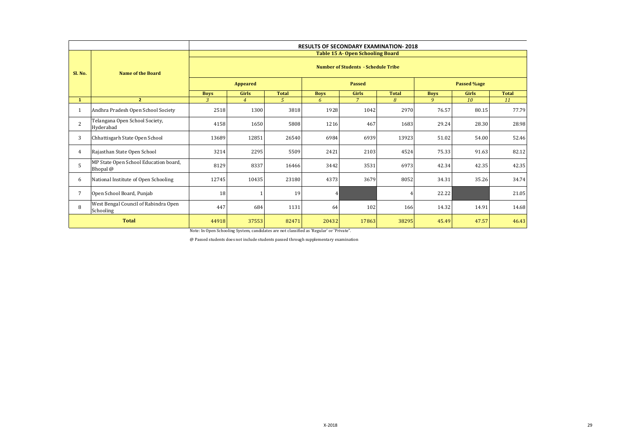|              |                                                   | <b>RESULTS OF SECONDARY EXAMINATION-2018</b> |                                            |              |                |                                         |              |             |              |              |  |  |  |
|--------------|---------------------------------------------------|----------------------------------------------|--------------------------------------------|--------------|----------------|-----------------------------------------|--------------|-------------|--------------|--------------|--|--|--|
|              |                                                   |                                              |                                            |              |                | <b>Table 15 A- Open Schooling Board</b> |              |             |              |              |  |  |  |
| Sl. No.      | <b>Name of the Board</b>                          |                                              | <b>Number of Students - Schedule Tribe</b> |              |                |                                         |              |             |              |              |  |  |  |
|              |                                                   | <b>Appeared</b>                              |                                            |              |                | <b>Passed</b>                           |              |             | Passed %age  |              |  |  |  |
|              |                                                   | <b>Boys</b>                                  | Girls                                      | <b>Total</b> | <b>Boys</b>    | <b>Girls</b>                            | <b>Total</b> | <b>Boys</b> | <b>Girls</b> | <b>Total</b> |  |  |  |
| $\mathbf{1}$ | 2 <sup>7</sup>                                    | 3                                            | $\overline{4}$                             | 5            | 6              | $\overline{7}$                          | 8            | 9           | 10           | 11           |  |  |  |
| 1            | Andhra Pradesh Open School Society                | 2518                                         | 1300                                       | 3818         | 1928           | 1042                                    | 2970         | 76.57       | 80.15        | 77.79        |  |  |  |
| 2            | Telangana Open School Society,<br>Hyderabad       | 4158                                         | 1650                                       | 5808         | 1216           | 467                                     | 1683         | 29.24       | 28.30        | 28.98        |  |  |  |
| 3            | Chhattisgarh State Open School                    | 13689                                        | 12851                                      | 26540        | 6984           | 6939                                    | 13923        | 51.02       | 54.00        | 52.46        |  |  |  |
| 4            | Rajasthan State Open School                       | 3214                                         | 2295                                       | 5509         | 2421           | 2103                                    | 4524         | 75.33       | 91.63        | 82.12        |  |  |  |
| 5            | MP State Open School Education board,<br>Bhopal @ | 8129                                         | 8337                                       | 16466        | 3442           | 3531                                    | 6973         | 42.34       | 42.35        | 42.35        |  |  |  |
| 6            | National Institute of Open Schooling              | 12745                                        | 10435                                      | 23180        | 4373           | 3679                                    | 8052         | 34.31       | 35.26        | 34.74        |  |  |  |
| 7            | Open School Board, Punjab                         | 18                                           |                                            | 19           | $\overline{4}$ |                                         |              | 22.22       |              | 21.05        |  |  |  |
| 8            | West Bengal Council of Rabindra Open<br>Schooling | 447                                          | 684                                        | 1131         | 64             | 102                                     | 166          | 14.32       | 14.91        | 14.68        |  |  |  |
|              | <b>Total</b>                                      |                                              | 37553                                      | 82471        | 20432          | 17863                                   | 38295        | 45.49       | 47.57        | 46.43        |  |  |  |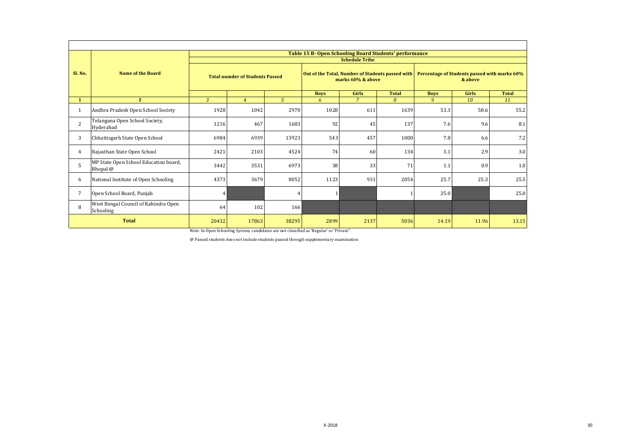|                 |                                                   |                                        |                |               | Table 15 B- Open Schooling Board Students' performance                |                       |              |                                                         |              |              |
|-----------------|---------------------------------------------------|----------------------------------------|----------------|---------------|-----------------------------------------------------------------------|-----------------------|--------------|---------------------------------------------------------|--------------|--------------|
|                 |                                                   |                                        |                |               |                                                                       | <b>Schedule Tribe</b> |              |                                                         |              |              |
| Sl. No.         | <b>Name of the Board</b>                          | <b>Total numder of Students Passed</b> |                |               | Out of the Total, Number of Students passed with<br>marks 60% & above |                       |              | Percentage of Students passed with marks 60%<br>& above |              |              |
|                 |                                                   |                                        |                |               | <b>Boys</b>                                                           | <b>Girls</b>          | <b>Total</b> | <b>Boys</b>                                             | <b>Girls</b> | <b>Total</b> |
| $\mathbf{1}$    | $\overline{2}$                                    | $\overline{3}$                         | $\overline{4}$ | $\mathcal{L}$ | 6                                                                     | $\overline{7}$        | 8            | 9                                                       | 10           | 11           |
| 1               | Andhra Pradesh Open School Society                | 1928                                   | 1042           | 2970          | 1028                                                                  | 611                   | 1639         | 53.3                                                    | 58.6         | 55.2         |
| 2               | Telangana Open School Society,<br>Hyderabad       | 1216                                   | 467            | 1683          | 92                                                                    | 45                    | 137          | 7.6                                                     | 9.6          | 8.1          |
| 3               | Chhattisgarh State Open School                    | 6984                                   | 6939           | 13923         | 543                                                                   | 457                   | 1000         | 7.8                                                     | 6.6          | 7.2          |
| $\overline{4}$  | Rajasthan State Open School                       | 2421                                   | 2103           | 4524          | 74                                                                    | 60                    | 134          | 3.1                                                     | 2.9          | 3.0          |
| 5               | MP State Open School Education board,<br>Bhopal @ | 3442                                   | 3531           | 6973          | 38                                                                    | 33                    | 71           | 1.1                                                     | 0.9          | 1.0          |
| 6               | National Institute of Open Schooling              | 4373                                   | 3679           | 8052          | 1123                                                                  | 931                   | 2054         | 25.7                                                    | 25.3         | 25.5         |
| $7\overline{ }$ | Open School Board, Punjab                         | 4                                      |                |               |                                                                       |                       |              | 25.0                                                    |              | 25.0         |
| 8               | West Bengal Council of Rabindra Open<br>Schooling | 64                                     | 102            | 166           |                                                                       |                       |              |                                                         |              |              |
|                 | <b>Total</b>                                      |                                        | 17863          | 38295         | 2899                                                                  | 2137                  | 5036         | 14.19                                                   | 11.96        | 13.15        |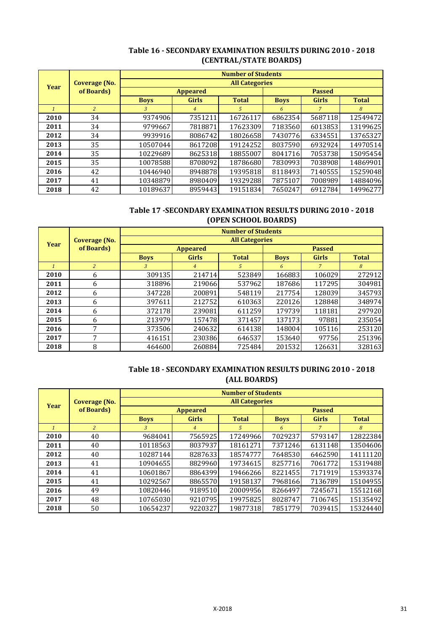|               |                |             |                 | <b>Number of Students</b> |             |              |              |
|---------------|----------------|-------------|-----------------|---------------------------|-------------|--------------|--------------|
| Year          | Coverage (No.  |             |                 | <b>All Categories</b>     |             |              |              |
|               | of Boards)     |             | <b>Appeared</b> | <b>Passed</b>             |             |              |              |
|               |                | <b>Boys</b> | <b>Girls</b>    | <b>Total</b>              | <b>Boys</b> | <b>Girls</b> | <b>Total</b> |
| $\mathcal{I}$ | $\overline{c}$ | 3           | $\overline{4}$  | 5                         | 6           |              | 8            |
| 2010          | 34             | 9374906     | 7351211         | 16726117                  | 6862354     | 5687118      | 12549472     |
| 2011          | 34             | 9799667     | 7818871         | 17623309                  | 7183560     | 6013853      | 13199625     |
| 2012          | 34             | 9939916     | 8086742         | 18026658                  | 7430776     | 6334551      | 13765327     |
| 2013          | 35             | 10507044    | 8617208         | 19124252                  | 8037590     | 6932924      | 14970514     |
| 2014          | 35             | 10229689    | 8625318         | 18855007                  | 8041716     | 7053738      | 15095454     |
| 2015          | 35             | 10078588    | 8708092         | 18786680                  | 7830993     | 7038908      | 14869901     |
| 2016          | 42             | 10446940    | 8948878         | 19395818                  | 8118493     | 7140555      | 15259048     |
| 2017          | 41             | 10348879    | 8980409         | 19329288                  | 7875107     | 7008989      | 14884096     |
| 2018          | 42             | 10189637    | 8959443         | 19151834                  | 7650247     | 6912784      | 14996277     |

# **Table 16 - SECONDARY EXAMINATION RESULTS DURING 2010 - 2018 (CENTRAL/STATE BOARDS)**

# **Table 17 -SECONDARY EXAMINATION RESULTS DURING 2010 - 2018 (OPEN SCHOOL BOARDS)**

|      |                |             |                 | <b>Number of Students</b> |             |              |              |
|------|----------------|-------------|-----------------|---------------------------|-------------|--------------|--------------|
| Year | Coverage (No.  |             |                 | <b>All Categories</b>     |             |              |              |
|      | of Boards)     |             | <b>Appeared</b> | <b>Passed</b>             |             |              |              |
|      |                | <b>Boys</b> | <b>Girls</b>    | <b>Total</b>              | <b>Boys</b> | <b>Girls</b> | <b>Total</b> |
|      | $\overline{2}$ | 3           | 4               | 5                         | 6           |              | 8            |
| 2010 | 6              | 309135      | 214714          | 523849                    | 166883      | 106029       | 272912       |
| 2011 | 6              | 318896      | 219066          | 537962                    | 187686      | 117295       | 304981       |
| 2012 | 6              | 347228      | 200891          | 548119                    | 217754      | 128039       | 345793       |
| 2013 | 6              | 397611      | 212752          | 610363                    | 220126      | 128848       | 348974       |
| 2014 | 6              | 372178      | 239081          | 611259                    | 179739      | 118181       | 297920       |
| 2015 | 6              | 213979      | 157478          | 371457                    | 137173      | 97881        | 235054       |
| 2016 | 7              | 373506      | 240632          | 614138                    | 148004      | 105116       | 253120       |
| 2017 | 7              | 416151      | 230386          | 646537                    | 153640      | 97756        | 251396       |
| 2018 | 8              | 464600      | 260884          | 725484                    | 201532      | 126631       | 328163       |

# **Table 18 - SECONDARY EXAMINATION RESULTS DURING 2010 - 2018 (ALL BOARDS)**

|              |                |             |                 | <b>Number of Students</b> |             |                |              |
|--------------|----------------|-------------|-----------------|---------------------------|-------------|----------------|--------------|
| Year         | Coverage (No.  |             |                 | <b>All Categories</b>     |             |                |              |
|              | of Boards)     |             | <b>Appeared</b> | <b>Passed</b>             |             |                |              |
|              |                | <b>Boys</b> | <b>Girls</b>    | <b>Total</b>              | <b>Boys</b> | <b>Girls</b>   | <b>Total</b> |
| $\mathbf{1}$ | $\overline{2}$ | 3           | $\overline{4}$  | 5.                        | 6           | $\overline{7}$ | 8            |
| 2010         | 40             | 9684041     | 7565925         | 17249966                  | 7029237     | 5793147        | 12822384     |
| 2011         | 40             | 10118563    | 8037937         | 18161271                  | 7371246     | 6131148        | 13504606     |
| 2012         | 40             | 10287144    | 8287633         | 18574777                  | 7648530     | 6462590        | 14111120     |
| 2013         | 41             | 10904655    | 8829960         | 19734615                  | 8257716     | 7061772        | 15319488     |
| 2014         | 41             | 10601867    | 8864399         | 19466266                  | 8221455     | 7171919        | 15393374     |
| 2015         | 41             | 10292567    | 8865570         | 19158137                  | 7968166     | 7136789        | 15104955     |
| 2016         | 49             | 10820446    | 9189510         | 20009956                  | 8266497     | 7245671        | 15512168     |
| 2017         | 48             | 10765030    | 9210795         | 19975825                  | 8028747     | 7106745        | 15135492     |
| 2018         | 50             | 10654237    | 9220327         | 19877318                  | 7851779     | 7039415        | 15324440     |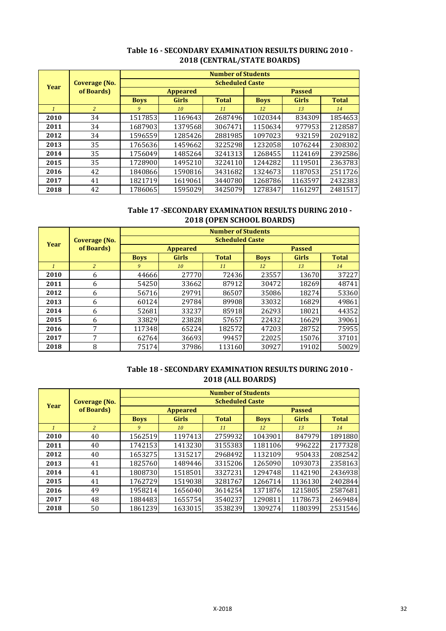|              |                |             |                 | <b>Number of Students</b> |               |              |              |  |
|--------------|----------------|-------------|-----------------|---------------------------|---------------|--------------|--------------|--|
| Year         | Coverage (No.  |             |                 | <b>Scheduled Caste</b>    |               |              |              |  |
|              | of Boards)     |             | <b>Appeared</b> |                           | <b>Passed</b> |              |              |  |
|              |                | <b>Boys</b> | <b>Girls</b>    | <b>Total</b>              | <b>Boys</b>   | <b>Girls</b> | <b>Total</b> |  |
| $\mathbf{1}$ | $\overline{2}$ | 9           | 10              | 11                        | 12            | 13           | 14           |  |
| 2010         | 34             | 1517853     | 1169643         | 2687496                   | 1020344       | 834309       | 1854653      |  |
| 2011         | 34             | 1687903     | 1379568         | 3067471                   | 1150634       | 977953       | 2128587      |  |
| 2012         | 34             | 1596559     | 1285426         | 2881985                   | 1097023       | 932159       | 2029182      |  |
| 2013         | 35             | 1765636     | 1459662         | 3225298                   | 1232058       | 1076244      | 2308302      |  |
| 2014         | 35             | 1756049     | 1485264         | 3241313                   | 1268455       | 1124169      | 2392586      |  |
| 2015         | 35             | 1728900     | 1495210         | 3224110                   | 1244282       | 1119501      | 2363783      |  |
| 2016         | 42             | 1840866     | 1590816         | 3431682                   | 1324673       | 1187053      | 2511726      |  |
| 2017         | 41             | 1821719     | 1619061         | 3440780                   | 1268786       | 1163597      | 2432383      |  |
| 2018         | 42             | 1786065     | 1595029         | 3425079                   | 1278347       | 1161297      | 2481517      |  |

# **Table 16 - SECONDARY EXAMINATION RESULTS DURING 2010 - 2018 (CENTRAL/STATE BOARDS)**

# **Table 17 -SECONDARY EXAMINATION RESULTS DURING 2010 - 2018 (OPEN SCHOOL BOARDS)**

|              |                |             |                 | <b>Number of Students</b> |               |              |              |  |
|--------------|----------------|-------------|-----------------|---------------------------|---------------|--------------|--------------|--|
| <b>Year</b>  | Coverage (No.  |             |                 | <b>Scheduled Caste</b>    |               |              |              |  |
|              | of Boards)     |             | <b>Appeared</b> |                           | <b>Passed</b> |              |              |  |
|              |                | <b>Boys</b> | <b>Girls</b>    | <b>Total</b>              | <b>Boys</b>   | <b>Girls</b> | <b>Total</b> |  |
| $\mathbf{1}$ | $\overline{2}$ | 9           | 10              | 11                        | 12            | 13           | 14           |  |
| 2010         | 6              | 44666       | 27770           | 72436                     | 23557         | 13670        | 37227        |  |
| 2011         | 6              | 54250       | 33662           | 87912                     | 30472         | 18269        | 48741        |  |
| 2012         | 6              | 56716       | 29791           | 86507                     | 35086         | 18274        | 53360        |  |
| 2013         | 6              | 60124       | 29784           | 89908                     | 33032         | 16829        | 49861        |  |
| 2014         | 6              | 52681       | 33237           | 85918                     | 26293         | 18021        | 44352        |  |
| 2015         | 6              | 33829       | 23828           | 57657                     | 22432         | 16629        | 39061        |  |
| 2016         | 7              | 117348      | 65224           | 182572                    | 47203         | 28752        | 75955        |  |
| 2017         | 7              | 62764       | 36693           | 99457                     | 22025         | 15076        | 37101        |  |
| 2018         | 8              | 75174       | 37986           | 113160                    | 30927         | 19102        | 50029        |  |

# **Table 18 - SECONDARY EXAMINATION RESULTS DURING 2010 - 2018 (ALL BOARDS)**

|              |                |             |                 | <b>Number of Students</b> |               |              |              |  |
|--------------|----------------|-------------|-----------------|---------------------------|---------------|--------------|--------------|--|
| <b>Year</b>  | Coverage (No.  |             |                 | <b>Scheduled Caste</b>    |               |              |              |  |
|              | of Boards)     |             | <b>Appeared</b> |                           | <b>Passed</b> |              |              |  |
|              |                | <b>Boys</b> | <b>Girls</b>    | <b>Total</b>              | <b>Boys</b>   | <b>Girls</b> | <b>Total</b> |  |
| $\mathbf{1}$ | $\overline{2}$ | 9           | 10              | 11                        | 12            | 13           | 14           |  |
| 2010         | 40             | 1562519     | 1197413         | 2759932                   | 1043901       | 847979       | 1891880      |  |
| 2011         | 40             | 1742153     | 1413230         | 3155383                   | 1181106       | 996222       | 2177328      |  |
| 2012         | 40             | 1653275     | 1315217         | 2968492                   | 1132109       | 950433       | 2082542      |  |
| 2013         | 41             | 1825760     | 1489446         | 3315206                   | 1265090       | 1093073      | 2358163      |  |
| 2014         | 41             | 1808730     | 1518501         | 3327231                   | 1294748       | 1142190      | 2436938      |  |
| 2015         | 41             | 1762729     | 1519038         | 3281767                   | 1266714       | 1136130      | 2402844      |  |
| 2016         | 49             | 1958214     | 1656040         | 3614254                   | 1371876       | 1215805      | 2587681      |  |
| 2017         | 48             | 1884483     | 1655754         | 3540237                   | 1290811       | 1178673      | 2469484      |  |
| 2018         | 50             | 1861239     | 1633015         | 3538239                   | 1309274       | 1180399      | 2531546      |  |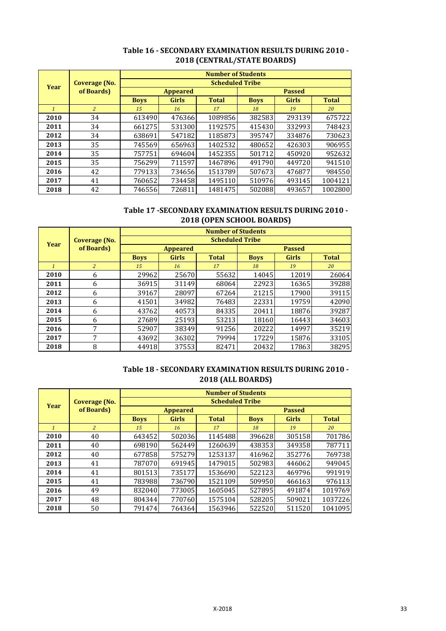| Year | Coverage (No.<br>of Boards) | <b>Number of Students</b><br><b>Scheduled Tribe</b> |                |              |             |              |              |    |
|------|-----------------------------|-----------------------------------------------------|----------------|--------------|-------------|--------------|--------------|----|
|      |                             |                                                     |                |              |             |              |              |    |
|      |                             | <b>Boys</b>                                         | <b>Girls</b>   | <b>Total</b> | <b>Boys</b> | <b>Girls</b> | <b>Total</b> |    |
|      |                             | $\mathbf{1}$                                        | $\overline{2}$ | 15           | 16          | 17           | 18           | 19 |
| 2010 | 34                          | 613490                                              | 476366         | 1089856      | 382583      | 293139       | 675722       |    |
| 2011 | 34                          | 661275                                              | 531300         | 1192575      | 415430      | 332993       | 748423       |    |
| 2012 | 34                          | 638691                                              | 547182         | 1185873      | 395747      | 334876       | 730623       |    |
| 2013 | 35                          | 745569                                              | 656963         | 1402532      | 480652      | 426303       | 906955       |    |
| 2014 | 35                          | 757751                                              | 694604         | 1452355      | 501712      | 450920       | 952632       |    |
| 2015 | 35                          | 756299                                              | 711597         | 1467896      | 491790      | 449720       | 941510       |    |
| 2016 | 42                          | 779133                                              | 734656         | 1513789      | 507673      | 476877       | 984550       |    |
| 2017 | 41                          | 760652                                              | 734458         | 1495110      | 510976      | 493145       | 1004121      |    |
| 2018 | 42                          | 746556                                              | 726811         | 1481475      | 502088      | 493657       | 1002800      |    |

# **Table 16 - SECONDARY EXAMINATION RESULTS DURING 2010 - 2018 (CENTRAL/STATE BOARDS)**

# **Table 17 -SECONDARY EXAMINATION RESULTS DURING 2010 - 2018 (OPEN SCHOOL BOARDS)**

| Year         | Coverage (No.<br>of Boards) | <b>Number of Students</b> |              |              |               |              |              |  |
|--------------|-----------------------------|---------------------------|--------------|--------------|---------------|--------------|--------------|--|
|              |                             | <b>Scheduled Tribe</b>    |              |              |               |              |              |  |
|              |                             | <b>Appeared</b>           |              |              | <b>Passed</b> |              |              |  |
|              |                             | <b>Boys</b>               | <b>Girls</b> | <b>Total</b> | <b>Boys</b>   | <b>Girls</b> | <b>Total</b> |  |
| $\mathbf{1}$ | $\overline{c}$              | 15                        | 16           | 17           | 18            | 19           | 20           |  |
| 2010         | 6                           | 29962                     | 25670        | 55632        | 14045         | 12019        | 26064        |  |
| 2011         | 6                           | 36915                     | 31149        | 68064        | 22923         | 16365        | 39288        |  |
| 2012         | 6                           | 39167                     | 28097        | 67264        | 21215         | 17900        | 39115        |  |
| 2013         | 6                           | 41501                     | 34982        | 76483        | 22331         | 19759        | 42090        |  |
| 2014         | 6                           | 43762                     | 40573        | 84335        | 20411         | 18876        | 39287        |  |
| 2015         | 6                           | 27689                     | 25193        | 53213        | 18160         | 16443        | 34603        |  |
| 2016         | 7                           | 52907                     | 38349        | 91256        | 20222         | 14997        | 35219        |  |
| 2017         | 7                           | 43692                     | 36302        | 79994        | 17229         | 15876        | 33105        |  |
| 2018         | 8                           | 44918                     | 37553        | 82471        | 20432         | 17863        | 38295        |  |

# **Table 18 - SECONDARY EXAMINATION RESULTS DURING 2010 - 2018 (ALL BOARDS)**

| Year         | Coverage (No.<br>of Boards) | <b>Number of Students</b> |              |              |               |              |              |  |
|--------------|-----------------------------|---------------------------|--------------|--------------|---------------|--------------|--------------|--|
|              |                             | <b>Scheduled Tribe</b>    |              |              |               |              |              |  |
|              |                             | <b>Appeared</b>           |              |              | <b>Passed</b> |              |              |  |
|              |                             | <b>Boys</b>               | <b>Girls</b> | <b>Total</b> | <b>Boys</b>   | <b>Girls</b> | <b>Total</b> |  |
| $\mathbf{1}$ | 2                           | 15                        | 16           | 17           | 18            | 19           | 20           |  |
| 2010         | 40                          | 643452                    | 502036       | 1145488      | 396628        | 305158       | 701786       |  |
| 2011         | 40                          | 698190                    | 562449       | 1260639      | 438353        | 349358       | 787711       |  |
| 2012         | 40                          | 677858                    | 575279       | 1253137      | 416962        | 352776       | 769738       |  |
| 2013         | 41                          | 787070                    | 691945       | 1479015      | 502983        | 446062       | 949045       |  |
| 2014         | 41                          | 801513                    | 735177       | 1536690      | 522123        | 469796       | 991919       |  |
| 2015         | 41                          | 783988                    | 736790       | 1521109      | 509950        | 466163       | 976113       |  |
| 2016         | 49                          | 832040                    | 773005       | 1605045      | 527895        | 491874       | 1019769      |  |
| 2017         | 48                          | 804344                    | 770760       | 1575104      | 528205        | 509021       | 1037226      |  |
| 2018         | 50                          | 791474                    | 764364       | 1563946      | 522520        | 511520       | 1041095      |  |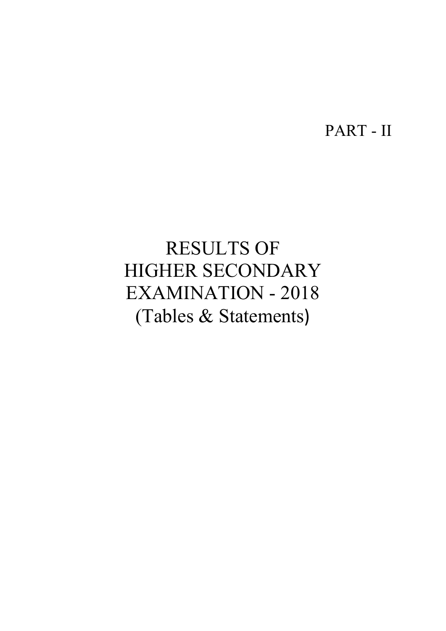PART - II

# RESULTS OF HIGHER SECONDARY EXAMINATION - 2018 (Tables & Statements)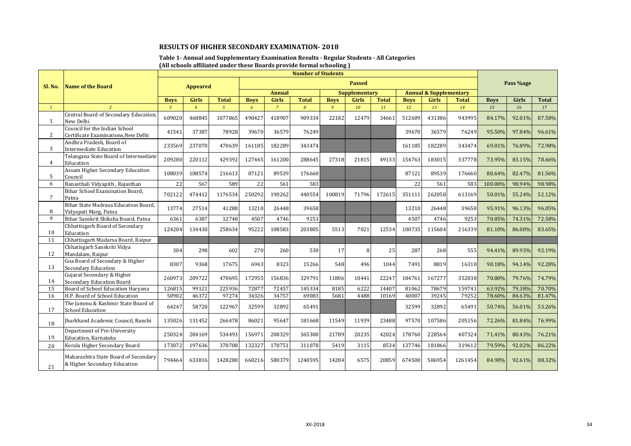### **Table 1- Annual and Supplementary Examination Results - Regular Students - All Categories (All schools affiliated under these Boards provide formal schooling )**

|                 |                                                                      |                |                 |                |             |                | <b>Number of Students</b> |             |                      |              |             |                                   |              |             |           |              |
|-----------------|----------------------------------------------------------------------|----------------|-----------------|----------------|-------------|----------------|---------------------------|-------------|----------------------|--------------|-------------|-----------------------------------|--------------|-------------|-----------|--------------|
| Sl. No.         | <b>Name of the Board</b>                                             |                | <b>Appeared</b> |                |             |                |                           |             | <b>Passed</b>        |              |             |                                   |              |             | Pass %age |              |
|                 |                                                                      |                |                 |                |             | <b>Annual</b>  |                           |             | <b>Supplementary</b> |              |             | <b>Annual &amp; Supplementary</b> |              |             |           |              |
|                 |                                                                      | <b>Boys</b>    | <b>Girls</b>    | <b>Total</b>   | <b>Boys</b> | <b>Girls</b>   | <b>Total</b>              | <b>Boys</b> | <b>Girls</b>         | <b>Total</b> | <b>Boys</b> | <b>Girls</b>                      | <b>Total</b> | <b>Boys</b> | Girls     | <b>Total</b> |
| $\mathcal{I}$   |                                                                      | $\overline{3}$ | $\overline{4}$  | $\overline{5}$ | 6           | $\overline{7}$ | $\overline{8}$            | 9           | 10                   | 11           | 12          | 13                                | 14           | 15          | 16        | 17           |
| $\mathbf{1}$    | Central Board of Secondary Education<br>New Delhi                    | 609020         | 468845          | 1077865        | 490427      | 418907         | 909334                    | 22182       | 12479                | 34661        | 512609      | 431386                            | 943995       | 84.17%      | 92.01%    | 87.58%       |
| 2               | Council for the Indian School<br>Certificate Examinations, New Delhi | 41541          | 37387           | 78928          | 39670       | 36579          | 76249                     |             |                      |              | 39670       | 36579                             | 76249        | 95.50%      | 97.84%    | 96.61%       |
| 3               | Andhra Pradesh, Board of<br><b>Intermediate Education</b>            | 233569         | 237070          | 470639         | 161185      | 182289         | 343474                    |             |                      |              | 161185      | 182289                            | 343474       | 69.01%      | 76.89%    | 72.98%       |
| 4               | Telangana State Board of Intermediate<br>Education                   | 209280         | 220112          | 429392         | 127445      | 161200         | 288645                    | 27318       | 21815                | 49133        | 154763      | 183015                            | 337778       | 73.95%      | 83.15%    | 78.66%       |
| 5               | Assam Higher Secondary Education<br>Council                          | 108039         | 108574          | 216613         | 87121       | 89539          | 176660                    |             |                      |              | 87121       | 89539                             | 176660       | 80.64%      | 82.47%    | 81.56%       |
| 6               | Banasthali Vidyapith, Rajasthan                                      | 22             | 567             | 589            | 22          | 561            | 583                       |             |                      |              | 22          | 561                               | 583          | 100.00%     | 98.94%    | 98.98%       |
| $7\overline{ }$ | Bihar School Examination Board.<br>Patna                             | 702122         | 474412          | 1176534        | 250292      | 190262         | 440554                    | 100819      | 71796                | 172615       | 351111      | 262058                            | 613169       | 50.01%      | 55.24%    | 52.12%       |
| 8               | Bihar State Madrasa Education Board,<br>Vidyapati Marg, Patna        | 13774          | 27514           | 41288          | 13210       | 26448          | 39658                     |             |                      |              | 13210       | 26448                             | 39658        | 95.91%      | 96.13%    | 96.05%       |
| 9               | Bihar Sanskrit Shiksha Board, Patna                                  | 6361           | 6387            | 12748          | 4507        | 4746           | 9253                      |             |                      |              | 4507        | 4746                              | 9253         | 70.85%      | 74.31%    | 72.58%       |
| 10              | Chhattisgarh Board of Secondary<br>Education                         | 124204         | 134430          | 258634         | 95222       | 108583         | 203805                    | 5513        | 7021                 | 12534        | 100735      | 115604                            | 216339       | 81.10%      | 86.00%    | 83.65%       |
| 11              | Chhattisgarh Madarsa Board, Raipur                                   |                |                 |                |             |                |                           |             |                      |              |             |                                   |              |             |           |              |
| 12              | Chhatisgarh Sanskriti Vidya<br>Mandalam, Raipur                      | 304            | 298             | 602            | 270         | 260            | 530                       | 17          | 8                    | 25           | 287         | 268                               | 555          | 94.41%      | 89.93%    | 92.19%       |
| 13              | Goa Board of Secondary & Higher<br><b>Secondary Education</b>        | 8307           | 9368            | 17675          | 6943        | 8323           | 15266                     | 548         | 496                  | 1044         | 7491        | 8819                              | 16310        | 90.18%      | 94.14%    | 92.28%       |
| 14              | Gujarat Secondary & Higher<br><b>Secondary Education Board</b>       | 260973         | 209722          | 470695         | 172955      | 156836         | 329791                    | 11806       | 10441                | 22247        | 184761      | 167277                            | 352038       | 70.80%      | 79.76%    | 74.79%       |
| 15              | Board of School Education Haryana                                    | 126815         | 99121           | 225936         | 72877       | 72457          | 145334                    | 8185        | 6222                 | 14407        | 81062       | 78679                             | 159741       | 63.92%      | 79.38%    | 70.70%       |
| 16              | H.P. Board of School Education                                       | 50902          | 46372           | 97274          | 34326       | 34757          | 69083                     | 5681        | 4488                 | 10169        | 40007       | 39245                             | 79252        | 78.60%      | 84.63%    | 81.47%       |
| 17              | The Jammu & Kashmir State Board of<br><b>School Education</b>        | 64247          | 58720           | 122967         | 32599       | 32892          | 65491                     |             |                      |              | 32599       | 32892                             | 65491        | 50.74%      | 56.01%    | 53.26%       |
| 18              | Jharkhand Academic Council, Ranchi                                   | 135026         | 131452          | 266478         | 86021       | 95647          | 181668                    | 11549       | 11939                | 23488        | 97570       | 107586                            | 205156       | 72.26%      | 81.84%    | 76.99%       |
| 19              | Department of Pre-University<br>Education, Karnataka                 | 250324         | 284169          | 534493         | 156971      | 208329         | 365300                    | 21789       | 20235                | 42024        | 178760      | 228564                            | 407324       | 71.41%      | 80.43%    | 76.21%       |
| 20              | Kerala Higher Secondary Board                                        | 173072         | 197636          | 370708         | 132327      | 178751         | 311078                    | 5419        | 3115                 | 8534         | 137746      | 181866                            | 319612       | 79.59%      | 92.02%    | 86.22%       |
| 21              | Maharashtra State Board of Secondary<br>& Higher Secondary Education | 794464         | 633816          | 1428280        | 660216      | 580379         | 1240595                   | 14284       | 6575                 | 20859        | 674500      | 586954                            | 1261454      | 84.90%      | 92.61%    | 88.32%       |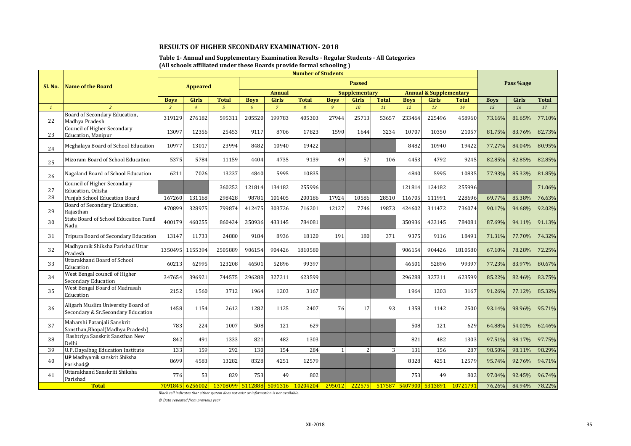#### **Table 1- Annual and Supplementary Examination Results - Regular Students - All Categories (All schools affiliated under these Boards provide formal schooling )**

|              |                                                                          |                |                 |                                          |             |                | <b>Number of Students</b> |                |                      |                |                        |                                   |              |             |           |              |
|--------------|--------------------------------------------------------------------------|----------------|-----------------|------------------------------------------|-------------|----------------|---------------------------|----------------|----------------------|----------------|------------------------|-----------------------------------|--------------|-------------|-----------|--------------|
| Sl. No.      | <b>Name of the Board</b>                                                 |                | <b>Appeared</b> |                                          |             |                |                           |                | <b>Passed</b>        |                |                        |                                   |              |             | Pass %age |              |
|              |                                                                          |                |                 |                                          |             | <b>Annual</b>  |                           |                | <b>Supplementary</b> |                |                        | <b>Annual &amp; Supplementary</b> |              |             |           |              |
|              |                                                                          | <b>Boys</b>    | <b>Girls</b>    | <b>Total</b>                             | <b>Boys</b> | <b>Girls</b>   | <b>Total</b>              | <b>Boys</b>    | <b>Girls</b>         | <b>Total</b>   | <b>Boys</b>            | <b>Girls</b>                      | <b>Total</b> | <b>Boys</b> | Girls     | <b>Total</b> |
| $\mathbf{1}$ | 2                                                                        | $\overline{3}$ | $\overline{4}$  | $\overline{5}$                           | 6           | $\overline{7}$ | $\mathcal{B}$             | $\overline{9}$ | 10                   | 11             | 12                     | 13                                | 14           | 15          | 16        | 17           |
| 22           | Board of Secondary Education,<br>Madhya Pradesh                          | 319129         | 276182          | 595311                                   | 205520      | 199783         | 405303                    | 27944          | 25713                | 53657          | 233464                 | 225496                            | 458960       | 73.16%      | 81.65%    | 77.10%       |
| 23           | Council of Higher Secondary<br><b>Education</b> , Manipur                | 13097          | 12356           | 25453                                    | 9117        | 8706           | 17823                     | 1590           | 1644                 | 3234           | 10707                  | 10350                             | 21057        | 81.75%      | 83.76%    | 82.73%       |
| 24           | Meghalaya Board of School Education                                      | 10977          | 13017           | 23994                                    | 8482        | 10940          | 19422                     |                |                      |                | 8482                   | 10940                             | 19422        | 77.27%      | 84.04%    | 80.95%       |
| 25           | Mizoram Board of School Education                                        | 5375           | 5784            | 11159                                    | 4404        | 4735           | 9139                      | 49             | 57                   | 106            | 4453                   | 4792                              | 9245         | 82.85%      | 82.85%    | 82.85%       |
| 26           | Nagaland Board of School Education                                       | 6211           | 7026            | 13237                                    | 4840        | 5995           | 10835                     |                |                      |                | 4840                   | 5995                              | 10835        | 77.93%      | 85.33%    | 81.85%       |
| 27           | <b>Council of Higher Secondary</b><br>Education. Odisha                  |                |                 | 360252                                   | 121814      | 134182         | 255996                    |                |                      |                | 121814                 | 134182                            | 255996       |             |           | 71.06%       |
| 28           | Punjab School Education Board                                            | 167260         | 131168          | 298428                                   | 98781       | 101405         | 200186                    | 17924          | 10586                | 28510          | 116705                 | 111991                            | 228696       | 69.77%      | 85.38%    | 76.63%       |
| 29           | Board of Secondary Education,<br>Rajasthan                               | 470899         | 328975          | 799874                                   | 412475      | 303726         | 716201                    | 12127          | 7746                 | 19873          | 424602                 | 311472                            | 736074       | 90.17%      | 94.68%    | 92.02%       |
| 30           | State Board of School Educaiton Tamil<br>Nadu                            | 400179         | 460255          | 860434                                   | 350936      | 433145         | 784081                    |                |                      |                | 350936                 | 433145                            | 784081       | 87.69%      | 94.11%    | 91.13%       |
| 31           | Tripura Board of Secondary Education                                     | 13147          | 11733           | 24880                                    | 9184        | 8936           | 18120                     | 191            | 180                  | 371            | 9375                   | 9116                              | 18491        | 71.31%      | 77.70%    | 74.32%       |
| 32           | Madhyamik Shiksha Parishad Uttar<br>Pradesh                              |                | 1350495 1155394 | 2505889                                  | 906154      | 904426         | 1810580                   |                |                      |                | 906154                 | 904426                            | 1810580      | 67.10%      | 78.28%    | 72.25%       |
| 33           | <b>Uttarakhand Board of School</b><br>Education                          | 60213          | 62995           | 123208                                   | 46501       | 52896          | 99397                     |                |                      |                | 46501                  | 52896                             | 99397        | 77.23%      | 83.97%    | 80.67%       |
| 34           | West Bengal council of Higher<br><b>Secondary Education</b>              | 347654         | 396921          | 744575                                   | 296288      | 327311         | 623599                    |                |                      |                | 296288                 | 327311                            | 623599       | 85.22%      | 82.46%    | 83.75%       |
| 35           | West Bengal Board of Madrasah<br>Education                               | 2152           | 1560            | 3712                                     | 1964        | 1203           | 3167                      |                |                      |                | 1964                   | 1203                              | 3167         | 91.26%      | 77.12%    | 85.32%       |
| 36           | Aligarh Muslim University Board of<br>Secondary & Sr.Secondary Education | 1458           | 1154            | 2612                                     | 1282        | 1125           | 2407                      | 76             | 17                   | 93             | 1358                   | 1142                              | 2500         | 93.14%      | 98.96%    | 95.71%       |
| 37           | Maharshi Patanjali Sanskrit<br>Sansthan, Bhopal (Madhya Pradesh)         | 783            | 224             | 1007                                     | 508         | 121            | 629                       |                |                      |                | 508                    | 121                               | 629          | 64.88%      | 54.02%    | 62.46%       |
| 38           | Rashtriya Sanskrit Sansthan New<br>Delhi                                 | 842            | 491             | 1333                                     | 821         | 482            | 1303                      |                |                      |                | 821                    | 482                               | 1303         | 97.51%      | 98.17%    | 97.75%       |
| 39           | U.P. Dayalbag Education Institute                                        | 133            | 159             | 292                                      | 130         | 154            | 284                       | $\overline{1}$ | $\overline{2}$       | $\overline{3}$ | 131                    | 156                               | 287          | 98.50%      | 98.11%    | 98.29%       |
| 40           | <b>UP</b> Madhyamik sanskrit Shiksha<br>Parishad@                        | 8699           | 4583            | 13282                                    | 8328        | 4251           | 12579                     |                |                      |                | 8328                   | 4251                              | 12579        | 95.74%      | 92.76%    | 94.71%       |
| 41           | Uttarakhand Sanskriti Shiksha<br>Parishad                                | 776            | 53              | 829                                      | 753         | 49             | 802                       |                |                      |                | 753                    | 49                                | 802          | 97.04%      | 92.45%    | 96.74%       |
|              | <b>Total</b>                                                             |                |                 | 7091845 6256002 13708099 5112888 5091316 |             |                | 10204204                  | 295012         | 222575               |                | 517587 5407900 5313891 |                                   | 10721791     | 76.26%      | 84.94%    | 78.22%       |

*Black cell indicates that either system does not exist or information is not available.*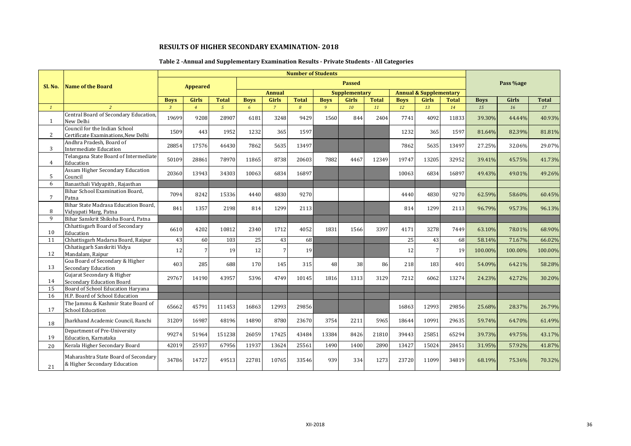## **Table 2 -Annual and Supplementary Examination Results - Private Students - All Categories**

|              |                                                                      |                |                 |                |             |                | <b>Number of Students</b> |             |                      |              |             |                                   |              |             |           |              |
|--------------|----------------------------------------------------------------------|----------------|-----------------|----------------|-------------|----------------|---------------------------|-------------|----------------------|--------------|-------------|-----------------------------------|--------------|-------------|-----------|--------------|
| Sl. No.      | <b>Name of the Board</b>                                             |                | <b>Appeared</b> |                |             |                |                           |             | <b>Passed</b>        |              |             |                                   |              |             | Pass %age |              |
|              |                                                                      |                |                 |                |             | <b>Annual</b>  |                           |             | <b>Supplementary</b> |              |             | <b>Annual &amp; Supplementary</b> |              |             |           |              |
|              |                                                                      | <b>Boys</b>    | <b>Girls</b>    | <b>Total</b>   | <b>Boys</b> | <b>Girls</b>   | <b>Total</b>              | <b>Boys</b> | <b>Girls</b>         | <b>Total</b> | <b>Boys</b> | <b>Girls</b>                      | <b>Total</b> | <b>Boys</b> | Girls     | <b>Total</b> |
| $\mathbf{1}$ |                                                                      | $\overline{3}$ | $\overline{4}$  | $\mathfrak{s}$ | 6           | $\overline{7}$ | $\overline{8}$            | 9           | 10                   | 11           | 12          | 13                                | 14           | 15          | 16        | 17           |
| 1            | Central Board of Secondary Education,<br>New Delhi                   | 19699          | 9208            | 28907          | 6181        | 3248           | 9429                      | 1560        | 844                  | 2404         | 7741        | 4092                              | 11833        | 39.30%      | 44.44%    | 40.93%       |
| 2            | Council for the Indian School<br>Certificate Examinations, New Delhi | 1509           | 443             | 1952           | 1232        | 365            | 1597                      |             |                      |              | 1232        | 365                               | 1597         | 81.64%      | 82.39%    | 81.81%       |
| 3            | Andhra Pradesh, Board of<br><b>Intermediate Education</b>            | 28854          | 17576           | 46430          | 7862        | 5635           | 13497                     |             |                      |              | 7862        | 5635                              | 13497        | 27.25%      | 32.06%    | 29.07%       |
| $4^{\circ}$  | Telangana State Board of Intermediate<br>Education                   | 50109          | 28861           | 78970          | 11865       | 8738           | 20603                     | 7882        | 4467                 | 12349        | 19747       | 13205                             | 32952        | 39.41%      | 45.75%    | 41.73%       |
| 5            | Assam Higher Secondary Education<br>Council                          | 20360          | 13943           | 34303          | 10063       | 6834           | 16897                     |             |                      |              | 10063       | 6834                              | 16897        | 49.43%      | 49.01%    | 49.26%       |
| 6            | Banasthali Vidyapith, Rajasthan                                      |                |                 |                |             |                |                           |             |                      |              |             |                                   |              |             |           |              |
| 7            | Bihar School Examination Board,<br>Patna                             | 7094           | 8242            | 15336          | 4440        | 4830           | 9270                      |             |                      |              | 4440        | 4830                              | 9270         | 62.59%      | 58.60%    | 60.45%       |
| 8            | Bihar State Madrasa Education Board.<br>Vidyapati Marg, Patna        | 841            | 1357            | 2198           | 814         | 1299           | 2113                      |             |                      |              | 814         | 1299                              | 2113         | 96.79%      | 95.73%    | 96.13%       |
| 9            | Bihar Sanskrit Shiksha Board, Patna                                  |                |                 |                |             |                |                           |             |                      |              |             |                                   |              |             |           |              |
| 10           | Chhattisgarh Board of Secondary<br>Education                         | 6610           | 4202            | 10812          | 2340        | 1712           | 4052                      | 1831        | 1566                 | 3397         | 4171        | 3278                              | 7449         | 63.10%      | 78.01%    | 68.90%       |
| 11           | Chhattisgarh Madarsa Board, Raipur                                   | 43             | 60              | 103            | 25          | 43             | 68                        |             |                      |              | 25          | 43                                | 68           | 58.14%      | 71.67%    | 66.02%       |
| 12           | Chhatisgarh Sanskriti Vidya<br>Mandalam, Raipur                      | 12             | $7\overline{ }$ | 19             | 12          |                | 19                        |             |                      |              | 12          | 7                                 | 19           | 100.00%     | 100.00%   | 100.00%      |
| 13           | Goa Board of Secondary & Higher<br><b>Secondary Education</b>        | 403            | 285             | 688            | 170         | 145            | 315                       | 48          | 38                   | 86           | 218         | 183                               | 401          | 54.09%      | 64.21%    | 58.28%       |
| 14           | Gujarat Secondary & Higher<br><b>Secondary Education Board</b>       | 29767          | 14190           | 43957          | 5396        | 4749           | 10145                     | 1816        | 1313                 | 3129         | 7212        | 6062                              | 13274        | 24.23%      | 42.72%    | 30.20%       |
| 15           | Board of School Education Haryana                                    |                |                 |                |             |                |                           |             |                      |              |             |                                   |              |             |           |              |
| 16           | H.P. Board of School Education                                       |                |                 |                |             |                |                           |             |                      |              |             |                                   |              |             |           |              |
| 17           | The Jammu & Kashmir State Board of<br><b>School Education</b>        | 65662          | 45791           | 111453         | 16863       | 12993          | 29856                     |             |                      |              | 16863       | 12993                             | 29856        | 25.68%      | 28.37%    | 26.79%       |
| 18           | Iharkhand Academic Council, Ranchi                                   | 31209          | 16987           | 48196          | 14890       | 8780           | 23670                     | 3754        | 2211                 | 5965         | 18644       | 10991                             | 29635        | 59.74%      | 64.70%    | 61.49%       |
| 19           | Department of Pre-University<br>Education, Karnataka                 | 99274          | 51964           | 151238         | 26059       | 17425          | 43484                     | 13384       | 8426                 | 21810        | 39443       | 25851                             | 65294        | 39.73%      | 49.75%    | 43.17%       |
| 20           | Kerala Higher Secondary Board                                        | 42019          | 25937           | 67956          | 11937       | 13624          | 25561                     | 1490        | 1400                 | 2890         | 13427       | 15024                             | 28451        | 31.95%      | 57.92%    | 41.87%       |
| 21           | Maharashtra State Board of Secondary<br>& Higher Secondary Education | 34786          | 14727           | 49513          | 22781       | 10765          | 33546                     | 939         | 334                  | 1273         | 23720       | 11099                             | 34819        | 68.19%      | 75.36%    | 70.32%       |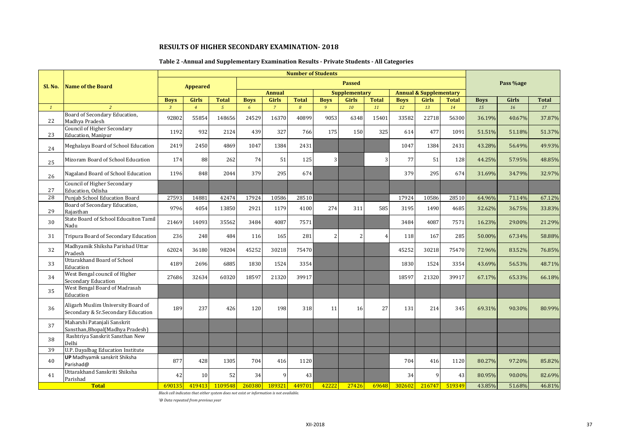## **Table 2 -Annual and Supplementary Examination Results - Private Students - All Categories**

|                 |                                                                          |                |                 |                |             |                | <b>Number of Students</b> |                |                          |                |             |                                   |              |             |           |              |
|-----------------|--------------------------------------------------------------------------|----------------|-----------------|----------------|-------------|----------------|---------------------------|----------------|--------------------------|----------------|-------------|-----------------------------------|--------------|-------------|-----------|--------------|
| Sl. No.         | <b>Name of the Board</b>                                                 |                | <b>Appeared</b> |                |             |                |                           |                | <b>Passed</b>            |                |             |                                   |              |             | Pass %age |              |
|                 |                                                                          |                |                 |                |             | <b>Annual</b>  |                           |                | <b>Supplementary</b>     |                |             | <b>Annual &amp; Supplementary</b> |              |             |           |              |
|                 |                                                                          | <b>Boys</b>    | Girls           | <b>Total</b>   | <b>Boys</b> | Girls          | <b>Total</b>              | <b>Boys</b>    | <b>Girls</b>             | <b>Total</b>   | <b>Boys</b> | <b>Girls</b>                      | <b>Total</b> | <b>Boys</b> | Girls     | <b>Total</b> |
| $\mathbf{1}$    | $\overline{2}$                                                           | $\overline{3}$ | $\overline{4}$  | $\overline{5}$ | 6           | $\overline{7}$ | 8                         | $\overline{9}$ | 10                       | 11             | 12          | 13                                | 14           | 15          | 16        | 17           |
| 22              | Board of Secondary Education,<br>Madhya Pradesh                          | 92802          | 55854           | 148656         | 24529       | 16370          | 40899                     | 9053           | 6348                     | 15401          | 33582       | 22718                             | 56300        | 36.19%      | 40.67%    | 37.87%       |
| 23              | Council of Higher Secondary<br><b>Education</b> , Manipur                | 1192           | 932             | 2124           | 439         | 327            | 766                       | 175            | 150                      | 325            | 614         | 477                               | 1091         | 51.51%      | 51.18%    | 51.37%       |
| 24              | Meghalaya Board of School Education                                      | 2419           | 2450            | 4869           | 1047        | 1384           | 2431                      |                |                          |                | 1047        | 1384                              | 2431         | 43.28%      | 56.49%    | 49.93%       |
| 25              | Mizoram Board of School Education                                        | 174            | 88              | 262            | 74          | 51             | 125                       | 3              |                          | 3              | 77          | 51                                | 128          | 44.25%      | 57.95%    | 48.85%       |
| 26              | Nagaland Board of School Education                                       | 1196           | 848             | 2044           | 379         | 295            | 674                       |                |                          |                | 379         | 295                               | 674          | 31.69%      | 34.79%    | 32.97%       |
| 27              | <b>Council of Higher Secondary</b><br>Education. Odisha                  |                |                 |                |             |                |                           |                |                          |                |             |                                   |              |             |           |              |
| $\overline{28}$ | Punjab School Education Board                                            | 27593          | 14881           | 42474          | 17924       | 10586          | 28510                     |                |                          |                | 17924       | 10586                             | 28510        | 64.96%      | 71.14%    | 67.12%       |
| 29              | Board of Secondary Education,<br>Rajasthan                               | 9796           | 4054            | 13850          | 2921        | 1179           | 4100                      | 274            | 311                      | 585            | 3195        | 1490                              | 4685         | 32.62%      | 36.75%    | 33.83%       |
| 30              | State Board of School Educaiton Tamil<br>Nadu                            | 21469          | 14093           | 35562          | 3484        | 4087           | 7571                      |                |                          |                | 3484        | 4087                              | 7571         | 16.23%      | 29.00%    | 21.29%       |
| 31              | Tripura Board of Secondary Education                                     | 236            | 248             | 484            | 116         | 165            | 281                       | 2              | $\overline{\mathcal{L}}$ | $\overline{4}$ | 118         | 167                               | 285          | 50.00%      | 67.34%    | 58.88%       |
| 32              | Madhyamik Shiksha Parishad Uttar<br>Pradesh                              | 62024          | 36180           | 98204          | 45252       | 30218          | 75470                     |                |                          |                | 45252       | 30218                             | 75470        | 72.96%      | 83.52%    | 76.85%       |
| 33              | <b>Uttarakhand Board of School</b><br>Education                          | 4189           | 2696            | 6885           | 1830        | 1524           | 3354                      |                |                          |                | 1830        | 1524                              | 3354         | 43.69%      | 56.53%    | 48.71%       |
| 34              | West Bengal council of Higher<br><b>Secondary Education</b>              | 27686          | 32634           | 60320          | 18597       | 21320          | 39917                     |                |                          |                | 18597       | 21320                             | 39917        | 67.17%      | 65.33%    | 66.18%       |
| 35              | West Bengal Board of Madrasah<br>Education                               |                |                 |                |             |                |                           |                |                          |                |             |                                   |              |             |           |              |
| 36              | Aligarh Muslim University Board of<br>Secondary & Sr.Secondary Education | 189            | 237             | 426            | 120         | 198            | 318                       | 11             | <b>16</b>                | 27             | 131         | 214                               | 345          | 69.31%      | 90.30%    | 80.99%       |
| 37              | Maharshi Patanjali Sanskrit<br>Sansthan, Bhopal (Madhya Pradesh)         |                |                 |                |             |                |                           |                |                          |                |             |                                   |              |             |           |              |
| 38              | Rashtriya Sanskrit Sansthan New<br>Delhi                                 |                |                 |                |             |                |                           |                |                          |                |             |                                   |              |             |           |              |
| 39              | <b>U.P. Dayalbag Education Institute</b>                                 |                |                 |                |             |                |                           |                |                          |                |             |                                   |              |             |           |              |
| 40              | <b>UP</b> Madhyamik sanskrit Shiksha<br>Parishad@                        | 877            | 428             | 1305           | 704         | 416            | 1120                      |                |                          |                | 704         | 416                               | 1120         | 80.27%      | 97.20%    | 85.82%       |
| 41              | Uttarakhand Sanskriti Shiksha<br>Parishad                                | 42             | 10              | 52             | 34          | q              | 43                        |                |                          |                | 34          |                                   | 43           | 80.95%      | 90.00%    | 82.69%       |
|                 | <b>Total</b>                                                             | 690135         | 419413          | 1109548        | 260380      | 189321         | 449701                    | 42222          | 27426                    | 69648          | 302602      | 216747                            | 519349       | 43.85%      | 51.68%    | 46.81%       |

*Black cell indicates that either system does not exist or information is not available.*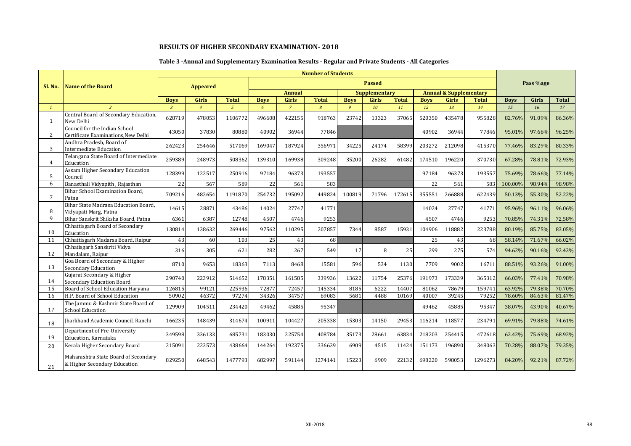## **Table 3 -Annual and Supplementary Examination Results - Regular and Private Students - All Categories**

|                 |                                                                      |                |                 |               |             |                | <b>Number of Students</b> |                |                      |              |             |                                   |              |             |           |              |
|-----------------|----------------------------------------------------------------------|----------------|-----------------|---------------|-------------|----------------|---------------------------|----------------|----------------------|--------------|-------------|-----------------------------------|--------------|-------------|-----------|--------------|
| Sl. No.         | Name of the Board                                                    |                | <b>Appeared</b> |               |             |                |                           |                | <b>Passed</b>        |              |             |                                   |              |             | Pass %age |              |
|                 |                                                                      |                |                 |               |             | <b>Annual</b>  |                           |                | <b>Supplementary</b> |              |             | <b>Annual &amp; Supplementary</b> |              |             |           |              |
|                 |                                                                      | <b>Boys</b>    | <b>Girls</b>    | <b>Total</b>  | <b>Boys</b> | <b>Girls</b>   | <b>Total</b>              | <b>Boys</b>    | <b>Girls</b>         | <b>Total</b> | <b>Boys</b> | <b>Girls</b>                      | <b>Total</b> | <b>Boys</b> | Girls     | <b>Total</b> |
| $\mathbf{1}$    | $\overline{2}$                                                       | $\overline{3}$ | $\overline{4}$  | $\mathcal{L}$ | 6           | $\overline{7}$ | 8                         | $\overline{9}$ | 10                   | 11           | 12          | 13                                | 14           | 15          | 16        | 17           |
| 1               | Central Board of Secondary Education,<br>New Delhi                   | 628719         | 478053          | 1106772       | 496608      | 422155         | 918763                    | 23742          | 13323                | 37065        | 520350      | 435478                            | 955828       | 82.76%      | 91.09%    | 86.36%       |
| 2               | Council for the Indian School<br>Certificate Examinations, New Delhi | 43050          | 37830           | 80880         | 40902       | 36944          | 77846                     |                |                      |              | 40902       | 36944                             | 77846        | 95.01%      | 97.66%    | 96.25%       |
| 3               | Andhra Pradesh, Board of<br><b>Intermediate Education</b>            | 262423         | 254646          | 517069        | 169047      | 187924         | 356971                    | 34225          | 24174                | 58399        | 203272      | 212098                            | 415370       | 77.46%      | 83.29%    | 80.33%       |
| $4^{\circ}$     | Telangana State Board of Intermediate<br>Education                   | 259389         | 248973          | 508362        | 139310      | 169938         | 309248                    | 35200          | 26282                | 61482        | 174510      | 196220                            | 370730       | 67.28%      | 78.81%    | 72.93%       |
| 5               | Assam Higher Secondary Education<br>Council                          | 128399         | 122517          | 250916        | 97184       | 96373          | 193557                    |                |                      |              | 97184       | 96373                             | 193557       | 75.69%      | 78.66%    | 77.14%       |
| 6               | Banasthali Vidyapith, Rajasthan                                      | 22             | 567             | 589           | 22          | 561            | 583                       |                |                      |              | 22          | 561                               | 583          | 100.00%     | 98.94%    | 98.98%       |
| $7\overline{ }$ | Bihar School Examination Board,<br>Patna                             | 709216         | 482654          | 1191870       | 254732      | 195092         | 449824                    | 100819         | 71796                | 172615       | 355551      | 266888                            | 622439       | 50.13%      | 55.30%    | 52.22%       |
| 8               | Bihar State Madrasa Education Board.<br>Vidyapati Marg, Patna        | 14615          | 28871           | 43486         | 14024       | 27747          | 41771                     |                |                      |              | 14024       | 27747                             | 41771        | 95.96%      | 96.11%    | 96.06%       |
| 9               | Bihar Sanskrit Shiksha Board, Patna                                  | 6361           | 6387            | 12748         | 4507        | 4746           | 9253                      |                |                      |              | 4507        | 4746                              | 9253         | 70.85%      | 74.31%    | 72.58%       |
| 10              | Chhattisgarh Board of Secondary<br>Education                         | 130814         | 138632          | 269446        | 97562       | 110295         | 207857                    | 7344           | 8587                 | 15931        | 104906      | 118882                            | 223788       | 80.19%      | 85.75%    | 83.05%       |
| 11              | Chhattisgarh Madarsa Board, Raipur                                   | 43             | 60              | 103           | 25          | 43             | 68                        |                |                      |              | 25          | 43                                | 68           | 58.14%      | 71.67%    | 66.02%       |
| 12              | Chhatisgarh Sanskriti Vidya<br>Mandalam, Raipur                      | 316            | 305             | 621           | 282         | 267            | 549                       | 17             |                      | 25           | 299         | 275                               | 574          | 94.62%      | 90.16%    | 92.43%       |
| 13              | Goa Board of Secondary & Higher<br>Secondary Education               | 8710           | 9653            | 18363         | 7113        | 8468           | 15581                     | 596            | 534                  | 1130         | 7709        | 9002                              | 16711        | 88.51%      | 93.26%    | 91.00%       |
| 14              | Gujarat Secondary & Higher<br><b>Secondary Education Board</b>       | 290740         | 223912          | 514652        | 178351      | 161585         | 339936                    | 13622          | 11754                | 25376        | 191973      | 173339                            | 365312       | 66.03%      | 77.41%    | 70.98%       |
| 15              | Board of School Education Haryana                                    | 126815         | 99121           | 225936        | 72877       | 72457          | 145334                    | 8185           | 6222                 | 14407        | 81062       | 78679                             | 159741       | 63.92%      | 79.38%    | 70.70%       |
| 16              | H.P. Board of School Education                                       | 50902          | 46372           | 97274         | 34326       | 34757          | 69083                     | 5681           | 4488                 | 10169        | 40007       | 39245                             | 79252        | 78.60%      | 84.63%    | 81.47%       |
| 17              | The Jammu & Kashmir State Board of<br><b>School Education</b>        | 129909         | 104511          | 234420        | 49462       | 45885          | 95347                     |                |                      |              | 49462       | 45885                             | 95347        | 38.07%      | 43.90%    | 40.67%       |
| 18              | Iharkhand Academic Council, Ranchi                                   | 166235         | 148439          | 314674        | 100911      | 104427         | 205338                    | 15303          | 14150                | 29453        | 116214      | 118577                            | 234791       | 69.91%      | 79.88%    | 74.61%       |
| 19              | Department of Pre-University<br>Education, Karnataka                 | 349598         | 336133          | 685731        | 183030      | 225754         | 408784                    | 35173          | 28661                | 63834        | 218203      | 254415                            | 472618       | 62.42%      | 75.69%    | 68.92%       |
| 20              | Kerala Higher Secondary Board                                        | 215091         | 223573          | 438664        | 144264      | 192375         | 336639                    | 6909           | 4515                 | 11424        | 151173      | 196890                            | 348063       | 70.28%      | 88.07%    | 79.35%       |
| 21              | Maharashtra State Board of Secondary<br>& Higher Secondary Education | 829250         | 648543          | 1477793       | 682997      | 591144         | 1274141                   | 15223          | 6909                 | 22132        | 698220      | 598053                            | 1296273      | 84.20%      | 92.21%    | 87.72%       |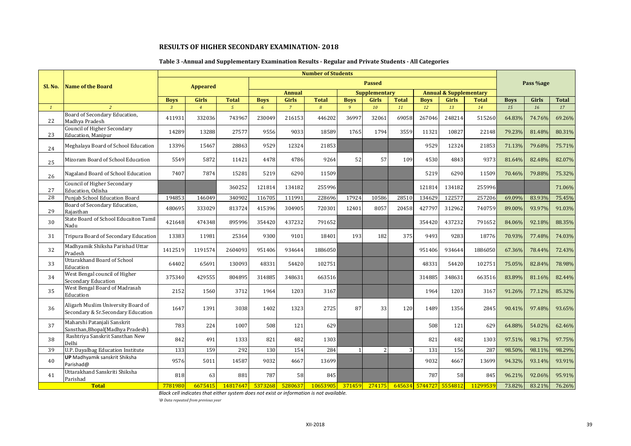## **Table 3 -Annual and Supplementary Examination Results - Regular and Private Students - All Categories**

|              |                                                                          |                |                 |                |             |                | <b>Number of Students</b> |                |                      |              |             |                                   |              |             |           |              |
|--------------|--------------------------------------------------------------------------|----------------|-----------------|----------------|-------------|----------------|---------------------------|----------------|----------------------|--------------|-------------|-----------------------------------|--------------|-------------|-----------|--------------|
| Sl. No.      | Name of the Board                                                        |                | <b>Appeared</b> |                |             |                |                           |                | <b>Passed</b>        |              |             |                                   |              |             | Pass %age |              |
|              |                                                                          |                |                 |                |             | <b>Annual</b>  |                           |                | <b>Supplementary</b> |              |             | <b>Annual &amp; Supplementary</b> |              |             |           |              |
|              |                                                                          | <b>Boys</b>    | <b>Girls</b>    | <b>Total</b>   | <b>Boys</b> | <b>Girls</b>   | <b>Total</b>              | <b>Boys</b>    | <b>Girls</b>         | <b>Total</b> | <b>Boys</b> | <b>Girls</b>                      | <b>Total</b> | <b>Boys</b> | Girls     | <b>Total</b> |
| $\mathbf{1}$ | $\overline{z}$                                                           | $\overline{3}$ | $\overline{4}$  | $\mathfrak{s}$ | 6           | $\overline{7}$ | 8                         | $\overline{9}$ | 10                   | 11           | 12          | 13                                | 14           | 15          | 16        | 17           |
| 22           | Board of Secondary Education,<br>Madhya Pradesh                          | 411931         | 332036          | 743967         | 230049      | 216153         | 446202                    | 36997          | 32061                | 69058        | 267046      | 248214                            | 515260       | 64.83%      | 74.76%    | 69.26%       |
| 23           | Council of Higher Secondary<br>Education, Manipur                        | 14289          | 13288           | 27577          | 9556        | 9033           | 18589                     | 1765           | 1794                 | 3559         | 11321       | 10827                             | 22148        | 79.23%      | 81.48%    | 80.31%       |
| 24           | Meghalaya Board of School Education                                      | 13396          | 15467           | 28863          | 9529        | 12324          | 21853                     |                |                      |              | 9529        | 12324                             | 21853        | 71.13%      | 79.68%    | 75.71%       |
| 25           | Mizoram Board of School Education                                        | 5549           | 5872            | 11421          | 4478        | 4786           | 9264                      | 52             | 57                   | 109          | 4530        | 4843                              | 9373         | 81.64%      | 82.48%    | 82.07%       |
| 26           | Nagaland Board of School Education                                       | 7407           | 7874            | 15281          | 5219        | 6290           | 11509                     |                |                      |              | 5219        | 6290                              | 11509        | 70.46%      | 79.88%    | 75.32%       |
| 27           | <b>Council of Higher Secondary</b><br>Education. Odisha                  |                |                 | 360252         | 121814      | 134182         | 255996                    |                |                      |              | 121814      | 134182                            | 255996       |             |           | 71.06%       |
| 28           | Punjab School Education Board                                            | 194853         | 146049          | 340902         | 116705      | 111991         | 228696                    | 17924          | 10586                | 28510        | 134629      | 122577                            | 257206       | 69.09%      | 83.93%    | 75.45%       |
| 29           | Board of Secondary Education,<br>Raiasthan                               | 480695         | 333029          | 813724         | 415396      | 304905         | 720301                    | 12401          | 8057                 | 20458        | 427797      | 312962                            | 740759       | 89.00%      | 93.97%    | 91.03%       |
| 30           | State Board of School Educaiton Tamil<br>Nadu                            | 421648         | 474348          | 895996         | 354420      | 437232         | 791652                    |                |                      |              | 354420      | 437232                            | 791652       | 84.06%      | 92.18%    | 88.35%       |
| 31           | Tripura Board of Secondary Education                                     | 13383          | 11981           | 25364          | 9300        | 9101           | 18401                     | 193            | 182                  | 375          | 9493        | 9283                              | 18776        | 70.93%      | 77.48%    | 74.03%       |
| 32           | Madhyamik Shiksha Parishad Uttar<br>Pradesh                              | 1412519        | 1191574         | 2604093        | 951406      | 934644         | 1886050                   |                |                      |              | 951406      | 934644                            | 1886050      | 67.36%      | 78.44%    | 72.43%       |
| 33           | Uttarakhand Board of School<br>Education                                 | 64402          | 65691           | 130093         | 48331       | 54420          | 102751                    |                |                      |              | 48331       | 54420                             | 102751       | 75.05%      | 82.84%    | 78.98%       |
| 34           | West Bengal council of Higher<br>Secondary Education                     | 375340         | 429555          | 804895         | 314885      | 348631         | 663516                    |                |                      |              | 314885      | 348631                            | 663516       | 83.89%      | 81.16%    | 82.44%       |
| 35           | West Bengal Board of Madrasah<br>Education                               | 2152           | 1560            | 3712           | 1964        | 1203           | 3167                      |                |                      |              | 1964        | 1203                              | 3167         | 91.26%      | 77.12%    | 85.32%       |
| 36           | Aligarh Muslim University Board of<br>Secondary & Sr.Secondary Education | 1647           | 1391            | 3038           | 1402        | 1323           | 2725                      | 87             | 33                   | 120          | 1489        | 1356                              | 2845         | 90.41%      | 97.48%    | 93.65%       |
| 37           | Maharshi Patanjali Sanskrit<br>Sansthan, Bhopal (Madhya Pradesh)         | 783            | 224             | 1007           | 508         | 121            | 629                       |                |                      |              | 508         | 121                               | 629          | 64.88%      | 54.02%    | 62.46%       |
| 38           | Rashtriya Sanskrit Sansthan New<br>Delhi                                 | 842            | 491             | 1333           | 821         | 482            | 1303                      |                |                      |              | 821         | 482                               | 1303         | 97.51%      | 98.17%    | 97.75%       |
| 39           | U.P. Dayalbag Education Institute                                        | 133            | 159             | 292            | 130         | 154            | 284                       |                | 2                    | 3            | 131         | 156                               | 287          | 98.50%      | 98.11%    | 98.29%       |
| 40           | UP Madhyamik sanskrit Shiksha<br>Parishad@                               | 9576           | 5011            | 14587          | 9032        | 4667           | 13699                     |                |                      |              | 9032        | 4667                              | 13699        | 94.32%      | 93.14%    | 93.91%       |
| 41           | Uttarakhand Sanskriti Shiksha<br>Parishad                                | 818            | 63              | 881            | 787         | 58             | 845                       |                |                      |              | 787         | 58                                | 845          | 96.21%      | 92.06%    | 95.91%       |
|              | <b>Total</b>                                                             | 7781980        | 6675415         | 14817647       | 5373268     | 5280637        | 10653905                  | 371459         | 274175               |              |             | 645634 5744727 5554812            | 11299539     | 73.82%      | 83.21%    | 76.26%       |

*Black cell indicates that either system does not exist or information is not available.*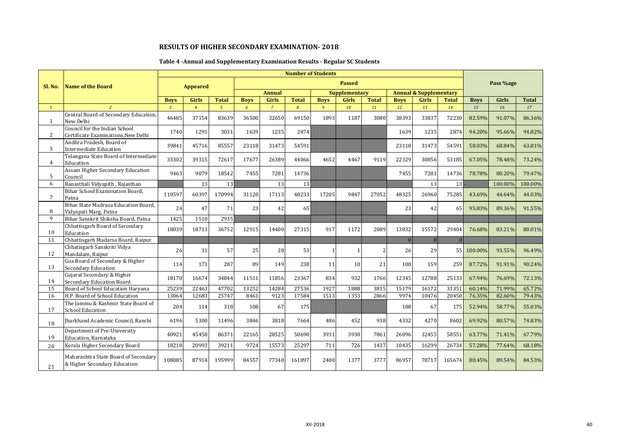## **Table 4 -Annual and Supplementary Examination Results - Regular SC Students**

|                 |                                                                      |                |                 |              |             |                | <b>Number of Students</b> |             |                      |              |             |                                   |              |             |           |         |
|-----------------|----------------------------------------------------------------------|----------------|-----------------|--------------|-------------|----------------|---------------------------|-------------|----------------------|--------------|-------------|-----------------------------------|--------------|-------------|-----------|---------|
| Sl. No.         | Name of the Board                                                    |                | <b>Appeared</b> |              |             |                |                           |             | <b>Passed</b>        |              |             |                                   |              |             | Pass %age |         |
|                 |                                                                      |                |                 |              |             | <b>Annual</b>  |                           |             | <b>Supplementary</b> |              |             | <b>Annual &amp; Supplementary</b> |              |             |           |         |
|                 |                                                                      | <b>Boys</b>    | <b>Girls</b>    | <b>Total</b> | <b>Boys</b> | <b>Girls</b>   | <b>Total</b>              | <b>Boys</b> | <b>Girls</b>         | <b>Total</b> | <b>Boys</b> | <b>Girls</b>                      | <b>Total</b> | <b>Boys</b> | Girls     | Total   |
| $\mathbf{1}$    |                                                                      | $\overline{3}$ | $\overline{4}$  | $\sqrt{5}$   | 6           | $\overline{7}$ | 8                         | 9           | 10                   | 11           | 12          | 13                                | 14           | 15          | 16        | 17      |
| $\mathbf{1}$    | Central Board of Secondary Education,<br>New Delhi                   | 46485          | 37154           | 83639        | 36500       | 32650          | 69150                     | 1893        | 1187                 | 3080         | 38393       | 33837                             | 72230        | 82.59%      | 91.07%    | 86.36%  |
| $\mathbf{2}$    | Council for the Indian School<br>Certificate Examinations, New Delhi | 1740           | 1291            | 3031         | 1639        | 1235           | 2874                      |             |                      |              | 1639        | 1235                              | 2874         | 94.20%      | 95.66%    | 94.82%  |
| 3               | Andhra Pradesh, Board of<br>Intermediate Education                   | 39841          | 45716           | 85557        | 23118       | 31473          | 54591                     |             |                      |              | 23118       | 31473                             | 54591        | 58.03%      | 68.84%    | 63.81%  |
| $4^{\circ}$     | Telangana State Board of Intermediate<br>Education                   | 33302          | 39315           | 72617        | 17677       | 26389          | 44066                     | 4652        | 4467                 | 9119         | 22329       | 30856                             | 53185        | 67.05%      | 78.48%    | 73.24%  |
| 5               | Assam Higher Secondary Education<br>Council                          | 9463           | 9079            | 18542        | 7455        | 7281           | 14736                     |             |                      |              | 7455        | 7281                              | 14736        | 78.78%      | 80.20%    | 79.47%  |
| 6               | Banasthali Vidyapith, Rajasthan                                      |                | 13              | 13           |             | 13             | 13                        |             |                      |              |             | 13                                | 13           |             | 100.00%   | 100.00% |
| $7\overline{ }$ | Bihar School Examination Board,<br>Patna                             | 110597         | 60397           | 170994       | 31120       | 17113          | 48233                     | 17205       | 9847                 | 27052        | 48325       | 26960                             | 75285        | 43.69%      | 44.64%    | 44.03%  |
| 8               | Bihar State Madrasa Education Board.<br>Vidyapati Marg, Patna        | 24             | 47              | 71           | 23          | 42             | 65                        |             |                      |              | 23          | 42                                | 65           | 95.83%      | 89.36%    | 91.55%  |
| 9               | Bihar Sanskrit Shiksha Board, Patna                                  | 1425           | 1510            | 2935         |             |                |                           |             |                      |              |             |                                   |              |             |           |         |
| 10              | Chhattisgarh Board of Secondary<br>Education                         | 18039          | 18713           | 36752        | 12915       | 14400          | 27315                     | 917         | 1172                 | 2089         | 13832       | 15572                             | 29404        | 76.68%      | 83.21%    | 80.01%  |
| 11              | Chhattisgarh Madarsa Board, Raipur                                   |                |                 |              |             |                |                           |             |                      |              | $\Omega$    | $\overline{0}$                    | $\Omega$     |             |           |         |
| 12              | Chhatisgarh Sanskriti Vidya<br>Mandalam, Raipur                      | 26             | 31              | 57           | 25          | 28             | 53                        |             |                      |              | 26          | 29                                |              | 55 100.00%  | 93.55%    | 96.49%  |
| 13              | Goa Board of Secondary & Higher<br><b>Secondary Education</b>        | 114            | 173             | 287          | 89          | 149            | 238                       | 11          | 10                   | 21           | 100         | 159                               | 259          | 87.72%      | 91.91%    | 90.24%  |
| 14              | Gujarat Secondary & Higher<br>Secondary Education Board              | 18170          | 16674           | 34844        | 11511       | 11856          | 23367                     | 834         | 932                  | 1766         | 12345       | 12788                             | 25133        | 67.94%      | 76.69%    | 72.13%  |
| 15              | Board of School Education Harvana                                    | 25239          | 22463           | 47702        | 13252       | 14284          | 27536                     | 1927        | 1888                 | 3815         | 15179       | 16172                             | 31351        | 60.14%      | 71.99%    | 65.72%  |
| 16              | H.P. Board of School Education                                       | 13064          | 12683           | 25747        | 8461        | 9123           | 17584                     | 1513        | 1353                 | 2866         | 9974        | 10476                             | 20450        | 76.35%      | 82.60%    | 79.43%  |
| 17              | The Jammu & Kashmir State Board of<br><b>School Education</b>        | 204            | 114             | 318          | 108         | 67             | 175                       |             |                      |              | 108         | 67                                | 175          | 52.94%      | 58.77%    | 55.03%  |
| 18              | Iharkhand Academic Council, Ranchi                                   | 6196           | 5300            | 11496        | 3846        | 3818           | 7664                      | 486         | 452                  | 938          | 4332        | 4270                              | 8602         | 69.92%      | 80.57%    | 74.83%  |
| 19              | Department of Pre-University<br>Education, Karnataka                 | 40921          | 45450           | 86371        | 22165       | 28525          | 50690                     | 3931        | 3930                 | 7861         | 26096       | 32455                             | 58551        | 63.77%      | 71.41%    | 67.79%  |
| 20              | Kerala Higher Secondary Board                                        | 18218          | 20993           | 39211        | 9724        | 15573          | 25297                     | 711         | 726                  | 1437         | 10435       | 16299                             | 26734        | 57.28%      | 77.64%    | 68.18%  |
| 21              | Maharashtra State Board of Secondary<br>& Higher Secondary Education | 108085         | 87914           | 195999       | 84557       | 77340          | 161897                    | 2400        | 1377                 | 3777         | 86957       | 78717                             | 165674       | 80.45%      | 89.54%    | 84.53%  |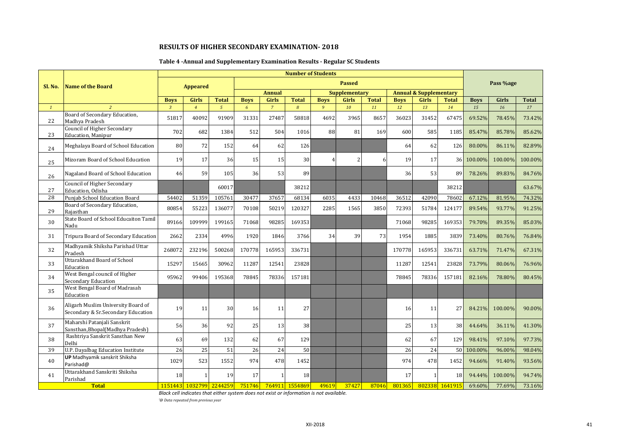## **Table 4 -Annual and Supplementary Examination Results - Regular SC Students**

|              |                                                                          |                |                 |                         |             |                | <b>Number of Students</b> |                |                      |              |             |                                   |                |             |           |              |
|--------------|--------------------------------------------------------------------------|----------------|-----------------|-------------------------|-------------|----------------|---------------------------|----------------|----------------------|--------------|-------------|-----------------------------------|----------------|-------------|-----------|--------------|
| Sl. No.      | Name of the Board                                                        |                | <b>Appeared</b> |                         |             |                |                           |                | <b>Passed</b>        |              |             |                                   |                |             | Pass %age |              |
|              |                                                                          |                |                 |                         |             | <b>Annual</b>  |                           |                | <b>Supplementary</b> |              |             | <b>Annual &amp; Supplementary</b> |                |             |           |              |
|              |                                                                          | <b>Boys</b>    | <b>Girls</b>    | <b>Total</b>            | <b>Boys</b> | <b>Girls</b>   | <b>Total</b>              | <b>Boys</b>    | <b>Girls</b>         | <b>Total</b> | <b>Boys</b> | <b>Girls</b>                      | <b>Total</b>   | <b>Boys</b> | Girls     | <b>Total</b> |
| $\mathbf{1}$ | $\overline{2}$                                                           | $\overline{3}$ | $\overline{4}$  | $5^{\circ}$             | 6           | $\overline{7}$ | $\overline{8}$            | $\overline{9}$ | 10                   | 11           | 12          | 13                                | 14             | 15          | 16        | 17           |
| 22           | Board of Secondary Education,<br>Madhva Pradesh                          | 51817          | 40092           | 91909                   | 31331       | 27487          | 58818                     | 4692           | 3965                 | 8657         | 36023       | 31452                             | 67475          | 69.52%      | 78.45%    | 73.42%       |
| 23           | Council of Higher Secondary<br>Education, Manipur                        | 702            | 682             | 1384                    | 512         | 504            | 1016                      | 88             | 81                   | 169          | 600         | 585                               | 1185           | 85.47%      | 85.78%    | 85.62%       |
| 24           | Meghalaya Board of School Education                                      | 80             | 72              | 152                     | 64          | 62             | 126                       |                |                      |              | 64          | 62                                | 126            | 80.00%      | 86.11%    | 82.89%       |
| 25           | Mizoram Board of School Education                                        | 19             | 17              | 36                      | 15          | 15             | 30                        | $\overline{4}$ | $\overline{2}$       |              | 19          | 17                                |                | 36 100.00%  | 100.00%   | 100.00%      |
| 26           | Nagaland Board of School Education                                       | 46             | 59              | 105                     | 36          | 53             | 89                        |                |                      |              | 36          | 53                                | 89             | 78.26%      | 89.83%    | 84.76%       |
| 27           | Council of Higher Secondary<br>Education, Odisha                         |                |                 | 60017                   |             |                | 38212                     |                |                      |              |             |                                   | 38212          |             |           | 63.67%       |
| 28           | Punjab School Education Board                                            | 54402          | 51359           | 105761                  | 30477       | 37657          | 68134                     | 6035           | 4433                 | 10468        | 36512       | 42090                             | 78602          | 67.12%      | 81.95%    | 74.32%       |
| 29           | Board of Secondary Education,<br>Rajasthan                               | 80854          | 55223           | 136077                  | 70108       | 50219          | 120327                    | 2285           | 1565                 | 3850         | 72393       | 51784                             | 124177         | 89.54%      | 93.77%    | 91.25%       |
| 30           | State Board of School Educaiton Tamil<br>Nadu                            | 89166          | 109999          | 199165                  | 71068       | 98285          | 169353                    |                |                      |              | 71068       | 98285                             | 169353         | 79.70%      | 89.35%    | 85.03%       |
| 31           | Tripura Board of Secondary Education                                     | 2662           | 2334            | 4996                    | 1920        | 1846           | 3766                      | 34             | 39                   | 73           | 1954        | 1885                              | 3839           | 73.40%      | 80.76%    | 76.84%       |
| 32           | Madhyamik Shiksha Parishad Uttar<br>Pradesh                              | 268072         | 232196          | 500268                  | 170778      | 165953         | 336731                    |                |                      |              | 170778      | 165953                            | 336731         | 63.71%      | 71.47%    | 67.31%       |
| 33           | <b>Uttarakhand Board of School</b><br>Education                          | 15297          | 15665           | 30962                   | 11287       | 12541          | 23828                     |                |                      |              | 11287       | 12541                             | 23828          | 73.79%      | 80.06%    | 76.96%       |
| 34           | West Bengal council of Higher<br>Secondary Education                     | 95962          | 99406           | 195368                  | 78845       | 78336          | 157181                    |                |                      |              | 78845       | 78336                             | 157181         | 82.16%      | 78.80%    | 80.45%       |
| 35           | West Bengal Board of Madrasah<br>Education                               |                |                 |                         |             |                |                           |                |                      |              |             |                                   |                |             |           |              |
| 36           | Aligarh Muslim University Board of<br>Secondary & Sr.Secondary Education | 19             | 11              | 30                      | 16          | 11             | 27                        |                |                      |              | 16          | 11                                | 27             | 84.21%      | 100.00%   | 90.00%       |
| 37           | Maharshi Patanjali Sanskrit<br>Sansthan, Bhopal (Madhya Pradesh)         | 56             | 36              | 92                      | 25          | 13             | 38                        |                |                      |              | 25          | 13                                | 38             | 44.64%      | 36.11%    | 41.30%       |
| 38           | Rashtriya Sanskrit Sansthan New<br>Delhi                                 | 63             | 69              | 132                     | 62          | 67             | 129                       |                |                      |              | 62          | 67                                | 129            | 98.41%      | 97.10%    | 97.73%       |
| 39           | U.P. Dayalbag Education Institute                                        | 26             | 25              | 51                      | 26          | 24             | 50                        |                |                      |              | 26          | 24                                | 50             | 100.00%     | 96.00%    | 98.04%       |
| 40           | <b>UP</b> Madhyamik sanskrit Shiksha<br>Parishad@                        | 1029           | 523             | 1552                    | 974         | 478            | 1452                      |                |                      |              | 974         | 478                               | 1452           | 94.66%      | 91.40%    | 93.56%       |
| 41           | Uttarakhand Sanskriti Shiksha<br>Parishad                                | 18             |                 | 19                      | 17          |                | 18                        |                |                      |              | 17          |                                   | 18             | 94.44%      | 100.00%   | 94.74%       |
|              | <b>Total</b>                                                             |                |                 | 1151443 1032799 2244259 | 751746      |                | 764911 1554869            | 49619          | 37427                | 87046        | 801365      |                                   | 802338 1641915 | 69.60%      | 77.69%    | 73.16%       |

*Black cell indicates that either system does not exist or information is not available.*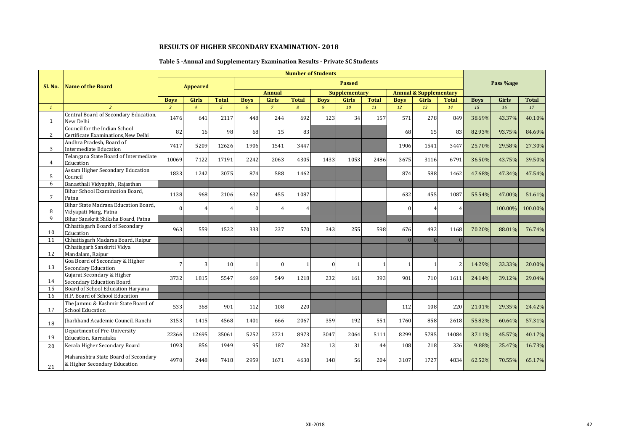## **Table 5 -Annual and Supplementary Examination Results - Private SC Students**

|                |                                                                      |                |                 |              |              |                | <b>Number of Students</b> |             |                      |              |             |                                   |                |             |              |              |
|----------------|----------------------------------------------------------------------|----------------|-----------------|--------------|--------------|----------------|---------------------------|-------------|----------------------|--------------|-------------|-----------------------------------|----------------|-------------|--------------|--------------|
| Sl. No.        | <b>Name of the Board</b>                                             |                | <b>Appeared</b> |              |              |                |                           |             | <b>Passed</b>        |              |             |                                   |                |             | Pass %age    |              |
|                |                                                                      |                |                 |              |              | <b>Annual</b>  |                           |             | <b>Supplementary</b> |              |             | <b>Annual &amp; Supplementary</b> |                |             |              |              |
|                |                                                                      | <b>Boys</b>    | <b>Girls</b>    | <b>Total</b> | <b>Boys</b>  | <b>Girls</b>   | <b>Total</b>              | <b>Boys</b> | Girls                | <b>Total</b> | <b>Boys</b> | <b>Girls</b>                      | <b>Total</b>   | <b>Boys</b> | <b>Girls</b> | <b>Total</b> |
| $\mathcal{I}$  |                                                                      | $\overline{3}$ | $\overline{4}$  | $5^{\circ}$  | 6            | $\overline{7}$ | $\overline{8}$            | 9           | 10                   | 11           | 12          | 13                                | 14             | 15          | 16           | 17           |
| 1              | Central Board of Secondary Education,<br>New Delhi                   | 1476           | 641             | 2117         | 448          | 244            | 692                       | 123         | 34                   | 157          | 571         | 278                               | 849            | 38.69%      | 43.37%       | 40.10%       |
| $\mathbf{2}$   | Council for the Indian School<br>Certificate Examinations, New Delhi | 82             | 16              | 98           | 68           | 15             | 83                        |             |                      |              | 68          | 15                                | 83             | 82.93%      | 93.75%       | 84.69%       |
| 3              | Andhra Pradesh, Board of<br>Intermediate Education                   | 7417           | 5209            | 12626        | 1906         | 1541           | 3447                      |             |                      |              | 1906        | 1541                              | 3447           | 25.70%      | 29.58%       | 27.30%       |
| $\overline{4}$ | Telangana State Board of Intermediate<br>Education                   | 10069          | 7122            | 17191        | 2242         | 2063           | 4305                      | 1433        | 1053                 | 2486         | 3675        | 3116                              | 6791           | 36.50%      | 43.75%       | 39.50%       |
| 5              | Assam Higher Secondary Education<br>Council                          | 1833           | 1242            | 3075         | 874          | 588            | 1462                      |             |                      |              | 874         | 588                               | 1462           | 47.68%      | 47.34%       | 47.54%       |
| 6              | Banasthali Vidyapith, Rajasthan                                      |                |                 |              |              |                |                           |             |                      |              |             |                                   |                |             |              |              |
| $\overline{7}$ | Bihar School Examination Board,<br>Patna                             | 1138           | 968             | 2106         | 632          | 455            | 1087                      |             |                      |              | 632         | 455                               | 1087           | 55.54%      | 47.00%       | 51.61%       |
| 8              | Bihar State Madrasa Education Board.<br>Vidyapati Marg, Patna        | $\Omega$       |                 | 4            | $\Omega$     |                |                           |             |                      |              |             | $\overline{4}$                    | $\overline{4}$ |             | 100.00%      | 100.00%      |
| 9              | Bihar Sanskrit Shiksha Board, Patna                                  |                |                 |              |              |                |                           |             |                      |              |             |                                   |                |             |              |              |
| 10             | Chhattisgarh Board of Secondary<br>Education                         | 963            | 559             | 1522         | 333          | 237            | 570                       | 343         | 255                  | 598          | 676         | 492                               | 1168           | 70.20%      | 88.01%       | 76.74%       |
| 11             | Chhattisgarh Madarsa Board, Raipur                                   |                |                 |              |              |                |                           |             |                      |              | $\Omega$    | $\overline{0}$                    | $\Omega$       |             |              |              |
| 12             | Chhatisgarh Sanskriti Vidya<br>Mandalam, Raipur                      |                |                 |              |              |                |                           |             |                      |              |             |                                   |                |             |              |              |
| 13             | Goa Board of Secondary & Higher<br><b>Secondary Education</b>        | 7              | 3               | 10           | $\mathbf{1}$ | $\mathbf{0}$   |                           | $\Omega$    |                      |              |             | $\mathbf{1}$                      |                | 14.29%      | 33.33%       | 20.00%       |
| 14             | Gujarat Secondary & Higher<br>Secondary Education Board              | 3732           | 1815            | 5547         | 669          | 549            | 1218                      | 232         | 161                  | 393          | 901         | 710                               | 1611           | 24.14%      | 39.12%       | 29.04%       |
| 15             | Board of School Education Haryana                                    |                |                 |              |              |                |                           |             |                      |              |             |                                   |                |             |              |              |
| 16             | H.P. Board of School Education                                       |                |                 |              |              |                |                           |             |                      |              |             |                                   |                |             |              |              |
| 17             | The Jammu & Kashmir State Board of<br><b>School Education</b>        | 533            | 368             | 901          | 112          | 108            | 220                       |             |                      |              | 112         | 108                               | 220            | 21.01%      | 29.35%       | 24.42%       |
| 18             | Iharkhand Academic Council, Ranchi                                   | 3153           | 1415            | 4568         | 1401         | 666            | 2067                      | 359         | 192                  | 551          | 1760        | 858                               | 2618           | 55.82%      | 60.64%       | 57.31%       |
| 19             | Department of Pre-University<br>Education, Karnataka                 | 22366          | 12695           | 35061        | 5252         | 3721           | 8973                      | 3047        | 2064                 | 5111         | 8299        | 5785                              | 14084          | 37.11%      | 45.57%       | 40.17%       |
| 20             | Kerala Higher Secondary Board                                        | 1093           | 856             | 1949         | 95           | 187            | 282                       | 13          | 31                   | 44           | 108         | 218                               | 326            | 9.88%       | 25.47%       | 16.73%       |
| 21             | Maharashtra State Board of Secondary<br>& Higher Secondary Education | 4970           | 2448            | 7418         | 2959         | 1671           | 4630                      | 148         | 56                   | 204          | 3107        | 1727                              | 4834           | 62.52%      | 70.55%       | 65.17%       |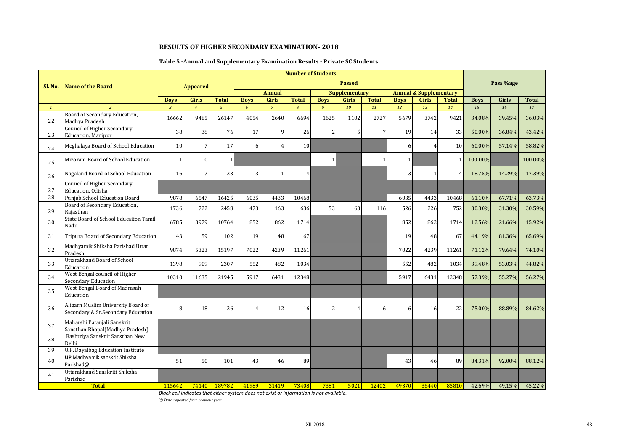## **Table 5 -Annual and Supplementary Examination Results - Private SC Students**

|              |                                                                          |                |                 |                |                |                | <b>Number of Students</b> |              |                      |              |              |                                   |                        |             |              |              |
|--------------|--------------------------------------------------------------------------|----------------|-----------------|----------------|----------------|----------------|---------------------------|--------------|----------------------|--------------|--------------|-----------------------------------|------------------------|-------------|--------------|--------------|
| Sl. No.      | Name of the Board                                                        |                | <b>Appeared</b> |                |                |                |                           |              | <b>Passed</b>        |              |              |                                   |                        |             | Pass %age    |              |
|              |                                                                          |                |                 |                |                | <b>Annual</b>  |                           |              | <b>Supplementary</b> |              |              | <b>Annual &amp; Supplementary</b> |                        |             |              |              |
|              |                                                                          | <b>Boys</b>    | <b>Girls</b>    | <b>Total</b>   | <b>Boys</b>    | <b>Girls</b>   | <b>Total</b>              | <b>Boys</b>  | <b>Girls</b>         | <b>Total</b> | <b>Boys</b>  | <b>Girls</b>                      | <b>Total</b>           | <b>Boys</b> | <b>Girls</b> | <b>Total</b> |
| $\mathbf{1}$ | $\overline{2}$<br>Board of Secondary Education,                          | $\overline{3}$ | $\overline{4}$  | $\mathfrak{s}$ | 6 <sup>1</sup> | $\overline{7}$ | 8                         | 9            | 10                   | 11           | 12           | 13                                | 14                     | 15          | 16           | 17           |
| 22           | Madhva Pradesh                                                           | 16662          | 9485            | 26147          | 4054           | 2640           | 6694                      | 1625         | 1102                 | 2727         | 5679         | 3742                              | 9421                   | 34.08%      | 39.45%       | 36.03%       |
| 23           | Council of Higher Secondary<br><b>Education</b> , Manipur                | 38             | 38              | 76             | 17             | 9              | 26                        | 2            |                      |              | 19           | 14                                | 33                     | 50.00%      | 36.84%       | 43.42%       |
| 24           | Meghalaya Board of School Education                                      | 10             |                 | 17             | 6              | $\overline{4}$ | 10                        |              |                      |              | 6            | $\overline{4}$                    | 10                     | 60.00%      | 57.14%       | 58.82%       |
| 25           | Mizoram Board of School Education                                        | $\mathbf{1}$   |                 | $\mathbf{1}$   |                |                |                           | $\mathbf{1}$ |                      |              | $\mathbf{1}$ |                                   |                        | 100.00%     |              | 100.00%      |
| 26           | Nagaland Board of School Education                                       | 16             |                 | 23             |                | -1             | $\overline{A}$            |              |                      |              |              | $\mathbf{1}$                      | $\boldsymbol{\Lambda}$ | 18.75%      | 14.29%       | 17.39%       |
| 27           | Council of Higher Secondary<br>Education, Odisha                         |                |                 |                |                |                |                           |              |                      |              |              |                                   |                        |             |              |              |
| 28           | Punjab School Education Board                                            | 9878           | 6547            | 16425          | 6035           | 4433           | 10468                     |              |                      |              | 6035         | 4433                              | 10468                  | 61.10%      | 67.71%       | 63.73%       |
| 29           | Board of Secondary Education,<br>Rajasthan                               | 1736           | 722             | 2458           | 473            | 163            | 636                       | 53           | 63                   | 116          | 526          | 226                               | 752                    | 30.30%      | 31.30%       | 30.59%       |
| 30           | State Board of School Educaiton Tamil<br>Nadu                            | 6785           | 3979            | 10764          | 852            | 862            | 1714                      |              |                      |              | 852          | 862                               | 1714                   | 12.56%      | 21.66%       | 15.92%       |
| 31           | Tripura Board of Secondary Education                                     | 43             | 59              | 102            | 19             | 48             | 67                        |              |                      |              | 19           | 48                                | 67                     | 44.19%      | 81.36%       | 65.69%       |
| 32           | Madhyamik Shiksha Parishad Uttar<br>Pradesh                              | 9874           | 5323            | 15197          | 7022           | 4239           | 11261                     |              |                      |              | 7022         | 4239                              | 11261                  | 71.12%      | 79.64%       | 74.10%       |
| 33           | Uttarakhand Board of School<br>Education                                 | 1398           | 909             | 2307           | 552            | 482            | 1034                      |              |                      |              | 552          | 482                               | 1034                   | 39.48%      | 53.03%       | 44.82%       |
| 34           | West Bengal council of Higher<br><b>Secondary Education</b>              | 10310          | 11635           | 21945          | 5917           | 6431           | 12348                     |              |                      |              | 5917         | 6431                              | 12348                  | 57.39%      | 55.27%       | 56.27%       |
| 35           | West Bengal Board of Madrasah<br>Education                               |                |                 |                |                |                |                           |              |                      |              |              |                                   |                        |             |              |              |
| 36           | Aligarh Muslim University Board of<br>Secondary & Sr.Secondary Education | 8              | 18              | 26             |                | 12             | 16                        | 2            |                      | 6            | 6            | 16                                | 22                     | 75.00%      | 88.89%       | 84.62%       |
| 37           | Maharshi Patanjali Sanskrit<br>Sansthan, Bhopal (Madhya Pradesh)         |                |                 |                |                |                |                           |              |                      |              |              |                                   |                        |             |              |              |
| 38           | Rashtriya Sanskrit Sansthan New<br>Delhi                                 |                |                 |                |                |                |                           |              |                      |              |              |                                   |                        |             |              |              |
| 39           | U.P. Dayalbag Education Institute                                        |                |                 |                |                |                |                           |              |                      |              |              |                                   |                        |             |              |              |
| 40           | <b>UP</b> Madhyamik sanskrit Shiksha<br>Parishad@                        | 51             | 50              | 101            | 43             | 46             | 89                        |              |                      |              | 43           | 46                                | 89                     | 84.31%      | 92.00%       | 88.12%       |
| 41           | Uttarakhand Sanskriti Shiksha<br>Parishad                                |                |                 |                |                |                |                           |              |                      |              |              |                                   |                        |             |              |              |
|              | <b>Total</b>                                                             | 115642         | <b>74140</b>    | 189782         | 41989          | 31419          | 73408                     | 7381         | 5021                 | 12402        | 49370        | 36440                             | 85810                  | 42.69%      | 49.15%       | 45.22%       |

*Black cell indicates that either system does not exist or information is not available.*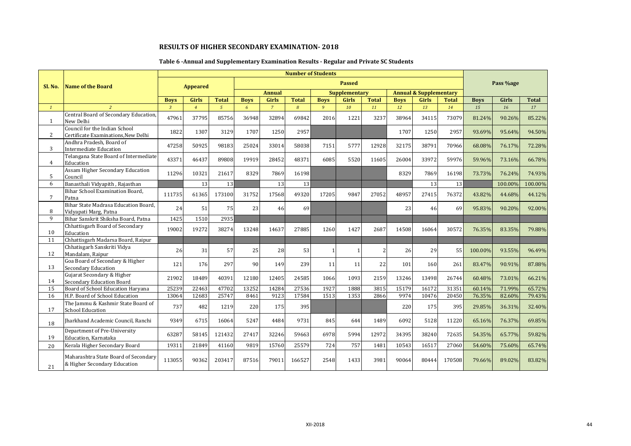## **Table 6 -Annual and Supplementary Examination Results - Regular and Private SC Students**

|                 |                                                                      |                |                 |                |             |                | <b>Number of Students</b> |             |                      |              |             |                                   |              |             |           |              |
|-----------------|----------------------------------------------------------------------|----------------|-----------------|----------------|-------------|----------------|---------------------------|-------------|----------------------|--------------|-------------|-----------------------------------|--------------|-------------|-----------|--------------|
| Sl. No.         | <b>Name of the Board</b>                                             |                | <b>Appeared</b> |                |             |                |                           |             | <b>Passed</b>        |              |             |                                   |              |             | Pass %age |              |
|                 |                                                                      |                |                 |                |             | <b>Annual</b>  |                           |             | <b>Supplementary</b> |              |             | <b>Annual &amp; Supplementary</b> |              |             |           |              |
|                 |                                                                      | <b>Boys</b>    | <b>Girls</b>    | <b>Total</b>   | <b>Boys</b> | <b>Girls</b>   | <b>Total</b>              | <b>Boys</b> | <b>Girls</b>         | <b>Total</b> | <b>Boys</b> | <b>Girls</b>                      | <b>Total</b> | <b>Boys</b> | Girls     | <b>Total</b> |
| $\mathcal{I}$   | $\overline{2}$                                                       | $\overline{3}$ | $\overline{4}$  | 5 <sup>5</sup> | $\epsilon$  | $\overline{7}$ | 8                         | 9           | 10                   | 11           | 12          | 13                                | 14           | 15          | 16        | 17           |
| 1               | Central Board of Secondary Education,<br>New Delhi                   | 47961          | 37795           | 85756          | 36948       | 32894          | 69842                     | 2016        | 1221                 | 3237         | 38964       | 34115                             | 73079        | 81.24%      | 90.26%    | 85.22%       |
| $\mathbf{2}$    | Council for the Indian School<br>Certificate Examinations, New Delhi | 1822           | 1307            | 3129           | 1707        | 1250           | 2957                      |             |                      |              | 1707        | 1250                              | 2957         | 93.69%      | 95.64%    | 94.50%       |
| 3               | Andhra Pradesh, Board of<br><b>Intermediate Education</b>            | 47258          | 50925           | 98183          | 25024       | 33014          | 58038                     | 7151        | 5777                 | 12928        | 32175       | 38791                             | 70966        | 68.08%      | 76.17%    | 72.28%       |
| $\overline{4}$  | Telangana State Board of Intermediate<br>Education                   | 43371          | 46437           | 89808          | 19919       | 28452          | 48371                     | 6085        | 5520                 | 11605        | 26004       | 33972                             | 59976        | 59.96%      | 73.16%    | 66.78%       |
| 5               | Assam Higher Secondary Education<br>Council                          | 11296          | 10321           | 21617          | 8329        | 7869           | 16198                     |             |                      |              | 8329        | 7869                              | 16198        | 73.73%      | 76.24%    | 74.93%       |
| 6               | Banasthali Vidyapith, Rajasthan                                      |                | 13              | 13             |             | 13             | 13                        |             |                      |              |             | 13                                | 13           |             | 100.00%   | 100.00%      |
| $7\overline{ }$ | Bihar School Examination Board,<br>Patna                             | 111735         | 61365           | 173100         | 31752       | 17568          | 49320                     | 17205       | 9847                 | 27052        | 48957       | 27415                             | 76372        | 43.82%      | 44.68%    | 44.12%       |
| 8               | Bihar State Madrasa Education Board,<br>Vidyapati Marg, Patna        | 24             | 51              | 75             | 23          | 46             | 69                        |             |                      |              | 23          | 46                                | 69           | 95.83%      | 90.20%    | 92.00%       |
| 9               | Bihar Sanskrit Shiksha Board, Patna                                  | 1425           | 1510            | 2935           |             |                |                           |             |                      |              |             |                                   |              |             |           |              |
| 10              | Chhattisgarh Board of Secondary<br>Education                         | 19002          | 19272           | 38274          | 13248       | 14637          | 27885                     | 1260        | 1427                 | 2687         | 14508       | 16064                             | 30572        | 76.35%      | 83.35%    | 79.88%       |
| 11              | Chhattisgarh Madarsa Board, Raipur                                   |                |                 |                |             |                |                           |             |                      |              |             |                                   |              |             |           |              |
| 12              | Chhatisgarh Sanskriti Vidya<br>Mandalam, Raipur                      | 26             | 31              | 57             | 25          | 28             | 53                        |             |                      |              | 26          | 29                                | 55           | 100.00%     | 93.55%    | 96.49%       |
| 13              | Goa Board of Secondary & Higher<br><b>Secondary Education</b>        | 121            | 176             | 297            | 90          | 149            | 239                       | 11          | 11                   | 22           | 101         | 160                               | 261          | 83.47%      | 90.91%    | 87.88%       |
| 14              | Gujarat Secondary & Higher<br>Secondary Education Board              | 21902          | 18489           | 40391          | 12180       | 12405          | 24585                     | 1066        | 1093                 | 2159         | 13246       | 13498                             | 26744        | 60.48%      | 73.01%    | 66.21%       |
| 15              | Board of School Education Haryana                                    | 25239          | 22463           | 47702          | 13252       | 14284          | 27536                     | 1927        | 1888                 | 3815         | 15179       | 16172                             | 31351        | 60.14%      | 71.99%    | 65.72%       |
| 16              | H.P. Board of School Education                                       | 13064          | 12683           | 25747          | 8461        | 9123           | 17584                     | 1513        | 1353                 | 2866         | 9974        | 10476                             | 20450        | 76.35%      | 82.60%    | 79.43%       |
| 17              | The Jammu & Kashmir State Board of<br><b>School Education</b>        | 737            | 482             | 1219           | 220         | 175            | 395                       |             |                      |              | 220         | 175                               | 395          | 29.85%      | 36.31%    | 32.40%       |
| 18              | Iharkhand Academic Council, Ranchi                                   | 9349           | 6715            | 16064          | 5247        | 4484           | 9731                      | 845         | 644                  | 1489         | 6092        | 5128                              | 11220        | 65.16%      | 76.37%    | 69.85%       |
| 19              | Department of Pre-University<br>Education, Karnataka                 | 63287          | 58145           | 121432         | 27417       | 32246          | 59663                     | 6978        | 5994                 | 12972        | 34395       | 38240                             | 72635        | 54.35%      | 65.77%    | 59.82%       |
| 20              | Kerala Higher Secondary Board                                        | 19311          | 21849           | 41160          | 9819        | 15760          | 25579                     | 724         | 757                  | 1481         | 10543       | 16517                             | 27060        | 54.60%      | 75.60%    | 65.74%       |
| 21              | Maharashtra State Board of Secondary<br>& Higher Secondary Education | 113055         | 90362           | 203417         | 87516       | 79011          | 166527                    | 2548        | 1433                 | 3981         | 90064       | 80444                             | 170508       | 79.66%      | 89.02%    | 83.82%       |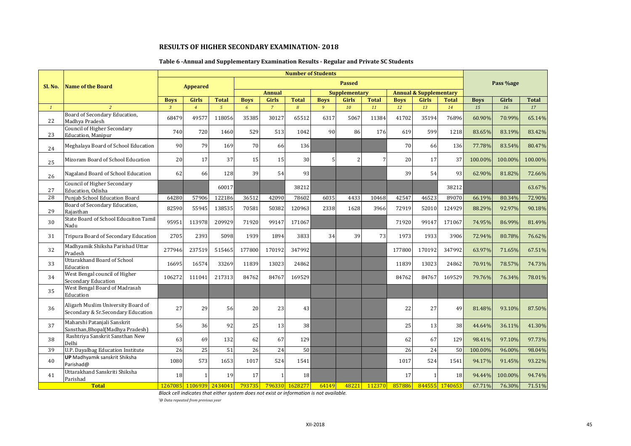## **Table 6 -Annual and Supplementary Examination Results - Regular and Private SC Students**

|              |                                                                          |             |                                                                                  |                         |             |                | <b>Number of Students</b> |                |                          |              |             |                                   |              |             |           |              |
|--------------|--------------------------------------------------------------------------|-------------|----------------------------------------------------------------------------------|-------------------------|-------------|----------------|---------------------------|----------------|--------------------------|--------------|-------------|-----------------------------------|--------------|-------------|-----------|--------------|
| Sl. No.      | <b>Name of the Board</b>                                                 |             | <b>Appeared</b>                                                                  |                         |             |                |                           |                | <b>Passed</b>            |              |             |                                   |              |             | Pass %age |              |
|              |                                                                          |             | <b>Total</b><br>Girls<br>$\overline{3}$<br>5 <sup>5</sup><br>$\overline{4}$<br>6 |                         |             |                |                           |                | <b>Supplementary</b>     |              |             | <b>Annual &amp; Supplementary</b> |              |             |           |              |
|              |                                                                          | <b>Boys</b> |                                                                                  |                         | <b>Boys</b> | <b>Girls</b>   | <b>Total</b>              | <b>Boys</b>    | <b>Girls</b>             | <b>Total</b> | <b>Boys</b> | <b>Girls</b>                      | <b>Total</b> | <b>Boys</b> | Girls     | <b>Total</b> |
| $\mathbf{1}$ | 2                                                                        |             |                                                                                  |                         |             | $\overline{7}$ | 8                         | $\overline{9}$ | 10                       | 11           | 12          | 13                                | 14           | 15          | 16        | 17           |
| 22           | Board of Secondary Education,<br>Madhya Pradesh                          | 68479       | 49577                                                                            | 118056                  | 35385       | 30127          | 65512                     | 6317           | 5067                     | 11384        | 41702       | 35194                             | 76896        | 60.90%      | 70.99%    | 65.14%       |
| 23           | Council of Higher Secondary<br><b>Education</b> , Manipur                | 740         | 720                                                                              | 1460                    | 529         | 513            | 1042                      | 90             | 86                       | 176          | 619         | 599                               | 1218         | 83.65%      | 83.19%    | 83.42%       |
| 24           | Meghalaya Board of School Education                                      | 90          | 79                                                                               | 169                     | 70          | 66             | 136                       |                |                          |              | 70          | 66                                | 136          | 77.78%      | 83.54%    | 80.47%       |
| 25           | Mizoram Board of School Education                                        | 20          | 17                                                                               | 37                      | 15          | 15             | 30                        | 5              | $\overline{\mathcal{L}}$ |              | 20          | 17                                | 37           | 100.00%     | 100.00%   | 100.00%      |
| 26           | Nagaland Board of School Education                                       | 62          | 66                                                                               | 128                     | 39          | 54             | 93                        |                |                          |              | 39          | 54                                | 93           | 62.90%      | 81.82%    | 72.66%       |
| 27           | Council of Higher Secondary<br>Education. Odisha                         |             |                                                                                  | 60017                   |             |                | 38212                     |                |                          |              |             |                                   | 38212        |             |           | 63.67%       |
| 28           | Punjab School Education Board                                            | 64280       | 57906                                                                            | 122186                  | 36512       | 42090          | 78602                     | 6035           | 4433                     | 10468        | 42547       | 46523                             | 89070        | 66.19%      | 80.34%    | 72.90%       |
| 29           | Board of Secondary Education,<br>Raiasthan                               | 82590       | 55945                                                                            | 138535                  | 70581       | 50382          | 120963                    | 2338           | 1628                     | 3966         | 72919       | 52010                             | 124929       | 88.29%      | 92.97%    | 90.18%       |
| 30           | State Board of School Educaiton Tamil<br>Nadu                            | 95951       | 113978                                                                           | 209929                  | 71920       | 99147          | 171067                    |                |                          |              | 71920       | 99147                             | 171067       | 74.95%      | 86.99%    | 81.49%       |
| 31           | Tripura Board of Secondary Education                                     | 2705        | 2393                                                                             | 5098                    | 1939        | 1894           | 3833                      | 34             | 39                       | 73           | 1973        | 1933                              | 3906         | 72.94%      | 80.78%    | 76.62%       |
| 32           | Madhyamik Shiksha Parishad Uttar<br>Pradesh                              | 277946      | 237519                                                                           | 515465                  | 177800      | 170192         | 347992                    |                |                          |              | 177800      | 170192                            | 347992       | 63.97%      | 71.65%    | 67.51%       |
| 33           | <b>Uttarakhand Board of School</b><br>Education                          | 16695       | 16574                                                                            | 33269                   | 11839       | 13023          | 24862                     |                |                          |              | 11839       | 13023                             | 24862        | 70.91%      | 78.57%    | 74.73%       |
| 34           | West Bengal council of Higher<br>Secondary Education                     | 106272      | 111041                                                                           | 217313                  | 84762       | 84767          | 169529                    |                |                          |              | 84762       | 84767                             | 169529       | 79.76%      | 76.34%    | 78.01%       |
| 35           | West Bengal Board of Madrasah<br>Education                               |             |                                                                                  |                         |             |                |                           |                |                          |              |             |                                   |              |             |           |              |
| 36           | Aligarh Muslim University Board of<br>Secondary & Sr.Secondary Education | 27          | 29                                                                               | 56                      | 20          | 23             | 43                        |                |                          |              | 22          | 27                                | 49           | 81.48%      | 93.10%    | 87.50%       |
| 37           | Maharshi Patanjali Sanskrit<br>Sansthan, Bhopal (Madhya Pradesh)         | 56          | 36                                                                               | 92                      | 25          | 13             | 38                        |                |                          |              | 25          | 13 <sup>1</sup>                   | 38           | 44.64%      | 36.11%    | 41.30%       |
| 38           | Rashtriya Sanskrit Sansthan New<br>Delhi                                 | 63          | 69                                                                               | 132                     | 62          | 67             | 129                       |                |                          |              | 62          | 67                                | 129          | 98.41%      | 97.10%    | 97.73%       |
| 39           | U.P. Dayalbag Education Institute                                        | 26          | 25                                                                               | 51                      | 26          | 24             | 50                        |                |                          |              | 26          | 24                                | 50           | 100.00%     | 96.00%    | 98.04%       |
| 40           | <b>UP</b> Madhyamik sanskrit Shiksha<br>Parishad@                        | 1080        | 573                                                                              | 1653                    | 1017        | 524            | 1541                      |                |                          |              | 1017        | 524                               | 1541         | 94.17%      | 91.45%    | 93.22%       |
| 41           | Uttarakhand Sanskriti Shiksha<br>Parishad                                | 18          |                                                                                  | 19                      | 17          |                | 18                        |                |                          |              | 17          |                                   | 18           | 94.44%      | 100.00%   | 94.74%       |
|              | <b>Total</b>                                                             |             |                                                                                  | 1267085 1106939 2434041 | 793735      |                | 796330 1628277            | 64149          | 48221                    | 112370       | 857886      | 844555                            | 1740653      | 67.71%      | 76.30%    | 71.51%       |

*Black cell indicates that either system does not exist or information is not available.*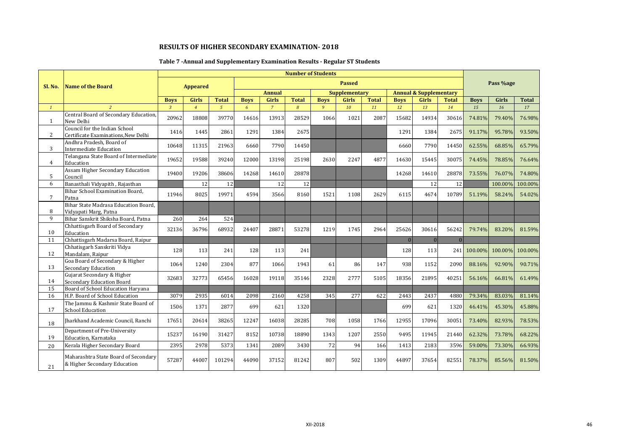## **Table 7 -Annual and Supplementary Examination Results - Regular ST Students**

|              |                                                                      |                |                 |               |             |                | <b>Number of Students</b> |              |                      |              |             |                                   |              |             |           |              |
|--------------|----------------------------------------------------------------------|----------------|-----------------|---------------|-------------|----------------|---------------------------|--------------|----------------------|--------------|-------------|-----------------------------------|--------------|-------------|-----------|--------------|
| Sl. No.      | <b>Name of the Board</b>                                             |                | <b>Appeared</b> |               |             |                |                           |              | <b>Passed</b>        |              |             |                                   |              |             | Pass %age |              |
|              |                                                                      |                |                 |               |             | <b>Annual</b>  |                           |              | <b>Supplementary</b> |              |             | <b>Annual &amp; Supplementary</b> |              |             |           |              |
|              |                                                                      | <b>Boys</b>    | <b>Girls</b>    | <b>Total</b>  | <b>Boys</b> | <b>Girls</b>   | <b>Total</b>              | <b>Boys</b>  | <b>Girls</b>         | <b>Total</b> | <b>Boys</b> | <b>Girls</b>                      | <b>Total</b> | <b>Boys</b> | Girls     | <b>Total</b> |
| $\mathbf{1}$ |                                                                      | $\overline{3}$ | $\overline{4}$  | $\mathcal{L}$ | 6           | $\overline{7}$ | $\overline{R}$            | $\mathbf{q}$ | 10                   | 11           | 12          | 13                                | 14           | 15          | 16        | 17           |
| 1            | Central Board of Secondary Education,<br>New Delhi                   | 20962          | 18808           | 39770         | 14616       | 13913          | 28529                     | 1066         | 1021                 | 2087         | 15682       | 14934                             | 30616        | 74.81%      | 79.40%    | 76.98%       |
| $\mathbf{2}$ | Council for the Indian School<br>Certificate Examinations, New Delhi | 1416           | 1445            | 2861          | 1291        | 1384           | 2675                      |              |                      |              | 1291        | 1384                              | 2675         | 91.17%      | 95.78%    | 93.50%       |
| 3            | Andhra Pradesh, Board of<br><b>Intermediate Education</b>            | 10648          | 11315           | 21963         | 6660        | 7790           | 14450                     |              |                      |              | 6660        | 7790                              | 14450        | 62.55%      | 68.85%    | 65.79%       |
| 4            | Telangana State Board of Intermediate<br>Education                   | 19652          | 19588           | 39240         | 12000       | 13198          | 25198                     | 2630         | 2247                 | 4877         | 14630       | 15445                             | 30075        | 74.45%      | 78.85%    | 76.64%       |
| 5            | Assam Higher Secondary Education<br>Council                          | 19400          | 19206           | 38606         | 14268       | 14610          | 28878                     |              |                      |              | 14268       | 14610                             | 28878        | 73.55%      | 76.07%    | 74.80%       |
| 6            | Banasthali Vidyapith, Rajasthan                                      |                | 12              | 12            |             | 12             | 12                        |              |                      |              |             | 12                                | 12           |             | 100.00%   | 100.00%      |
| $7^{\circ}$  | Bihar School Examination Board,<br>Patna                             | 11946          | 8025            | 19971         | 4594        | 3566           | 8160                      | 1521         | 1108                 | 2629         | 6115        | 4674                              | 10789        | 51.19%      | 58.24%    | 54.02%       |
| 8            | Bihar State Madrasa Education Board,<br>Vidyapati Marg, Patna        |                |                 |               |             |                |                           |              |                      |              |             |                                   |              |             |           |              |
| 9            | Bihar Sanskrit Shiksha Board, Patna                                  | 260            | 264             | 524           |             |                |                           |              |                      |              |             |                                   |              |             |           |              |
| 10           | Chhattisgarh Board of Secondary<br>Education                         | 32136          | 36796           | 68932         | 24407       | 28871          | 53278                     | 1219         | 1745                 | 2964         | 25626       | 30616                             | 56242        | 79.74%      | 83.20%    | 81.59%       |
| 11           | Chhattisgarh Madarsa Board, Raipur                                   |                |                 |               |             |                |                           |              |                      |              | $\Omega$    | $\overline{0}$                    | $\mathbf{0}$ |             |           |              |
| 12           | Chhatisgarh Sanskriti Vidya<br>Mandalam, Raipur                      | 128            | 113             | 241           | 128         | 113            | 241                       |              |                      |              | 128         | 113                               | 241          | 100.00%     | 100.00%   | 100.00%      |
| 13           | Goa Board of Secondary & Higher<br><b>Secondary Education</b>        | 1064           | 1240            | 2304          | 877         | 1066           | 1943                      | 61           | 86                   | 147          | 938         | 1152                              | 2090         | 88.16%      | 92.90%    | 90.71%       |
| 14           | Gujarat Secondary & Higher<br><b>Secondary Education Board</b>       | 32683          | 32773           | 65456         | 16028       | 19118          | 35146                     | 2328         | 2777                 | 5105         | 18356       | 21895                             | 40251        | 56.16%      | 66.81%    | 61.49%       |
| 15           | Board of School Education Haryana                                    |                |                 |               |             |                |                           |              |                      |              |             |                                   |              |             |           |              |
| 16           | H.P. Board of School Education                                       | 3079           | 2935            | 6014          | 2098        | 2160           | 4258                      | 345          | 277                  | 622          | 2443        | 2437                              | 4880         | 79.34%      | 83.03%    | 81.14%       |
| 17           | The Jammu & Kashmir State Board of<br><b>School Education</b>        | 1506           | 1371            | 2877          | 699         | 621            | 1320                      |              |                      |              | 699         | 621                               | 1320         | 46.41%      | 45.30%    | 45.88%       |
| 18           | Jharkhand Academic Council, Ranchi                                   | 17651          | 20614           | 38265         | 12247       | 16038          | 28285                     | 708          | 1058                 | 1766         | 12955       | 17096                             | 30051        | 73.40%      | 82.93%    | 78.53%       |
| 19           | Department of Pre-University<br>Education, Karnataka                 | 15237          | 16190           | 31427         | 8152        | 10738          | 18890                     | 1343         | 1207                 | 2550         | 9495        | 11945                             | 21440        | 62.32%      | 73.78%    | 68.22%       |
| 20           | Kerala Higher Secondary Board                                        | 2395           | 2978            | 5373          | 1341        | 2089           | 3430                      | 72           | 94                   | 166          | 1413        | 2183                              | 3596         | 59.00%      | 73.30%    | 66.93%       |
| 21           | Maharashtra State Board of Secondary<br>& Higher Secondary Education | 57287          | 44007           | 101294        | 44090       | 37152          | 81242                     | 807          | 502                  | 1309         | 44897       | 37654                             | 82551        | 78.37%      | 85.56%    | 81.50%       |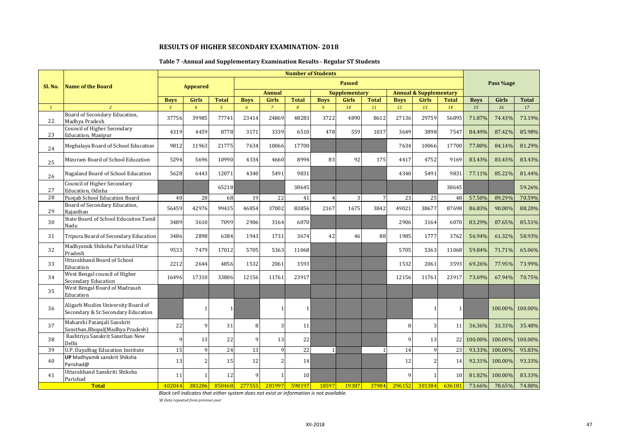## **Table 7 -Annual and Supplementary Examination Results - Regular ST Students**

|              |                                                                          |                |                 |                |             |                | <b>Number of Students</b> |                |                      |                 |             |                                   |              |             |                |              |
|--------------|--------------------------------------------------------------------------|----------------|-----------------|----------------|-------------|----------------|---------------------------|----------------|----------------------|-----------------|-------------|-----------------------------------|--------------|-------------|----------------|--------------|
| Sl. No.      | <b>Name of the Board</b>                                                 |                | <b>Appeared</b> |                |             |                |                           |                | <b>Passed</b>        |                 |             |                                   |              |             | Pass %age      |              |
|              |                                                                          |                |                 |                |             | <b>Annual</b>  |                           |                | <b>Supplementary</b> |                 |             | <b>Annual &amp; Supplementary</b> |              |             |                |              |
|              |                                                                          | <b>Boys</b>    | <b>Girls</b>    | <b>Total</b>   | <b>Boys</b> | <b>Girls</b>   | <b>Total</b>              | <b>Boys</b>    | Girls                | <b>Total</b>    | <b>Boys</b> | <b>Girls</b>                      | <b>Total</b> | <b>Boys</b> | Girls          | <b>Total</b> |
| $\mathbf{1}$ | $\overline{2}$                                                           | $\overline{3}$ | $\overline{4}$  | 5 <sup>5</sup> | 6           | $\overline{7}$ | $\overline{8}$            | 9              | 10                   | 11              | 12          | 13                                | 14           | 15          | 16             | 17           |
| 22           | Board of Secondary Education,<br>Madhva Pradesh                          | 37756          | 39985           | 77741          | 23414       | 24869          | 48283                     | 3722           | 4890                 | 8612            | 27136       | 29759                             | 56895        | 71.87%      | 74.43%         | 73.19%       |
| 23           | Council of Higher Secondary<br><b>Education</b> , Manipur                | 4319           | 4459            | 8778           | 3171        | 3339           | 6510                      | 478            | 559                  | 1037            | 3649        | 3898                              | 7547         | 84.49%      | 87.42%         | 85.98%       |
| 24           | Meghalaya Board of School Education                                      | 9812           | 11963           | 21775          | 7634        | 10066          | 17700                     |                |                      |                 | 7634        | 10066                             | 17700        | 77.80%      | 84.14%         | 81.29%       |
| 25           | Mizoram Board of School Education                                        | 5294           | 5696            | 10990          | 4334        | 4660           | 8994                      | 83             | 92                   | 175             | 4417        | 4752                              | 9169         | 83.43%      | 83.43%         | 83.43%       |
| 26           | Nagaland Board of School Education                                       | 5628           | 6443            | 12071          | 4340        | 5491           | 9831                      |                |                      |                 | 4340        | 5491                              | 9831         | 77.11%      | 85.22%         | 81.44%       |
| 27           | Council of Higher Secondary<br>Education, Odisha                         |                |                 | 65218          |             |                | 38645                     |                |                      |                 |             |                                   | 38645        |             |                | 59.26%       |
| 28           | Punjab School Education Board                                            | 40             | 28              | 68             | 19          | 22             | 41                        | $\overline{4}$ | 3                    | $7\phantom{.0}$ | 23          | 25                                | 48           | 57.50%      | 89.29%         | 70.59%       |
| 29           | Board of Secondary Education,<br>Raiasthan                               | 56459          | 42976           | 99435          | 46854       | 37002          | 83856                     | 2167           | 1675                 | 3842            | 49021       | 38677                             | 87698        | 86.83%      | 90.00%         | 88.20%       |
| 30           | State Board of School Educaiton Tamil<br>Nadu                            | 3489           | 3610            | 7099           | 2906        | 3164           | 6070                      |                |                      |                 | 2906        | 3164                              | 6070         | 83.29%      | 87.65%         | 85.51%       |
| 31           | Tripura Board of Secondary Education                                     | 3486           | 2898            | 6384           | 1943        | 1731           | 3674                      | 42             | 46                   | 88              | 1985        | 1777                              | 3762         | 56.94%      | 61.32%         | 58.93%       |
| 32           | Madhyamik Shiksha Parishad Uttar<br>Pradesh                              | 9533           | 7479            | 17012          | 5705        | 5363           | 11068                     |                |                      |                 | 5705        | 5363                              | 11068        | 59.84%      | 71.71%         | 65.06%       |
| 33           | <b>Uttarakhand Board of School</b><br>Education                          | 2212           | 2644            | 4856           | 1532        | 2061           | 3593                      |                |                      |                 | 1532        | 2061                              | 3593         | 69.26%      | 77.95%         | 73.99%       |
| 34           | West Bengal council of Higher<br><b>Secondary Education</b>              | 16496          | 17310           | 33806          | 12156       | 11761          | 23917                     |                |                      |                 | 12156       | 11761                             | 23917        | 73.69%      | 67.94%         | 70.75%       |
| 35           | West Bengal Board of Madrasah<br>Education                               |                |                 |                |             |                |                           |                |                      |                 |             |                                   |              |             |                |              |
| 36           | Aligarh Muslim University Board of<br>Secondary & Sr.Secondary Education |                |                 | $\mathbf{1}$   |             | $\mathbf{1}$   | 1                         |                |                      |                 |             |                                   | $\mathbf{1}$ |             | 100.00%        | 100.00%      |
| 37           | Maharshi Patanjali Sanskrit<br>Sansthan, Bhopal (Madhya Pradesh)         | 22             | 9               | 31             | 8           | 3              | 11                        |                |                      |                 | 8           | 3                                 | 11           | 36.36%      | 33.33%         | 35.48%       |
| 38           | Rashtriya Sanskrit Sansthan New<br>Delhi                                 | $\mathbf{Q}$   | 13              | 22             | 9           | 13             | 22                        |                |                      |                 | 9           | 13                                | 22           | 100.00%     | 100.00%        | 100.00%      |
| 39           | U.P. Dayalbag Education Institute                                        | 15             | 9               | 24             | 13          | 9              | 22                        | $\mathbf{1}$   |                      |                 | 14          | $\mathbf{q}$                      | 23           | 93.33%      | 100.00%        | 95.83%       |
| 40           | <b>UP</b> Madhyamik sanskrit Shiksha<br>Parishad@                        | 13             | 2               | 15             | 12          | $\overline{2}$ | 14                        |                |                      |                 | 12          | $\mathcal{P}$                     | 14           |             | 92.31% 100.00% | 93.33%       |
| 41           | Uttarakhand Sanskriti Shiksha<br>Parishad                                | 11             |                 | 12             | q           | $\mathbf{1}$   | 10                        |                |                      |                 | 9           |                                   | 10           | 81.82%      | 100.00%        | 83.33%       |
|              | <b>Total</b>                                                             | 402044         | 383206          | 850468         | 277555      | 281997         | 598197                    | 18597          | 19387                | 37984           | 296152      | 301384                            | 636181       | 73.66%      | 78.65%         | 74.80%       |

*Black cell indicates that either system does not exist or information is not available.*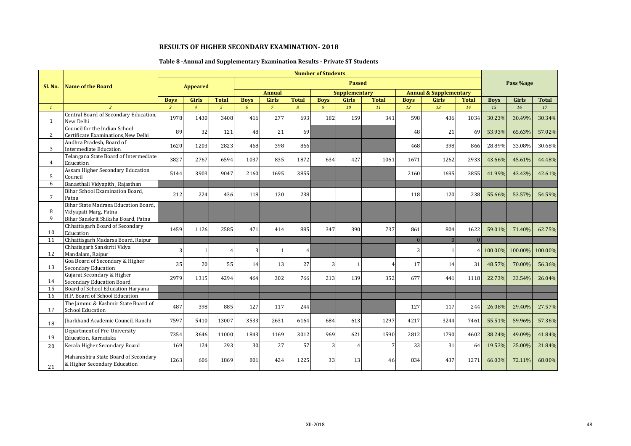## **Table 8 -Annual and Supplementary Examination Results - Private ST Students**

|                 |                                                                      |                |                 |              |             |                |                | <b>Number of Students</b> |                      |              |             |                                   |                |                 |           |              |
|-----------------|----------------------------------------------------------------------|----------------|-----------------|--------------|-------------|----------------|----------------|---------------------------|----------------------|--------------|-------------|-----------------------------------|----------------|-----------------|-----------|--------------|
| Sl. No.         | <b>Name of the Board</b>                                             |                | <b>Appeared</b> |              |             |                |                |                           | <b>Passed</b>        |              |             |                                   |                |                 | Pass %age |              |
|                 |                                                                      |                |                 |              |             | <b>Annual</b>  |                |                           | <b>Supplementary</b> |              |             | <b>Annual &amp; Supplementary</b> |                |                 |           |              |
|                 |                                                                      | <b>Boys</b>    | <b>Girls</b>    | <b>Total</b> | <b>Boys</b> | Girls          | <b>Total</b>   | <b>Boys</b>               | <b>Girls</b>         | <b>Total</b> | <b>Boys</b> | <b>Girls</b>                      | <b>Total</b>   | <b>Boys</b>     | Girls     | <b>Total</b> |
| $\mathbf{1}$    |                                                                      | $\overline{3}$ | $\overline{A}$  | $\sqrt{5}$   | 6           | $\overline{7}$ | $\overline{8}$ | 9                         | 10                   | 11           | 12          | 13                                | 14             | 15              | 16        | 17           |
| 1               | Central Board of Secondary Education,<br>New Delhi                   | 1978           | 1430            | 3408         | 416         | 277            | 693            | 182                       | 159                  | 341          | 598         | 436                               | 1034           | 30.23%          | 30.49%    | 30.34%       |
| 2               | Council for the Indian School<br>Certificate Examinations, New Delhi | 89             | 32              | 121          | 48          | 21             | 69             |                           |                      |              | 48          | 21                                | 69             | 53.93%          | 65.63%    | 57.02%       |
| 3               | Andhra Pradesh, Board of<br>Intermediate Education                   | 1620           | 1203            | 2823         | 468         | 398            | 866            |                           |                      |              | 468         | 398                               | 866            | 28.89%          | 33.08%    | 30.68%       |
| $4^{\circ}$     | Telangana State Board of Intermediate<br>Education                   | 3827           | 2767            | 6594         | 1037        | 835            | 1872           | 634                       | 427                  | 1061         | 1671        | 1262                              | 2933           | 43.66%          | 45.61%    | 44.48%       |
| 5               | Assam Higher Secondary Education<br>Council                          | 5144           | 3903            | 9047         | 2160        | 1695           | 3855           |                           |                      |              | 2160        | 1695                              | 3855           | 41.99%          | 43.43%    | 42.61%       |
| 6               | Banasthali Vidyapith, Rajasthan                                      |                |                 |              |             |                |                |                           |                      |              |             |                                   |                |                 |           |              |
| $\overline{7}$  | Bihar School Examination Board,<br>Patna                             | 212            | 224             | 436          | 118         | 120            | 238            |                           |                      |              | 118         | 120                               | 238            | 55.66%          | 53.57%    | 54.59%       |
| 8               | Bihar State Madrasa Education Board,<br>Vidyapati Marg, Patna        |                |                 |              |             |                |                |                           |                      |              |             |                                   |                |                 |           |              |
| 9               | Bihar Sanskrit Shiksha Board, Patna                                  |                |                 |              |             |                |                |                           |                      |              |             |                                   |                |                 |           |              |
| 10              | Chhattisgarh Board of Secondary<br>Education                         | 1459           | 1126            | 2585         | 471         | 414            | 885            | 347                       | 390                  | 737          | 861         | 804                               | 1622           | 59.01%          | 71.40%    | 62.75%       |
| 11              | Chhattisgarh Madarsa Board, Raipur                                   |                |                 |              |             |                |                |                           |                      |              | $\Omega$    | $\overline{0}$                    | $\overline{0}$ |                 |           |              |
| 12              | Chhatisgarh Sanskriti Vidya<br>Mandalam, Raipur                      | $\overline{3}$ |                 |              | 3           |                | $\overline{4}$ |                           |                      |              | 3           |                                   |                | 100.00% 100.00% |           | 100.00%      |
| 13              | Goa Board of Secondary & Higher<br>Secondary Education               | 35             | 20              | 55           | 14          | 13             | 27             | 3                         | $\mathbf{1}$         | 4            | 17          | 14                                | 31             | 48.57%          | 70.00%    | 56.36%       |
| 14              | Gujarat Secondary & Higher<br>Secondary Education Board              | 2979           | 1315            | 4294         | 464         | 302            | 766            | 213                       | 139                  | 352          | 677         | 441                               | 1118           | 22.73%          | 33.54%    | 26.04%       |
| $\overline{15}$ | Board of School Education Haryana                                    |                |                 |              |             |                |                |                           |                      |              |             |                                   |                |                 |           |              |
| 16              | H.P. Board of School Education                                       |                |                 |              |             |                |                |                           |                      |              |             |                                   |                |                 |           |              |
| 17              | The Jammu & Kashmir State Board of<br><b>School Education</b>        | 487            | 398             | 885          | 127         | 117            | 244            |                           |                      |              | 127         | 117                               | 244            | 26.08%          | 29.40%    | 27.57%       |
| 18              | Iharkhand Academic Council, Ranchi                                   | 7597           | 5410            | 13007        | 3533        | 2631           | 6164           | 684                       | 613                  | 1297         | 4217        | 3244                              | 7461           | 55.51%          | 59.96%    | 57.36%       |
| 19              | Department of Pre-University<br>Education, Karnataka                 | 7354           | 3646            | 11000        | 1843        | 1169           | 3012           | 969                       | 621                  | 1590         | 2812        | 1790                              | 4602           | 38.24%          | 49.09%    | 41.84%       |
| 20              | Kerala Higher Secondary Board                                        | 169            | 124             | 293          | 30          | 27             | 57             | 3                         | $\overline{4}$       | 7            | 33          | 31                                | 64             | 19.53%          | 25.00%    | 21.84%       |
| 21              | Maharashtra State Board of Secondary<br>& Higher Secondary Education | 1263           | 606             | 1869         | 801         | 424            | 1225           | 33                        | 13                   | 46           | 834         | 437                               | 1271           | 66.03%          | 72.11%    | 68.00%       |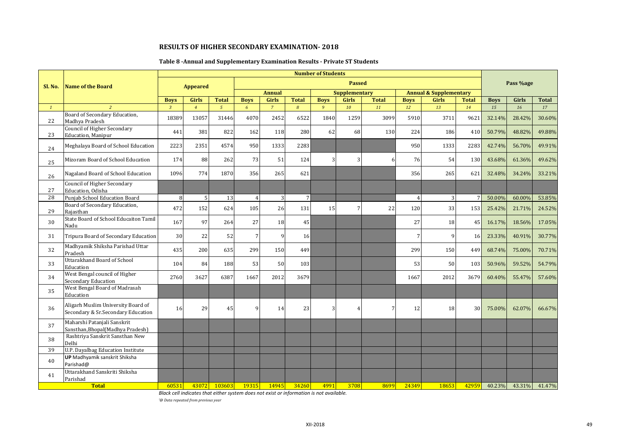## **Table 8 -Annual and Supplementary Examination Results - Private ST Students**

|              |                                                                          |                |                 |                |                |                |               | <b>Number of Students</b> |                             |              |                |                                   |                 |             |           |              |
|--------------|--------------------------------------------------------------------------|----------------|-----------------|----------------|----------------|----------------|---------------|---------------------------|-----------------------------|--------------|----------------|-----------------------------------|-----------------|-------------|-----------|--------------|
| Sl. No.      | <b>Name of the Board</b>                                                 |                | <b>Appeared</b> |                |                |                |               |                           | <b>Passed</b>               |              |                |                                   |                 |             | Pass %age |              |
|              |                                                                          |                |                 |                |                | <b>Annual</b>  |               |                           | <b>Supplementary</b>        |              |                | <b>Annual &amp; Supplementary</b> |                 |             |           |              |
|              |                                                                          | <b>Boys</b>    | <b>Girls</b>    | <b>Total</b>   | <b>Boys</b>    | Girls          | <b>Total</b>  | <b>Boys</b>               | <b>Girls</b>                | <b>Total</b> | <b>Boys</b>    | <b>Girls</b>                      | <b>Total</b>    | <b>Boys</b> | Girls     | <b>Total</b> |
| $\mathbf{1}$ | $\overline{2}$                                                           | $\overline{3}$ | $\overline{4}$  | $\mathfrak{s}$ | 6              | $\overline{7}$ | $\mathcal{B}$ | 9                         | 10                          | 11           | 12             | 13                                | 14              | 15          | 16        | 17           |
| 22           | Board of Secondary Education,<br>Madhva Pradesh                          | 18389          | 13057           | 31446          | 4070           | 2452           | 6522          | 1840                      | 1259                        | 3099         | 5910           | 3711                              | 9621            | 32.14%      | 28.42%    | 30.60%       |
| 23           | <b>Council of Higher Secondary</b><br><b>Education</b> , Manipur         | 441            | 381             | 822            | 162            | 118            | 280           | 62                        | 68                          | 130          | 224            | 186                               | 410             | 50.79%      | 48.82%    | 49.88%       |
| 24           | Meghalaya Board of School Education                                      | 2223           | 2351            | 4574           | 950            | 1333           | 2283          |                           |                             |              | 950            | 1333                              | 2283            | 42.74%      | 56.70%    | 49.91%       |
| 25           | Mizoram Board of School Education                                        | 174            | 88              | 262            | 73             | 51             | 124           | 3                         | 3                           | 6            | 76             | 54                                | 130             | 43.68%      | 61.36%    | 49.62%       |
| 26           | Nagaland Board of School Education                                       | 1096           | 774             | 1870           | 356            | 265            | 621           |                           |                             |              | 356            | 265                               | 621             | 32.48%      | 34.24%    | 33.21%       |
| 27           | <b>Council of Higher Secondary</b><br>Education, Odisha                  |                |                 |                |                |                |               |                           |                             |              |                |                                   |                 |             |           |              |
| 28           | Puniab School Education Board                                            | 8              | 5               | 13             | $\overline{4}$ | 3              |               |                           |                             |              | $\overline{4}$ | 3                                 | $\overline{7}$  | 50.00%      | 60.00%    | 53.85%       |
| 29           | Board of Secondary Education,<br>Rajasthan                               | 472            | 152             | 624            | 105            | 26             | 131           | 15                        | 7                           | 22           | 120            | 33                                | 153             | 25.42%      | 21.71%    | 24.52%       |
| 30           | State Board of School Educaiton Tamil<br>Nadu                            | 167            | 97              | 264            | 27             | 18             | 45            |                           |                             |              | 27             | <b>18</b>                         | 45              | 16.17%      | 18.56%    | 17.05%       |
| 31           | Tripura Board of Secondary Education                                     | 30             | 22              | 52             | $\overline{7}$ | 9              | 16            |                           |                             |              | 7              | $\mathbf{q}$                      | <b>16</b>       | 23.33%      | 40.91%    | 30.77%       |
| 32           | Madhyamik Shiksha Parishad Uttar<br>Pradesh                              | 435            | 200             | 635            | 299            | 150            | 449           |                           |                             |              | 299            | 150                               | 449             | 68.74%      | 75.00%    | 70.71%       |
| 33           | <b>Uttarakhand Board of School</b><br>Education                          | 104            | 84              | 188            | 53             | 50             | 103           |                           |                             |              | 53             | 50                                | 103             | 50.96%      | 59.52%    | 54.79%       |
| 34           | West Bengal council of Higher<br>Secondary Education                     | 2760           | 3627            | 6387           | 1667           | 2012           | 3679          |                           |                             |              | 1667           | 2012                              | 3679            | 60.40%      | 55.47%    | 57.60%       |
| 35           | West Bengal Board of Madrasah<br>Education                               |                |                 |                |                |                |               |                           |                             |              |                |                                   |                 |             |           |              |
| 36           | Aligarh Muslim University Board of<br>Secondary & Sr.Secondary Education | 16             | 29              | 45             | 9              | 14             | 23            | 3                         | $\boldsymbol{\vartriangle}$ | 7            | 12             | 18                                | 30 <sup>1</sup> | 75.00%      | 62.07%    | 66.67%       |
| 37           | Maharshi Patanjali Sanskrit<br>Sansthan, Bhopal (Madhya Pradesh)         |                |                 |                |                |                |               |                           |                             |              |                |                                   |                 |             |           |              |
| 38           | Rashtriya Sanskrit Sansthan New<br>Delhi                                 |                |                 |                |                |                |               |                           |                             |              |                |                                   |                 |             |           |              |
| 39           | U.P. Dayalbag Education Institute                                        |                |                 |                |                |                |               |                           |                             |              |                |                                   |                 |             |           |              |
| 40           | UP Madhyamik sanskrit Shiksha<br>Parishad@                               |                |                 |                |                |                |               |                           |                             |              |                |                                   |                 |             |           |              |
| 41           | Uttarakhand Sanskriti Shiksha<br>Parishad                                |                |                 |                |                |                |               |                           |                             |              |                |                                   |                 |             |           |              |
|              | <b>Total</b>                                                             | 60531          | 43072           | 103603         | 19315          | 14945          | 34260         | 4991                      | 3708                        | 8699         | 24349          | 18653                             | 42959           | 40.23%      | 43.31%    | 41.47%       |

*Black cell indicates that either system does not exist or information is not available.*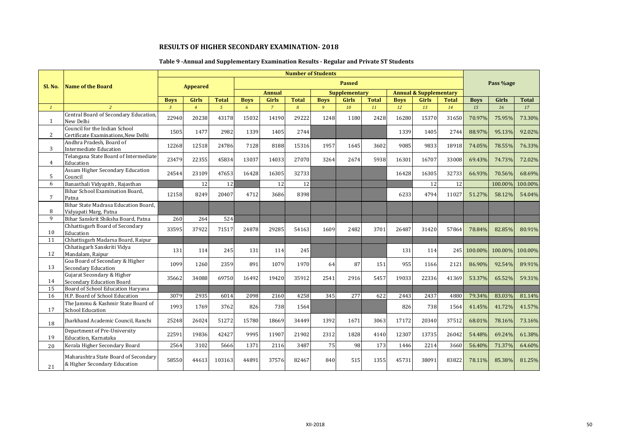## **Table 9 -Annual and Supplementary Examination Results - Regular and Private ST Students**

|                |                                                                      |                |                 |               |             |                |                | <b>Number of Students</b> |                      |              |             |                                   |              |                     |           |              |
|----------------|----------------------------------------------------------------------|----------------|-----------------|---------------|-------------|----------------|----------------|---------------------------|----------------------|--------------|-------------|-----------------------------------|--------------|---------------------|-----------|--------------|
| Sl. No.        | Name of the Board                                                    |                | <b>Appeared</b> |               |             |                |                |                           | <b>Passed</b>        |              |             |                                   |              |                     | Pass %age |              |
|                |                                                                      |                |                 |               |             | <b>Annual</b>  |                |                           | <b>Supplementary</b> |              |             | <b>Annual &amp; Supplementary</b> |              |                     |           |              |
|                |                                                                      | <b>Boys</b>    | <b>Girls</b>    | <b>Total</b>  | <b>Boys</b> | <b>Girls</b>   | <b>Total</b>   | <b>Boys</b>               | <b>Girls</b>         | <b>Total</b> | <b>Boys</b> | <b>Girls</b>                      | <b>Total</b> | <b>Boys</b>         | Girls     | <b>Total</b> |
| $\mathbf{1}$   | $\overline{2}$                                                       | $\overline{3}$ | $\overline{4}$  | $\mathcal{L}$ | 6           | $\overline{7}$ | $\overline{8}$ | 9                         | 10                   | 11           | 12          | 13                                | 14           | 1.5                 | 16        | 17           |
| $\mathbf{1}$   | Central Board of Secondary Education,<br>New Delhi                   | 22940          | 20238           | 43178         | 15032       | 14190          | 29222          | 1248                      | 1180                 | 2428         | 16280       | 15370                             | 31650        | 70.97%              | 75.95%    | 73.30%       |
| $\overline{2}$ | Council for the Indian School<br>Certificate Examinations, New Delhi | 1505           | 1477            | 2982          | 1339        | 1405           | 2744           |                           |                      |              | 1339        | 1405                              | 2744         | 88.97%              | 95.13%    | 92.02%       |
| 3              | Andhra Pradesh, Board of<br><b>Intermediate Education</b>            | 12268          | 12518           | 24786         | 7128        | 8188           | 15316          | 1957                      | 1645                 | 3602         | 9085        | 9833                              | 18918        | 74.05%              | 78.55%    | 76.33%       |
| $\overline{4}$ | Telangana State Board of Intermediate<br>Education                   | 23479          | 22355           | 45834         | 13037       | 14033          | 27070          | 3264                      | 2674                 | 5938         | 16301       | 16707                             | 33008        | 69.43%              | 74.73%    | 72.02%       |
| 5              | <b>Assam Higher Secondary Education</b><br>Council                   | 24544          | 23109           | 47653         | 16428       | 16305          | 32733          |                           |                      |              | 16428       | 16305                             | 32733        | 66.93%              | 70.56%    | 68.69%       |
| 6              | Banasthali Vidyapith, Rajasthan                                      |                | 12              | 12            |             | 12             | 12             |                           |                      |              |             | 12                                | 12           |                     | 100.00%   | 100.00%      |
| $\overline{7}$ | Bihar School Examination Board,<br>Patna                             | 12158          | 8249            | 20407         | 4712        | 3686           | 8398           |                           |                      |              | 6233        | 4794                              | 11027        | 51.27%              | 58.12%    | 54.04%       |
| 8              | Bihar State Madrasa Education Board,<br>Vidyapati Marg, Patna        |                |                 |               |             |                |                |                           |                      |              |             |                                   |              |                     |           |              |
| 9              | Bihar Sanskrit Shiksha Board, Patna                                  | 260            | 264             | 524           |             |                |                |                           |                      |              |             |                                   |              |                     |           |              |
| 10             | Chhattisgarh Board of Secondary<br>Education                         | 33595          | 37922           | 71517         | 24878       | 29285          | 54163          | 1609                      | 2482                 | 3701         | 26487       | 31420                             | 57864        | 78.84%              | 82.85%    | 80.91%       |
| 11             | Chhattisgarh Madarsa Board, Raipur                                   |                |                 |               |             |                |                |                           |                      |              |             |                                   |              |                     |           |              |
| 12             | Chhatisgarh Sanskriti Vidya<br>Mandalam, Raipur                      | 131            | 114             | 245           | 131         | 114            | 245            |                           |                      |              | 131         | 114                               |              | 245 100.00% 100.00% |           | 100.00%      |
| 13             | Goa Board of Secondary & Higher<br>Secondary Education               | 1099           | 1260            | 2359          | 891         | 1079           | 1970           | 64                        | 87                   | 151          | 955         | 1166                              | 2121         | 86.90%              | 92.54%    | 89.91%       |
| 14             | Gujarat Secondary & Higher<br><b>Secondary Education Board</b>       | 35662          | 34088           | 69750         | 16492       | 19420          | 35912          | 2541                      | 2916                 | 5457         | 19033       | 22336                             | 41369        | 53.37%              | 65.52%    | 59.31%       |
| 15             | <b>Board of School Education Haryana</b>                             |                |                 |               |             |                |                |                           |                      |              |             |                                   |              |                     |           |              |
| 16             | H.P. Board of School Education                                       | 3079           | 2935            | 6014          | 2098        | 2160           | 4258           | 345                       | 277                  | 622          | 2443        | 2437                              | 4880         | 79.34%              | 83.03%    | 81.14%       |
| 17             | The Jammu & Kashmir State Board of<br><b>School Education</b>        | 1993           | 1769            | 3762          | 826         | 738            | 1564           |                           |                      |              | 826         | 738                               | 1564         | 41.45%              | 41.72%    | 41.57%       |
| 18             | Iharkhand Academic Council, Ranchi                                   | 25248          | 26024           | 51272         | 15780       | 18669          | 34449          | 1392                      | 1671                 | 3063         | 17172       | 20340                             | 37512        | 68.01%              | 78.16%    | 73.16%       |
| 19             | Department of Pre-University<br>Education, Karnataka                 | 22591          | 19836           | 42427         | 9995        | 11907          | 21902          | 2312                      | 1828                 | 4140         | 12307       | 13735                             | 26042        | 54.48%              | 69.24%    | 61.38%       |
| 20             | Kerala Higher Secondary Board                                        | 2564           | 3102            | 5666          | 1371        | 2116           | 3487           | 75                        | 98                   | 173          | 1446        | 2214                              | 3660         | 56.40%              | 71.37%    | 64.60%       |
| 21             | Maharashtra State Board of Secondary<br>& Higher Secondary Education | 58550          | 44613           | 103163        | 44891       | 37576          | 82467          | 840                       | 515                  | 1355         | 45731       | 38091                             | 83822        | 78.11%              | 85.38%    | 81.25%       |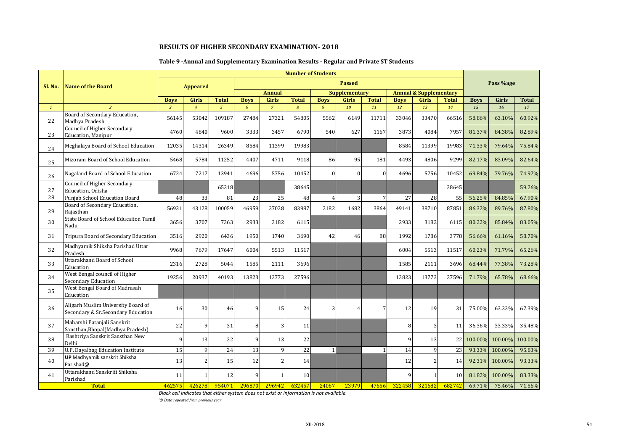## **Table 9 -Annual and Supplementary Examination Results - Regular and Private ST Students**

|              |                                                                          |                |                          |               |             |                | <b>Number of Students</b> |                |                      |                 |              |                                   |              |             |           |              |
|--------------|--------------------------------------------------------------------------|----------------|--------------------------|---------------|-------------|----------------|---------------------------|----------------|----------------------|-----------------|--------------|-----------------------------------|--------------|-------------|-----------|--------------|
| Sl. No.      | <b>Name of the Board</b>                                                 |                | <b>Appeared</b>          |               |             |                |                           |                | <b>Passed</b>        |                 |              |                                   |              |             | Pass %age |              |
|              |                                                                          |                |                          |               |             | <b>Annual</b>  |                           |                | <b>Supplementary</b> |                 |              | <b>Annual &amp; Supplementary</b> |              |             |           |              |
|              |                                                                          | <b>Boys</b>    | <b>Girls</b>             | <b>Total</b>  | <b>Boys</b> | <b>Girls</b>   | <b>Total</b>              | <b>Boys</b>    | <b>Girls</b>         | <b>Total</b>    | <b>Boys</b>  | <b>Girls</b>                      | <b>Total</b> | <b>Boys</b> | Girls     | <b>Total</b> |
| $\mathbf{1}$ | $\overline{2}$                                                           | $\overline{3}$ | $\overline{4}$           | $\mathcal{L}$ | 6           | $\overline{7}$ | $\overline{8}$            | 9              | 10                   | 11              | 12           | 13                                | 14           | 15          | 16        | 17           |
| 22           | Board of Secondary Education,<br>Madhya Pradesh                          | 56145          | 53042                    | 109187        | 27484       | 27321          | 54805                     | 5562           | 6149                 | 11711           | 33046        | 33470                             | 66516        | 58.86%      | 63.10%    | 60.92%       |
| 23           | Council of Higher Secondary<br>Education, Manipur                        | 4760           | 4840                     | 9600          | 3333        | 3457           | 6790                      | 540            | 627                  | 1167            | 3873         | 4084                              | 7957         | 81.37%      | 84.38%    | 82.89%       |
| 24           | Meghalaya Board of School Education                                      | 12035          | 14314                    | 26349         | 8584        | 11399          | 19983                     |                |                      |                 | 8584         | 11399                             | 19983        | 71.33%      | 79.64%    | 75.84%       |
| 25           | Mizoram Board of School Education                                        | 5468           | 5784                     | 11252         | 4407        | 4711           | 9118                      | 86             | 95                   | 181             | 4493         | 4806                              | 9299         | 82.17%      | 83.09%    | 82.64%       |
| 26           | Nagaland Board of School Education                                       | 6724           | 7217                     | 13941         | 4696        | 5756           | 10452                     | $\mathbf{0}$   | $\theta$             | $\Omega$        | 4696         | 5756                              | 10452        | 69.84%      | 79.76%    | 74.97%       |
| 27           | <b>Council of Higher Secondary</b><br>Education, Odisha                  |                |                          | 65218         |             |                | 38645                     |                |                      |                 |              |                                   | 38645        |             |           | 59.26%       |
| 28           | Punjab School Education Board                                            | 48             | 33                       | 81            | 23          | 25             | 48                        | $\overline{4}$ | $\overline{3}$       | $7\phantom{.0}$ | 27           | 28                                | 55           | 56.25%      | 84.85%    | 67.90%       |
| 29           | Board of Secondary Education,<br>Rajasthan                               | 56931          | 43128                    | 100059        | 46959       | 37028          | 83987                     | 2182           | 1682                 | 3864            | 49141        | 38710                             | 87851        | 86.32%      | 89.76%    | 87.80%       |
| 30           | State Board of School Educaiton Tamil<br>Nadu                            | 3656           | 3707                     | 7363          | 2933        | 3182           | 6115                      |                |                      |                 | 2933         | 3182                              | 6115         | 80.22%      | 85.84%    | 83.05%       |
| 31           | Tripura Board of Secondary Education                                     | 3516           | 2920                     | 6436          | 1950        | 1740           | 3690                      | 42             | 46                   | 88              | 1992         | 1786                              | 3778         | 56.66%      | 61.16%    | 58.70%       |
| 32           | Madhyamik Shiksha Parishad Uttar<br>Pradesh                              | 9968           | 7679                     | 17647         | 6004        | 5513           | 11517                     |                |                      |                 | 6004         | 5513                              | 11517        | 60.23%      | 71.79%    | 65.26%       |
| 33           | <b>Uttarakhand Board of School</b><br>Education                          | 2316           | 2728                     | 5044          | 1585        | 2111           | 3696                      |                |                      |                 | 1585         | 2111                              | 3696         | 68.44%      | 77.38%    | 73.28%       |
| 34           | West Bengal council of Higher<br>Secondary Education                     | 19256          | 20937                    | 40193         | 13823       | 13773          | 27596                     |                |                      |                 | 13823        | 13773                             | 27596        | 71.79%      | 65.78%    | 68.66%       |
| 35           | West Bengal Board of Madrasah<br>Education                               |                |                          |               |             |                |                           |                |                      |                 |              |                                   |              |             |           |              |
| 36           | Aligarh Muslim University Board of<br>Secondary & Sr.Secondary Education | 16             | 30                       | 46            | 9           | 15             | 24                        | 3              |                      | 7               | 12           | 19                                | 31           | 75.00%      | 63.33%    | 67.39%       |
| 37           | Maharshi Patanjali Sanskrit<br>Sansthan, Bhopal (Madhya Pradesh)         | 22             | $\mathbf{q}$             | 31            | 8           | $\overline{3}$ | 11                        |                |                      |                 | 8            | 3                                 | 11           | 36.36%      | 33.33%    | 35.48%       |
| 38           | Rashtriya Sanskrit Sansthan New<br>Delhi                                 | $\mathbf{Q}$   | 13                       | 22            | q           | 13             | 22                        |                |                      |                 | 9            | 13                                | 22           | 100.00%     | 100.00%   | 100.00%      |
| 39           | U.P. Dayalbag Education Institute                                        | 15             | 9                        | 24            | 13          | 9              | 22                        | $\mathbf{1}$   |                      |                 | 14           | 9                                 | 23           | 93.33%      | 100.00%   | 95.83%       |
| 40           | UP Madhyamik sanskrit Shiksha<br>Parishad@                               | 13             | $\overline{\mathcal{L}}$ | 15            | 12          | $\overline{2}$ | 14                        |                |                      |                 | 12           |                                   | 14           | 92.31%      | 100.00%   | 93.33%       |
| 41           | Uttarakhand Sanskriti Shiksha<br>Parishad                                | 11             |                          | 12            | q           | 1              | 10                        |                |                      |                 | $\mathbf{q}$ |                                   | 10           | 81.82%      | 100.00%   | 83.33%       |
|              | <b>Total</b>                                                             | 462575         | 426278                   | 954071        | 296870      | 296942         | 632457                    | 24067          | 23979                | 47656           | 322458       | 321682                            | 682742       | 69.71%      | 75.46%    | 71.56%       |

*Black cell indicates that either system does not exist or information is not available.*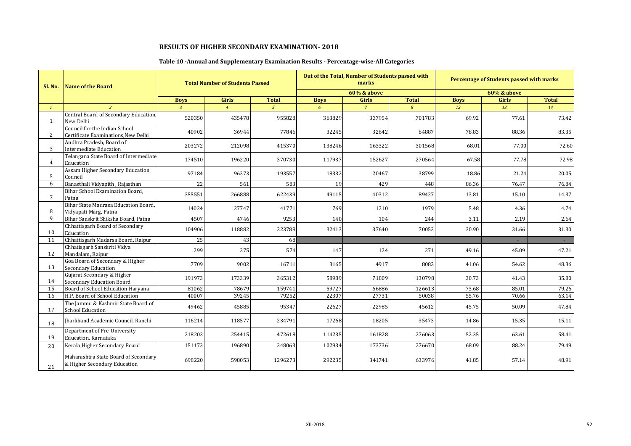## **Table 10 -Annual and Supplementary Examination Results - Percentage-wise-All Categories**

| Sl. No.        | Name of the Board                                                    |                | <b>Total Number of Students Passed</b> |              |             | Out of the Total, Number of Students passed with<br>marks |              |             | <b>Percentage of Students passed with marks</b> |              |
|----------------|----------------------------------------------------------------------|----------------|----------------------------------------|--------------|-------------|-----------------------------------------------------------|--------------|-------------|-------------------------------------------------|--------------|
|                |                                                                      |                |                                        |              |             | <b>60% &amp; above</b>                                    |              |             | <b>60% &amp; above</b>                          |              |
|                |                                                                      | <b>Boys</b>    | Girls                                  | <b>Total</b> | <b>Boys</b> | Girls                                                     | <b>Total</b> | <b>Boys</b> | <b>Girls</b>                                    | <b>Total</b> |
| $\mathbf{1}$   |                                                                      | $\overline{3}$ | $\overline{4}$                         | $\sqrt{5}$   | 6           | $\overline{7}$                                            | 8            | 12          | 13                                              | 14           |
| 1              | Central Board of Secondary Education,<br>New Delhi                   | 520350         | 435478                                 | 955828       | 363829      | 337954                                                    | 701783       | 69.92       | 77.61                                           | 73.42        |
| $\mathbf{2}$   | Council for the Indian School<br>Certificate Examinations. New Delhi | 40902          | 36944                                  | 77846        | 32245       | 32642                                                     | 64887        | 78.83       | 88.36                                           | 83.35        |
| 3              | Andhra Pradesh, Board of<br><b>Intermediate Education</b>            | 203272         | 212098                                 | 415370       | 138246      | 163322                                                    | 301568       | 68.01       | 77.00                                           | 72.60        |
| $\overline{4}$ | Telangana State Board of Intermediate<br>Education                   | 174510         | 196220                                 | 370730       | 117937      | 152627                                                    | 270564       | 67.58       | 77.78                                           | 72.98        |
| 5              | Assam Higher Secondary Education<br>Council                          | 97184          | 96373                                  | 193557       | 18332       | 20467                                                     | 38799        | 18.86       | 21.24                                           | 20.05        |
| 6              | Banasthali Vidyapith, Rajasthan                                      | 22             | 561                                    | 583          | 19          | 429                                                       | 448          | 86.36       | 76.47                                           | 76.84        |
| $\overline{7}$ | Bihar School Examination Board,<br>Patna                             | 355551         | 266888                                 | 622439       | 49115       | 40312                                                     | 89427        | 13.81       | 15.10                                           | 14.37        |
| 8              | Bihar State Madrasa Education Board,<br>Vidyapati Marg, Patna        | 14024          | 27747                                  | 41771        | 769         | 1210                                                      | 1979         | 5.48        | 4.36                                            | 4.74         |
| 9              | Bihar Sanskrit Shiksha Board, Patna                                  | 4507           | 4746                                   | 9253         | 140         | 104                                                       | 244          | 3.11        | 2.19                                            | 2.64         |
| 10             | Chhattisgarh Board of Secondary<br>Education                         | 104906         | 118882                                 | 223788       | 32413       | 37640                                                     | 70053        | 30.90       | 31.66                                           | 31.30        |
| 11             | Chhattisgarh Madarsa Board, Raipur                                   | 25             | 43                                     | 68           |             |                                                           |              |             | $\sim$                                          | $\sim$       |
| 12             | Chhatisgarh Sanskriti Vidya<br>Mandalam, Raipur                      | 299            | 275                                    | 574          | 147         | 124                                                       | 271          | 49.16       | 45.09                                           | 47.21        |
| 13             | Goa Board of Secondary & Higher<br><b>Secondary Education</b>        | 7709           | 9002                                   | 16711        | 3165        | 4917                                                      | 8082         | 41.06       | 54.62                                           | 48.36        |
| 14             | Gujarat Secondary & Higher<br><b>Secondary Education Board</b>       | 191973         | 173339                                 | 365312       | 58989       | 71809                                                     | 130798       | 30.73       | 41.43                                           | 35.80        |
| 15             | Board of School Education Haryana                                    | 81062          | 78679                                  | 159741       | 59727       | 66886                                                     | 126613       | 73.68       | 85.01                                           | 79.26        |
| 16             | H.P. Board of School Education                                       | 40007          | 39245                                  | 79252        | 22307       | 27731                                                     | 50038        | 55.76       | 70.66                                           | 63.14        |
| 17             | The Jammu & Kashmir State Board of<br><b>School Education</b>        | 49462          | 45885                                  | 95347        | 22627       | 22985                                                     | 45612        | 45.75       | 50.09                                           | 47.84        |
| 18             | Iharkhand Academic Council, Ranchi                                   | 116214         | 118577                                 | 234791       | 17268       | 18205                                                     | 35473        | 14.86       | 15.35                                           | 15.11        |
| 19             | Department of Pre-University<br>Education, Karnataka                 | 218203         | 254415                                 | 472618       | 114235      | 161828                                                    | 276063       | 52.35       | 63.61                                           | 58.41        |
| 20             | Kerala Higher Secondary Board                                        | 151173         | 196890                                 | 348063       | 102934      | 173736                                                    | 276670       | 68.09       | 88.24                                           | 79.49        |
| 21             | Maharashtra State Board of Secondary<br>& Higher Secondary Education | 698220         | 598053                                 | 1296273      | 292235      | 341741                                                    | 633976       | 41.85       | 57.14                                           | 48.91        |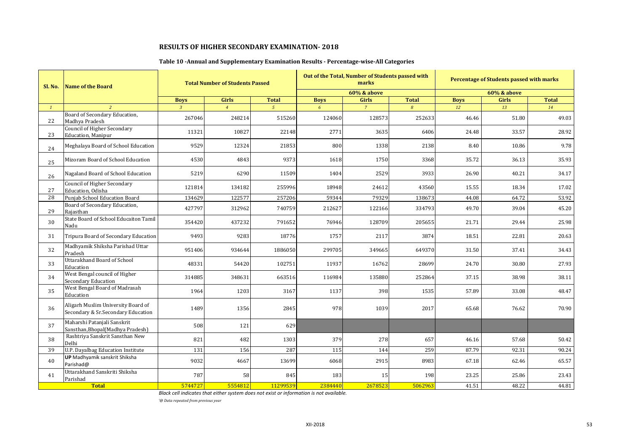## **Table 10 -Annual and Supplementary Examination Results - Percentage-wise-All Categories**

| Sl. No.      | <b>Name of the Board</b>                                                 |                | <b>Total Number of Students Passed</b> |                |             | Out of the Total, Number of Students passed with<br>marks |                |             | <b>Percentage of Students passed with marks</b> |              |
|--------------|--------------------------------------------------------------------------|----------------|----------------------------------------|----------------|-------------|-----------------------------------------------------------|----------------|-------------|-------------------------------------------------|--------------|
|              |                                                                          |                |                                        |                |             | <b>60% &amp; above</b>                                    |                |             | <b>60% &amp; above</b>                          |              |
|              |                                                                          | <b>Boys</b>    | <b>Girls</b>                           | <b>Total</b>   | <b>Boys</b> | Girls                                                     | <b>Total</b>   | <b>Boys</b> | <b>Girls</b>                                    | <b>Total</b> |
| $\mathbf{1}$ | 2                                                                        | $\overline{3}$ | $\overline{4}$                         | 5 <sup>5</sup> | 6           | $\overline{7}$                                            | $\overline{8}$ | 12          | 13                                              | 14           |
| 22           | Board of Secondary Education,<br>Madhya Pradesh                          | 267046         | 248214                                 | 515260         | 124060      | 128573                                                    | 252633         | 46.46       | 51.80                                           | 49.03        |
| 23           | Council of Higher Secondary<br><b>Education</b> , Manipur                | 11321          | 10827                                  | 22148          | 2771        | 3635                                                      | 6406           | 24.48       | 33.57                                           | 28.92        |
| 24           | Meghalaya Board of School Education                                      | 9529           | 12324                                  | 21853          | 800         | 1338                                                      | 2138           | 8.40        | 10.86                                           | 9.78         |
| 25           | Mizoram Board of School Education                                        | 4530           | 4843                                   | 9373           | 1618        | 1750                                                      | 3368           | 35.72       | 36.13                                           | 35.93        |
| 26           | Nagaland Board of School Education                                       | 5219           | 6290                                   | 11509          | 1404        | 2529                                                      | 3933           | 26.90       | 40.21                                           | 34.17        |
| 27           | Council of Higher Secondary<br>Education, Odisha                         | 121814         | 134182                                 | 255996         | 18948       | 24612                                                     | 43560          | 15.55       | 18.34                                           | 17.02        |
| 28           | Punjab School Education Board                                            | 134629         | 122577                                 | 257206         | 59344       | 79329                                                     | 138673         | 44.08       | 64.72                                           | 53.92        |
| 29           | Board of Secondary Education,<br>Raiasthan                               | 427797         | 312962                                 | 740759         | 212627      | 122166                                                    | 334793         | 49.70       | 39.04                                           | 45.20        |
| 30           | State Board of School Educaiton Tamil<br>Nadu                            | 354420         | 437232                                 | 791652         | 76946       | 128709                                                    | 205655         | 21.71       | 29.44                                           | 25.98        |
| 31           | Tripura Board of Secondary Education                                     | 9493           | 9283                                   | 18776          | 1757        | 2117                                                      | 3874           | 18.51       | 22.81                                           | 20.63        |
| 32           | Madhyamik Shiksha Parishad Uttar<br>Pradesh                              | 951406         | 934644                                 | 1886050        | 299705      | 349665                                                    | 649370         | 31.50       | 37.41                                           | 34.43        |
| 33           | Uttarakhand Board of School<br>Education                                 | 48331          | 54420                                  | 102751         | 11937       | 16762                                                     | 28699          | 24.70       | 30.80                                           | 27.93        |
| 34           | West Bengal council of Higher<br><b>Secondary Education</b>              | 314885         | 348631                                 | 663516         | 116984      | 135880                                                    | 252864         | 37.15       | 38.98                                           | 38.11        |
| 35           | West Bengal Board of Madrasah<br>Education                               | 1964           | 1203                                   | 3167           | 1137        | 398                                                       | 1535           | 57.89       | 33.08                                           | 48.47        |
| 36           | Aligarh Muslim University Board of<br>Secondary & Sr.Secondary Education | 1489           | 1356                                   | 2845           | 978         | 1039                                                      | 2017           | 65.68       | 76.62                                           | 70.90        |
| 37           | Maharshi Patanjali Sanskrit<br>Sansthan, Bhopal (Madhya Pradesh)         | 508            | 121                                    | 629            |             |                                                           |                |             |                                                 |              |
| 38           | Rashtriya Sanskrit Sansthan New<br>Delhi                                 | 821            | 482                                    | 1303           | 379         | 278                                                       | 657            | 46.16       | 57.68                                           | 50.42        |
| 39           | U.P. Dayalbag Education Institute                                        | 131            | 156                                    | 287            | 115         | 144                                                       | 259            | 87.79       | 92.31                                           | 90.24        |
| 40           | <b>UP</b> Madhyamik sanskrit Shiksha<br>Parishad@                        | 9032           | 4667                                   | 13699          | 6068        | 2915                                                      | 8983           | 67.18       | 62.46                                           | 65.57        |
| 41           | Uttarakhand Sanskriti Shiksha<br>Parishad                                | 787            | 58                                     | 845            | 183         | 15                                                        | 198            | 23.25       | 25.86                                           | 23.43        |
|              | <b>Total</b>                                                             | 5744727        | 5554812                                | 11299539       | 2384440     | 2678523                                                   | 5062963        | 41.51       | 48.22                                           | 44.81        |

*Black cell indicates that either system does not exist or information is not available.*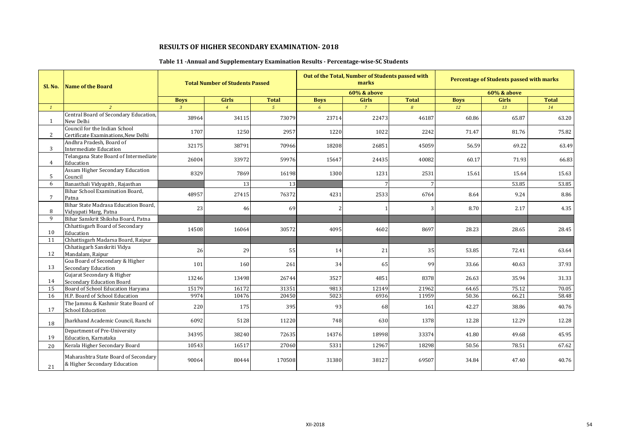## **Table 11 -Annual and Supplementary Examination Results - Percentage-wise-SC Students**

| Sl. No.      | Name of the Board                                                    |              | <b>Total Number of Students Passed</b> |               |                          | Out of the Total, Number of Students passed with<br>marks |                |             | Percentage of Students passed with marks |              |
|--------------|----------------------------------------------------------------------|--------------|----------------------------------------|---------------|--------------------------|-----------------------------------------------------------|----------------|-------------|------------------------------------------|--------------|
|              |                                                                      |              |                                        |               |                          | 60% & above                                               |                |             | <b>60% &amp; above</b>                   |              |
|              |                                                                      | <b>Boys</b>  | <b>Girls</b>                           | <b>Total</b>  | <b>Boys</b>              | <b>Girls</b>                                              | <b>Total</b>   | <b>Boys</b> | <b>Girls</b>                             | <b>Total</b> |
| $\mathbf{1}$ | $\overline{2}$                                                       | $\mathbf{R}$ | $\overline{4}$                         | $\mathcal{L}$ | 6                        | $\overline{7}$                                            | $\overline{g}$ | 12          | 13                                       | 14           |
| $\mathbf{1}$ | Central Board of Secondary Education,<br>New Delhi                   | 38964        | 34115                                  | 73079         | 23714                    | 22473                                                     | 46187          | 60.86       | 65.87                                    | 63.20        |
| 2            | Council for the Indian School<br>Certificate Examinations, New Delhi | 1707         | 1250                                   | 2957          | 1220                     | 1022                                                      | 2242           | 71.47       | 81.76                                    | 75.82        |
| 3            | Andhra Pradesh, Board of<br><b>Intermediate Education</b>            | 32175        | 38791                                  | 70966         | 18208                    | 26851                                                     | 45059          | 56.59       | 69.22                                    | 63.49        |
| 4            | Telangana State Board of Intermediate<br>Education                   | 26004        | 33972                                  | 59976         | 15647                    | 24435                                                     | 40082          | 60.17       | 71.93                                    | 66.83        |
| 5            | Assam Higher Secondary Education<br>Council                          | 8329         | 7869                                   | 16198         | 1300                     | 1231                                                      | 2531           | 15.61       | 15.64                                    | 15.63        |
| 6            | Banasthali Vidyapith, Rajasthan                                      |              | 13                                     | 13            |                          | 7                                                         |                |             | 53.85                                    | 53.85        |
| 7            | Bihar School Examination Board,<br>Patna                             | 48957        | 27415                                  | 76372         | 4231                     | 2533                                                      | 6764           | 8.64        | 9.24                                     | 8.86         |
| 8            | Bihar State Madrasa Education Board.<br>Vidyapati Marg, Patna        | 23           | 46                                     | 69            | $\overline{\mathcal{L}}$ | $\mathbf{1}$                                              | 3              | 8.70        | 2.17                                     | 4.35         |
| 9            | Bihar Sanskrit Shiksha Board, Patna                                  |              |                                        |               |                          |                                                           |                |             |                                          |              |
| 10           | Chhattisgarh Board of Secondary<br>Education                         | 14508        | 16064                                  | 30572         | 4095                     | 4602                                                      | 8697           | 28.23       | 28.65                                    | 28.45        |
| 11           | Chhattisgarh Madarsa Board, Raipur                                   |              |                                        |               |                          |                                                           |                |             |                                          |              |
| 12           | Chhatisgarh Sanskriti Vidya<br>Mandalam, Raipur                      | 26           | 29                                     | 55            | 14                       | 21                                                        | 35             | 53.85       | 72.41                                    | 63.64        |
| 13           | Goa Board of Secondary & Higher<br><b>Secondary Education</b>        | 101          | 160                                    | 261           | 34                       | 65                                                        | 99             | 33.66       | 40.63                                    | 37.93        |
| 14           | Gujarat Secondary & Higher<br>Secondary Education Board              | 13246        | 13498                                  | 26744         | 3527                     | 4851                                                      | 8378           | 26.63       | 35.94                                    | 31.33        |
| 15           | Board of School Education Haryana                                    | 15179        | 16172                                  | 31351         | 9813                     | 12149                                                     | 21962          | 64.65       | 75.12                                    | 70.05        |
| 16           | H.P. Board of School Education                                       | 9974         | 10476                                  | 20450         | 5023                     | 6936                                                      | 11959          | 50.36       | 66.21                                    | 58.48        |
| 17           | The Jammu & Kashmir State Board of<br><b>School Education</b>        | 220          | 175                                    | 395           | 93                       | 68                                                        | 161            | 42.27       | 38.86                                    | 40.76        |
| 18           | Jharkhand Academic Council, Ranchi                                   | 6092         | 5128                                   | 11220         | 748                      | 630                                                       | 1378           | 12.28       | 12.29                                    | 12.28        |
| 19           | Department of Pre-University<br>Education, Karnataka                 | 34395        | 38240                                  | 72635         | 14376                    | 18998                                                     | 33374          | 41.80       | 49.68                                    | 45.95        |
| 20           | Kerala Higher Secondary Board                                        | 10543        | 16517                                  | 27060         | 5331                     | 12967                                                     | 18298          | 50.56       | 78.51                                    | 67.62        |
| 21           | Maharashtra State Board of Secondary<br>& Higher Secondary Education | 90064        | 80444                                  | 170508        | 31380                    | 38127                                                     | 69507          | 34.84       | 47.40                                    | 40.76        |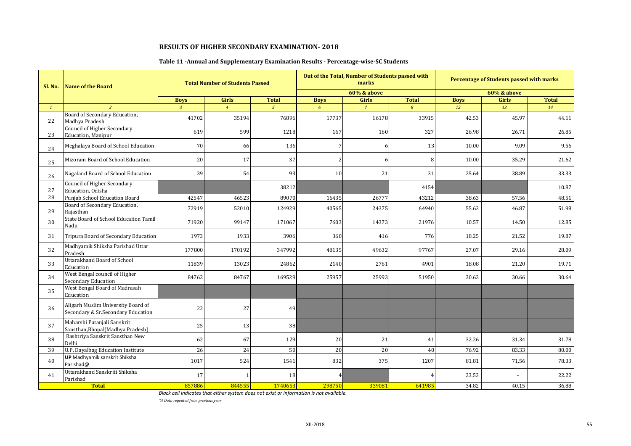## **Table 11 -Annual and Supplementary Examination Results - Percentage-wise-SC Students**

| Sl. No.      | <b>Name of the Board</b>                                                 |                | <b>Total Number of Students Passed</b> |               |                | Out of the Total, Number of Students passed with<br>marks |                |             | <b>Percentage of Students passed with marks</b> |              |
|--------------|--------------------------------------------------------------------------|----------------|----------------------------------------|---------------|----------------|-----------------------------------------------------------|----------------|-------------|-------------------------------------------------|--------------|
|              |                                                                          |                |                                        |               |                | <b>60% &amp; above</b>                                    |                |             | <b>60% &amp; above</b>                          |              |
|              |                                                                          | <b>Boys</b>    | <b>Girls</b>                           | <b>Total</b>  | <b>Boys</b>    | Girls                                                     | <b>Total</b>   | <b>Boys</b> | Girls                                           | <b>Total</b> |
| $\mathbf{1}$ | $\overline{2}$                                                           | $\overline{3}$ | $\overline{4}$                         | $\mathcal{L}$ | 6              | $\overline{7}$                                            | $\overline{R}$ | 12          | 13                                              | 14           |
| 22           | Board of Secondary Education,<br>Madhya Pradesh                          | 41702          | 35194                                  | 76896         | 17737          | 16178                                                     | 33915          | 42.53       | 45.97                                           | 44.11        |
| 23           | <b>Council of Higher Secondary</b><br><b>Education</b> , Manipur         | 619            | 599                                    | 1218          | 167            | 160                                                       | 327            | 26.98       | 26.71                                           | 26.85        |
| 24           | Meghalaya Board of School Education                                      | 70             | 66                                     | 136           | 7              | 6                                                         | 13             | 10.00       | 9.09                                            | 9.56         |
| 25           | Mizoram Board of School Education                                        | 20             | 17                                     | 37            | 2              | 6                                                         | 8              | 10.00       | 35.29                                           | 21.62        |
| 26           | Nagaland Board of School Education                                       | 39             | 54                                     | 93            | 10             | 21                                                        | 31             | 25.64       | 38.89                                           | 33.33        |
| 27           | <b>Council of Higher Secondary</b><br>Education, Odisha                  |                |                                        | 38212         |                |                                                           | 4154           |             |                                                 | 10.87        |
| 28           | Punjab School Education Board                                            | 42547          | 46523                                  | 89070         | 16435          | 26777                                                     | 43212          | 38.63       | 57.56                                           | 48.51        |
| 29           | Board of Secondary Education,<br>Rajasthan                               | 72919          | 52010                                  | 124929        | 40565          | 24375                                                     | 64940          | 55.63       | 46.87                                           | 51.98        |
| 30           | State Board of School Educaiton Tamil<br>Nadu                            | 71920          | 99147                                  | 171067        | 7603           | 14373                                                     | 21976          | 10.57       | 14.50                                           | 12.85        |
| 31           | Tripura Board of Secondary Education                                     | 1973           | 1933                                   | 3906          | 360            | 416                                                       | 776            | 18.25       | 21.52                                           | 19.87        |
| 32           | Madhyamik Shiksha Parishad Uttar<br>Pradesh                              | 177800         | 170192                                 | 347992        | 48135          | 49632                                                     | 97767          | 27.07       | 29.16                                           | 28.09        |
| 33           | Uttarakhand Board of School<br>Education                                 | 11839          | 13023                                  | 24862         | 2140           | 2761                                                      | 4901           | 18.08       | 21.20                                           | 19.71        |
| 34           | West Bengal council of Higher<br>Secondary Education                     | 84762          | 84767                                  | 169529        | 25957          | 25993                                                     | 51950          | 30.62       | 30.66                                           | 30.64        |
| 35           | West Bengal Board of Madrasah<br>Education                               |                |                                        |               |                |                                                           |                |             |                                                 |              |
| 36           | Aligarh Muslim University Board of<br>Secondary & Sr.Secondary Education | 22             | 27                                     | 49            |                |                                                           |                |             |                                                 |              |
| 37           | Maharshi Patanjali Sanskrit<br>Sansthan, Bhopal (Madhya Pradesh)         | 25             | 13                                     | 38            |                |                                                           |                |             |                                                 |              |
| 38           | Rashtriya Sanskrit Sansthan New<br>Delhi                                 | 62             | 67                                     | 129           | 20             | 21                                                        | 41             | 32.26       | 31.34                                           | 31.78        |
| 39           | U.P. Dayalbag Education Institute                                        | 26             | 24                                     | 50            | 20             | 20                                                        | 40             | 76.92       | 83.33                                           | 80.00        |
| 40           | UP Madhyamik sanskrit Shiksha<br>Parishad@                               | 1017           | 524                                    | 1541          | 832            | 375                                                       | 1207           | 81.81       | 71.56                                           | 78.33        |
| 41           | Uttarakhand Sanskriti Shiksha<br>Parishad                                | 17             |                                        | 18            | $\overline{4}$ |                                                           |                | 23.53       |                                                 | 22.22        |
|              | <b>Total</b>                                                             | 857886         | 844555                                 | 1740653       | 298750         | 339081                                                    | 641985         | 34.82       | 40.15                                           | 36.88        |

*Black cell indicates that either system does not exist or information is not available.*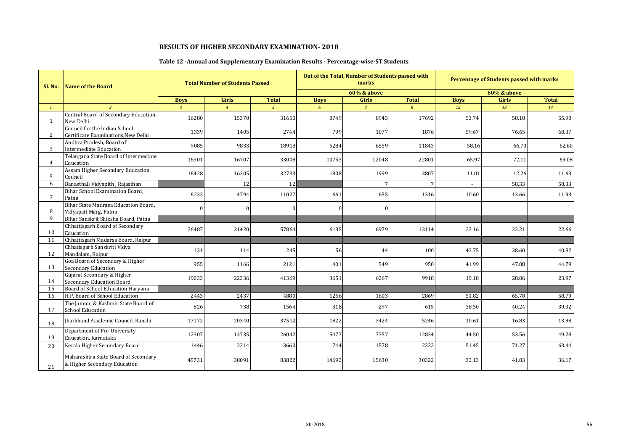## **Table 12 -Annual and Supplementary Examination Results - Percentage-wise-ST Students**

| <b>Sl. No.</b> | <b>Name of the Board</b>                                             |                | <b>Total Number of Students Passed</b> |              |             | Out of the Total, Number of Students passed with<br>marks |                |             | <b>Percentage of Students passed with marks</b> |              |
|----------------|----------------------------------------------------------------------|----------------|----------------------------------------|--------------|-------------|-----------------------------------------------------------|----------------|-------------|-------------------------------------------------|--------------|
|                |                                                                      |                |                                        |              |             | <b>60% &amp; above</b>                                    |                |             | <b>60% &amp; above</b>                          |              |
|                |                                                                      | <b>Boys</b>    | <b>Girls</b>                           | <b>Total</b> | <b>Boys</b> | <b>Girls</b>                                              | <b>Total</b>   | <b>Boys</b> | <b>Girls</b>                                    | <b>Total</b> |
| $\mathcal{I}$  | $\overline{2}$                                                       | $\overline{3}$ | $\overline{4}$                         | $5^{\circ}$  | 6           | $\overline{7}$                                            | $\overline{8}$ | 12          | 13                                              | 14           |
| 1              | Central Board of Secondary Education,<br>New Delhi                   | 16280          | 15370                                  | 31650        | 8749        | 8943                                                      | 17692          | 53.74       | 58.18                                           | 55.90        |
| 2              | Council for the Indian School<br>Certificate Examinations, New Delhi | 1339           | 1405                                   | 2744         | 799         | 1077                                                      | 1876           | 59.67       | 76.65                                           | 68.37        |
| 3              | Andhra Pradesh, Board of<br><b>Intermediate Education</b>            | 9085           | 9833                                   | 18918        | 5284        | 6559                                                      | 11843          | 58.16       | 66.70                                           | 62.60        |
| 4              | Telangana State Board of Intermediate<br>Education                   | 16301          | 16707                                  | 33008        | 10753       | 12048                                                     | 22801          | 65.97       | 72.11                                           | 69.08        |
| 5              | Assam Higher Secondary Education<br>Council                          | 16428          | 16305                                  | 32733        | 1808        | 1999                                                      | 3807           | 11.01       | 12.26                                           | 11.63        |
| 6              | Banasthali Vidyapith, Rajasthan                                      |                | 12                                     | 12           |             | 7                                                         |                | $\sim$      | 58.33                                           | 58.33        |
| 7              | Bihar School Examination Board,<br>Patna                             | 6233           | 4794                                   | 11027        | 661         | 655                                                       | 1316           | 10.60       | 13.66                                           | 11.93        |
| 8              | Bihar State Madrasa Education Board.<br>Vidyapati Marg, Patna        | $\Omega$       |                                        | $\Omega$     | ∩           | $\overline{0}$                                            |                |             |                                                 |              |
| 9              | Bihar Sanskrit Shiksha Board, Patna                                  |                |                                        |              |             |                                                           |                |             |                                                 |              |
| 10             | Chhattisgarh Board of Secondary<br>Education                         | 26487          | 31420                                  | 57864        | 6135        | 6979                                                      | 13114          | 23.16       | 22.21                                           | 22.66        |
| 11             | Chhattisgarh Madarsa Board, Raipur                                   |                |                                        |              |             |                                                           |                |             |                                                 |              |
| 12             | Chhatisgarh Sanskriti Vidya<br>Mandalam, Raipur                      | 131            | 114                                    | 245          | 56          | 44                                                        | 100            | 42.75       | 38.60                                           | 40.82        |
| 13             | Goa Board of Secondary & Higher<br>Secondary Education               | 955            | 1166                                   | 2121         | 401         | 549                                                       | 950            | 41.99       | 47.08                                           | 44.79        |
| 14             | Gujarat Secondary & Higher<br>Secondary Education Board              | 19033          | 22336                                  | 41369        | 3651        | 6267                                                      | 9918           | 19.18       | 28.06                                           | 23.97        |
| 15             | Board of School Education Haryana                                    |                |                                        |              |             |                                                           |                |             |                                                 |              |
| 16             | H.P. Board of School Education                                       | 2443           | 2437                                   | 4880         | 1266        | 1603                                                      | 2869           | 51.82       | 65.78                                           | 58.79        |
| 17             | The Jammu & Kashmir State Board of<br><b>School Education</b>        | 826            | 738                                    | 1564         | 318         | 297                                                       | 615            | 38.50       | 40.24                                           | 39.32        |
| 18             | Iharkhand Academic Council, Ranchi                                   | 17172          | 20340                                  | 37512        | 1822        | 3424                                                      | 5246           | 10.61       | 16.83                                           | 13.98        |
| 19             | Department of Pre-University<br>Education, Karnataka                 | 12307          | 13735                                  | 26042        | 5477        | 7357                                                      | 12834          | 44.50       | 53.56                                           | 49.28        |
| 20             | Kerala Higher Secondary Board                                        | 1446           | 2214                                   | 3660         | 744         | 1578                                                      | 2322           | 51.45       | 71.27                                           | 63.44        |
| 21             | Maharashtra State Board of Secondary<br>& Higher Secondary Education | 45731          | 38091                                  | 83822        | 14692       | 15630                                                     | 30322          | 32.13       | 41.03                                           | 36.17        |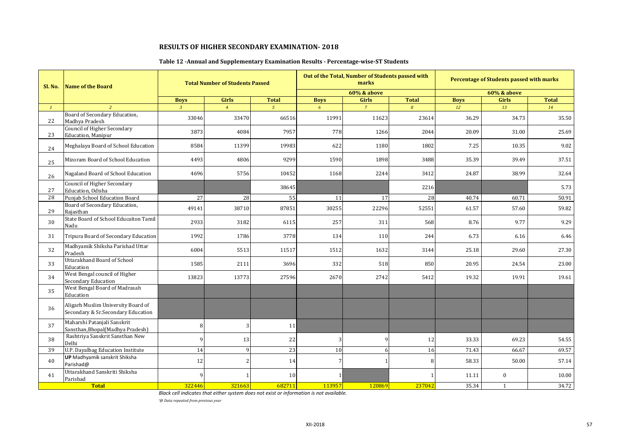## **Table 12 -Annual and Supplementary Examination Results - Percentage-wise-ST Students**

| Sl. No.      | <b>Name of the Board</b>                                                 |                | <b>Total Number of Students Passed</b> |                |             | Out of the Total, Number of Students passed with<br>marks |               |             | <b>Percentage of Students passed with marks</b> |              |
|--------------|--------------------------------------------------------------------------|----------------|----------------------------------------|----------------|-------------|-----------------------------------------------------------|---------------|-------------|-------------------------------------------------|--------------|
|              |                                                                          |                |                                        |                |             | 60% & above                                               |               |             | <b>60% &amp; above</b>                          |              |
|              |                                                                          | <b>Boys</b>    | <b>Girls</b>                           | <b>Total</b>   | <b>Boys</b> | <b>Girls</b>                                              | <b>Total</b>  | <b>Boys</b> | <b>Girls</b>                                    | <b>Total</b> |
| $\mathbf{1}$ | $\overline{2}$                                                           | $\overline{3}$ | $\overline{4}$                         | $\overline{5}$ | 6           | $\overline{7}$                                            | $\mathcal{B}$ | 12          | 13                                              | 14           |
| 22           | Board of Secondary Education,<br>Madhya Pradesh                          | 33046          | 33470                                  | 66516          | 11991       | 11623                                                     | 23614         | 36.29       | 34.73                                           | 35.50        |
| 23           | <b>Council of Higher Secondary</b><br><b>Education</b> , Manipur         | 3873           | 4084                                   | 7957           | 778         | 1266                                                      | 2044          | 20.09       | 31.00                                           | 25.69        |
| 24           | Meghalaya Board of School Education                                      | 8584           | 11399                                  | 19983          | 622         | 1180                                                      | 1802          | 7.25        | 10.35                                           | 9.02         |
| 25           | Mizoram Board of School Education                                        | 4493           | 4806                                   | 9299           | 1590        | 1898                                                      | 3488          | 35.39       | 39.49                                           | 37.51        |
| 26           | Nagaland Board of School Education                                       | 4696           | 5756                                   | 10452          | 1168        | 2244                                                      | 3412          | 24.87       | 38.99                                           | 32.64        |
| 27           | <b>Council of Higher Secondary</b><br>Education, Odisha                  |                |                                        | 38645          |             |                                                           | 2216          |             |                                                 | 5.73         |
| 28           | Punjab School Education Board                                            | 27             | 28                                     | 55             | 11          | 17                                                        | 28            | 40.74       | 60.71                                           | 50.91        |
| 29           | Board of Secondary Education,<br>Rajasthan                               | 49141          | 38710                                  | 87851          | 30255       | 22296                                                     | 52551         | 61.57       | 57.60                                           | 59.82        |
| 30           | State Board of School Educaiton Tamil<br>Nadu                            | 2933           | 3182                                   | 6115           | 257         | 311                                                       | 568           | 8.76        | 9.77                                            | 9.29         |
| 31           | Tripura Board of Secondary Education                                     | 1992           | 1786                                   | 3778           | 134         | 110                                                       | 244           | 6.73        | 6.16                                            | 6.46         |
| 32           | Madhyamik Shiksha Parishad Uttar<br>Pradesh                              | 6004           | 5513                                   | 11517          | 1512        | 1632                                                      | 3144          | 25.18       | 29.60                                           | 27.30        |
| 33           | <b>Uttarakhand Board of School</b><br>Education                          | 1585           | 2111                                   | 3696           | 332         | 518                                                       | 850           | 20.95       | 24.54                                           | 23.00        |
| 34           | West Bengal council of Higher<br><b>Secondary Education</b>              | 13823          | 13773                                  | 27596          | 2670        | 2742                                                      | 5412          | 19.32       | 19.91                                           | 19.61        |
| 35           | West Bengal Board of Madrasah<br>Education                               |                |                                        |                |             |                                                           |               |             |                                                 |              |
| 36           | Aligarh Muslim University Board of<br>Secondary & Sr.Secondary Education |                |                                        |                |             |                                                           |               |             |                                                 |              |
| 37           | Maharshi Patanjali Sanskrit<br>Sansthan, Bhopal (Madhya Pradesh)         | 8              |                                        | 11             |             |                                                           |               |             |                                                 |              |
| 38           | Rashtriya Sanskrit Sansthan New<br>Delhi                                 | 9              | 13                                     | 22             | 3           | 9                                                         | 12            | 33.33       | 69.23                                           | 54.55        |
| 39           | <b>U.P. Dayalbag Education Institute</b>                                 | 14             | $\mathbf{Q}$                           | 23             | 10          | 6                                                         | 16            | 71.43       | 66.67                                           | 69.57        |
| 40           | <b>UP</b> Madhyamik sanskrit Shiksha<br>Parishad@                        | 12             |                                        | 14             | 7           | $\mathbf{1}$                                              | 8             | 58.33       | 50.00                                           | 57.14        |
| 41           | Uttarakhand Sanskriti Shiksha<br>Parishad                                | $\mathbf c$    |                                        | 10             |             |                                                           |               | 11.11       | $\bf{0}$                                        | 10.00        |
|              | <b>Total</b>                                                             | 322446         | 321663                                 | 682711         | 113957      | 120869                                                    | 237042        | 35.34       | $\mathbf{1}$                                    | 34.72        |

*Black cell indicates that either system does not exist or information is not available.*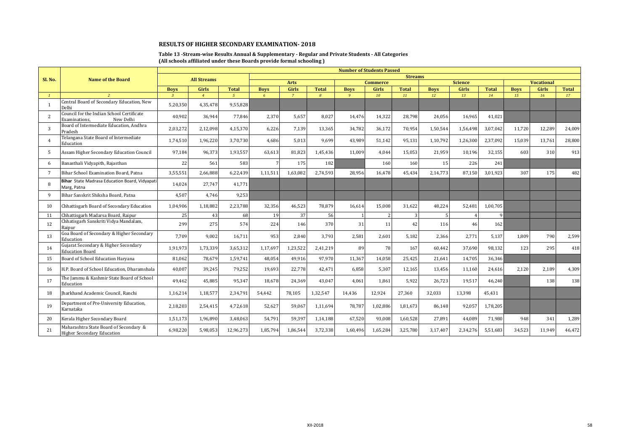#### **Table 13 -Stream-wise Results Annual & Supplementary - Regular and Private Students - All Categories (All schools affiliated under these Boards provide formal schooling )**

|                |                                                                             |                |                    |                |                |                |                | <b>Number of Students Passed</b> |                 |                |             |                |              |             |                   |              |
|----------------|-----------------------------------------------------------------------------|----------------|--------------------|----------------|----------------|----------------|----------------|----------------------------------|-----------------|----------------|-------------|----------------|--------------|-------------|-------------------|--------------|
| Sl. No.        | <b>Name of the Board</b>                                                    |                | <b>All Streams</b> |                |                |                |                |                                  |                 | <b>Streams</b> |             |                |              |             |                   |              |
|                |                                                                             |                |                    |                |                | <b>Arts</b>    |                |                                  | <b>Commerce</b> |                |             | <b>Science</b> |              |             | <b>Vocational</b> |              |
|                |                                                                             | <b>Boys</b>    | Girls              | <b>Total</b>   | <b>Boys</b>    | Girls          | <b>Total</b>   | <b>Boys</b>                      | <b>Girls</b>    | <b>Total</b>   | <b>Boys</b> | <b>Girls</b>   | <b>Total</b> | <b>Boys</b> | Girls             | <b>Total</b> |
|                | 2                                                                           | $\overline{z}$ | $\overline{4}$     | 5 <sup>7</sup> | $\overline{6}$ | $\overline{7}$ | $\overline{B}$ | $\alpha$                         | 10              | 11             | 12          | 13             | 14           | 15          | 16                | 17           |
| -1             | Central Board of Secondary Education, New<br>Delhi                          | 5,20,350       | 4,35,478           | 9,55,828       |                |                |                |                                  |                 |                |             |                |              |             |                   |              |
| $\overline{2}$ | Council for the Indian School Certificate<br>New Delhi<br>Examinations.     | 40,902         | 36.944             | 77.846         | 2,370          | 5.657          | 8.027          | 14.476                           | 14,322          | 28,798         | 24,056      | 16,965         | 41.021       |             |                   |              |
| 3              | Board of Intermediate Education, Andhra<br>Pradesh                          | 2,03,272       | 2,12,098           | 4,15,370       | 6.226          | 7.139          | 13.365         | 34.782                           | 36,172          | 70.954         | 1,50,544    | 1,56,498       | 3.07.042     | 11,720      | 12,289            | 24,009       |
| $\overline{4}$ | Telangana State Board of Intermediate<br>Education                          | 1,74,510       | 1,96,220           | 3,70,730       | 4,686          | 5,013          | 9,699          | 43,989                           | 51,142          | 95,131         | 1,10,792    | 1,26,300       | 2,37,092     | 15,039      | 13,761            | 28,800       |
| .5             | Assam Higher Secondary Education Council                                    | 97,184         | 96.373             | 1,93,557       | 63,613         | 81,823         | 1,45,436       | 11.009                           | 4.044           | 15,053         | 21,959      | 10,196         | 32,155       | 603         | 310               | 913          |
| 6              | Banasthali Vidyapith, Rajasthan                                             | 22             | 561                | 583            |                | 175            | 182            |                                  | 160             | 160            | 15          | 226            | 241          |             |                   |              |
| $\overline{7}$ | Bihar School Examination Board, Patna                                       | 3,55,551       | 2,66,888           | 6,22,439       | 1,11,511       | 1,63,082       | 2,74,593       | 28,956                           | 16,478          | 45,434         | 2,14,773    | 87,150         | 3,01,923     | 307         | 175               | 482          |
| 8              | Bihar State Madrasa Education Board, Vidyapati<br>Marg, Patna               | 14,024         | 27.747             | 41,771         |                |                |                |                                  |                 |                |             |                |              |             |                   |              |
| $\mathbf{q}$   | Bihar Sanskrit Shiksha Board, Patna                                         | 4,507          | 4,746              | 9,253          |                |                |                |                                  |                 |                |             |                |              |             |                   |              |
| 10             | Chhattisgarh Board of Secondary Education                                   | 1,04,906       | 1,18,882           | 2,23,788       | 32,356         | 46,523         | 78.879         | 16,614                           | 15,008          | 31,622         | 48.224      | 52,481         | 1.00.705     |             |                   |              |
| 11             | Chhattisgarh Madarsa Board, Raipur                                          | 25             | 43                 | 68             | 19             | 37             | 56             |                                  |                 | $\overline{3}$ |             | $\mathbf{A}$   |              |             |                   |              |
| 12             | Chhatisgarh Sanskriti Vidya Mandalam,<br>Raipur                             | 299            | 275                | 574            | 224            | 146            | 370            | 31                               | 11              | 42             | 116         | 46             | 162          |             |                   |              |
| 13             | Goa Board of Secondary & Higher Secondary<br>Education                      | 7.709          | 9.002              | 16,711         | 953            | 2.840          | 3.793          | 2,581                            | 2,601           | 5,182          | 2.366       | 2.771          | 5.137        | 1.809       | 790               | 2,599        |
| 14             | Gujarat Secondary & Higher Secondary<br><b>Education Board</b>              | 1,91,973       | 1,73,339           | 3,65,312       | 1,17,697       | 1,23,522       | 2,41,219       | 89                               | 78              | 167            | 60,442      | 37.690         | 98.132       | 123         | 295               | 418          |
| 15             | Board of School Education Haryana                                           | 81.062         | 78.679             | 1.59.741       | 48.054         | 49.916         | 97.970         | 11.367                           | 14.058          | 25,425         | 21.641      | 14,705         | 36.346       |             |                   |              |
| 16             | H.P. Board of School Education, Dharamshala                                 | 40,007         | 39,245             | 79,252         | 19,693         | 22,778         | 42,471         | 6,858                            | 5,307           | 12,165         | 13,456      | 11,160         | 24,616       | 2,120       | 2,189             | 4,309        |
| 17             | The Jammu & Kashmir State Board of School<br>Education                      | 49,462         | 45,885             | 95,347         | 18,678         | 24,369         | 43,047         | 4.061                            | 1,861           | 5.922          | 26,723      | 19.517         | 46,240       |             | 138               | 138          |
| 18             | Iharkhand Academic Council. Ranchi                                          | 1,16,214       | 1,18,577           | 2,34,791       | 54,442         | 78.105         | 1,32,547       | 14,436                           | 12,924          | 27,360         | 32,033      | 13.398         | 45,431       |             |                   |              |
| 19             | Department of Pre-University Education,<br>Karnataka                        | 2,18,203       | 2,54,415           | 4,72,618       | 52.627         | 59.067         | 1,11,694       | 78.787                           | 1,02,886        | 1,81,673       | 86.148      | 92.057         | 1,78,205     |             |                   |              |
| 20             | Kerala Higher Secondary Board                                               | 1,51,173       | 1,96,890           | 3,48,063       | 54,791         | 59,397         | 1,14,188       | 67,520                           | 93,008          | 1,60,528       | 27.891      | 44,089         | 71,980       | 948         | 341               | 1,289        |
| 21             | Maharashtra State Board of Secondary &<br><b>Higher Secondary Education</b> | 6,98,220       | 5,98,053           | 12,96,273      | 1,85,794       | 1,86,544       | 3,72,338       | 1,60,496                         | 1,65,284        | 3,25,780       | 3,17,407    | 2,34,276       | 5,51,683     | 34,523      | 11,949            | 46,472       |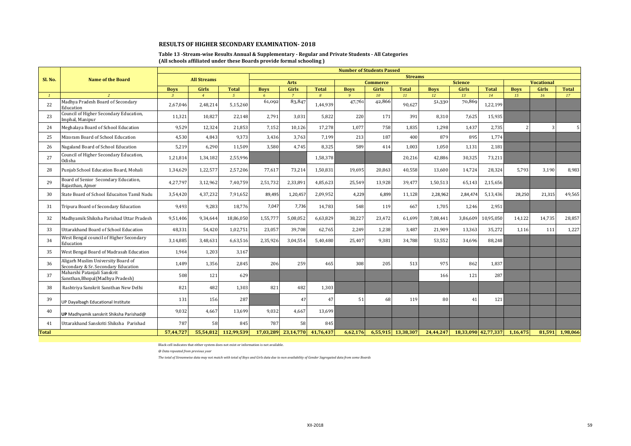#### **Table 13 -Stream-wise Results Annual & Supplementary - Regular and Private Students - All Categories (All schools affiliated under these Boards provide formal schooling )**

|              |                                                                           |                              | <b>Number of Students Passed</b> |                                |                  |                                |                                |                             |                    |                    |                   |                    |                     |                          |                   |                    |
|--------------|---------------------------------------------------------------------------|------------------------------|----------------------------------|--------------------------------|------------------|--------------------------------|--------------------------------|-----------------------------|--------------------|--------------------|-------------------|--------------------|---------------------|--------------------------|-------------------|--------------------|
| Sl. No.      | <b>Name of the Board</b>                                                  |                              | <b>All Streams</b>               |                                |                  |                                |                                |                             |                    | <b>Streams</b>     |                   |                    |                     |                          |                   |                    |
|              |                                                                           |                              |                                  |                                |                  | <b>Arts</b>                    |                                |                             | <b>Commerce</b>    |                    |                   | <b>Science</b>     |                     |                          | <b>Vocational</b> |                    |
|              | $\overline{\phantom{a}}$                                                  | <b>Boys</b><br>$\mathcal{R}$ | <b>Girls</b><br>$\boldsymbol{A}$ | <b>Total</b><br>5 <sup>7</sup> | <b>Boys</b><br>6 | <b>Girls</b><br>$\overline{7}$ | <b>Total</b><br>$\overline{B}$ | <b>Boys</b><br>$\mathbf{q}$ | <b>Girls</b><br>10 | <b>Total</b><br>11 | <b>Boys</b><br>12 | <b>Girls</b><br>13 | <b>Total</b><br>14  | <b>Boys</b><br>15        | Girls<br>16       | <b>Total</b><br>17 |
| 22           | Madhya Pradesh Board of Secondary<br>Education                            | 2,67,046                     | 2.48.214                         | 5.15.260                       | 61,092           | 83,847                         | 1.44.939                       | 47,761                      | 42,866             | 90.627             | 51,330            | 70,869             | 1,22,199            |                          |                   |                    |
| 23           | Council of Higher Secondary Education,<br>mphal, Manipur                  | 11,321                       | 10.827                           | 22,148                         | 2,791            | 3,031                          | 5,822                          | 220                         | 171                | 391                | 8,310             | 7,625              | 15,935              |                          |                   |                    |
| 24           | Meghalaya Board of School Education                                       | 9,529                        | 12,324                           | 21,853                         | 7,152            | 10,126                         | 17,278                         | 1,077                       | 758                | 1,835              | 1,298             | 1,437              | 2,735               | $\overline{\phantom{a}}$ | 3                 |                    |
| 25           | Mizoram Board of School Education                                         | 4,530                        | 4.843                            | 9.373                          | 3,436            | 3,763                          | 7,199                          | 213                         | 187                | 400                | 879               | 895                | 1,774               |                          |                   |                    |
| 26           | Nagaland Board of School Education                                        | 5,219                        | 6,290                            | 11,509                         | 3,580            | 4,745                          | 8,325                          | 589                         | 414                | 1,003              | 1,050             | 1,131              | 2,181               |                          |                   |                    |
| 27           | Council of Higher Secondary Education,<br>Odisha                          | 1,21,814                     | 1,34,182                         | 2,55,996                       |                  |                                | 1,58,378                       |                             |                    | 20,216             | 42.886            | 30,325             | 73,211              |                          |                   |                    |
| 28           | Puniab School Education Board, Mohali                                     | 1,34,629                     | 1.22.577                         | 2,57,206                       | 77,617           | 73,214                         | 1,50,831                       | 19.695                      | 20,863             | 40,558             | 13.600            | 14.724             | 28.324              | 5.793                    | 3,190             | 8.983              |
| 29           | Board of Senior Secondary Education,<br>Rajasthan, Aimer                  | 4,27,797                     | 3,12,962                         | 7,40,759                       | 2,51,732         | 2,33,891                       | 4,85,623                       | 25,549                      | 13,928             | 39,477             | 1,50,513          | 65,143             | 2,15,656            |                          |                   |                    |
| 30           | State Board of School Educaiton Tamil Nadu                                | 3,54,420                     | 4,37,232                         | 7,91,652                       | 89,495           | 1,20,457                       | 2,09,952                       | 4,229                       | 6,899              | 11,128             | 2,28,962          | 2,84,474           | 5,13,436            | 28,250                   | 21,315            | 49,565             |
| 31           | Tripura Board of Secondary Education                                      | 9,493                        | 9.283                            | 18,776                         | 7,047            | 7,736                          | 14,783                         | 548                         | 119                | 667                | 1,705             | 1,246              | 2,951               |                          |                   |                    |
| 32           | Madhyamik Shiksha Parishad Uttar Pradesh                                  | 9,51,406                     | 9,34,644                         | 18,86,050                      | 1,55,777         | 5,08,052                       | 6,63,829                       | 38,227                      | 23.472             | 61.699             | 7,08,441          | 3,86,609           | 10,95,050           | 14,122                   | 14,735            | 28,857             |
| 33           | Uttarakhand Board of School Education                                     | 48,331                       | 54,420                           | 1,02,751                       | 23,057           | 39,708                         | 62,765                         | 2,249                       | 1,238              | 3,487              | 21,909            | 13,363             | 35,272              | 1,116                    | 111               | 1,227              |
| 34           | West Bengal council of Higher Secondary<br>Education                      | 3,14,885                     | 3,48,631                         | 6,63,516                       | 2,35,926         | 3,04,554                       | 5,40,480                       | 25,407                      | 9,381              | 34,788             | 53,552            | 34,696             | 88,248              |                          |                   |                    |
| 35           | West Bengal Board of Madrasah Education                                   | 1.964                        | 1.203                            | 3,167                          |                  |                                |                                |                             |                    |                    |                   |                    |                     |                          |                   |                    |
| 36           | Aligarh Muslim University Board of<br>Secondary & Sr. Secondary Education | 1,489                        | 1,356                            | 2,845                          | 206              | 259                            | 465                            | 308                         | 205                | 513                | 975               | 862                | 1,837               |                          |                   |                    |
| 37           | Maharshi Patanjali Sanskrit<br>Sansthan, Bhopal (Madhya Pradesh)          | 508                          | 121                              | 629                            |                  |                                |                                |                             |                    |                    | 166               | 121                | 287                 |                          |                   |                    |
| 38           | Rashtriya Sanskrit Sansthan New Delhi                                     | 821                          | 482                              | 1,303                          | 821              | 482                            | 1,303                          |                             |                    |                    |                   |                    |                     |                          |                   |                    |
| 39           | JP Dayalbagh Educational Institute                                        | 131                          | 156                              | 287                            |                  | 47                             | 47                             | 51                          | 68                 | 119                | 80                | 41                 | 121                 |                          |                   |                    |
| 40           | UP Madhyamik sanskrit Shiksha Parishad@                                   | 9.032                        | 4.667                            | 13.699                         | 9,032            | 4.667                          | 13,699                         |                             |                    |                    |                   |                    |                     |                          |                   |                    |
| 41           | Uttarakhand Sanskriti Shiksha Parishad                                    | 787                          | 58                               | 845                            | 787              | 58                             | 845                            |                             |                    |                    |                   |                    |                     |                          |                   |                    |
| <b>Total</b> |                                                                           | 57,44,727                    | 55,54,812                        | 112,99,539                     |                  | 17,03,289 23,14,770            | 41,76,437                      | 6,62,176                    |                    | 6,55,915 13,38,307 | 24,44,247         |                    | 18,33,090 42,77,337 | 1,16,475                 | 81,591            | 1,98,066           |

Black cell indicates that either system does not exist or information is not available.

*@ Data repeated from previous year*

*The total of Streamwise data may not match with total of Boys and Girls data due to non availability of Gender Sagregated data from some Boards*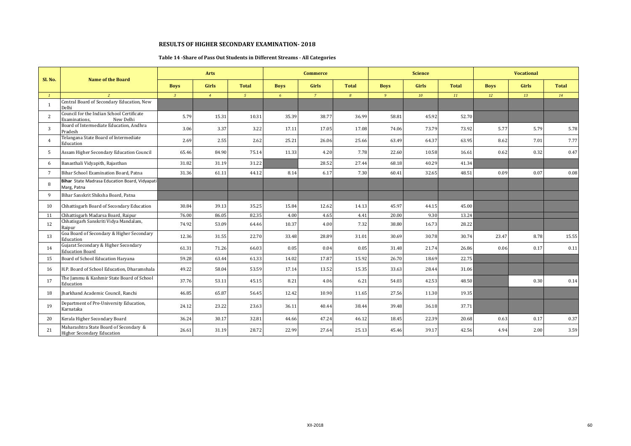### **Table 14 -Share of Pass Out Students in Different Streams - All Categories**

|                 |                                                                             |                | Arts           |              |             | <b>Commerce</b> |                |             | <b>Science</b> |              |             | <b>Vocational</b> |              |
|-----------------|-----------------------------------------------------------------------------|----------------|----------------|--------------|-------------|-----------------|----------------|-------------|----------------|--------------|-------------|-------------------|--------------|
| Sl. No.         | <b>Name of the Board</b>                                                    | <b>Boys</b>    | <b>Girls</b>   | <b>Total</b> | <b>Boys</b> | <b>Girls</b>    | <b>Total</b>   | <b>Boys</b> | <b>Girls</b>   | <b>Total</b> | <b>Boys</b> | <b>Girls</b>      | <b>Total</b> |
|                 | $\overline{2}$                                                              | $\overline{3}$ | $\overline{4}$ | $\sqrt{5}$   | 6           | $\overline{7}$  | $\overline{B}$ | 9           | 10             | 11           | 12          | 13                | 14           |
| $\overline{1}$  | Central Board of Secondary Education, New<br>Delhi                          |                |                |              |             |                 |                |             |                |              |             |                   |              |
| 2               | Council for the Indian School Certificate<br>New Delhi<br>Examinations.     | 5.79           | 15.31          | 10.31        | 35.39       | 38.77           | 36.99          | 58.81       | 45.92          | 52.70        |             |                   |              |
| 3               | Board of Intermediate Education, Andhra<br>Pradesh                          | 3.06           | 3.37           | 3.22         | 17.11       | 17.05           | 17.08          | 74.06       | 73.79          | 73.92        | 5.77        | 5.79              | 5.78         |
|                 | Telangana State Board of Intermediate<br>Education                          | 2.69           | 2.55           | 2.62         | 25.21       | 26.06           | 25.66          | 63.49       | 64.37          | 63.95        | 8.62        | 7.01              | 7.77         |
| .5              | Assam Higher Secondary Education Council                                    | 65.46          | 84.90          | 75.14        | 11.33       | 4.20            | 7.78           | 22.60       | 10.58          | 16.61        | 0.62        | 0.32              | 0.47         |
| 6               | Banasthali Vidyapith, Rajasthan                                             | 31.82          | 31.19          | 31.22        |             | 28.52           | 27.44          | 68.18       | 40.29          | 41.34        |             |                   |              |
| $7\phantom{.0}$ | Bihar School Examination Board, Patna                                       | 31.36          | 61.11          | 44.12        | 8.14        | 6.17            | 7.30           | 60.41       | 32.65          | 48.51        | 0.09        | 0.07              | 0.08         |
| 8               | Bihar State Madrasa Education Board, Vidyapati<br>Marg, Patna               |                |                |              |             |                 |                |             |                |              |             |                   |              |
| $\mathbf{q}$    | Bihar Sanskrit Shiksha Board, Patna                                         |                |                |              |             |                 |                |             |                |              |             |                   |              |
| 10              | Chhattisgarh Board of Secondary Education                                   | 30.84          | 39.13          | 35.25        | 15.84       | 12.62           | 14.13          | 45.97       | 44.15          | 45.00        |             |                   |              |
| 11              | Chhattisgarh Madarsa Board, Raipur                                          | 76.00          | 86.05          | 82.35        | 4.00        | 4.65            | 4.41           | 20.00       | 9.30           | 13.24        |             |                   |              |
| 12              | Chhatisgarh Sanskriti Vidya Mandalam,<br>Raipur                             | 74.92          | 53.09          | 64.46        | 10.37       | 4.00            | 7.32           | 38.80       | 16.73          | 28.22        |             |                   |              |
| 13              | Goa Board of Secondary & Higher Secondary<br>Education                      | 12.36          | 31.55          | 22.70        | 33.48       | 28.89           | 31.01          | 30.69       | 30.78          | 30.74        | 23.47       | 8.78              | 15.55        |
| 14              | Gujarat Secondary & Higher Secondary<br><b>Education Board</b>              | 61.31          | 71.26          | 66.03        | 0.05        | 0.04            | 0.05           | 31.48       | 21.74          | 26.86        | 0.06        | 0.17              | 0.11         |
| 15              | Board of School Education Haryana                                           | 59.28          | 63.44          | 61.33        | 14.02       | 17.87           | 15.92          | 26.70       | 18.69          | 22.75        |             |                   |              |
| 16              | H.P. Board of School Education, Dharamshala                                 | 49.22          | 58.04          | 53.59        | 17.14       | 13.52           | 15.35          | 33.63       | 28.44          | 31.06        |             |                   |              |
| 17              | The Jammu & Kashmir State Board of School<br>Education                      | 37.76          | 53.11          | 45.15        | 8.21        | 4.06            | 6.21           | 54.03       | 42.53          | 48.50        |             | 0.30              | 0.14         |
| 18              | Iharkhand Academic Council, Ranchi                                          | 46.85          | 65.87          | 56.45        | 12.42       | 10.90           | 11.65          | 27.56       | 11.30          | 19.35        |             |                   |              |
| 19              | Department of Pre-University Education,<br>Karnataka                        | 24.12          | 23.22          | 23.63        | 36.11       | 40.44           | 38.44          | 39.48       | 36.18          | 37.71        |             |                   |              |
| 20              | Kerala Higher Secondary Board                                               | 36.24          | 30.17          | 32.81        | 44.66       | 47.24           | 46.12          | 18.45       | 22.39          | 20.68        | 0.63        | 0.17              | 0.37         |
| 21              | Maharashtra State Board of Secondary &<br><b>Higher Secondary Education</b> | 26.61          | 31.19          | 28.72        | 22.99       | 27.64           | 25.13          | 45.46       | 39.17          | 42.56        | 4.94        | 2.00              | 3.59         |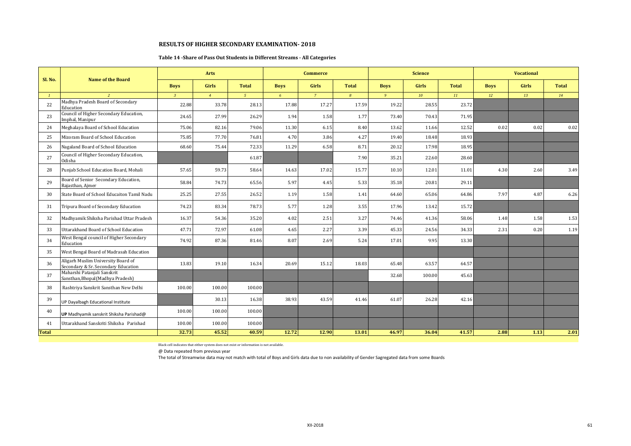#### **Table 14 -Share of Pass Out Students in Different Streams - All Categories**

|              | <b>Name of the Board</b>                                                  |                | Arts           |              |             | <b>Commerce</b> |              |                | <b>Science</b> |              |             | <b>Vocational</b> |              |
|--------------|---------------------------------------------------------------------------|----------------|----------------|--------------|-------------|-----------------|--------------|----------------|----------------|--------------|-------------|-------------------|--------------|
| Sl. No.      |                                                                           | <b>Boys</b>    | Girls          | <b>Total</b> | <b>Boys</b> | Girls           | <b>Total</b> | <b>Boys</b>    | Girls          | <b>Total</b> | <b>Boys</b> | <b>Girls</b>      | <b>Total</b> |
|              |                                                                           | $\overline{3}$ | $\overline{4}$ | $5^{\circ}$  | 6           | $7^{\circ}$     | 8            | 9 <sup>°</sup> | 10             | 11           | 12          | 13                | 14           |
| 22           | Madhya Pradesh Board of Secondary<br>Education                            | 22.88          | 33.78          | 28.13        | 17.88       | 17.27           | 17.59        | 19.22          | 28.55          | 23.72        |             |                   |              |
| 23           | Council of Higher Secondary Education,<br>Imphal, Manipur                 | 24.65          | 27.99          | 26.29        | 1.94        | 1.58            | 1.77         | 73.40          | 70.43          | 71.95        |             |                   |              |
| 24           | Meghalaya Board of School Education                                       | 75.06          | 82.16          | 79.06        | 11.30       | 6.15            | 8.40         | 13.62          | 11.66          | 12.52        | 0.02        | 0.02              | 0.02         |
| 25           | Mizoram Board of School Education                                         | 75.85          | 77.70          | 76.81        | 4.70        | 3.86            | 4.27         | 19.40          | 18.48          | 18.93        |             |                   |              |
| 26           | Nagaland Board of School Education                                        | 68.60          | 75.44          | 72.33        | 11.29       | 6.58            | 8.71         | 20.12          | 17.98          | 18.95        |             |                   |              |
| 27           | Council of Higher Secondary Education,<br>Odisha                          |                |                | 61.87        |             |                 | 7.90         | 35.21          | 22.60          | 28.60        |             |                   |              |
| 28           | Punjab School Education Board, Mohali                                     | 57.65          | 59.73          | 58.64        | 14.63       | 17.02           | 15.77        | 10.10          | 12.01          | 11.01        | 4.30        | 2.60              | 3.49         |
| 29           | Board of Senior Secondary Education,<br>Rajasthan, Ajmer                  | 58.84          | 74.73          | 65.56        | 5.97        | 4.45            | 5.33         | 35.18          | 20.81          | 29.11        |             |                   |              |
| 30           | State Board of School Educaiton Tamil Nadu                                | 25.25          | 27.55          | 26.52        | 1.19        | 1.58            | 1.41         | 64.60          | 65.06          | 64.86        | 7.97        | 4.87              | 6.26         |
| 31           | Tripura Board of Secondary Education                                      | 74.23          | 83.34          | 78.73        | 5.77        | 1.28            | 3.55         | 17.96          | 13.42          | 15.72        |             |                   |              |
| 32           | Madhyamik Shiksha Parishad Uttar Pradesh                                  | 16.37          | 54.36          | 35.20        | 4.02        | 2.51            | 3.27         | 74.46          | 41.36          | 58.06        | 1.48        | 1.58              | 1.53         |
| 33           | Uttarakhand Board of School Education                                     | 47.71          | 72.97          | 61.08        | 4.65        | 2.27            | 3.39         | 45.33          | 24.56          | 34.33        | 2.31        | 0.20              | 1.19         |
| 34           | West Bengal council of Higher Secondary<br>Education                      | 74.92          | 87.36          | 81.46        | 8.07        | 2.69            | 5.24         | 17.01          | 9.95           | 13.30        |             |                   |              |
| 35           | West Bengal Board of Madrasah Education                                   |                |                |              |             |                 |              |                |                |              |             |                   |              |
| 36           | Aligarh Muslim University Board of<br>Secondary & Sr. Secondary Education | 13.83          | 19.10          | 16.34        | 20.69       | 15.12           | 18.03        | 65.48          | 63.57          | 64.57        |             |                   |              |
| 37           | Maharshi Patanjali Sanskrit<br>Sansthan, Bhopal (Madhya Pradesh)          |                |                |              |             |                 |              | 32.68          | 100.00         | 45.63        |             |                   |              |
| 38           | Rashtriya Sanskrit Sansthan New Delhi                                     | 100.00         | 100.00         | 100.00       |             |                 |              |                |                |              |             |                   |              |
| 39           | UP Dayalbagh Educational Institute                                        |                | 30.13          | 16.38        | 38.93       | 43.59           | 41.46        | 61.07          | 26.28          | 42.16        |             |                   |              |
| 40           | UP Madhyamik sanskrit Shiksha Parishad@                                   | 100.00         | 100.00         | 100.00       |             |                 |              |                |                |              |             |                   |              |
| 41           | Uttarakhand Sanskriti Shiksha Parishad                                    | 100.00         | 100.00         | 100.00       |             |                 |              |                |                |              |             |                   |              |
| <b>Total</b> |                                                                           | 32.73          | 45.52          | 40.59        | 12.72       | 12.90           | 13.01        | 46.97          | 36.04          | 41.57        | 2.88        | 1.13              | 2.01         |

Black cell indicates that either system does not exist or information is not available.

@ Data repeated from previous year

The total of Streamwise data may not match with total of Boys and Girls data due to non availability of Gender Sagregated data from some Boards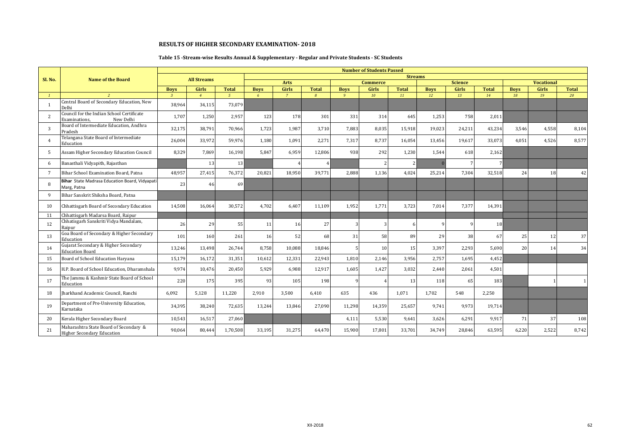### **Table 15 -Stream-wise Results Annual & Supplementary - Regular and Private Students - SC Students**

|                 |                                                                             |                               |                         |                                |                           |                         |                                |                         | <b>Number of Students Passed</b> |                    |                   |                |                    |                   |                   |                    |
|-----------------|-----------------------------------------------------------------------------|-------------------------------|-------------------------|--------------------------------|---------------------------|-------------------------|--------------------------------|-------------------------|----------------------------------|--------------------|-------------------|----------------|--------------------|-------------------|-------------------|--------------------|
| Sl. No.         | <b>Name of the Board</b>                                                    |                               | <b>All Streams</b>      |                                |                           |                         |                                |                         |                                  | <b>Streams</b>     |                   |                |                    |                   |                   |                    |
|                 |                                                                             |                               |                         |                                |                           | <b>Arts</b>             |                                |                         | <b>Commerce</b>                  |                    |                   | <b>Science</b> |                    |                   | <b>Vocational</b> |                    |
|                 | $\overline{c}$                                                              | <b>Boys</b><br>$\overline{3}$ | Girls<br>$\overline{4}$ | <b>Total</b><br>5 <sup>7</sup> | <b>Boys</b><br>$\epsilon$ | Girls<br>$\overline{z}$ | <b>Total</b><br>$\overline{R}$ | <b>Boys</b><br>$\alpha$ | Girls<br>10                      | <b>Total</b><br>11 | <b>Boys</b><br>12 | Girls<br>13    | <b>Total</b><br>14 | <b>Boys</b><br>18 | Girls<br>19       | <b>Total</b><br>20 |
|                 | Central Board of Secondary Education, New<br>Delhi                          | 38,964                        | 34,115                  | 73,079                         |                           |                         |                                |                         |                                  |                    |                   |                |                    |                   |                   |                    |
| $\overline{2}$  | Council for the Indian School Certificate<br>New Delhi<br>Examinations.     | 1.707                         | 1,250                   | 2,957                          | 123                       | 178                     | 301                            | 331                     | 314                              | 645                | 1,253             | 758            | 2,011              |                   |                   |                    |
| 3               | Board of Intermediate Education, Andhra<br>Pradesh                          | 32,175                        | 38,791                  | 70.966                         | 1.723                     | 1.987                   | 3.710                          | 7.883                   | 8.035                            | 15.918             | 19.023            | 24,211         | 43,234             | 3.546             | 4,558             | 8,104              |
|                 | Telangana State Board of Intermediate<br>Education                          | 26,004                        | 33,972                  | 59,976                         | 1,180                     | 1.091                   | 2,271                          | 7,317                   | 8,737                            | 16,054             | 13,456            | 19,617         | 33,073             | 4,051             | 4,526             | 8,577              |
| .5              | Assam Higher Secondary Education Council                                    | 8,329                         | 7,869                   | 16,198                         | 5.847                     | 6,959                   | 12,806                         | 938                     | 292                              | 1,230              | 1,544             | 618            | 2,162              |                   |                   |                    |
| 6               | Banasthali Vidyapith, Rajasthan                                             |                               | 13                      | 13                             |                           |                         |                                |                         |                                  |                    |                   |                |                    |                   |                   |                    |
| $7\phantom{.0}$ | Bihar School Examination Board, Patna                                       | 48,957                        | 27,415                  | 76,372                         | 20,821                    | 18,950                  | 39,771                         | 2,888                   | 1,136                            | 4,024              | 25,214            | 7,304          | 32,518             | 24                | 18                | 42                 |
| $\mathbf{R}$    | Bihar State Madrasa Education Board, Vidyapati<br>Marg, Patna               | 23                            | 46                      | 69                             |                           |                         |                                |                         |                                  |                    |                   |                |                    |                   |                   |                    |
| q               | Bihar Sanskrit Shiksha Board, Patna                                         |                               |                         |                                |                           |                         |                                |                         |                                  |                    |                   |                |                    |                   |                   |                    |
| 10              | Chhattisgarh Board of Secondary Education                                   | 14,508                        | 16,064                  | 30,572                         | 4.702                     | 6.407                   | 11,109                         | 1,952                   | 1,771                            | 3,723              | 7,014             | 7,377          | 14,391             |                   |                   |                    |
| 11              | Chhattisgarh Madarsa Board, Raipur                                          |                               |                         |                                |                           |                         |                                |                         |                                  |                    |                   |                |                    |                   |                   |                    |
| 12              | Chhatisgarh Sanskriti Vidya Mandalam,<br>Raipur                             | 26                            | 29                      | 55                             | 11                        | 16                      | 27                             |                         | 3                                |                    |                   |                | 18                 |                   |                   |                    |
| 13              | Goa Board of Secondary & Higher Secondary<br>Education                      | 101                           | 160                     | 261                            | 16                        | 52                      | 68                             | 31                      | 58                               | 89                 | 29                | 38             | 67                 | 25                | 12                | 37                 |
| 14              | Gujarat Secondary & Higher Secondary<br><b>Education Board</b>              | 13,246                        | 13,498                  | 26,744                         | 8,758                     | 10,088                  | 18,846                         |                         | 10                               | 15                 | 3,397             | 2,293          | 5,690              | 20                | 14                | 34                 |
| 15              | Board of School Education Haryana                                           | 15.179                        | 16,172                  | 31,351                         | 10.612                    | 12.331                  | 22.943                         | 1.810                   | 2.146                            | 3.956              | 2.757             | 1.695          | 4,452              |                   |                   |                    |
| 16              | H.P. Board of School Education. Dharamshala                                 | 9,974                         | 10,476                  | 20,450                         | 5.929                     | 6,988                   | 12,917                         | 1,605                   | 1,427                            | 3,032              | 2,440             | 2,061          | 4,501              |                   |                   |                    |
| 17              | The Jammu & Kashmir State Board of School<br>Education                      | 220                           | 175                     | 395                            | 93                        | 105                     | 198                            |                         |                                  | 13                 | 118               | 65             | 183                |                   |                   |                    |
| 18              | Jharkhand Academic Council, Ranchi                                          | 6,092                         | 5,128                   | 11,220                         | 2,910                     | 3,500                   | 6,410                          | 635                     | 436                              | 1,071              | 1,702             | 548            | 2,250              |                   |                   |                    |
| 19              | Department of Pre-University Education,<br>Karnataka                        | 34,395                        | 38,240                  | 72,635                         | 13,244                    | 13,846                  | 27,090                         | 11,298                  | 14,359                           | 25,657             | 9,741             | 9,973          | 19,714             |                   |                   |                    |
| 20              | Kerala Higher Secondary Board                                               | 10,543                        | 16,517                  | 27,060                         |                           |                         |                                | 4,111                   | 5,530                            | 9,641              | 3,626             | 6,291          | 9,917              | 71                | 37                | 108                |
| 21              | Maharashtra State Board of Secondary &<br><b>Higher Secondary Education</b> | 90,064                        | 80,444                  | 1,70,508                       | 33,195                    | 31,275                  | 64,470                         | 15,900                  | 17,801                           | 33,701             | 34,749            | 28,846         | 63,595             | 6,220             | 2,522             | 8,742              |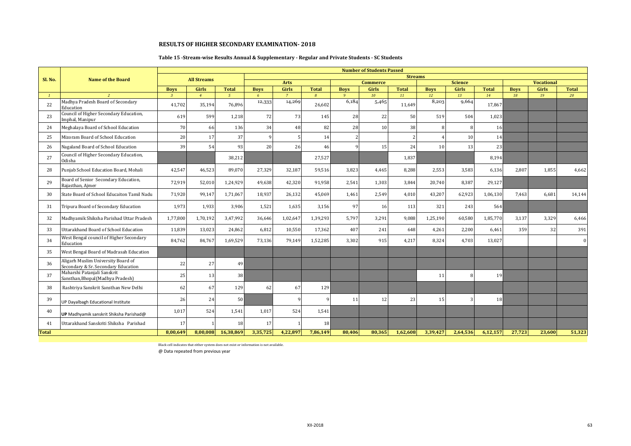### **Table 15 -Stream-wise Results Annual & Supplementary - Regular and Private Students - SC Students**

|              |                                                                           |                |                    |                |             |                      |                |             | <b>Number of Students Passed</b> |                |             |                                |              |             |                            |              |
|--------------|---------------------------------------------------------------------------|----------------|--------------------|----------------|-------------|----------------------|----------------|-------------|----------------------------------|----------------|-------------|--------------------------------|--------------|-------------|----------------------------|--------------|
| Sl. No.      | <b>Name of the Board</b>                                                  |                | <b>All Streams</b> |                |             |                      |                |             |                                  | <b>Streams</b> |             |                                |              |             |                            |              |
|              |                                                                           | <b>Boys</b>    | Girls              | <b>Total</b>   | <b>Boys</b> | <b>Arts</b><br>Girls | <b>Total</b>   | <b>Boys</b> | <b>Commerce</b><br>Girls         | <b>Total</b>   | <b>Boys</b> | <b>Science</b><br><b>Girls</b> | <b>Total</b> | <b>Boys</b> | <b>Vocational</b><br>Girls | <b>Total</b> |
|              | $\overline{c}$                                                            | $\overline{3}$ | $\overline{4}$     | 5 <sup>5</sup> | 6           | $\overline{7}$       | $\overline{R}$ | $\alpha$    | 10                               | 11             | 12          | 13                             | 14           | 18          | 19                         | 20           |
| 22           | Madhya Pradesh Board of Secondary<br>Education                            | 41,702         | 35,194             | 76,896         | 12,333      | 14,269               | 26,602         | 6,184       | 5,465                            | 11,649         | 8,203       | 9,664                          | 17,867       |             |                            |              |
| 23           | Council of Higher Secondary Education,<br>Imphal, Manipur                 | 619            | 599                | 1,218          | 72          | 73                   | 145            | 28          | 22                               | 50             | 519         | 504                            | 1,023        |             |                            |              |
| 24           | Meghalaya Board of School Education                                       | 70             | 66                 | 136            | 34          | 48                   | 82             | 28          | 10                               | 38             |             |                                | 16           |             |                            |              |
| 25           | Mizoram Board of School Education                                         | 20             | 17                 | 37             |             |                      | 14             |             |                                  |                |             | 10                             | 14           |             |                            |              |
| 26           | Nagaland Board of School Education                                        | 39             | 54                 | 93             | 20          | 26                   | 46             |             | 15                               | 24             | 10          | 13                             | 23           |             |                            |              |
| 27           | Council of Higher Secondary Education,<br>Odisha                          |                |                    | 38,212         |             |                      | 27,527         |             |                                  | 1,837          |             |                                | 8,194        |             |                            |              |
| 28           | Punjab School Education Board, Mohali                                     | 42,547         | 46,523             | 89,070         | 27,329      | 32,187               | 59,516         | 3,823       | 4,465                            | 8,288          | 2,553       | 3,583                          | 6,136        | 2,807       | 1,855                      | 4,662        |
| 29           | Board of Senior Secondary Education,<br>Rajasthan, Ajmer                  | 72,919         | 52,010             | 1,24,929       | 49,638      | 42,320               | 91,958         | 2,541       | 1,303                            | 3,844          | 20,740      | 8,387                          | 29,127       |             |                            |              |
| 30           | State Board of School Educaiton Tamil Nadu                                | 71.920         | 99.147             | 1,71,067       | 18.937      | 26.132               | 45.069         | 1.461       | 2.549                            | 4.010          | 43,207      | 62,923                         | 1,06,130     | 7.463       | 6.681                      | 14,144       |
| 31           | Tripura Board of Secondary Education                                      | 1,973          | 1,933              | 3,906          | 1,521       | 1,635                | 3,156          | 97          | 16                               | 113            | 321         | 243                            | 564          |             |                            |              |
| 32           | Madhyamik Shiksha Parishad Uttar Pradesh                                  | 1,77,800       | 1,70,192           | 3,47,992       | 36,646      | 1,02,647             | 1,39,293       | 5,797       | 3,291                            | 9,088          | 1,25,190    | 60,580                         | 1,85,770     | 3,137       | 3,329                      | 6,466        |
| 33           | Uttarakhand Board of School Education                                     | 11,839         | 13,023             | 24,862         | 6.812       | 10,550               | 17,362         | 407         | 241                              | 648            | 4,261       | 2,200                          | 6,461        | 359         | 32                         | 391          |
| 34           | West Bengal council of Higher Secondary<br>Education                      | 84,762         | 84,767             | 1,69,529       | 73,136      | 79,149               | 1,52,285       | 3,302       | 915                              | 4,217          | 8,324       | 4,703                          | 13,027       |             |                            | $\Omega$     |
| 35           | West Bengal Board of Madrasah Education                                   |                |                    |                |             |                      |                |             |                                  |                |             |                                |              |             |                            |              |
| 36           | Aligarh Muslim University Board of<br>Secondary & Sr. Secondary Education | 22             | 27                 | 49             |             |                      |                |             |                                  |                |             |                                |              |             |                            |              |
| 37           | Maharshi Patanjali Sanskrit<br>Sansthan, Bhopal (Madhya Pradesh)          | 25             | 13                 | 38             |             |                      |                |             |                                  |                | 11          |                                | 19           |             |                            |              |
| 38           | Rashtriya Sanskrit Sansthan New Delhi                                     | 62             | 67                 | 129            | 62          | 67                   | 129            |             |                                  |                |             |                                |              |             |                            |              |
| 39           | UP Dayalbagh Educational Institute                                        | 26             | 24                 | 50             |             |                      |                | 11          | 12                               | 23             | 15          |                                | 18           |             |                            |              |
| 40           | UP Madhyamik sanskrit Shiksha Parishad@                                   | 1,017          | 524                | 1,541          | 1,017       | 524                  | 1,541          |             |                                  |                |             |                                |              |             |                            |              |
| 41           | Uttarakhand Sanskriti Shiksha Parishad                                    | 17             |                    | 18             | 17          |                      | <b>18</b>      |             |                                  |                |             |                                |              |             |                            |              |
| <b>Total</b> |                                                                           | 8,00,649       | 8,00,008           | 16,38,869      | 3,35,725    | 4,22,897             | 7,86,149       | 80,406      | 80.365                           | 1,62,608       | 3,39,427    | 2,64,536                       | 6,12,157     | 27.723      | 23,600                     | 51,323       |

Black cell indicates that either system does not exist or information is not available.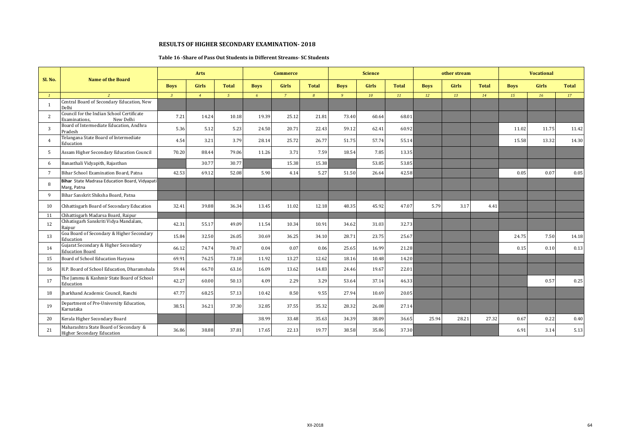#### **Table 16 -Share of Pass Out Students in Different Streams- SC Students**

|                |                                                                             | Arts           |                |              |             | <b>Commerce</b> |               |                | <b>Science</b> |              |             | other stream |              |             | <b>Vocational</b> |              |
|----------------|-----------------------------------------------------------------------------|----------------|----------------|--------------|-------------|-----------------|---------------|----------------|----------------|--------------|-------------|--------------|--------------|-------------|-------------------|--------------|
| Sl. No.        | <b>Name of the Board</b>                                                    | <b>Boys</b>    | <b>Girls</b>   | <b>Total</b> | <b>Boys</b> | <b>Girls</b>    | <b>Total</b>  | <b>Boys</b>    | <b>Girls</b>   | <b>Total</b> | <b>Boys</b> | <b>Girls</b> | <b>Total</b> | <b>Boys</b> | Girls             | <b>Total</b> |
| $\mathbf{1}$   | $\overline{2}$                                                              | $\overline{3}$ | $\overline{4}$ | $\sqrt{5}$   | 6           | $\overline{7}$  | $\mathcal{B}$ | $\overline{q}$ | 10             | 11           | 12          | 13           | 14           | 15          | 16                | 17           |
| $\overline{1}$ | Central Board of Secondary Education, New<br>Delhi                          |                |                |              |             |                 |               |                |                |              |             |              |              |             |                   |              |
| $\overline{2}$ | Council for the Indian School Certificate<br>New Delhi<br>Examinations,     | 7.21           | 14.24          | 10.18        | 19.39       | 25.12           | 21.81         | 73.40          | 60.64          | 68.01        |             |              |              |             |                   |              |
| $\overline{3}$ | Board of Intermediate Education, Andhra<br>Pradesh                          | 5.36           | 5.12           | 5.23         | 24.50       | 20.71           | 22.43         | 59.12          | 62.41          | 60.92        |             |              |              | 11.02       | 11.75             | 11.42        |
|                | Telangana State Board of Intermediate<br>Education                          | 4.54           | 3.21           | 3.79         | 28.14       | 25.72           | 26.77         | 51.75          | 57.74          | 55.14        |             |              |              | 15.58       | 13.32             | 14.30        |
| .5             | Assam Higher Secondary Education Council                                    | 70.20          | 88.44          | 79.06        | 11.26       | 3.71            | 7.59          | 18.54          | 7.85           | 13.35        |             |              |              |             |                   |              |
| 6              | Banasthali Vidyapith, Rajasthan                                             |                | 30.77          | 30.77        |             | 15.38           | 15.38         |                | 53.85          | 53.85        |             |              |              |             |                   |              |
| 7              | Bihar School Examination Board, Patna                                       | 42.53          | 69.12          | 52.08        | 5.90        | 4.14            | 5.27          | 51.50          | 26.64          | 42.58        |             |              |              | 0.05        | 0.07              | 0.05         |
| -8             | Bihar State Madrasa Education Board, Vidyapati<br>Marg, Patna               |                |                |              |             |                 |               |                |                |              |             |              |              |             |                   |              |
| q              | Bihar Sanskrit Shiksha Board, Patna                                         |                |                |              |             |                 |               |                |                |              |             |              |              |             |                   |              |
| 10             | Chhattisgarh Board of Secondary Education                                   | 32.41          | 39.88          | 36.34        | 13.45       | 11.02           | 12.18         | 48.35          | 45.92          | 47.07        | 5.79        | 3.17         | 4.41         |             |                   |              |
| 11             | Chhattisgarh Madarsa Board, Raipur                                          |                |                |              |             |                 |               |                |                |              |             |              |              |             |                   |              |
| 12             | Chhatisgarh Sanskriti Vidya Mandalam,<br>Raipur                             | 42.31          | 55.17          | 49.09        | 11.54       | 10.34           | 10.91         | 34.62          | 31.03          | 32.73        |             |              |              |             |                   |              |
| 13             | Goa Board of Secondary & Higher Secondary<br>Education                      | 15.84          | 32.50          | 26.05        | 30.69       | 36.25           | 34.10         | 28.71          | 23.75          | 25.67        |             |              |              | 24.75       | 7.50              | 14.18        |
| 14             | Gujarat Secondary & Higher Secondary<br><b>Education Board</b>              | 66.12          | 74.74          | 70.47        | 0.04        | 0.07            | 0.06          | 25.65          | 16.99          | 21.28        |             |              |              | 0.15        | 0.10              | 0.13         |
| 15             | Board of School Education Haryana                                           | 69.91          | 76.25          | 73.18        | 11.92       | 13.27           | 12.62         | 18.16          | 10.48          | 14.20        |             |              |              |             |                   |              |
| 16             | H.P. Board of School Education, Dharamshala                                 | 59.44          | 66.70          | 63.16        | 16.09       | 13.62           | 14.83         | 24.46          | 19.67          | 22.01        |             |              |              |             |                   |              |
| 17             | The Jammu & Kashmir State Board of School<br>Education                      | 42.27          | 60.00          | 50.13        | 4.09        | 2.29            | 3.29          | 53.64          | 37.14          | 46.33        |             |              |              |             | 0.57              | 0.25         |
| 18             | Iharkhand Academic Council, Ranchi                                          | 47.77          | 68.25          | 57.13        | 10.42       | 8.50            | 9.55          | 27.94          | 10.69          | 20.05        |             |              |              |             |                   |              |
| 19             | Department of Pre-University Education,<br>Karnataka                        | 38.51          | 36.21          | 37.30        | 32.85       | 37.55           | 35.32         | 28.32          | 26.08          | 27.14        |             |              |              |             |                   |              |
| 20             | Kerala Higher Secondary Board                                               |                |                |              | 38.99       | 33.48           | 35.63         | 34.39          | 38.09          | 36.65        | 25.94       | 28.21        | 27.32        | 0.67        | 0.22              | 0.40         |
| 21             | Maharashtra State Board of Secondary &<br><b>Higher Secondary Education</b> | 36.86          | 38.88          | 37.81        | 17.65       | 22.13           | 19.77         | 38.58          | 35.86          | 37.30        |             |              |              | 6.91        | 3.14              | 5.13         |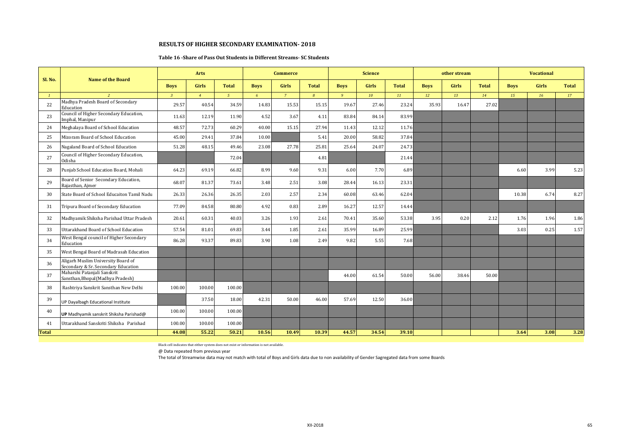#### **Table 16 -Share of Pass Out Students in Different Streams- SC Students**

|              | <b>Name of the Board</b>                                                  | Arts           |                |                |             | <b>Commerce</b> |               |              | <b>Science</b> |              |             | other stream |              |             | <b>Vocational</b> |              |
|--------------|---------------------------------------------------------------------------|----------------|----------------|----------------|-------------|-----------------|---------------|--------------|----------------|--------------|-------------|--------------|--------------|-------------|-------------------|--------------|
| Sl. No.      |                                                                           | <b>Boys</b>    | Girls          | <b>Total</b>   | <b>Boys</b> | <b>Girls</b>    | <b>Total</b>  | <b>Boys</b>  | <b>Girls</b>   | <b>Total</b> | <b>Boys</b> | <b>Girls</b> | <b>Total</b> | <b>Boys</b> | Girls             | <b>Total</b> |
|              |                                                                           | $\overline{3}$ | $\overline{4}$ | 5 <sup>5</sup> | 6           | $\overline{7}$  | $\mathcal{B}$ | $\mathbf{q}$ | 10             | 11           | 12          | 13           | 14           | 15          | 16                | 17           |
| 22           | Madhya Pradesh Board of Secondary<br>Education                            | 29.57          | 40.54          | 34.59          | 14.83       | 15.53           | 15.15         | 19.67        | 27.46          | 23.24        | 35.93       | 16.47        | 27.02        |             |                   |              |
| 23           | Council of Higher Secondary Education,<br>Imphal, Manipur                 | 11.63          | 12.19          | 11.90          | 4.52        | 3.67            | 4.11          | 83.84        | 84.14          | 83.99        |             |              |              |             |                   |              |
| 24           | Meghalaya Board of School Education                                       | 48.57          | 72.73          | 60.29          | 40.00       | 15.15           | 27.94         | 11.43        | 12.12          | 11.76        |             |              |              |             |                   |              |
| 25           | Mizoram Board of School Education                                         | 45.00          | 29.41          | 37.84          | 10.00       |                 | 5.41          | 20.00        | 58.82          | 37.84        |             |              |              |             |                   |              |
| 26           | Nagaland Board of School Education                                        | 51.28          | 48.15          | 49.46          | 23.08       | 27.78           | 25.81         | 25.64        | 24.07          | 24.73        |             |              |              |             |                   |              |
| 27           | Council of Higher Secondary Education,<br>Odisha                          |                |                | 72.04          |             |                 | 4.81          |              |                | 21.44        |             |              |              |             |                   |              |
| 28           | Punjab School Education Board, Mohali                                     | 64.23          | 69.19          | 66.82          | 8.99        | 9.60            | 9.31          | 6.00         | 7.70           | 6.89         |             |              |              | 6.60        | 3.99              | 5.23         |
| 29           | Board of Senior Secondary Education,<br>Rajasthan, Ajmer                  | 68.07          | 81.37          | 73.61          | 3.48        | 2.51            | 3.08          | 28.44        | 16.13          | 23.31        |             |              |              |             |                   |              |
| 30           | State Board of School Educaiton Tamil Nadu                                | 26.33          | 26.36          | 26.35          | 2.03        | 2.57            | 2.34          | 60.08        | 63.46          | 62.04        |             |              |              | 10.38       | 6.74              | 8.27         |
| 31           | Tripura Board of Secondary Education                                      | 77.09          | 84.58          | 80.80          | 4.92        | 0.83            | 2.89          | 16.27        | 12.57          | 14.44        |             |              |              |             |                   |              |
| 32           | Madhyamik Shiksha Parishad Uttar Pradesh                                  | 20.61          | 60.31          | 40.03          | 3.26        | 1.93            | 2.61          | 70.41        | 35.60          | 53.38        | 3.95        | 0.20         | 2.12         | 1.76        | 1.96              | 1.86         |
| 33           | Uttarakhand Board of School Education                                     | 57.54          | 81.01          | 69.83          | 3.44        | 1.85            | 2.61          | 35.99        | 16.89          | 25.99        |             |              |              | 3.03        | 0.25              | 1.57         |
| 34           | West Bengal council of Higher Secondary<br>Education                      | 86.28          | 93.37          | 89.83          | 3.90        | 1.08            | 2.49          | 9.82         | 5.55           | 7.68         |             |              |              |             |                   |              |
| 35           | West Bengal Board of Madrasah Education                                   |                |                |                |             |                 |               |              |                |              |             |              |              |             |                   |              |
| 36           | Aligarh Muslim University Board of<br>Secondary & Sr. Secondary Education |                |                |                |             |                 |               |              |                |              |             |              |              |             |                   |              |
| 37           | Maharshi Patanjali Sanskrit<br>Sansthan, Bhopal (Madhya Pradesh)          |                |                |                |             |                 |               | 44.00        | 61.54          | 50.00        | 56.00       | 38.46        | 50.00        |             |                   |              |
| 38           | Rashtriya Sanskrit Sansthan New Delhi                                     | 100.00         | 100.00         | 100.00         |             |                 |               |              |                |              |             |              |              |             |                   |              |
| 39           | UP Dayalbagh Educational Institute                                        |                | 37.50          | 18.00          | 42.31       | 50.00           | 46.00         | 57.69        | 12.50          | 36.00        |             |              |              |             |                   |              |
| 40           | UP Madhyamik sanskrit Shiksha Parishad@                                   | 100.00         | 100.00         | 100.00         |             |                 |               |              |                |              |             |              |              |             |                   |              |
| 41           | Uttarakhand Sanskriti Shiksha Parishad                                    | 100.00         | 100.00         | 100.00         |             |                 |               |              |                |              |             |              |              |             |                   |              |
| <b>Total</b> |                                                                           | 44.08          | 55.22          | 50.21          | 10.56       | 10.49           | 10.39         | 44.57        | 34.54          | 39.10        |             |              |              | 3.64        | 3.08              | 3.28         |

Black cell indicates that either system does not exist or information is not available.

@ Data repeated from previous year

The total of Streamwise data may not match with total of Boys and Girls data due to non availability of Gender Sagregated data from some Boards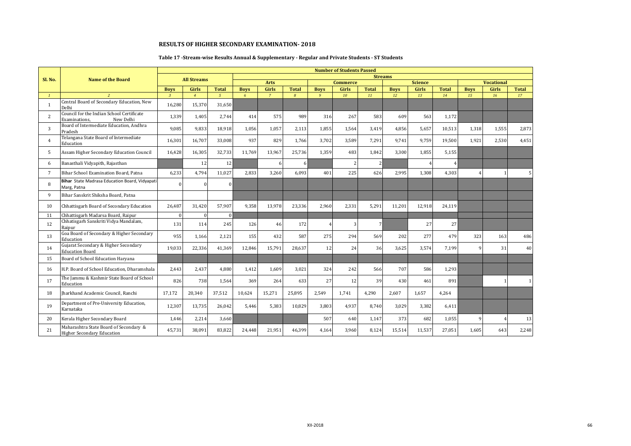### **Table 17 -Stream-wise Results Annual & Supplementary - Regular and Private Students - ST Students**

|                 |                                                                             |                               |                                |                                |                  |                      |               |                             | <b>Number of Students Passed</b> |                |                   |                         |                    |                   |                   |                    |
|-----------------|-----------------------------------------------------------------------------|-------------------------------|--------------------------------|--------------------------------|------------------|----------------------|---------------|-----------------------------|----------------------------------|----------------|-------------------|-------------------------|--------------------|-------------------|-------------------|--------------------|
| Sl. No.         | <b>Name of the Board</b>                                                    |                               | <b>All Streams</b>             |                                |                  |                      |               |                             |                                  |                | <b>Streams</b>    |                         |                    |                   |                   |                    |
|                 |                                                                             |                               |                                |                                |                  | <b>Arts</b><br>Girls | <b>Total</b>  |                             | <b>Commerce</b>                  | <b>Total</b>   |                   | <b>Science</b><br>Girls |                    |                   | <b>Vocational</b> |                    |
| $\mathbf{1}$    | <sup>2</sup>                                                                | <b>Boys</b><br>$\overline{3}$ | <b>Girls</b><br>$\overline{4}$ | <b>Total</b><br>5 <sup>7</sup> | <b>Bovs</b><br>6 | $\overline{7}$       | $\mathcal{B}$ | <b>Boys</b><br>$\mathbf{Q}$ | <b>Girls</b><br>10               | 11             | <b>Boys</b><br>12 | 13                      | <b>Total</b><br>14 | <b>Boys</b><br>15 | Girls<br>16       | <b>Total</b><br>17 |
| -1              | Central Board of Secondary Education, New<br>Delhi                          | 16,280                        | 15,370                         | 31,650                         |                  |                      |               |                             |                                  |                |                   |                         |                    |                   |                   |                    |
| 2               | Council for the Indian School Certificate<br>New Delhi<br>Examinations,     | 1,339                         | 1,405                          | 2,744                          | 414              | 575                  | 989           | 316                         | 267                              | 583            | 609               | 563                     | 1,172              |                   |                   |                    |
| 3               | Board of Intermediate Education, Andhra<br>Pradesh                          | 9,085                         | 9,833                          | 18,918                         | 1,056            | 1,057                | 2,113         | 1,855                       | 1,564                            | 3,419          | 4,856             | 5,657                   | 10,513             | 1,318             | 1,555             | 2,873              |
| $\overline{4}$  | Telangana State Board of Intermediate<br>Education                          | 16,301                        | 16,707                         | 33,008                         | 937              | 829                  | 1,766         | 3,702                       | 3,589                            | 7,291          | 9,741             | 9,759                   | 19,500             | 1,921             | 2,530             | 4,451              |
| .5              | Assam Higher Secondary Education Council                                    | 16,428                        | 16,305                         | 32,733                         | 11,769           | 13,967               | 25,736        | 1,359                       | 483                              | 1.842          | 3.300             | 1,855                   | 5,155              |                   |                   |                    |
| 6               | Banasthali Vidyapith, Rajasthan                                             |                               | 12                             | 12                             |                  | 6                    |               |                             |                                  |                |                   |                         |                    |                   |                   |                    |
| $7\phantom{.0}$ | Bihar School Examination Board, Patna                                       | 6,233                         | 4,794                          | 11,027                         | 2.833            | 3.260                | 6.093         | 401                         | 225                              | 626            | 2.995             | 1,308                   | 4,303              |                   | 1                 |                    |
| 8               | <b>Bihar</b> State Madrasa Education Board, Vidyapati<br>Marg, Patna        | $\Omega$                      | $\Omega$                       | $\Omega$                       |                  |                      |               |                             |                                  |                |                   |                         |                    |                   |                   |                    |
| 9               | Bihar Sanskrit Shiksha Board, Patna                                         |                               |                                |                                |                  |                      |               |                             |                                  |                |                   |                         |                    |                   |                   |                    |
| 10              | Chhattisgarh Board of Secondary Education                                   | 26,487                        | 31,420                         | 57,907                         | 9,358            | 13,978               | 23,336        | 2,960                       | 2,331                            | 5,291          | 11,201            | 12,918                  | 24,119             |                   |                   |                    |
| 11              | Chhattisgarh Madarsa Board, Raipur                                          | $\Omega$                      | $\Omega$                       | $\Omega$                       |                  |                      |               |                             |                                  |                |                   |                         |                    |                   |                   |                    |
| 12              | Chhatisgarh Sanskriti Vidya Mandalam,<br>Raipur                             | 131                           | 114                            | 245                            | 126              | 46                   | 172           | $\overline{4}$              |                                  | $\overline{7}$ |                   | 27                      | 27                 |                   |                   |                    |
| 13              | Goa Board of Secondary & Higher Secondary<br>Education                      | 955                           | 1,166                          | 2,121                          | 155              | 432                  | 587           | 275                         | 294                              | 569            | 202               | 277                     | 479                | 323               | 163               | 486                |
| 14              | Gujarat Secondary & Higher Secondary<br><b>Education Board</b>              | 19,033                        | 22,336                         | 41,369                         | 12,846           | 15,791               | 28,637        | 12                          | 24                               | 36             | 3,625             | 3,574                   | 7,199              |                   | 31                | 40                 |
| 15              | Board of School Education Haryana                                           |                               |                                |                                |                  |                      |               |                             |                                  |                |                   |                         |                    |                   |                   |                    |
| 16              | H.P. Board of School Education, Dharamshala                                 | 2,443                         | 2,437                          | 4,880                          | 1,412            | 1,609                | 3,021         | 324                         | 242                              | 566            | 707               | 586                     | 1,293              |                   |                   |                    |
| 17              | The Jammu & Kashmir State Board of School<br>Education                      | 826                           | 738                            | 1,564                          | 369              | 264                  | 633           | 27                          | 12                               | 39             | 430               | 461                     | 891                |                   | 1                 |                    |
| 18              | Iharkhand Academic Council, Ranchi                                          | 17,172                        | 20,340                         | 37,512                         | 10,624           | 15,271               | 25,895        | 2.549                       | 1.741                            | 4.290          | 2,607             | 1.657                   | 4.264              |                   |                   |                    |
| 19              | Department of Pre-University Education,<br>Karnataka                        | 12,307                        | 13,735                         | 26,042                         | 5,446            | 5,383                | 10,829        | 3,803                       | 4,937                            | 8,740          | 3,029             | 3,382                   | 6,411              |                   |                   |                    |
| 20              | Kerala Higher Secondary Board                                               | 1,446                         | 2,214                          | 3,660                          |                  |                      |               | 507                         | 640                              | 1,147          | 373               | 682                     | 1,055              |                   | $\overline{4}$    | 13                 |
| 21              | Maharashtra State Board of Secondary &<br><b>Higher Secondary Education</b> | 45,731                        | 38,091                         | 83,822                         | 24,448           | 21,951               | 46,399        | 4,164                       | 3,960                            | 8,124          | 15,514            | 11,537                  | 27,051             | 1,605             | 643               | 2,248              |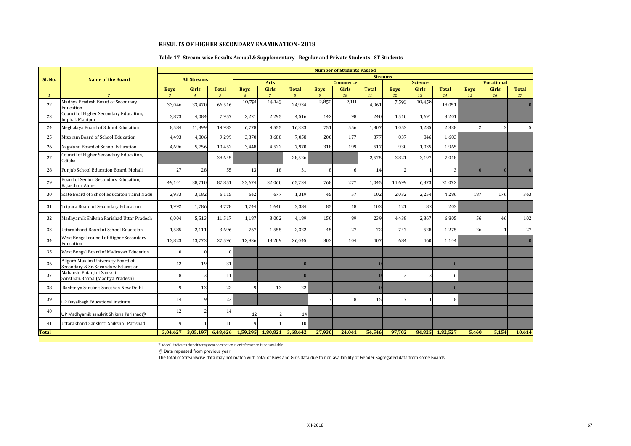### **Table 17 -Stream-wise Results Annual & Supplementary - Regular and Private Students - ST Students**

|              |                                                                           |                |                    |                |             |                          |                |                | <b>Number of Students Passed</b> |              |                |                         |              |             |                            |                |
|--------------|---------------------------------------------------------------------------|----------------|--------------------|----------------|-------------|--------------------------|----------------|----------------|----------------------------------|--------------|----------------|-------------------------|--------------|-------------|----------------------------|----------------|
| Sl. No.      | <b>Name of the Board</b>                                                  |                | <b>All Streams</b> |                |             |                          |                |                |                                  |              | <b>Streams</b> |                         |              |             |                            |                |
|              |                                                                           | <b>Boys</b>    | <b>Girls</b>       | <b>Total</b>   | <b>Bovs</b> | <b>Arts</b><br>Girls     | <b>Total</b>   | <b>Boys</b>    | <b>Commerce</b><br><b>Girls</b>  | <b>Total</b> | <b>Boys</b>    | <b>Science</b><br>Girls | <b>Total</b> | <b>Boys</b> | <b>Vocational</b><br>Girls | <b>Total</b>   |
| $\mathbf{1}$ | $\overline{2}$                                                            | $\overline{3}$ | $\overline{4}$     | 5 <sup>7</sup> | 6           | $\overline{7}$           | $\overline{B}$ | $\overline{9}$ | 10                               | 11           | 12             | 13                      | 14           | 15          | 16                         | 17             |
| 22           | Madhya Pradesh Board of Secondary<br>Education                            | 33,046         | 33,470             | 66,516         | 10,791      | 14,143                   | 24,934         | 2,850          | 2,111                            | 4,961        | 7,593          | 10,458                  | 18,051       |             |                            | $\mathbf{0}$   |
| 23           | Council of Higher Secondary Education,<br>Imphal, Manipur                 | 3,873          | 4,084              | 7,957          | 2,221       | 2,295                    | 4,516          | 142            | 98                               | 240          | 1,510          | 1,691                   | 3,201        |             |                            |                |
| 24           | Meghalaya Board of School Education                                       | 8,584          | 11,399             | 19,983         | 6,778       | 9,555                    | 16,333         | 751            | 556                              | 1,307        | 1,053          | 1,285                   | 2,338        |             | 3                          |                |
| 25           | Mizoram Board of School Education                                         | 4,493          | 4,806              | 9,299          | 3,370       | 3,688                    | 7.058          | 200            | 177                              | 377          | 837            | 846                     | 1,683        |             |                            |                |
| 26           | Nagaland Board of School Education                                        | 4,696          | 5,756              | 10,452         | 3,448       | 4,522                    | 7,970          | 318            | 199                              | 517          | 930            | 1,035                   | 1,965        |             |                            |                |
| 27           | Council of Higher Secondary Education,<br>Odisha                          |                |                    | 38,645         |             |                          | 28,526         |                |                                  | 2,575        | 3,821          | 3,197                   | 7,018        |             |                            |                |
| 28           | Punjab School Education Board, Mohali                                     | 27             | 28                 | 55             | 13          | 18                       | 31             | 8              | 6                                | 14           | 2              |                         | 3            |             | $\mathbf{0}$               | $\overline{0}$ |
| 29           | Board of Senior Secondary Education,<br>Rajasthan, Ajmer                  | 49,141         | 38,710             | 87,851         | 33,674      | 32,060                   | 65,734         | 768            | 277                              | 1,045        | 14,699         | 6,373                   | 21,072       |             |                            |                |
| 30           | State Board of School Educaiton Tamil Nadu                                | 2,933          | 3.182              | 6,115          | 642         | 677                      | 1.319          | 45             | 57                               | 102          | 2.032          | 2,254                   | 4,286        | 187         | 176                        | 363            |
| 31           | Tripura Board of Secondary Education                                      | 1,992          | 1,786              | 3,778          | 1,744       | 1,640                    | 3,384          | 85             | 18                               | 103          | 121            | 82                      | 203          |             |                            |                |
| 32           | Madhyamik Shiksha Parishad Uttar Pradesh                                  | 6,004          | 5,513              | 11,517         | 1,187       | 3,002                    | 4,189          | 150            | 89                               | 239          | 4,438          | 2,367                   | 6,805        | 56          | 46                         | 102            |
| 33           | Uttarakhand Board of School Education                                     | 1.585          | 2,111              | 3,696          | 767         | 1,555                    | 2.322          | 45             | 27                               | 72           | 747            | 528                     | 1,275        | 26          |                            | 27             |
| 34           | West Bengal council of Higher Secondary<br>Education                      | 13,823         | 13,773             | 27,596         | 12,836      | 13,209                   | 26,045         | 303            | 104                              | 407          | 684            | 460                     | 1,144        |             |                            | $\bf{0}$       |
| 35           | West Bengal Board of Madrasah Education                                   | $\Omega$       |                    | $\theta$       |             |                          |                |                |                                  |              |                |                         |              |             |                            |                |
| 36           | Aligarh Muslim University Board of<br>Secondary & Sr. Secondary Education | 12             | 19                 | 31             |             |                          | $\Omega$       |                |                                  |              |                |                         | $\Omega$     |             |                            |                |
| 37           | Maharshi Patanjali Sanskrit<br>Sansthan, Bhopal (Madhya Pradesh)          | 8              |                    | 11             |             |                          | $\Omega$       |                |                                  |              | 3              |                         | 6            |             |                            |                |
| 38           | Rashtriya Sanskrit Sansthan New Delhi                                     | $\mathbf{Q}$   | 13                 | 22             |             | 13                       | 22             |                |                                  |              |                |                         | $\Omega$     |             |                            |                |
| 39           | UP Dayalbagh Educational Institute                                        | 14             |                    | 23             |             |                          |                | 7              |                                  | 15           |                |                         | 8            |             |                            |                |
| 40           | UP Madhyamik sanskrit Shiksha Parishad@                                   | 12             |                    | 14             | 12          | $\overline{\phantom{a}}$ | 14             |                |                                  |              |                |                         |              |             |                            |                |
| 41           | Uttarakhand Sanskriti Shiksha Parishad                                    |                |                    | 10             |             |                          | <b>10</b>      |                |                                  |              |                |                         |              |             |                            |                |
| <b>Total</b> |                                                                           | 3,04,627       | 3,05,197           | 6,48,426       | 1,59,295    | 1,80,821                 | 3,68,642       | 27,930         | 24,041                           | 54,546       | 97,702         | 84,825                  | 1,82,527     | 5,460       | 5,154                      | 10,614         |

Black cell indicates that either system does not exist or information is not available.

@ Data repeated from previous year

The total of Streamwise data may not match with total of Boys and Girls data due to non availability of Gender Sagregated data from some Boards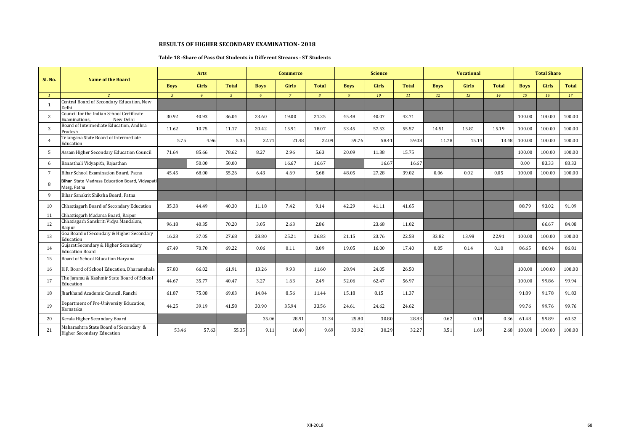#### **Table 18 -Share of Pass Out Students in Different Streams - ST Students**

| Sl. No.        | <b>Name of the Board</b>                                                    | Arts           |                |                 |             | <b>Commerce</b> |                |                | <b>Science</b> |              |             | <b>Vocational</b> |              |             | <b>Total Share</b> |              |
|----------------|-----------------------------------------------------------------------------|----------------|----------------|-----------------|-------------|-----------------|----------------|----------------|----------------|--------------|-------------|-------------------|--------------|-------------|--------------------|--------------|
|                |                                                                             | <b>Boys</b>    | <b>Girls</b>   | <b>Total</b>    | <b>Boys</b> | <b>Girls</b>    | <b>Total</b>   | <b>Boys</b>    | <b>Girls</b>   | <b>Total</b> | <b>Boys</b> | <b>Girls</b>      | <b>Total</b> | <b>Boys</b> | <b>Girls</b>       | <b>Total</b> |
|                | $\overline{\phantom{a}}$                                                    | $\overline{3}$ | $\overline{4}$ | $5\overline{5}$ | 6           | $\overline{7}$  | $\overline{R}$ | $\overline{9}$ | 10             | 11           | 12          | 13                | 14           | 15          | 16                 | 17           |
| $\overline{1}$ | Central Board of Secondary Education, New<br>Delhi                          |                |                |                 |             |                 |                |                |                |              |             |                   |              |             |                    |              |
| $\overline{c}$ | Council for the Indian School Certificate<br>Examinations.<br>New Delhi     | 30.92          | 40.93          | 36.04           | 23.60       | 19.00           | 21.25          | 45.48          | 40.07          | 42.71        |             |                   |              | 100.00      | 100.00             | 100.00       |
| 3              | Board of Intermediate Education, Andhra<br>Pradesh                          | 11.62          | 10.75          | 11.17           | 20.42       | 15.91           | 18.07          | 53.45          | 57.53          | 55.57        | 14.51       | 15.81             | 15.19        | 100.00      | 100.00             | 100.00       |
|                | Telangana State Board of Intermediate<br>Education                          | 5.75           | 4.96           | 5.35            | 22.71       | 21.48           | 22.09          | 59.76          | 58.41          | 59.08        | 11.78       | 15.14             | 13.48        | 100.00      | 100.00             | 100.00       |
| -5             | Assam Higher Secondary Education Council                                    | 71.64          | 85.66          | 78.62           | 8.27        | 2.96            | 5.63           | 20.09          | 11.38          | 15.75        |             |                   |              | 100.00      | 100.00             | 100.00       |
| 6              | Banasthali Vidyapith, Rajasthan                                             |                | 50.00          | 50.00           |             | 16.67           | 16.67          |                | 16.67          | 16.67        |             |                   |              | 0.00        | 83.33              | 83.33        |
| $\overline{7}$ | Bihar School Examination Board, Patna                                       | 45.45          | 68.00          | 55.26           | 6.43        | 4.69            | 5.68           | 48.05          | 27.28          | 39.02        | 0.06        | 0.02              | 0.05         | 100.00      | 100.00             | 100.00       |
| -8             | Bihar State Madrasa Education Board, Vidyapati<br>Marg, Patna               |                |                |                 |             |                 |                |                |                |              |             |                   |              |             |                    |              |
| q              | Bihar Sanskrit Shiksha Board, Patna                                         |                |                |                 |             |                 |                |                |                |              |             |                   |              |             |                    |              |
| 10             | Chhattisgarh Board of Secondary Education                                   | 35.33          | 44.49          | 40.30           | 11.18       | 7.42            | 9.14           | 42.29          | 41.11          | 41.65        |             |                   |              | 88.79       | 93.02              | 91.09        |
| 11             | Chhattisgarh Madarsa Board, Raipur                                          |                |                |                 |             |                 |                |                |                |              |             |                   |              |             |                    |              |
| 12             | Chhatisgarh Sanskriti Vidya Mandalam,<br>Raipur                             | 96.18          | 40.35          | 70.20           | 3.05        | 2.63            | 2.86           |                | 23.68          | 11.02        |             |                   |              |             | 66.67              | 84.08        |
| 13             | Goa Board of Secondary & Higher Secondary<br>Education                      | 16.23          | 37.05          | 27.68           | 28.80       | 25.21           | 26.83          | 21.15          | 23.76          | 22.58        | 33.82       | 13.98             | 22.91        | 100.00      | 100.00             | 100.00       |
| 14             | Gujarat Secondary & Higher Secondary<br><b>Education Board</b>              | 67.49          | 70.70          | 69.22           | 0.06        | 0.11            | 0.09           | 19.05          | 16.00          | 17.40        | 0.05        | 0.14              | 0.10         | 86.65       | 86.94              | 86.81        |
| 15             | Board of School Education Haryana                                           |                |                |                 |             |                 |                |                |                |              |             |                   |              |             |                    |              |
| 16             | H.P. Board of School Education, Dharamshala                                 | 57.80          | 66.02          | 61.91           | 13.26       | 9.93            | 11.60          | 28.94          | 24.05          | 26.50        |             |                   |              | 100.00      | 100.00             | 100.00       |
| 17             | The Jammu & Kashmir State Board of School<br>Education                      | 44.67          | 35.77          | 40.47           | 3.27        | 1.63            | 2.49           | 52.06          | 62.47          | 56.97        |             |                   |              | 100.00      | 99.86              | 99.94        |
| 18             | Jharkhand Academic Council, Ranchi                                          | 61.87          | 75.08          | 69.03           | 14.84       | 8.56            | 11.44          | 15.18          | 8.15           | 11.37        |             |                   |              | 91.89       | 91.78              | 91.83        |
| 19             | Department of Pre-University Education,<br>Karnataka                        | 44.25          | 39.19          | 41.58           | 30.90       | 35.94           | 33.56          | 24.61          | 24.62          | 24.62        |             |                   |              | 99.76       | 99.76              | 99.76        |
| 20             | Kerala Higher Secondary Board                                               |                |                |                 | 35.06       | 28.91           | 31.34          | 25.80          | 30.80          | 28.83        | 0.62        | 0.18              | 0.36         | 61.48       | 59.89              | 60.52        |
| 21             | Maharashtra State Board of Secondary &<br><b>Higher Secondary Education</b> | 53.46          | 57.63          | 55.35           | 9.11        | 10.40           | 9.69           | 33.92          | 30.29          | 32.27        | 3.51        | 1.69              | 2.68         | 100.00      | 100.00             | 100.00       |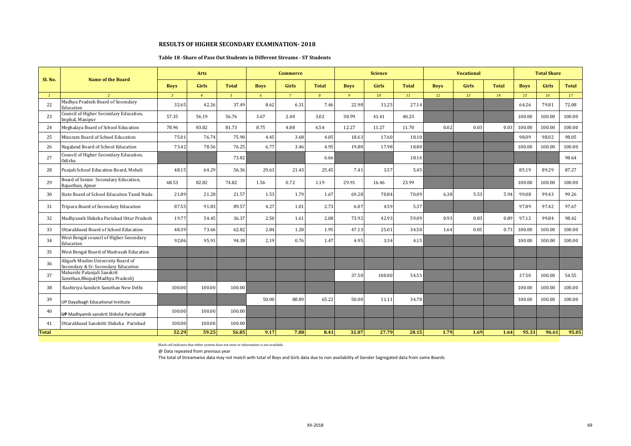#### **Table 18 -Share of Pass Out Students in Different Streams - ST Students**

| Sl. No.      | Name of the Board                                                         |                | <b>Arts</b>    |                |             | <b>Commerce</b> |                |             | <b>Science</b> |              |             | <b>Vocational</b> |              |             | <b>Total Share</b> |              |
|--------------|---------------------------------------------------------------------------|----------------|----------------|----------------|-------------|-----------------|----------------|-------------|----------------|--------------|-------------|-------------------|--------------|-------------|--------------------|--------------|
|              |                                                                           | <b>Boys</b>    | <b>Girls</b>   | <b>Total</b>   | <b>Boys</b> | <b>Girls</b>    | <b>Total</b>   | <b>Boys</b> | <b>Girls</b>   | <b>Total</b> | <b>Boys</b> | <b>Girls</b>      | <b>Total</b> | <b>Boys</b> | <b>Girls</b>       | <b>Total</b> |
|              |                                                                           | $\overline{3}$ | $\overline{4}$ | 5 <sup>7</sup> | 6           | $\overline{7}$  | $\overline{B}$ | 9           | 10             | 11           | 12          | 13                | 14           | 15          | 16                 | 17           |
| 22           | Madhya Pradesh Board of Secondary<br>Education                            | 32.65          | 42.26          | 37.49          | 8.62        | 6.31            | 7.46           | 22.98       | 31.25          | 27.14        |             |                   |              | 64.26       | 79.81              | 72.08        |
| 23           | Council of Higher Secondary Education,<br>Imphal, Manipur                 | 57.35          | 56.19          | 56.76          | 3.67        | 2.40            | 3.02           | 38.99       | 41.41          | 40.23        |             |                   |              | 100.00      | 100.00             | 100.00       |
| 24           | Meghalaya Board of School Education                                       | 78.96          | 83.82          | 81.73          | 8.75        | 4.88            | 6.54           | 12.27       | 11.27          | 11.70        | 0.02        | 0.03              | 0.03         | 100.00      | 100.00             | 100.00       |
| 25           | Mizoram Board of School Education                                         | 75.01          | 76.74          | 75.90          | 4.45        | 3.68            | 4.05           | 18.63       | 17.60          | 18.10        |             |                   |              | 98.09       | 98.02              | 98.05        |
| 26           | Nagaland Board of School Education                                        | 73.42          | 78.56          | 76.25          | 6.77        | 3.46            | 4.95           | 19.80       | 17.98          | 18.80        |             |                   |              | 100.00      | 100.00             | 100.00       |
| 27           | Council of Higher Secondary Education,<br>Odisha                          |                |                | 73.82          |             |                 | 6.66           |             |                | 18.16        |             |                   |              |             |                    | 98.64        |
| 28           | Punjab School Education Board, Mohali                                     | 48.15          | 64.29          | 56.36          | 29.63       | 21.43           | 25.45          | 7.41        | 3.57           | 5.45         |             |                   |              | 85.19       | 89.29              | 87.27        |
| 29           | Board of Senior Secondary Education,<br>Rajasthan, Ajmer                  | 68.53          | 82.82          | 74.82          | 1.56        | 0.72            | 1.19           | 29.91       | 16.46          | 23.99        |             |                   |              | 100.00      | 100.00             | 100.00       |
| 30           | State Board of School Educaiton Tamil Nadu                                | 21.89          | 21.28          | 21.57          | 1.53        | 1.79            | 1.67           | 69.28       | 70.84          | 70.09        | 6.38        | 5.53              | 5.94         | 99.08       | 99.43              | 99.26        |
| 31           | Tripura Board of Secondary Education                                      | 87.55          | 91.83          | 89.57          | 4.27        | 1.01            | 2.73           | 6.07        | 4.59           | 5.37         |             |                   |              | 97.89       | 97.42              | 97.67        |
| 32           | Madhyamik Shiksha Parishad Uttar Pradesh                                  | 19.77          | 54.45          | 36.37          | 2.50        | 1.61            | 2.08           | 73.92       | 42.93          | 59.09        | 0.93        | 0.83              | 0.89         | 97.12       | 99.84              | 98.42        |
| 33           | Uttarakhand Board of School Education                                     | 48.39          | 73.66          | 62.82          | 2.84        | 1.28            | 1.95           | 47.13       | 25.01          | 34.50        | 1.64        | 0.05              | 0.73         | 100.00      | 100.00             | 100.00       |
| 34           | West Bengal council of Higher Secondary<br>Education                      | 92.86          | 95.91          | 94.38          | 2.19        | 0.76            | 1.47           | 4.95        | 3.34           | 4.15         |             |                   |              | 100.00      | 100.00             | 100.00       |
| 35           | West Bengal Board of Madrasah Education                                   |                |                |                |             |                 |                |             |                |              |             |                   |              |             |                    |              |
| 36           | Aligarh Muslim University Board of<br>Secondary & Sr. Secondary Education |                |                |                |             |                 |                |             |                |              |             |                   |              |             |                    |              |
| 37           | Maharshi Patanjali Sanskrit<br>Sansthan, Bhopal (Madhya Pradesh)          |                |                |                |             |                 |                | 37.50       | 100.00         | 54.55        |             |                   |              | 37.50       | 100.00             | 54.55        |
| 38           | Rashtriya Sanskrit Sansthan New Delhi                                     | 100.00         | 100.00         | 100.00         |             |                 |                |             |                |              |             |                   |              | 100.00      | 100.00             | 100.00       |
| 39           | UP Dayalbagh Educational Institute                                        |                |                |                | 50.00       | 88.89           | 65.22          | 50.00       | 11.11          | 34.78        |             |                   |              | 100.00      | 100.00             | 100.00       |
| 40           | UP Madhyamik sanskrit Shiksha Parishad@                                   | 100.00         | 100.00         | 100.00         |             |                 |                |             |                |              |             |                   |              |             |                    |              |
| 41           | Uttarakhand Sanskriti Shiksha Parishad                                    | 100.00         | 100.00         | 100.00         |             |                 |                |             |                |              |             |                   |              |             |                    |              |
| <b>Total</b> |                                                                           | 52.29          | 59.25          | 56.85          | 9.17        | 7.88            | 8.41           | 32.07       | 27.79          | 28.15        | 1.79        | 1.69              | 1.64         | 95.33       | 96.61              | 95.05        |

Black cell indicates that either system does not exist or information is not available.

@ Data repeated from previous year

The total of Streamwise data may not match with total of Boys and Girls data due to non availability of Gender Sagregated data from some Boards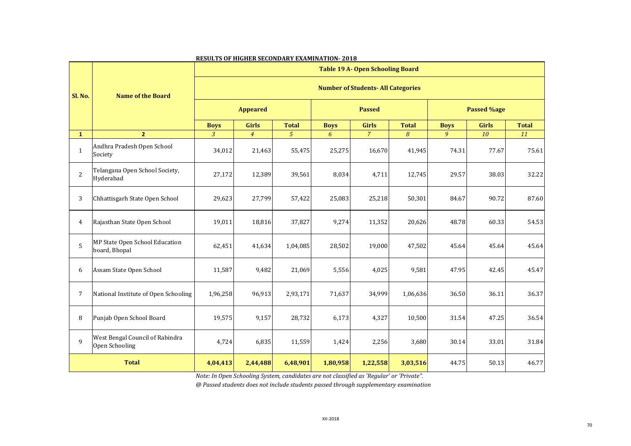|                |                                                   |                                           |                 |                |             | <b>Table 19 A- Open Schooling Board</b> |              |             |                    |              |
|----------------|---------------------------------------------------|-------------------------------------------|-----------------|----------------|-------------|-----------------------------------------|--------------|-------------|--------------------|--------------|
| Sl. No.        | <b>Name of the Board</b>                          | <b>Number of Students- All Categories</b> |                 |                |             |                                         |              |             |                    |              |
|                |                                                   |                                           | <b>Appeared</b> |                |             | <b>Passed</b>                           |              |             | <b>Passed %age</b> |              |
|                |                                                   | <b>Boys</b>                               | <b>Girls</b>    | <b>Total</b>   | <b>Boys</b> | <b>Girls</b>                            | <b>Total</b> | <b>Boys</b> | <b>Girls</b>       | <b>Total</b> |
| $\mathbf{1}$   | 2 <sup>1</sup>                                    | 3                                         | $\overline{4}$  | 5 <sup>1</sup> | 6           | $\overline{7}$                          | 8            | 9           | 10                 | 11           |
| $\mathbf{1}$   | Andhra Pradesh Open School<br>Society             | 34,012                                    | 21,463          | 55,475         | 25,275      | 16,670                                  | 41,945       | 74.31       | 77.67              | 75.61        |
| $\overline{2}$ | Telangana Open School Society,<br>Hyderabad       | 27,172                                    | 12,389          | 39,561         | 8,034       | 4,711                                   | 12,745       | 29.57       | 38.03              | 32.22        |
| 3              | Chhattisgarh State Open School                    | 29,623                                    | 27,799          | 57,422         | 25,083      | 25,218                                  | 50,301       | 84.67       | 90.72              | 87.60        |
| 4              | Rajasthan State Open School                       | 19,011                                    | 18,816          | 37,827         | 9,274       | 11,352                                  | 20,626       | 48.78       | 60.33              | 54.53        |
| 5              | MP State Open School Education<br>board, Bhopal   | 62,451                                    | 41,634          | 1,04,085       | 28,502      | 19,000                                  | 47,502       | 45.64       | 45.64              | 45.64        |
| 6              | Assam State Open School                           | 11,587                                    | 9,482           | 21,069         | 5,556       | 4,025                                   | 9,581        | 47.95       | 42.45              | 45.47        |
| 7              | National Institute of Open Schooling              | 1,96,258                                  | 96,913          | 2,93,171       | 71,637      | 34,999                                  | 1,06,636     | 36.50       | 36.11              | 36.37        |
| 8              | Punjab Open School Board                          | 19,575                                    | 9,157           | 28,732         | 6,173       | 4,327                                   | 10,500       | 31.54       | 47.25              | 36.54        |
| 9              | West Bengal Council of Rabindra<br>Open Schooling | 4,724                                     | 6,835           | 11,559         | 1,424       | 2,256                                   | 3,680        | 30.14       | 33.01              | 31.84        |
|                | <b>Total</b>                                      | 4,04,413                                  | 2,44,488        | 6,48,901       | 1,80,958    | 1,22,558                                | 3,03,516     | 44.75       | 50.13              | 46.77        |

*Note: In Open Schooling System, candidates are not classified as 'Regular' or 'Private".*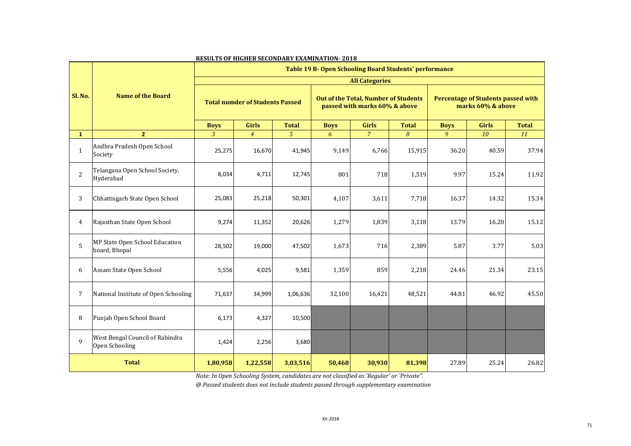|                |                                                   |                | <u>KOODIS OF MAMDIN SOCONDINIT DAMINIMITION FOTO</u> |                |             |                                                                       | Table 19 B- Open Schooling Board Students' performance |             |                                                                |              |
|----------------|---------------------------------------------------|----------------|------------------------------------------------------|----------------|-------------|-----------------------------------------------------------------------|--------------------------------------------------------|-------------|----------------------------------------------------------------|--------------|
|                |                                                   |                |                                                      |                |             | <b>All Categories</b>                                                 |                                                        |             |                                                                |              |
| Sl. No.        | <b>Name of the Board</b>                          |                | <b>Total numder of Students Passed</b>               |                |             | Out of the Total, Number of Students<br>passed with marks 60% & above |                                                        |             | <b>Percentage of Students passed with</b><br>marks 60% & above |              |
|                |                                                   | <b>Boys</b>    | <b>Girls</b>                                         | <b>Total</b>   | <b>Boys</b> | <b>Girls</b>                                                          | <b>Total</b>                                           | <b>Boys</b> | <b>Girls</b>                                                   | <b>Total</b> |
| $\mathbf{1}$   | 2 <sup>1</sup>                                    | $\overline{3}$ | $\overline{4}$                                       | 5 <sup>1</sup> | 6           | $\overline{7}$                                                        | 8                                                      | 9           | 10                                                             | 11           |
| $\mathbf{1}$   | Andhra Pradesh Open School<br>Society             | 25,275         | 16,670                                               | 41,945         | 9,149       | 6,766                                                                 | 15,915                                                 | 36.20       | 40.59                                                          | 37.94        |
| $\overline{2}$ | Telangana Open School Society,<br>Hyderabad       | 8,034          | 4,711                                                | 12,745         | 801         | 718                                                                   | 1,519                                                  | 9.97        | 15.24                                                          | 11.92        |
| 3              | Chhattisgarh State Open School                    | 25,083         | 25,218                                               | 50,301         | 4,107       | 3,611                                                                 | 7,718                                                  | 16.37       | 14.32                                                          | 15.34        |
| $\overline{4}$ | Rajasthan State Open School                       | 9,274          | 11,352                                               | 20,626         | 1,279       | 1,839                                                                 | 3,118                                                  | 13.79       | 16.20                                                          | 15.12        |
| 5              | MP State Open School Education<br>board, Bhopal   | 28,502         | 19,000                                               | 47,502         | 1,673       | 716                                                                   | 2,389                                                  | 5.87        | 3.77                                                           | 5.03         |
| 6              | Assam State Open School                           | 5,556          | 4,025                                                | 9,581          | 1,359       | 859                                                                   | 2,218                                                  | 24.46       | 21.34                                                          | 23.15        |
| $\overline{7}$ | National Institute of Open Schooling              | 71,637         | 34,999                                               | 1,06,636       | 32,100      | 16,421                                                                | 48,521                                                 | 44.81       | 46.92                                                          | 45.50        |
| 8              | Punjab Open School Board                          | 6,173          | 4,327                                                | 10,500         |             |                                                                       |                                                        |             |                                                                |              |
| 9              | West Bengal Council of Rabindra<br>Open Schooling | 1,424          | 2,256                                                | 3,680          |             |                                                                       |                                                        |             |                                                                |              |
|                | <b>Total</b>                                      | 1,80,958       | 1,22,558                                             | 3,03,516       | 50,468      | 30,930                                                                | 81,398                                                 | 27.89       | 25.24                                                          | 26.82        |

*Note: In Open Schooling System, candidates are not classified as 'Regular' or 'Private".*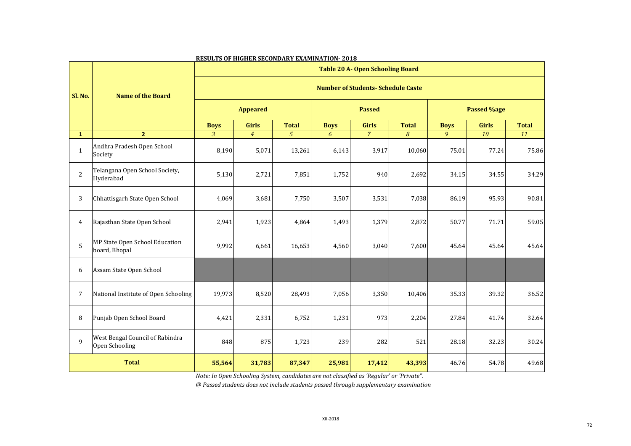|                |                                                   |                |                 |                |             | <b>Table 20 A- Open Schooling Board</b>   |              |             |                    |              |
|----------------|---------------------------------------------------|----------------|-----------------|----------------|-------------|-------------------------------------------|--------------|-------------|--------------------|--------------|
| <b>Sl. No.</b> | <b>Name of the Board</b>                          |                |                 |                |             | <b>Number of Students- Schedule Caste</b> |              |             |                    |              |
|                |                                                   |                | <b>Appeared</b> |                |             | <b>Passed</b>                             |              |             | <b>Passed %age</b> |              |
|                |                                                   | <b>Boys</b>    | <b>Girls</b>    | <b>Total</b>   | <b>Boys</b> | <b>Girls</b>                              | <b>Total</b> | <b>Boys</b> | <b>Girls</b>       | <b>Total</b> |
| $\mathbf{1}$   | 2 <sup>1</sup>                                    | $\mathfrak{Z}$ | $\overline{4}$  | 5 <sup>1</sup> | 6           | $\overline{7}$                            | 8            | 9           | 10                 | <b>11</b>    |
| $\mathbf{1}$   | Andhra Pradesh Open School<br>Society             | 8,190          | 5,071           | 13,261         | 6,143       | 3,917                                     | 10,060       | 75.01       | 77.24              | 75.86        |
| $\overline{c}$ | Telangana Open School Society,<br>Hyderabad       | 5,130          | 2,721           | 7,851          | 1,752       | 940                                       | 2,692        | 34.15       | 34.55              | 34.29        |
| 3              | Chhattisgarh State Open School                    | 4,069          | 3,681           | 7,750          | 3,507       | 3,531                                     | 7,038        | 86.19       | 95.93              | 90.81        |
| 4              | Rajasthan State Open School                       | 2,941          | 1,923           | 4,864          | 1,493       | 1,379                                     | 2,872        | 50.77       | 71.71              | 59.05        |
| 5              | MP State Open School Education<br>board, Bhopal   | 9,992          | 6,661           | 16,653         | 4,560       | 3,040                                     | 7,600        | 45.64       | 45.64              | 45.64        |
| 6              | Assam State Open School                           |                |                 |                |             |                                           |              |             |                    |              |
| 7              | National Institute of Open Schooling              | 19,973         | 8,520           | 28,493         | 7,056       | 3,350                                     | 10,406       | 35.33       | 39.32              | 36.52        |
| 8              | Punjab Open School Board                          | 4,421          | 2,331           | 6,752          | 1,231       | 973                                       | 2,204        | 27.84       | 41.74              | 32.64        |
| 9              | West Bengal Council of Rabindra<br>Open Schooling | 848            | 875             | 1,723          | 239         | 282                                       | 521          | 28.18       | 32.23              | 30.24        |
|                | <b>Total</b>                                      | 55,564         | 31,783          | 87,347         | 25,981      | 17,412                                    | 43,393       | 46.76       | 54.78              | 49.68        |

*Note: In Open Schooling System, candidates are not classified as 'Regular' or 'Private".*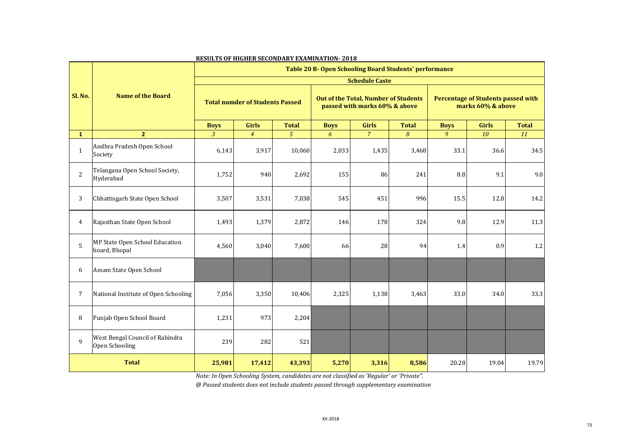|                |                                                   |                |                                        |                |             |                                                                       | Table 20 B- Open Schooling Board Students' performance |             |                                                                |              |
|----------------|---------------------------------------------------|----------------|----------------------------------------|----------------|-------------|-----------------------------------------------------------------------|--------------------------------------------------------|-------------|----------------------------------------------------------------|--------------|
|                |                                                   |                |                                        |                |             | <b>Schedule Caste</b>                                                 |                                                        |             |                                                                |              |
| Sl. No.        | <b>Name of the Board</b>                          |                | <b>Total numder of Students Passed</b> |                |             | Out of the Total, Number of Students<br>passed with marks 60% & above |                                                        |             | <b>Percentage of Students passed with</b><br>marks 60% & above |              |
|                |                                                   | <b>Boys</b>    | <b>Girls</b>                           | <b>Total</b>   | <b>Boys</b> | <b>Girls</b>                                                          | <b>Total</b>                                           | <b>Boys</b> | <b>Girls</b>                                                   | <b>Total</b> |
| $\mathbf{1}$   | 2 <sup>1</sup>                                    | $\overline{3}$ | $\overline{4}$                         | 5 <sup>1</sup> | 6           | $\overline{7}$                                                        | 8                                                      | 9           | 10                                                             | 11           |
| $\mathbf{1}$   | Andhra Pradesh Open School<br>Society             | 6,143          | 3,917                                  | 10,060         | 2,033       | 1,435                                                                 | 3,468                                                  | 33.1        | 36.6                                                           | 34.5         |
| $\overline{2}$ | Telangana Open School Society,<br>Hyderabad       | 1,752          | 940                                    | 2,692          | 155         | 86                                                                    | 241                                                    | 8.8         | 9.1                                                            | 9.0          |
| 3              | Chhattisgarh State Open School                    | 3,507          | 3,531                                  | 7,038          | 545         | 451                                                                   | 996                                                    | 15.5        | 12.8                                                           | 14.2         |
| 4              | Rajasthan State Open School                       | 1,493          | 1,379                                  | 2,872          | 146         | 178                                                                   | 324                                                    | 9.8         | 12.9                                                           | 11.3         |
| 5              | MP State Open School Education<br>board, Bhopal   | 4,560          | 3,040                                  | 7,600          | 66          | 28                                                                    | 94                                                     | 1.4         | 0.9                                                            | $1.2\,$      |
| 6              | Assam State Open School                           |                |                                        |                |             |                                                                       |                                                        |             |                                                                |              |
| 7              | National Institute of Open Schooling              | 7,056          | 3,350                                  | 10,406         | 2,325       | 1,138                                                                 | 3,463                                                  | 33.0        | 34.0                                                           | 33.3         |
| 8              | Punjab Open School Board                          | 1,231          | 973                                    | 2,204          |             |                                                                       |                                                        |             |                                                                |              |
| 9              | West Bengal Council of Rabindra<br>Open Schooling | 239            | 282                                    | 521            |             |                                                                       |                                                        |             |                                                                |              |
|                | <b>Total</b>                                      | 25,981         | 17,412                                 | 43,393         | 5,270       | 3,316                                                                 | 8,586                                                  | 20.28       | 19.04                                                          | 19.79        |

*Note: In Open Schooling System, candidates are not classified as 'Regular' or 'Private".*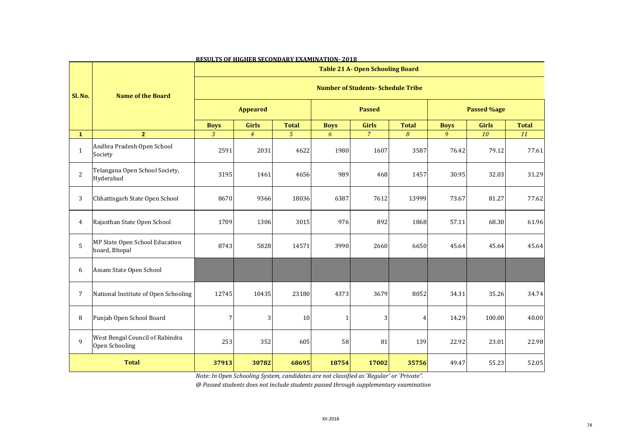|                                                                                  |                                                   |                |                 |                |              | <b>Table 21 A- Open Schooling Board</b> |              |             |                    |              |
|----------------------------------------------------------------------------------|---------------------------------------------------|----------------|-----------------|----------------|--------------|-----------------------------------------|--------------|-------------|--------------------|--------------|
| <b>Number of Students- Schedule Tribe</b><br><b>Name of the Board</b><br>Sl. No. |                                                   |                |                 |                |              |                                         |              |             |                    |              |
|                                                                                  |                                                   |                | <b>Appeared</b> |                |              | <b>Passed</b>                           |              |             | <b>Passed %age</b> |              |
|                                                                                  |                                                   | <b>Boys</b>    | <b>Girls</b>    | <b>Total</b>   | <b>Boys</b>  | <b>Girls</b>                            | <b>Total</b> | <b>Boys</b> | <b>Girls</b>       | <b>Total</b> |
| $\mathbf{1}$                                                                     | 2 <sup>1</sup>                                    | $\mathfrak{Z}$ | $\overline{4}$  | 5 <sup>1</sup> | 6            | $\overline{7}$                          | 8            | 9           | 10                 | 11           |
| $\mathbf{1}$                                                                     | Andhra Pradesh Open School<br>Society             | 2591           | 2031            | 4622           | 1980         | 1607                                    | 3587         | 76.42       | 79.12              | 77.61        |
| 2                                                                                | Telangana Open School Society,<br>Hyderabad       | 3195           | 1461            | 4656           | 989          | 468                                     | 1457         | 30.95       | 32.03              | 31.29        |
| 3                                                                                | Chhattisgarh State Open School                    | 8670           | 9366            | 18036          | 6387         | 7612                                    | 13999        | 73.67       | 81.27              | 77.62        |
| $\overline{4}$                                                                   | Rajasthan State Open School                       | 1709           | 1306            | 3015           | 976          | 892                                     | 1868         | 57.11       | 68.30              | 61.96        |
| 5                                                                                | MP State Open School Education<br>board, Bhopal   | 8743           | 5828            | 14571          | 3990         | 2660                                    | 6650         | 45.64       | 45.64              | 45.64        |
| 6                                                                                | Assam State Open School                           |                |                 |                |              |                                         |              |             |                    |              |
| $\overline{7}$                                                                   | National Institute of Open Schooling              | 12745          | 10435           | 23180          | 4373         | 3679                                    | 8052         | 34.31       | 35.26              | 34.74        |
| 8                                                                                | Punjab Open School Board                          | $\overline{7}$ | 3               | 10             | $\mathbf{1}$ | 3                                       | 4            | 14.29       | 100.00             | 40.00        |
| 9                                                                                | West Bengal Council of Rabindra<br>Open Schooling | 253            | 352             | 605            | 58           | 81                                      | 139          | 22.92       | 23.01              | 22.98        |
|                                                                                  | <b>Total</b>                                      | 37913          | 30782           | 68695          | 18754        | 17002                                   | 35756        | 49.47       | 55.23              | 52.05        |

*Note: In Open Schooling System, candidates are not classified as 'Regular' or 'Private".*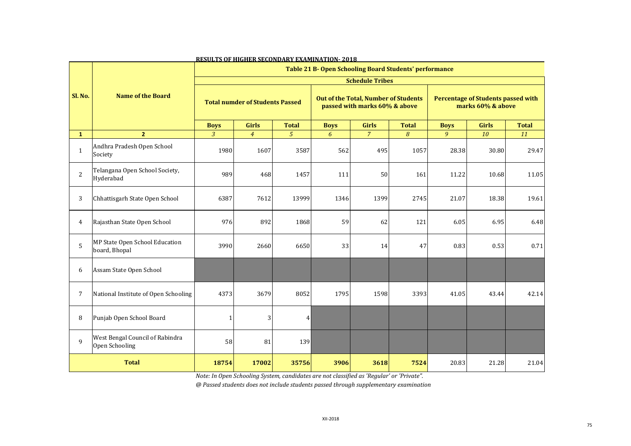|                |                                                   |                |                                        |              |             |                                                                                                 | Table 21 B- Open Schooling Board Students' performance |             |                                                                |              |
|----------------|---------------------------------------------------|----------------|----------------------------------------|--------------|-------------|-------------------------------------------------------------------------------------------------|--------------------------------------------------------|-------------|----------------------------------------------------------------|--------------|
| Sl. No.        | <b>Name of the Board</b>                          |                | <b>Total numder of Students Passed</b> |              |             | <b>Schedule Tribes</b><br>Out of the Total, Number of Students<br>passed with marks 60% & above |                                                        |             | <b>Percentage of Students passed with</b><br>marks 60% & above |              |
|                |                                                   | <b>Boys</b>    | <b>Girls</b>                           | <b>Total</b> | <b>Boys</b> | <b>Girls</b>                                                                                    | <b>Total</b>                                           | <b>Boys</b> | <b>Girls</b>                                                   | <b>Total</b> |
| $\mathbf{1}$   | 2 <sup>1</sup>                                    | $\overline{3}$ | $\overline{4}$                         | 5            | 6           | $\overline{7}$                                                                                  | 8                                                      | 9           | 10                                                             | 11           |
| $\mathbf{1}$   | Andhra Pradesh Open School<br>Society             | 1980           | 1607                                   | 3587         | 562         | 495                                                                                             | 1057                                                   | 28.38       | 30.80                                                          | 29.47        |
| $\overline{2}$ | Telangana Open School Society,<br>Hyderabad       | 989            | 468                                    | 1457         | 111         | 50                                                                                              | 161                                                    | 11.22       | 10.68                                                          | 11.05        |
| 3              | Chhattisgarh State Open School                    | 6387           | 7612                                   | 13999        | 1346        | 1399                                                                                            | 2745                                                   | 21.07       | 18.38                                                          | 19.61        |
| 4              | Rajasthan State Open School                       | 976            | 892                                    | 1868         | 59          | 62                                                                                              | 121                                                    | 6.05        | 6.95                                                           | 6.48         |
| 5              | MP State Open School Education<br>board, Bhopal   | 3990           | 2660                                   | 6650         | 33          | 14                                                                                              | 47                                                     | 0.83        | 0.53                                                           | 0.71         |
| 6              | Assam State Open School                           |                |                                        |              |             |                                                                                                 |                                                        |             |                                                                |              |
| 7              | National Institute of Open Schooling              | 4373           | 3679                                   | 8052         | 1795        | 1598                                                                                            | 3393                                                   | 41.05       | 43.44                                                          | 42.14        |
| 8              | Punjab Open School Board                          |                | 3                                      | 4            |             |                                                                                                 |                                                        |             |                                                                |              |
| 9              | West Bengal Council of Rabindra<br>Open Schooling | 58             | 81                                     | 139          |             |                                                                                                 |                                                        |             |                                                                |              |
|                | <b>Total</b>                                      | 18754          | 17002                                  | 35756        | 3906        | 3618                                                                                            | 7524                                                   | 20.83       | 21.28                                                          | 21.04        |

*Note: In Open Schooling System, candidates are not classified as 'Regular' or 'Private".*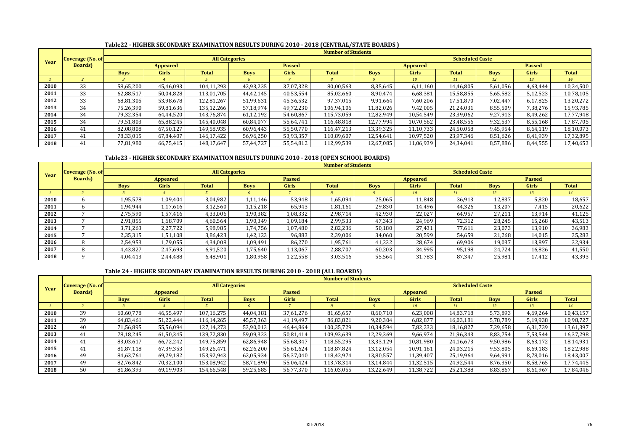# **Table22 - HIGHER SECONDARY EXAMINATION RESULTS DURING 2010 - 2018 (CENTRAL/STATE BOARDS )**

|      |                         |             |                 |                       |             |               | <b>Number of Students</b> |             |           |                        |             |               |              |
|------|-------------------------|-------------|-----------------|-----------------------|-------------|---------------|---------------------------|-------------|-----------|------------------------|-------------|---------------|--------------|
| Year | <b>Coverage (No. of</b> |             |                 | <b>All Categories</b> |             |               |                           |             |           | <b>Scheduled Caste</b> |             |               |              |
|      | <b>Boards</b> )         |             | <b>Appeared</b> |                       |             | <b>Passed</b> |                           |             | Appeared  |                        |             | <b>Passed</b> |              |
|      |                         | <b>Boys</b> | <b>Girls</b>    | <b>Total</b>          | <b>Boys</b> | Girls         | <b>Total</b>              | <b>Boys</b> | Girls     | <b>Total</b>           | <b>Boys</b> | <b>Girls</b>  | <b>Total</b> |
|      |                         |             |                 |                       |             |               |                           |             | 10        | 11                     | 12          | 13            | 14           |
| 2010 | 33                      | 58,65,200   | 45,46,093       | 104,11,293            | 42,93,235   | 37,07,328     | 80,00,563                 | 8,35,645    | 6,11,160  | 14,46,805              | 5,61,056    | 4,63,444      | 10,24,500    |
| 2011 | 33                      | 62,88,517   | 50,04,828       | 113,01,705            | 44,42,145   | 40,53,554     | 85,02,660                 | 8,90,474    | 6,68,381  | 15,58,855              | 5,65,582    | 5,12,523      | 10,78,105    |
| 2012 | 33                      | 68,81,305   | 53,98,678       | 122,81,267            | 51,99,631   | 45,36,532     | 97,37,015                 | 9,91,664    | 7,60,206  | 17,51,870              | 7,02,447    | 6,17,825      | 13,20,272    |
| 2013 | 34                      | 75,26,390   | 59,81,636       | 135,12,266            | 57,18,974   | 49,72,230     | 106,94,106                | 11,82,026   | 9,42,005  | 21,24,031              | 8,55,509    | 7,38,276      | 15,93,785    |
| 2014 | 34                      | 79,32,354   | 64,44,520       | 143.76.874            | 61,12,192   | 54.60.867     | 115,73,059                | 12,82,949   | 10,54,549 | 23,39,062              | 9,27,913    | 8,49,262      | 17,77,948    |
| 2015 | 34                      | 79,51,803   | 65,88,245       | 145,40,048            | 60,84,077   | 55,64,741     | 116,48,818                | 12,77,994   | 10,70,562 | 23,48,556              | 9,32,537    | 8,55,168      | 17,87,705    |
| 2016 | 41                      | 82,08,808   | 67,50,127       | 149,58,935            | 60,96,443   | 55,50,770     | 116,47,213                | 13,39,325   | 11,10,733 | 24,50,058              | 9,45,954    | 8,64,119      | 18,10,073    |
| 2017 | 41                      | 78,33,015   | 67,84,407       | 146.17.422            | 56,96,250   | 53,93,357     | 110,89,607                | 12,54,641   | 10,97,520 | 23,97,346              | 8,51,626    | 8,41,939      | 17,32,895    |
| 2018 |                         | 77,81,980   | 66,75,415       | 148,17,647            | 57,44,727   | 55,54,812     | 112,99,539                | 12,67,085   | 11,06,939 | 24,34,041              | 8,57,886    | 8,44,555      | 17,40,653    |

## **Table23 - HIGHER SECONDARY EXAMINATION RESULTS DURING 2010 - 2018 (OPEN SCHOOL BOARDS)**

|      |                  |             |                 |                       |             |               | <b>Number of Students</b> |             |                 |                        |             |               |              |
|------|------------------|-------------|-----------------|-----------------------|-------------|---------------|---------------------------|-------------|-----------------|------------------------|-------------|---------------|--------------|
| Year | Coverage (No. of |             |                 | <b>All Categories</b> |             |               |                           |             |                 | <b>Scheduled Caste</b> |             |               |              |
|      | <b>Boards</b> )  |             | <b>Appeared</b> |                       |             | <b>Passed</b> |                           |             | Appeared        |                        |             | <b>Passed</b> |              |
|      |                  | <b>Boys</b> | <b>Girls</b>    | <b>Total</b>          | <b>Boys</b> | <b>Girls</b>  | <b>Total</b>              | <b>Boys</b> | <b>Girls</b>    | <b>Total</b>           | <b>Boys</b> | <b>Girls</b>  | <b>Total</b> |
|      |                  |             |                 |                       | $\sqrt{2}$  |               | $\overline{g}$            |             | 10 <sup>1</sup> | 11                     | 12          | 13            | 14           |
| 2010 |                  | 1,95,578    | 1,09,404        | 3,04,982              | 1,11,146    | 53,948        | 1,65,094                  | 25,065      | 11,848          | 36,913                 | 12,837      | 5,820         | 18,657       |
| 2011 |                  | 1,94,944    | 1,17,616        | 3,12,560              | 1,15,218    | 65,943        | 1,81,161                  | 29,830      | 14,496          | 44,326                 | 13,207      | 7,415         | 20,622       |
| 2012 |                  | 2,75,590    | 1,57,416        | 4,33,006              | 1,90,382    | 1,08,332      | 2,98,714                  | 42,930      | 22,027          | 64,957                 | 27,211      | 13,914        | 41,125       |
| 2013 |                  | 2,91,855    | 1,68,709        | 4,60,564              | 1,90,349    | 1,09,184      | 2,99,533                  | 47,343      | 24,969          | 72,312                 | 28,245      | 15,268        | 43,513       |
| 2014 |                  | 3,71,263    | 2,27,722        | 5,98,985              | 1,74,756    | 1,07,480      | 2,82,236                  | 50,180      | 27,431          | 77,611                 | 23,073      | 13,910        | 36,983       |
| 2015 |                  | 2,35,315    | 1,51,108        | 3,86,423              | 1,42,123    | 96,883        | 2,39,006                  | 34,060      | 20,599          | 54,659                 | 21,268      | 14,015        | 35,283       |
| 2016 |                  | 2,54,953    | 1,79,055        | 4,34,008              | 1,09,491    | 86,270        | 1,95,761                  | 41,232      | 28,674          | 69,906                 | 19,037      | 13,897        | 32,934       |
| 2017 |                  | 4,43,827    | 2,47,693        | 6,91,520              | 1,75,640    | 1,13,067      | 2,88,707                  | 60,203      | 34,995          | 95,198                 | 24,724      | 16,826        | 41,550       |
| 2018 |                  | 4,04,413    | 2,44,488        | 6,48,901              | 1,80,958    | 1,22,558      | 3,03,516                  | 55,564      | 31,783          | 87,347                 | 25,981      | 17,412        | 43,393       |

## **Table 24 - HIGHER SECONDARY EXAMINATION RESULTS DURING 2010 - 2018 (ALL BOARDS)**

|             |                         |             |           |                       |             |               | <b>Number of Students</b> |             |              |                        |             |               |              |
|-------------|-------------------------|-------------|-----------|-----------------------|-------------|---------------|---------------------------|-------------|--------------|------------------------|-------------|---------------|--------------|
| <b>Year</b> | <b>Coverage (No. of</b> |             |           | <b>All Categories</b> |             |               |                           |             |              | <b>Scheduled Caste</b> |             |               |              |
|             | <b>Boards</b>           |             | Appeared  |                       |             | <b>Passed</b> |                           |             | Appeared     |                        |             | <b>Passed</b> |              |
|             |                         | <b>Boys</b> | Girls     | <b>Total</b>          | <b>Boys</b> | Girls         | <b>Total</b>              | <b>Boys</b> | <b>Girls</b> | <b>Total</b>           | <b>Boys</b> | <b>Girls</b>  | <b>Total</b> |
|             |                         |             |           |                       | 6           |               |                           |             | 10           | 11                     | 12          | 13            | 14           |
| 2010        | 39                      | 60,60,778   | 46,55,497 | 107,16,275            | 44,04,381   | 37,61,276     | 81,65,657                 | 8,60,710    | 6,23,008     | 14,83,718              | 5,73,893    | 4,69,264      | 10,43,157    |
| 2011        | 39                      | 64,83,461   | 51,22,444 | 116,14,265            | 45,57,363   | 41.19.497     | 86,83,821                 | 9,20,304    | 6,82,877     | 16,03,181              | 5,78,789    | 5,19,938      | 10,98,727    |
| 2012        | 40                      | 71,56,895   | 55,56,094 | 127, 14, 273          | 53,90,013   | 46,44,864     | 100,35,729                | 10,34,594   | 7,82,233     | 18,16,827              | 7,29,658    | 6,31,739      | 13,61,397    |
| 2013        | 41                      | 78,18,245   | 61,50,345 | 139,72,830            | 59,09,323   | 50,81,414     | 109,93,639                | 12,29,369   | 9,66,974     | 21,96,343              | 8,83,754    | 7,53,544      | 16,37,298    |
| 2014        | 41                      | 83,03,617   | 66,72,242 | 149,75,859            | 62,86,948   | 55,68,347     | 118,55,295                | 13,33,129   | 10,81,980    | 24,16,673              | 9,50,986    | 8,63,172      | 18,14,931    |
| 2015        | 41                      | 81,87,118   | 67,39,353 | 149,26,471            | 62,26,200   | 56,61,624     | 118,87,824                | 13,12,054   | 10,91,161    | 24,03,215              | 9,53,805    | 8,69,183      | 18,22,988    |
| 2016        | 49                      | 84,63,761   | 69,29,182 | 153,92,943            | 62,05,934   | 56,37,040     | 118,42,974                | 13,80,557   | 11,39,407    | 25,19,964              | 9,64,991    | 8,78,016      | 18,43,007    |
| 2017        | 49                      | 82,76,842   | 70,32,100 | 153,08,942            | 58,71,890   | 55,06,424     | 113,78,314                | 13,14,844   | 11,32,515    | 24,92,544              | 8,76,350    | 8,58,765      | 17,74,445    |
| 2018        | 50                      | 81,86,393   | 69,19,903 | 154,66,548            | 59,25,685   | 56,77,370     | 116,03,055                | 13,22,649   | 11,38,722    | 25,21,388              | 8,83,867    | 8,61,967      | 17,84,046    |